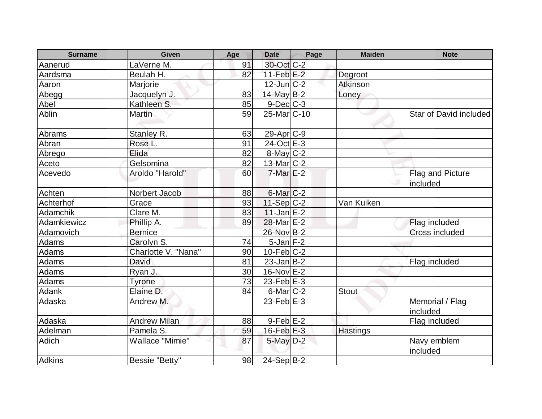| <b>Surname</b>  | Given               | Age             | <b>Date</b>              | Page | <b>Maiden</b>   | <b>Note</b>                   |
|-----------------|---------------------|-----------------|--------------------------|------|-----------------|-------------------------------|
| Aanerud         | LaVerne M.          | 91              | 30-Oct C-2               |      |                 |                               |
| Aardsma         | Beulah H.           | 82              | $11-Feb$ $E-2$           |      | Degroot         |                               |
| Aaron           | Marjorie            |                 | $12$ -Jun $ C-2 $        |      | Atkinson        |                               |
| Abegg           | Jacquelyn J.        | 83              | $14$ -May B-2            |      | Loney           |                               |
| Abel            | Kathleen S.         | 85              | $9$ -Dec $C$ -3          |      |                 |                               |
| Ablin           | <b>Martin</b>       | 59              | 25-Mar <sub>IC</sub> -10 |      |                 | <b>Star of David included</b> |
| Abrams          | Stanley R.          | 63              | $29-Apr$ C-9             |      |                 |                               |
| Abran           | Rose L.             | 91              | 24-Oct E-3               |      |                 |                               |
| Abrego          | Elida               | 82              | $8$ -May $C-2$           |      |                 |                               |
| Aceto           | Gelsomina           | 82              | $13$ -Mar $ C-2 $        |      |                 |                               |
| Acevedo         | Aroldo "Harold"     | 60              | $7$ -Mar $E-2$           |      |                 | Flag and Picture<br>included  |
| Achten          | Norbert Jacob       | 88              | 6-Mar C-2                |      |                 |                               |
| Achterhof       | Grace               | 93              | $11-Sep C-2$             |      | Van Kuiken      |                               |
| <b>Adamchik</b> | Clare M.            | 83              | $11$ -Jan $E-2$          |      |                 |                               |
| Adamkiewicz     | Phillip A.          | 89              | 28-Mar E-2               |      |                 | Flag included                 |
| Adamovich       | <b>Bernice</b>      |                 | 26-Nov B-2               |      |                 | Cross included                |
| Adams           | Carolyn S.          | 74              | $5$ -Jan $ F-2 $         |      |                 |                               |
| <b>Adams</b>    | Charlotte V. "Nana" | 90              | $10$ -Feb $ C-2$         |      |                 |                               |
| Adams           | David               | 81              | $23$ -Jan $ B-2 $        |      |                 | Flag included                 |
| Adams           | Ryan J.             | 30 <sub>l</sub> | $16$ -Nov $E-2$          |      |                 |                               |
| Adams           | <b>Tyrone</b>       | 73              | $23$ -Feb $E$ -3         |      |                 |                               |
| <b>Adank</b>    | Elaine D.           | 84              | $6$ -Mar $C-2$           |      | <b>Stout</b>    |                               |
| Adaska          | Andrew M.           |                 | $23$ -Feb $E-3$          |      |                 | Memorial / Flag<br>included   |
| Adaska          | <b>Andrew Milan</b> | 88              | $9$ -Feb $E-2$           |      |                 | Flag included                 |
| Adelman         | Pamela S.           | 59              | $16$ -Feb $E-3$          |      | <b>Hastings</b> |                               |
| <b>Adich</b>    | Wallace "Mimie"     | 87              | $5$ -May $D-2$           |      |                 | Navy emblem<br>included       |
| <b>Adkins</b>   | Bessie "Betty"      | 98              | 24-Sep B-2               |      |                 |                               |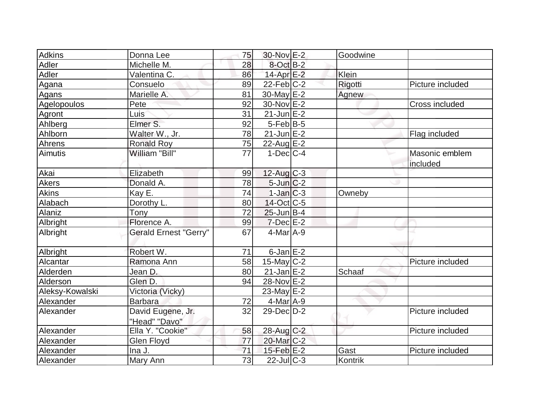| Adkins          | Donna Lee                    | 75 | 30-Nov E-2            | Goodwine |                  |
|-----------------|------------------------------|----|-----------------------|----------|------------------|
| <b>Adler</b>    | Michelle M.                  | 28 | $8$ -Oct B-2          |          |                  |
| Adler           | Valentina C.                 | 86 | $14$ -Apr $E-2$       | Klein    |                  |
| Agana           | Consuelo                     | 89 | $22$ -Feb $ C-2 $     | Rigotti  | Picture included |
| Agans           | Marielle A.                  | 81 | 30-May E-2            | Agnew    |                  |
| Agelopoulos     | Pete                         | 92 | $30$ -Nov $E-2$       |          | Cross included   |
| Agront          | Luis                         | 31 | $21$ -Jun $E-2$       |          |                  |
| Ahlberg         | Elmer S.                     | 92 | $5-Feb$ B-5           |          |                  |
| Ahlborn         | Walter W., Jr.               | 78 | $21$ -Jun $E-2$       |          | Flag included    |
| Ahrens          | <b>Ronald Roy</b>            | 75 | $22$ -Aug $E-2$       |          |                  |
| Aimutis         | William "Bill"               | 77 | $1-Dec$ $C-4$         |          | Masonic emblem   |
|                 |                              |    |                       |          | included         |
| Akai            | Elizabeth                    | 99 | $12$ -Aug C-3         |          |                  |
| <b>Akers</b>    | Donald A.                    | 78 | $5$ -Jun $C-2$        |          |                  |
| <b>Akins</b>    | Kay E.                       | 74 | $1-Jan$ $C-3$         | Owneby   |                  |
| Alabach         | Dorothy L.                   | 80 | $14$ -Oct $ C-5 $     |          |                  |
| Alaniz          | Tony                         | 72 | $25$ -Jun $B-4$       |          |                  |
| Albright        | Florence A.                  | 99 | $7$ -Dec $E-2$        |          |                  |
| Albright        | <b>Gerald Ernest "Gerry"</b> | 67 | $4$ -Mar $A-9$        |          |                  |
| Albright        | Robert W.                    | 71 | $6$ -Jan $E-2$        |          |                  |
| Alcantar        | Ramona Ann                   | 58 | $15$ -May C-2         |          | Picture included |
| Alderden        | Jean D.                      | 80 | $21$ -Jan $E-2$       | Schaaf   |                  |
| Alderson        | Glen D.                      | 94 | 28-Nov E-2            |          |                  |
| Aleksy-Kowalski | Victoria (Vicky)             |    | 23-May $E-2$          |          |                  |
| Alexander       | <b>Barbara</b>               | 72 | 4-Mar A-9             |          |                  |
| Alexander       | David Eugene, Jr.            | 32 | $29$ -Dec $D-2$       |          | Picture included |
|                 | "Head" "Davo"                |    |                       |          |                  |
| Alexander       | Ella Y. "Cookie"             | 58 | 28-Aug C-2            |          | Picture included |
| Alexander       | Glen Floyd                   | 77 | 20-Mar <sub>C-2</sub> |          |                  |
| Alexander       | Ina J.                       | 71 | $15$ -Feb $E-2$       | Gast     | Picture included |
| Alexander       | Mary Ann                     | 73 | $22$ -Jul C-3         | Kontrik  |                  |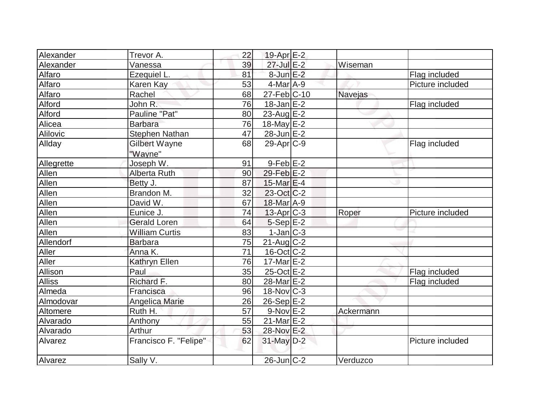| Alexander     | Trevor A.                       | 22 | 19-Apr <sub>E-2</sub>    |                |                  |
|---------------|---------------------------------|----|--------------------------|----------------|------------------|
| Alexander     | Vanessa                         | 39 | 27-Jul E-2               | Wiseman        |                  |
| Alfaro        | Ezequiel L.                     | 81 | $8$ -Jun $E-2$           |                | Flag included    |
| Alfaro        | Karen Kay                       | 53 | $4$ -Mar $A$ -9          |                | Picture included |
| Alfaro        | Rachel                          | 68 | 27-Feb C-10              | <b>Navejas</b> |                  |
| Alford        | John R.                         | 76 | $18 - Jan$ $E-2$         |                | Flag included    |
| Alford        | Pauline "Pat"                   | 80 | 23-Aug $E-2$             |                |                  |
| Alicea        | <b>Barbara</b>                  | 76 | 18-May E-2               |                |                  |
| Alilovic      | <b>Stephen Nathan</b>           | 47 | 28-Jun E-2               |                |                  |
| Allday        | <b>Gilbert Wayne</b><br>"Wayne" | 68 | $29$ -Apr $C-9$          |                | Flag included    |
| Allegrette    | Joseph W.                       | 91 | $9-Feb$ $E-2$            |                |                  |
| Allen         | Alberta Ruth                    | 90 | $29$ -Feb $E-2$          |                |                  |
| Allen         | Betty J.                        | 87 | 15-Mar E-4               |                |                  |
| Allen         | Brandon M.                      | 32 | $23-Oct$ $C-2$           |                |                  |
| Allen         | David W.                        | 67 | 18-Mar A-9               |                |                  |
| Allen         | Eunice J.                       | 74 | $13$ -Apr $C-3$          | Roper          | Picture included |
| Allen         | <b>Gerald Loren</b>             | 64 | $5-Sep$ $E-2$            |                |                  |
| Allen         | <b>William Curtis</b>           | 83 | $1-Jan$ $C-3$            |                |                  |
| Allendorf     | <b>Barbara</b>                  | 75 | $21$ -Aug C-2            |                |                  |
| Aller         | Anna K.                         | 71 | $16$ -Oct $C$ -2         |                |                  |
| Aller         | Kathryn Ellen                   | 76 | $17$ -Mar $E-2$          |                |                  |
| Allison       | Paul                            | 35 | 25-Oct E-2               |                | Flag included    |
| <b>Alliss</b> | Richard F.                      | 80 | 28-Mar E-2               |                | Flag included    |
| Almeda        | Francisca                       | 96 | $18-Nov$ <sub>C</sub> -3 |                |                  |
| Almodovar     | Angelica Marie                  | 26 | 26-Sep E-2               |                |                  |
| Altomere      | Ruth H.                         | 57 | $9-Nov$ E-2              | Ackermann      |                  |
| Alvarado      | Anthony                         | 55 | $21$ -Mar $E-2$          |                |                  |
| Alvarado      | Arthur                          | 53 | 28-Nov E-2               |                |                  |
| Alvarez       | Francisco F. "Felipe"           | 62 | $31$ -May $D-2$          |                | Picture included |
| Alvarez       | Sally V.                        |    | $26$ -Jun $ C-2$         | Verduzco       |                  |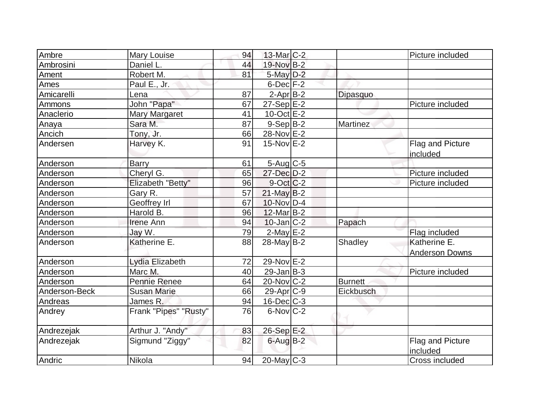| Ambre         | Mary Louise           | 94 | $13$ -Mar $C-2$         |                | Picture included             |
|---------------|-----------------------|----|-------------------------|----------------|------------------------------|
| Ambrosini     | Daniel L.             | 44 | 19-Nov B-2              |                |                              |
| Ament         | Robert M.             | 81 | $5$ -May $D-2$          |                |                              |
| Ames          | Paul E., Jr.          |    | $6$ -Dec $F-2$          |                |                              |
| Amicarelli    | Lena                  | 87 | $2$ -Apr $B-2$          | Dipasquo       |                              |
| Ammons        | John "Papa"           | 67 | $27-Sep$ $E-2$          |                | Picture included             |
| Anaclerio     | <b>Mary Margaret</b>  | 41 | $10$ -Oct $E - 2$       |                |                              |
| Anaya         | Sara M.               | 87 | $9-Sep B-2$             | Martinez       |                              |
| Ancich        | Tony, Jr.             | 66 | 28-Nov E-2              |                |                              |
| Andersen      | Harvey K.             | 91 | $15$ -Nov $E-2$         |                | Flag and Picture             |
|               |                       |    |                         |                | included                     |
| Anderson      | <b>Barry</b>          | 61 | $5-Aug$ $C-5$           |                |                              |
| Anderson      | Cheryl G.             | 65 | 27-Dec D-2              |                | Picture included             |
| Anderson      | Elizabeth "Betty"     | 96 | $9-Oct$ $C-2$           |                | Picture included             |
| Anderson      | Gary R.               | 57 | $21$ -May B-2           |                |                              |
| Anderson      | Geoffrey Irl          | 67 | 10-Nov D-4              |                |                              |
| Anderson      | Harold B.             | 96 | $12$ -Mar $B-2$         |                |                              |
| Anderson      | <b>Irene Ann</b>      | 94 | $10$ -Jan $ C-2 $       | Papach         |                              |
| Anderson      | Jay W.                | 79 | $2$ -May $E-2$          |                | Flag included                |
| Anderson      | Katherine E.          | 88 | $28$ -May B-2           | Shadley        | Katherine E.                 |
|               |                       |    |                         |                | <b>Anderson Downs</b>        |
| Anderson      | Lydia Elizabeth       | 72 | $29-Nov \overline{E-2}$ |                |                              |
| Anderson      | Marc M.               | 40 | $29$ -Jan B-3           |                | Picture included             |
| Anderson      | <b>Pennie Renee</b>   | 64 | $20$ -Nov $C-2$         | <b>Burnett</b> |                              |
| Anderson-Beck | <b>Susan Marie</b>    | 66 | $29$ -Apr $ C-9 $       | Eickbusch      |                              |
| Andreas       | James R.              | 94 | 16-Dec C-3              |                |                              |
| Andrey        | Frank "Pipes" "Rusty" | 76 | $6$ -Nov $C-2$          |                |                              |
| Andrezejak    | Arthur J. "Andy"      | 83 | 26-Sep E-2              |                |                              |
| Andrezejak    | Sigmund "Ziggy"       | 82 | $6$ -Aug $B$ -2         |                | Flag and Picture<br>included |
| Andric        | Nikola                | 94 | $20$ -May $C-3$         |                | Cross included               |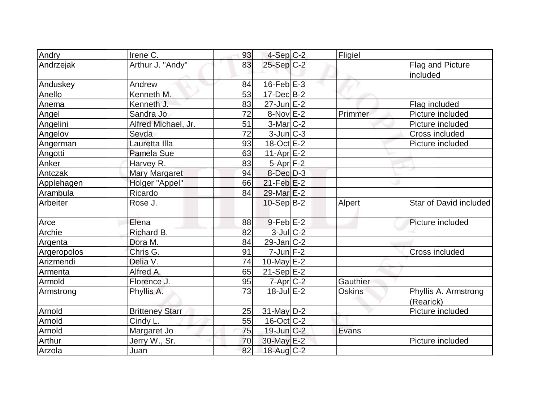| Andry       | Irene C.               | 93 | $4-Sep C-2$       | Fligiel       |                                   |
|-------------|------------------------|----|-------------------|---------------|-----------------------------------|
| Andrzejak   | Arthur J. "Andy"       | 83 | 25-Sep C-2        |               | Flag and Picture<br>included      |
| Anduskey    | Andrew                 | 84 | $16$ -Feb $E-3$   |               |                                   |
| Anello      | Kenneth M.             | 53 | $17$ -Dec $B-2$   |               |                                   |
| Anema       | Kenneth J.             | 83 | $27$ -Jun $E-2$   |               | Flag included                     |
| Angel       | Sandra Jo              | 72 | $8-Nov$ $E-2$     | Primmer       | Picture included                  |
| Angelini    | Alfred Michael, Jr.    | 51 | $3-Mar$ C-2       |               | Picture included                  |
| Angelov     | Sevda                  | 72 | $3$ -Jun $ C-3 $  |               | Cross included                    |
| Angerman    | Lauretta Illa          | 93 | $18-Oct \tE-2$    |               | Picture included                  |
| Angotti     | Pamela Sue             | 63 | 11-Apr $E-2$      |               |                                   |
| Anker       | Harvey R.              | 83 | $5-Apr$ $F-2$     |               |                                   |
| Antczak     | <b>Mary Margaret</b>   | 94 | $8$ -Dec $D-3$    |               |                                   |
| Applehagen  | Holger "Appel"         | 66 | $21$ -Feb $E-2$   |               |                                   |
| Arambula    | Ricardo                | 84 | 29-Mar E-2        |               |                                   |
| Arbeiter    | Rose J.                |    | $10-Sep B-2$      | Alpert        | Star of David included            |
| Arce        | Elena                  | 88 | $9$ -Feb $E-2$    |               | Picture included                  |
| Archie      | Richard B.             | 82 | $3$ -Jul $C-2$    |               |                                   |
| Argenta     | Dora M.                | 84 | $29$ -Jan $C-2$   |               |                                   |
| Argeropolos | Chris G.               | 91 | $7$ -Jun $F-2$    |               | Cross included                    |
| Arizmendi   | Delia V.               | 74 | $10$ -May $E-2$   |               |                                   |
| Armenta     | Alfred A.              | 65 | $21-Sep$ $E-2$    |               |                                   |
| Armold      | Florence J.            | 95 | 7-Apr C-2         | Gauthier      |                                   |
| Armstrong   | Phyllis A.             | 73 | $18$ -Jul $E-2$   | <b>Oskins</b> | Phyllis A. Armstrong<br>(Rearick) |
| Arnold      | <b>Britteney Starr</b> | 25 | 31-May D-2        |               | Picture included                  |
| Arnold      | Cindy L.               | 55 | $16$ -Oct $ C-2 $ |               |                                   |
| Arnold      | Margaret Jo            | 75 | 19-Jun C-2        | Evans         |                                   |
| Arthur      | Jerry W., Sr.          | 70 | 30-May E-2        |               | Picture included                  |
| Arzola      | Juan                   | 82 | 18-Aug C-2        |               |                                   |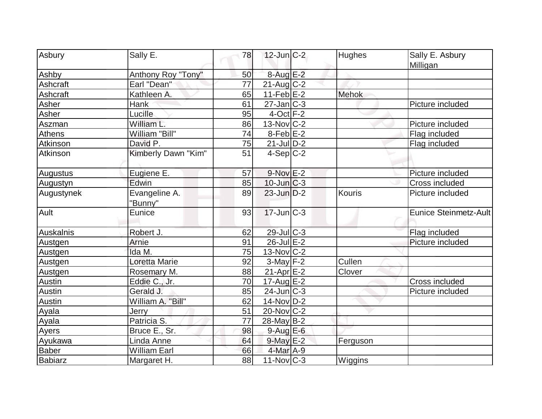|                |                     |    | $12$ -Jun $C-2$   |              |                       |
|----------------|---------------------|----|-------------------|--------------|-----------------------|
| Asbury         | Sally E.            | 78 |                   | Hughes       | Sally E. Asbury       |
| Ashby          | Anthony Roy "Tony"  | 50 | $8-AugE-2$        |              | Milligan              |
| Ashcraft       | Earl "Dean"         | 77 | $21$ -Aug C-2     |              |                       |
| Ashcraft       | Kathleen A.         | 65 | $11 - Feb E - 2$  | <b>Mehok</b> |                       |
| Asher          | Hank                | 61 | $27$ -Jan $ C-3 $ |              | Picture included      |
| Asher          | Lucille             | 95 | $4$ -Oct $ F-2 $  |              |                       |
| Aszman         | William L.          | 86 | $13-Nov$ C-2      |              | Picture included      |
| <b>Athens</b>  | William "Bill"      | 74 | $8$ -Feb $E-2$    |              | Flag included         |
| Atkinson       | David P.            | 75 | $21$ -Jul $D-2$   |              | Flag included         |
| Atkinson       | Kimberly Dawn "Kim" | 51 | $4-Sep C-2$       |              |                       |
|                |                     |    |                   |              |                       |
| Augustus       | Eugiene E.          | 57 | $9-Nov$ E-2       |              | Picture included      |
| Augustyn       | Edwin               | 85 | $10$ -Jun $C-3$   |              | <b>Cross included</b> |
| Augustynek     | Evangeline A.       | 89 | $23$ -Jun $D-2$   | Kouris       | Picture included      |
|                | "Bunny"             |    |                   |              |                       |
| Ault           | Eunice              | 93 | $17$ -Jun $ C-3 $ |              | Eunice Steinmetz-Ault |
|                |                     |    |                   |              |                       |
| Auskalnis      | Robert J.           | 62 | 29-Jul C-3        |              | Flag included         |
| Austgen        | Arnie               | 91 | $26$ -Jul $E-2$   |              | Picture included      |
| Austgen        | Ida M.              | 75 | $13-Nov$ C-2      |              |                       |
| Austgen        | Loretta Marie       | 92 | $3-May$ F-2       | Cullen       |                       |
| Austgen        | Rosemary M.         | 88 | $21-Apr$ $E-2$    | Clover       |                       |
| Austin         | Eddie C., Jr.       | 70 | $17$ -Aug $E-2$   |              | Cross included        |
| Austin         | Gerald J.           | 85 | $24$ -Jun $ C-3$  |              | Picture included      |
| <b>Austin</b>  | William A. "Bill"   | 62 | 14-Nov D-2        |              |                       |
| Ayala          | Jerry               | 51 | $20$ -Nov $ C-2 $ |              |                       |
| Ayala          | Patricia S.         | 77 | $28$ -May B-2     |              |                       |
| Ayers          | Bruce E., Sr.       | 98 | $9$ -Aug E-6      |              |                       |
| Ayukawa        | Linda Anne          | 64 | $9$ -May $E-2$    | Ferguson     |                       |
| <b>Baber</b>   | <b>William Earl</b> | 66 | $4$ -Mar $A-9$    |              |                       |
| <b>Babiarz</b> | Margaret H.         | 88 | $11$ -Nov $ C-3 $ | Wiggins      |                       |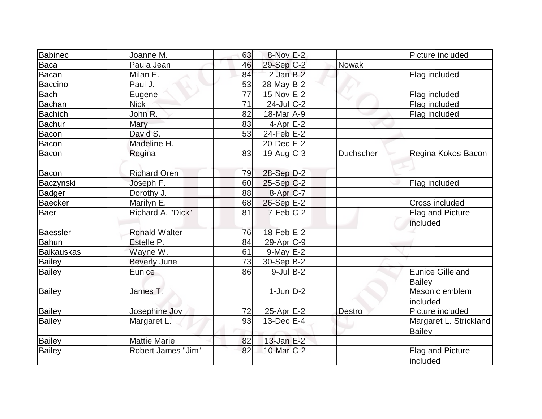| <b>Babinec</b>    | Joanne M.                 | 63 | 8-Nov E-2         |           | Picture included                         |
|-------------------|---------------------------|----|-------------------|-----------|------------------------------------------|
| <b>Baca</b>       | Paula Jean                | 46 | 29-Sep C-2        | Nowak     |                                          |
| <b>Bacan</b>      | Milan E.                  | 84 | $2$ -Jan $B-2$    |           | Flag included                            |
| <b>Baccino</b>    | Paul J.                   | 53 | 28-May B-2        |           |                                          |
| Bach              |                           | 77 | $15-Nov$ E-2      |           | Flag included                            |
| <b>Bachan</b>     | Eugene<br><b>Nick</b>     | 71 | $24$ -Jul $C-2$   |           |                                          |
|                   | John R.                   |    |                   |           | Flag included                            |
| <b>Bachich</b>    |                           | 82 | 18-Mar A-9        |           | Flag included                            |
| <b>Bachur</b>     | Mary                      | 83 | $4$ -Apr $E$ -2   |           |                                          |
| Bacon             | David S.                  | 53 | $24$ -Feb $E$ -2  |           |                                          |
| Bacon             | Madeline H.               |    | 20-Dec E-2        |           |                                          |
| Bacon             | Regina                    | 83 | $19$ -Aug C-3     | Duchscher | Regina Kokos-Bacon                       |
| Bacon             | <b>Richard Oren</b>       | 79 | 28-Sep D-2        |           |                                          |
| Baczynski         | Joseph F.                 | 60 | $25-Sep C-2$      |           | Flag included                            |
| <b>Badger</b>     | Dorothy J.                | 88 | 8-Apr C-7         |           |                                          |
| Baecker           | Marilyn E.                | 68 | 26-Sep E-2        |           | Cross included                           |
| <b>Baer</b>       | Richard A. "Dick"         | 81 | $7-Feb C-2$       |           | Flag and Picture<br>included             |
| <b>Baessler</b>   | <b>Ronald Walter</b>      | 76 | $18$ -Feb $E$ -2  |           |                                          |
| <b>Bahun</b>      | Estelle P.                | 84 | $29$ -Apr $ C-9 $ |           |                                          |
| <b>Baikauskas</b> | Wayne W.                  | 61 | 9-May E-2         |           |                                          |
| <b>Bailey</b>     | <b>Beverly June</b>       | 73 | $30-Sep B-2$      |           |                                          |
| <b>Bailey</b>     | Eunice                    | 86 | $9$ -Jul B-2      |           | <b>Eunice Gilleland</b><br><b>Bailey</b> |
| <b>Bailey</b>     | James T.                  |    | $1$ -Jun $D-2$    |           | Masonic emblem<br>included               |
| <b>Bailey</b>     | Josephine Joy             | 72 | 25-Apr E-2        | Destro    | Picture included                         |
| <b>Bailey</b>     | Margaret L.               | 93 | $13$ -Dec $E-4$   |           | Margaret L. Strickland<br><b>Bailey</b>  |
| <b>Bailey</b>     | <b>Mattie Marie</b>       | 82 | $13$ -Jan E-2     |           |                                          |
| <b>Bailey</b>     | <b>Robert James "Jim"</b> | 82 | 10-Mar C-2        |           | Flag and Picture<br>included             |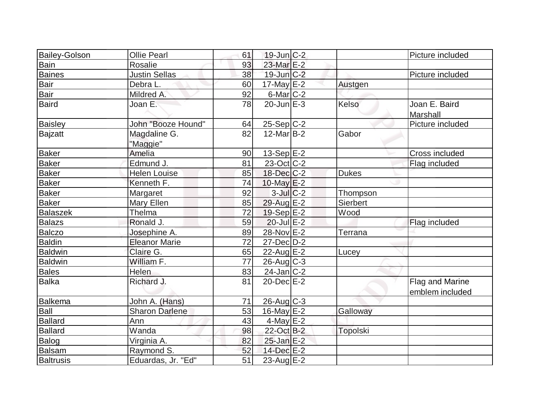| <b>Bailey-Golson</b> | <b>Ollie Pearl</b>       | 61 | $19$ -Jun $ C-2 $    |                 | Picture included                   |
|----------------------|--------------------------|----|----------------------|-----------------|------------------------------------|
| Bain                 | Rosalie                  | 93 | 23-Mar E-2           |                 |                                    |
| <b>Baines</b>        | <b>Justin Sellas</b>     | 38 | $19$ -Jun $C-2$      |                 | Picture included                   |
| Bair                 | Debra L.                 | 60 | $17$ -May $E-2$      | Austgen         |                                    |
| Bair                 | Mildred A.               | 92 | 6-Mar <sub>C-2</sub> |                 |                                    |
| <b>Baird</b>         | Joan E.                  | 78 | $20$ -Jun $E-3$      | Kelso           | Joan E. Baird<br>Marshall          |
| <b>Baisley</b>       | John "Booze Hound"       | 64 | $25-Sep C-2$         |                 | Picture included                   |
| Bajzatt              | Magdaline G.<br>"Maggie" | 82 | $12$ -Mar $ B-2 $    | Gabor           |                                    |
| <b>Baker</b>         | Amelia                   | 90 | $13-Sep$ $E-2$       |                 | Cross included                     |
| <b>Baker</b>         | Edmund J.                | 81 | $23-Oct$ $C-2$       |                 | Flag included                      |
| <b>Baker</b>         | <b>Helen Louise</b>      | 85 | 18-Dec C-2           | <b>Dukes</b>    |                                    |
| <b>Baker</b>         | Kenneth F.               | 74 | 10-May E-2           |                 |                                    |
| <b>Baker</b>         | Margaret                 | 92 | $3$ -Jul $C$ -2      | Thompson        |                                    |
| <b>Baker</b>         | Mary Ellen               | 85 | 29-Aug E-2           | <b>Sierbert</b> |                                    |
| <b>Balaszek</b>      | Thelma                   | 72 | $19-Sep$ E-2         | Wood            |                                    |
| <b>Balazs</b>        | Ronald J.                | 59 | $20$ -Jul $E-2$      |                 | Flag included                      |
| Balczo               | Josephine A.             | 89 | 28-Nov E-2           | Terrana         |                                    |
| <b>Baldin</b>        | <b>Eleanor Marie</b>     | 72 | $27 - Dec   D-2$     |                 |                                    |
| <b>Baldwin</b>       | Claire G.                | 65 | $22$ -Aug $E-2$      | Lucey           |                                    |
| <b>Baldwin</b>       | William F.               | 77 | $26$ -Aug $C-3$      |                 |                                    |
| Bales                | Helen                    | 83 | $24$ -Jan $ C-2 $    |                 |                                    |
| <b>Balka</b>         | Richard J.               | 81 | $20$ -Dec $E-2$      |                 | Flag and Marine<br>emblem included |
| Balkema              | John A. (Hans)           | 71 | $26$ -Aug C-3        |                 |                                    |
| Ball                 | <b>Sharon Darlene</b>    | 53 | $16$ -May $E-2$      | Galloway        |                                    |
| <b>Ballard</b>       | Ann                      | 43 | $4$ -May $E-2$       |                 |                                    |
| <b>Ballard</b>       | Wanda                    | 98 | 22-Oct B-2           | <b>Topolski</b> |                                    |
| Balog                | Virginia A.              | 82 | 25-Jan E-2           |                 |                                    |
| <b>Balsam</b>        | Raymond S.               | 52 | 14-Dec E-2           |                 |                                    |
| <b>Baltrusis</b>     | Eduardas, Jr. "Ed"       | 51 | $23$ -Aug $E-2$      |                 |                                    |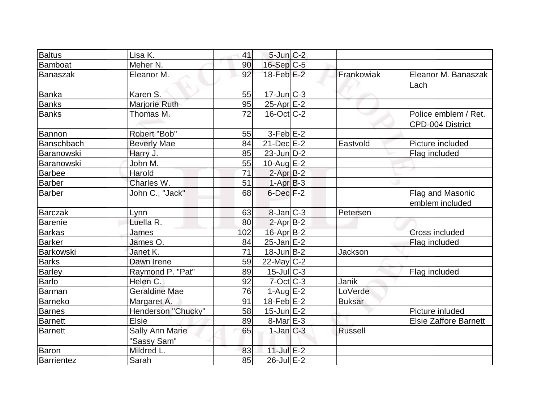| <b>Baltus</b>   | Lisa K.                        | 41  | $5$ -Jun $C-2$    |                |                                          |
|-----------------|--------------------------------|-----|-------------------|----------------|------------------------------------------|
| Bamboat         | Meher N.                       | 90  | 16-Sep C-5        |                |                                          |
| <b>Banaszak</b> | Eleanor M.                     | 92  | $18$ -Feb $E-2$   | Frankowiak     | Eleanor M. Banaszak<br>Lach              |
| <b>Banka</b>    | Karen S.                       | 55  | $17 - Jun$ $C-3$  |                |                                          |
| <b>Banks</b>    | Marjorie Ruth                  | 95  | $25$ -Apr $E-2$   |                |                                          |
| <b>Banks</b>    | Thomas M.                      | 72  | $16$ -Oct $ C-2 $ |                | Police emblem / Ret.<br>CPD-004 District |
| Bannon          | Robert "Bob"                   | 55  | $3-Feb$ $E-2$     |                |                                          |
| Banschbach      | <b>Beverly Mae</b>             | 84  | $21$ -Dec $E-2$   | Eastvold       | Picture included                         |
| Baranowski      | Harry J.                       | 85  | $23$ -Jun $D-2$   |                | Flag included                            |
| Baranowski      | John M.                        | 55  | $10$ -Aug $E-2$   |                |                                          |
| <b>Barbee</b>   | Harold                         | 71  | $2$ -Apr $B-2$    |                |                                          |
| Barber          | Charles W.                     | 51  | $1-AprB-3$        |                |                                          |
| <b>Barber</b>   | John C., "Jack"                | 68  | $6$ -Dec $F-2$    |                | Flag and Masonic<br>emblem included      |
| <b>Barczak</b>  | Lynn                           | 63  | $8$ -Jan $ C-3 $  | Petersen       |                                          |
| Barenie         | Luella R.                      | 80  | $2-Apr$ B-2       |                |                                          |
| <b>Barkas</b>   | James                          | 102 | 16-Apr B-2        |                | Cross included                           |
| Barker          | James O.                       | 84  | $25$ -Jan $E-2$   |                | Flag included                            |
| Barkowski       | Janet K.                       | 71  | $18$ -Jun $B-2$   | Jackson        |                                          |
| <b>Barks</b>    | Dawn Irene                     | 59  | $22$ -May C-2     |                |                                          |
| <b>Barley</b>   | Raymond P. "Pat"               | 89  | $15$ -Jul $C$ -3  |                | Flag included                            |
| <b>Barlo</b>    | Helen C.                       | 92  | $7-Cct$ $C-3$     | Janik          |                                          |
| <b>Barman</b>   | <b>Geraldine Mae</b>           | 76  | $1-Aug$ $E-2$     | LoVerde        |                                          |
| <b>Barneko</b>  | Margaret A.                    | 91  | $18$ -Feb $E-2$   | <b>Buksar</b>  |                                          |
| <b>Barnes</b>   | Henderson "Chucky"             | 58  | $15$ -Jun $E$ -2  |                | Picture inluded                          |
| <b>Barnett</b>  | <b>Elsie</b>                   | 89  | $8$ -Mar $E - 3$  |                | <b>Elsie Zaffore Barnett</b>             |
| Barnett         | Sally Ann Marie<br>"Sassy Sam" | 65  | $1$ -Jan $ C-3 $  | <b>Russell</b> |                                          |
| Baron           | Mildred L.                     | 83  | $11$ -Jul $E-2$   |                |                                          |
| Barrientez      | Sarah                          | 85  | $26$ -Jul $E-2$   |                |                                          |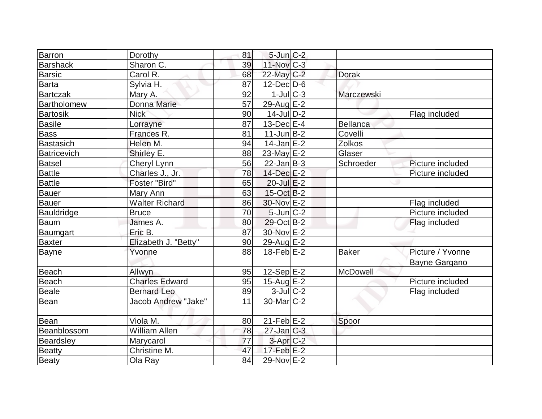| Barron          | Dorothy               | 81 | $5$ -Jun $C-2$    |              |                  |
|-----------------|-----------------------|----|-------------------|--------------|------------------|
| <b>Barshack</b> | Sharon C.             | 39 | $11$ -Nov $ C-3 $ |              |                  |
| <b>Barsic</b>   | Carol R.              | 68 | 22-May C-2        | <b>Dorak</b> |                  |
| <b>Barta</b>    | Sylvia H.             | 87 | $12$ -Dec $D-6$   |              |                  |
| Bartczak        | Mary A.               | 92 | $1$ -Jul $C-3$    | Marczewski   |                  |
| Bartholomew     | Donna Marie           | 57 | $29$ -Aug E-2     |              |                  |
| <b>Bartosik</b> | <b>Nick</b>           | 90 | $14$ -Jul $D-2$   |              | Flag included    |
| Basile          | Lorrayne              | 87 | $13$ -Dec $E-4$   | Bellanca     |                  |
| <b>Bass</b>     | Frances R.            | 81 | $11$ -Jun $B-2$   | Covelli      |                  |
| Bastasich       | Helen M.              | 94 | $14$ -Jan $E-2$   | Zolkos       |                  |
| Batricevich     | Shirley E.            | 88 | $23$ -May $E-2$   | Glaser       |                  |
| <b>Batsel</b>   | Cheryl Lynn           | 56 | $22$ -Jan $B-3$   | Schroeder    | Picture included |
| <b>Battle</b>   | Charles J., Jr.       | 78 | 14-Dec E-2        |              | Picture included |
| <b>Battle</b>   | Foster "Bird"         | 65 | $20$ -Jul $E-2$   |              |                  |
| Bauer           | Mary Ann              | 63 | $15-Oct$ B-2      |              |                  |
| Bauer           | <b>Walter Richard</b> | 86 | 30-Nov E-2        |              | Flag included    |
| Bauldridge      | <b>Bruce</b>          | 70 | $5$ -Jun $C-2$    |              | Picture included |
| <b>Baum</b>     | James A.              | 80 | 29-Oct B-2        |              | Flag included    |
| Baumgart        | Eric B.               | 87 | 30-Nov E-2        |              |                  |
| <b>Baxter</b>   | Elizabeth J. "Betty"  | 90 | 29-Aug E-2        |              |                  |
| Bayne           | Yvonne                | 88 | $18$ -Feb $E-2$   | <b>Baker</b> | Picture / Yvonne |
|                 |                       |    |                   |              | Bayne Gargano    |
| <b>Beach</b>    | Allwyn                | 95 | $12-Sep$ E-2      | McDowell     |                  |
| <b>Beach</b>    | <b>Charles Edward</b> | 95 | $15$ -Aug $E-2$   |              | Picture included |
| Beale           | <b>Bernard Leo</b>    | 89 | $3$ -Jul $C-2$    |              | Flag included    |
| Bean            | Jacob Andrew "Jake"   | 11 | 30-Mar C-2        |              |                  |
| <b>Bean</b>     | Viola M.              | 80 | $21$ -Feb $ E-2 $ | Spoor        |                  |
| Beanblossom     | William Allen         | 78 | $27$ -Jan $C-3$   |              |                  |
| Beardsley       | Marycarol             | 77 | $3-Apr$ $C-2$     |              |                  |
| <b>Beatty</b>   | Christine M.          | 47 | $17$ -Feb $E-2$   |              |                  |
| <b>Beaty</b>    | Ola Ray               | 84 | 29-Nov E-2        |              |                  |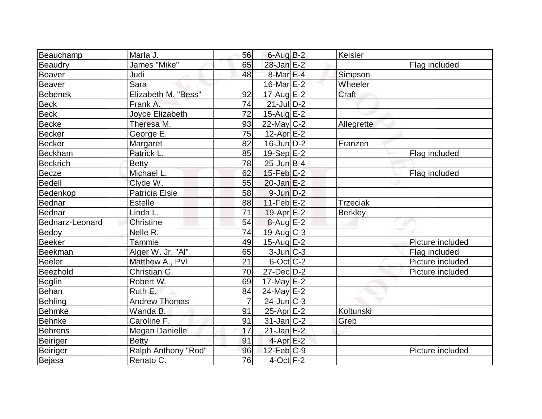| Beauchamp       | Marla J.              | 56             | $6$ -Aug $B-2$    | Keisler         |                  |
|-----------------|-----------------------|----------------|-------------------|-----------------|------------------|
| Beaudry         | James "Mike"          | 65             | 28-Jan E-2        |                 | Flag included    |
| <b>Beaver</b>   | Judi                  | 48             | $8$ -Mar $E - 4$  | Simpson         |                  |
| Beaver          | Sara                  |                | $16$ -Mar $E-2$   | Wheeler         |                  |
| Bebenek         | Elizabeth M. "Bess"   | 92             | $17$ -Aug E-2     | Craft           |                  |
| <b>Beck</b>     | Frank A.              | 74             | $21$ -JulD-2      |                 |                  |
| <b>Beck</b>     | Joyce Elizabeth       | 72             | $15$ -Aug $E-2$   |                 |                  |
| Becke           | Theresa M.            | 93             | $22$ -May C-2     | Allegrette      |                  |
| <b>Becker</b>   | George E.             | 75             | $12$ -Apr $E-2$   |                 |                  |
| <b>Becker</b>   | Margaret              | 82             | $16$ -Jun $D-2$   | Franzen         |                  |
| Beckham         | Patrick L.            | 85             | $19-Sep$ E-2      |                 | Flag included    |
| <b>Beckrich</b> | <b>Betty</b>          | 78             | $25$ -Jun $B-4$   |                 |                  |
| Becze           | Michael L.            | 62             | $15$ -Feb $E-2$   |                 | Flag included    |
| <b>Bedell</b>   | Clyde W.              | 55             | $20$ -Jan $E-2$   |                 |                  |
| Bedenkop        | <b>Patricia Elsie</b> | 58             | $9$ -Jun $D-2$    |                 |                  |
| Bednar          | <b>Estelle</b>        | 88             | $11-Feb$ E-2      | <b>Trzeciak</b> |                  |
| Bednar          | Linda L.              | 71             | $19$ -Apr $E-2$   | <b>Berkley</b>  |                  |
| Bednarz-Leonard | Christine             | 54             | $8-Aug$ $E-2$     |                 |                  |
| Bedoy           | Nelle R.              | 74             | 19-Aug C-3        |                 |                  |
| <b>Beeker</b>   | Tammie                | 49             | $15$ -Aug $E-2$   |                 | Picture included |
| Beekman         | Alger W. Jr. "Al"     | 65             | $3$ -Jun $ C-3 $  |                 | Flag included    |
| Beeler          | Matthew A., PVI       | 21             | $6$ -Oct $ C$ -2  |                 | Picture included |
| Beezhold        | Christian G.          | 70             | $27$ -Dec $D-2$   |                 | Picture included |
| <b>Beglin</b>   | Robert W.             | 69             | $17$ -May $E-2$   |                 |                  |
| Behan           | Ruth E.               | 84             | 24-May E-2        |                 |                  |
| Behling         | <b>Andrew Thomas</b>  | $\overline{7}$ | $24$ -Jun $C-3$   |                 |                  |
| <b>Behmke</b>   | Wanda B.              | 91             | $25-Apr$ $E-2$    | Koltunski       |                  |
| Behnke          | Caroline F.           | 91             | $31$ -Jan $ C-2 $ | Greb            |                  |
| Behrens         | <b>Megan Danielle</b> | 17             | $21$ -Jan E-2     |                 |                  |
| <b>Beiriger</b> | <b>Betty</b>          | 91             | $4$ -Apr $E-2$    |                 |                  |
| Beiriger        | Ralph Anthony "Rod"   | 96             | $12$ -Feb $ C-9 $ |                 | Picture included |
| Bejasa          | Renato C.             | 76             | $4$ -Oct $F-2$    |                 |                  |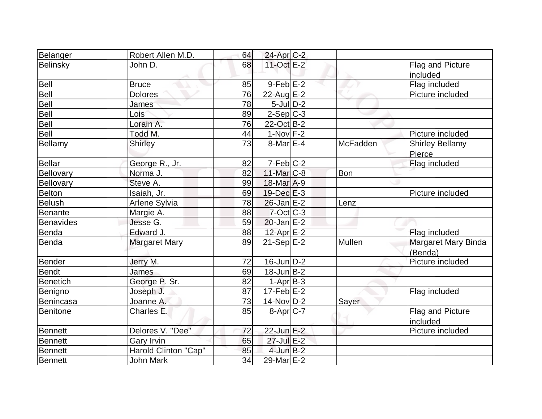| Belanger         | Robert Allen M.D.    | 64 | 24-Apr C-2              |                 |                        |
|------------------|----------------------|----|-------------------------|-----------------|------------------------|
| Belinsky         | John D.              | 68 | 11-Oct E-2              |                 | Flag and Picture       |
|                  |                      |    |                         |                 | included               |
| <b>Bell</b>      | <b>Bruce</b>         | 85 | $9-Feb$ $E-2$           |                 | Flag included          |
| Bell             | <b>Dolores</b>       | 76 | $22$ -Aug E-2           |                 | Picture included       |
| Bell             | <b>James</b>         | 78 | $5$ -Jul $ D-2 $        |                 |                        |
| Bell             | Lois                 | 89 | $2-Sep C-3$             |                 |                        |
| Bell             | Lorain A.            | 76 | $22$ -Oct B-2           |                 |                        |
| Bell             | Todd M.              | 44 | $1-Nov$ F-2             |                 | Picture included       |
| Bellamy          | <b>Shirley</b>       | 73 | $8$ -Mar $E-4$          | <b>McFadden</b> | <b>Shirley Bellamy</b> |
|                  |                      |    |                         |                 | Pierce                 |
| <b>Bellar</b>    | George R., Jr.       | 82 | $7-Feb$ $C-2$           |                 | Flag included          |
| Bellovary        | Norma J.             | 82 | $11$ -Mar $ C-8 $       | Bon             |                        |
| Bellovary        | Steve A.             | 99 | 18-Mar A-9              |                 |                        |
| <b>Belton</b>    | Isaiah, Jr.          | 69 | $19$ -Dec $E-3$         |                 | Picture included       |
| <b>Belush</b>    | <b>Arlene Sylvia</b> | 78 | $26$ -Jan $E-2$         | Lenz            |                        |
| <b>Benante</b>   | Margie A.            | 88 | $7$ -Oct $ C-3 $        |                 |                        |
| <b>Benavides</b> | Jesse G.             | 59 | $20$ -Jan $E-2$         |                 |                        |
| Benda            | Edward J.            | 88 | 12-Apr <sub>E-2</sub>   |                 | Flag included          |
| Benda            | <b>Margaret Mary</b> | 89 | $21-Sep \overline{E-2}$ | Mullen          | Margaret Mary Binda    |
|                  |                      |    |                         |                 | (Benda)                |
| Bender           | Jerry M.             | 72 | $16$ -Jun $D-2$         |                 | Picture included       |
| <b>Bendt</b>     | James                | 69 | $18$ -Jun $ B-2 $       |                 |                        |
| <b>Benetich</b>  | George P. Sr.        | 82 | $1-Apr$ B-3             |                 |                        |
| Benigno          | Joseph J.            | 87 | $17-Feb$ $E-2$          |                 | Flag included          |
| <b>Benincasa</b> | Joanne A.            | 73 | 14-Nov D-2              | Sayer           |                        |
| <b>Benitone</b>  | Charles E.           | 85 | $8-Apr$ $C-7$           |                 | Flag and Picture       |
|                  |                      |    |                         |                 | included               |
| <b>Bennett</b>   | Delores V. "Dee"     | 72 | $22$ -Jun E-2           |                 | Picture included       |
| <b>Bennett</b>   | Gary Irvin           | 65 | 27-Jul E-2              |                 |                        |
| Bennett          | Harold Clinton "Cap" | 85 | $4$ -Jun $B-2$          |                 |                        |
| Bennett          | <b>John Mark</b>     | 34 | $29$ -Mar $E-2$         |                 |                        |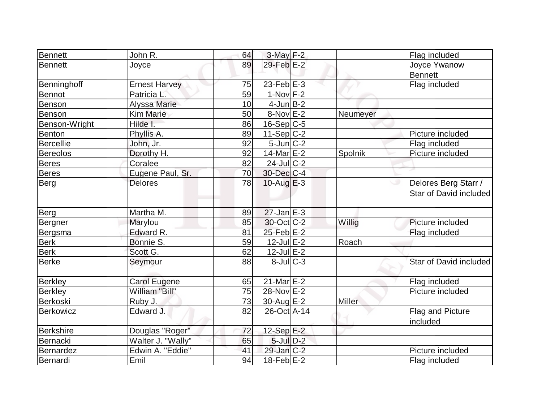| Bennett          | John R.              | 64 | $3$ -May $F-2$    |          | Flag included                                       |
|------------------|----------------------|----|-------------------|----------|-----------------------------------------------------|
| <b>Bennett</b>   | Joyce                | 89 | 29-Feb $E-2$      |          | Joyce Ywanow                                        |
|                  |                      |    |                   |          | <b>Bennett</b>                                      |
| Benninghoff      | <b>Ernest Harvey</b> | 75 | $23$ -Feb $E-3$   |          | Flag included                                       |
| <b>Bennot</b>    | Patricia L'          | 59 | $1-Nov$ $F-2$     |          |                                                     |
| Benson           | <b>Alyssa Marie</b>  | 10 | $4$ -Jun $B-2$    |          |                                                     |
| Benson           | <b>Kim Marie</b>     | 50 | $8-Nov$ $E-2$     | Neumeyer |                                                     |
| Benson-Wright    | Hilde I.             | 86 | $16-Sep C-5$      |          |                                                     |
| <b>Benton</b>    | Phyllis A.           | 89 | 11-Sep $C-2$      |          | Picture included                                    |
| Bercellie        | John, Jr.            | 92 | $5$ -Jun $C-2$    |          | Flag included                                       |
| <b>Bereolos</b>  | Dorothy H.           | 92 | $14$ -Mar $E-2$   | Spolnik  | Picture included                                    |
| <b>Beres</b>     | Coralee              | 82 | $24$ -Jul C-2     |          |                                                     |
| <b>Beres</b>     | Eugene Paul, Sr.     | 70 | 30-Dec C-4        |          |                                                     |
| Berg             | <b>Delores</b>       | 78 | $10$ -Aug $E-3$   |          | Delores Berg Starr /<br>ی<br>Star of David included |
| Berg             | Martha M.            | 89 | $27$ -Jan $E-3$   |          |                                                     |
| Bergner          | Marylou              | 85 | 30-Oct C-2        | Willig   | Picture included                                    |
| Bergsma          | Edward R.            | 81 | $25$ -Feb $E-2$   |          | Flag included                                       |
| <b>Berk</b>      | Bonnie S.            | 59 | $12$ -Jul E-2     | Roach    |                                                     |
| <b>Berk</b>      | Scott G.             | 62 | $12$ -Jul $E-2$   |          |                                                     |
| <b>Berke</b>     | Seymour              | 88 | $8$ -Jul $C-3$    |          | Star of David included                              |
| <b>Berkley</b>   | <b>Carol Eugene</b>  | 65 | $21$ -Mar $E-2$   |          | Flag included                                       |
| <b>Berkley</b>   | William "Bill"       | 75 | 28-Nov E-2        |          | Picture included                                    |
| Berkoski         | Ruby J.              | 73 | 30-Aug $E-2$      | Miller   |                                                     |
| Berkowicz        | Edward J.            | 82 | 26-Oct A-14       |          | Flag and Picture<br>included                        |
| <b>Berkshire</b> | Douglas "Roger"      | 72 | 12-Sep $E-2$      |          |                                                     |
| Bernacki         | Walter J. "Wally"    | 65 | $5$ -Jul $D-2$    |          |                                                     |
| Bernardez        | Edwin A. "Eddie"     | 41 | $29$ -Jan $ C-2 $ |          | Picture included                                    |
|                  | Emil                 | 94 |                   |          |                                                     |
| Bernardi         |                      |    | $18$ -Feb $E-2$   |          | Flag included                                       |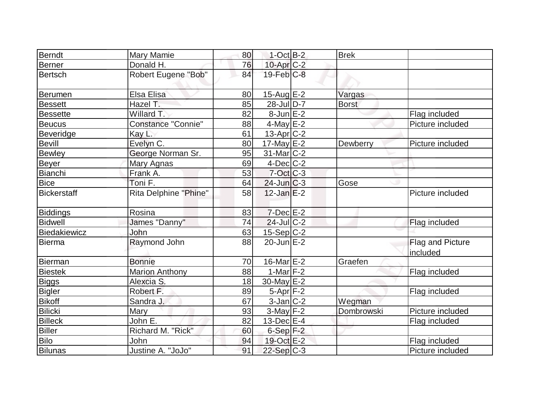|                    |                       |    | $1$ -Oct B-2      | <b>Brek</b>  |                  |
|--------------------|-----------------------|----|-------------------|--------------|------------------|
| Berndt             | Mary Mamie            | 80 |                   |              |                  |
| <b>Berner</b>      | Donald H.             | 76 | 10-Apr C-2        |              |                  |
| <b>Bertsch</b>     | Robert Eugene "Bob"   | 84 | $19$ -Feb $C-8$   |              |                  |
| <b>Berumen</b>     | Elsa Elisa            | 80 | 15-Aug $E-2$      | Vargas       |                  |
| <b>Bessett</b>     | Hazel T.              | 85 | 28-Jul D-7        | <b>Borst</b> |                  |
| <b>Bessette</b>    | Willard T.            | 82 | $8$ -Jun $E-2$    |              | Flag included    |
| <b>Beucus</b>      | Constance "Connie"    | 88 | $4$ -May $E-2$    |              | Picture included |
| Beveridge          | Kay L.                | 61 | $13$ -Apr $ C-2 $ |              |                  |
| Bevill             | Evelyn C.             | 80 | $17$ -May E-2     | Dewberry     | Picture included |
| <b>Bewley</b>      | George Norman Sr.     | 95 | $31$ -Mar $ C-2 $ |              |                  |
| Beyer              | Mary Agnas            | 69 | $4$ -Dec $ C-2 $  |              |                  |
| Bianchi            | Frank A.              | 53 | $7$ -Oct $C$ -3   |              |                  |
| <b>Bice</b>        | Toni F.               | 64 | $24$ -Jun $C-3$   | Gose         |                  |
| <b>Bickerstaff</b> | Rita Delphine "Phine" | 58 | $12$ -Jan $E-2$   |              | Picture included |
| <b>Biddings</b>    | Rosina                | 83 | $7$ -Dec $E-2$    |              |                  |
| <b>Bidwell</b>     | James "Danny"         | 74 | 24-Jul C-2        |              | Flag included    |
| Biedakiewicz       | John                  | 63 | $15-Sep C-2$      |              |                  |
| Bierma             | Raymond John          | 88 | $20$ -Jun $E-2$   |              | Flag and Picture |
|                    |                       |    |                   |              | included         |
| <b>Bierman</b>     | <b>Bonnie</b>         | 70 | $16$ -Mar $E-2$   | Graefen      |                  |
| <b>Biestek</b>     | <b>Marion Anthony</b> | 88 | $1-Mar$ F-2       |              | Flag included    |
| <b>Biggs</b>       | Alexcia S.            | 18 | $30$ -May $E-2$   |              |                  |
| <b>Bigler</b>      | Robert F.             | 89 | $5-Apr$ F-2       |              | Flag included    |
| <b>Bikoff</b>      | Sandra J.             | 67 | $3$ -Jan $C-2$    | Wegman       |                  |
| <b>Bilicki</b>     | Mary                  | 93 | $3$ -May $F-2$    | Dombrowski   | Picture included |
| <b>Billeck</b>     | John E.               | 82 | $13$ -Dec $E-4$   |              | Flag included    |
| <b>Biller</b>      | Richard M. "Rick"     | 60 | $6-Sep$ F-2       |              |                  |
| Bilo               | John                  | 94 | 19-Oct E-2        |              | Flag included    |
| <b>Bilunas</b>     | Justine A. "JoJo"     | 91 | $22-Sep C-3$      |              | Picture included |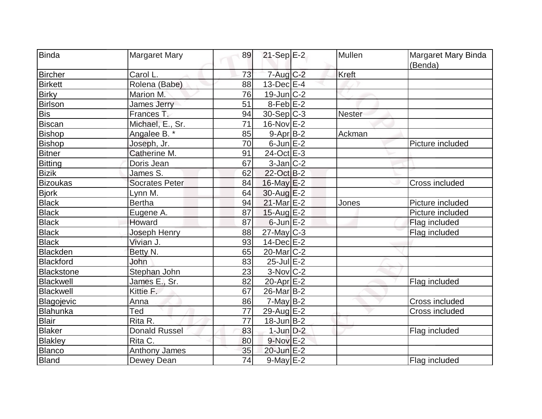| <b>Binda</b>      | <b>Margaret Mary</b>  | 89              | $21-Sep$ E-2            | Mullen        | Margaret Mary Binda |
|-------------------|-----------------------|-----------------|-------------------------|---------------|---------------------|
|                   |                       |                 |                         |               | (Benda)             |
| <b>Bircher</b>    | Carol L.              | 73              | $7 - Aug C-2$           | <b>Kreft</b>  |                     |
| <b>Birkett</b>    | Rolena (Babe)         | 88              | $13$ -Dec $E-4$         |               |                     |
| <b>Birky</b>      | Marion M.             | 76              | $19$ -Jun $ C-2 $       |               |                     |
| <b>Birlson</b>    | <b>James Jerry</b>    | 51              | $8$ -Feb $E-2$          |               |                     |
| <b>Bis</b>        | Frances T.            | 94              | 30-Sep C-3              | <b>Nester</b> |                     |
| <b>Biscan</b>     | Michael, E., Sr.      | $\overline{71}$ | $16$ -Nov $E$ -2        |               |                     |
| <b>Bishop</b>     | Angalee B. *          | 85              | $9 - Apr$ B-2           | Ackman        |                     |
| <b>Bishop</b>     | Joseph, Jr.           | 70              | $6$ -Jun $E-2$          |               | Picture included    |
| <b>Bitner</b>     | Catherine M.          | 91              | 24-Oct E-3              |               |                     |
| <b>Bitting</b>    | Doris Jean            | 67              | $3$ -Jan $ C-2 $        |               |                     |
| <b>Bizik</b>      | James S.              | 62              | 22-Oct B-2              |               |                     |
| <b>Bizoukas</b>   | <b>Socrates Peter</b> | 84              | $16$ -May $E-2$         |               | Cross included      |
| <b>Bjork</b>      | Lynn M.               | 64              | $30$ -Aug $E-2$         |               |                     |
| <b>Black</b>      | <b>Bertha</b>         | 94              | 21-Mar E-2              | Jones         | Picture included    |
| <b>Black</b>      | Eugene A.             | 87              | $15$ -Aug E-2           |               | Picture included    |
| <b>Black</b>      | <b>Howard</b>         | 87              | $6$ -Jun $E-2$          |               | Flag included       |
| <b>Black</b>      | Joseph Henry          | 88              | 27-May C-3              |               | Flag included       |
| <b>Black</b>      | Vivian J.             | 93              | $14$ -Dec $E-2$         |               |                     |
| <b>Blackden</b>   | Betty N.              | 65              | 20-Mar <sub>IC</sub> -2 |               |                     |
| <b>Blackford</b>  | John                  | 83              | $25$ -Jul $E-2$         |               |                     |
| <b>Blackstone</b> | Stephan John          | 23              | $3-Nov$ <sub>C-2</sub>  |               |                     |
| <b>Blackwell</b>  | James E., Sr.         | 82              | 20-Apr $E-2$            |               | Flag included       |
| Blackwell         | Kittie F.             | 67              | $26$ -Mar $ B-2 $       |               |                     |
| Blagojevic        | Anna                  | 86              | $7$ -May $B-2$          |               | Cross included      |
| Blahunka          | Ted                   | $\overline{77}$ | 29-Aug E-2              |               | Cross included      |
| <b>Blair</b>      | Rita R.               | 77              | $18$ -Jun $B-2$         |               |                     |
| <b>Blaker</b>     | <b>Donald Russel</b>  | 83              | $1$ -Jun $D-2$          |               | Flag included       |
| <b>Blakley</b>    | Rita C.               | 80              | $9-Nov$ E-2             |               |                     |
| Blanco            | Anthony James         | 35              | 20-Jun E-2              |               |                     |
| <b>Bland</b>      | Dewey Dean            | 74              | $9$ -May $E-2$          |               | Flag included       |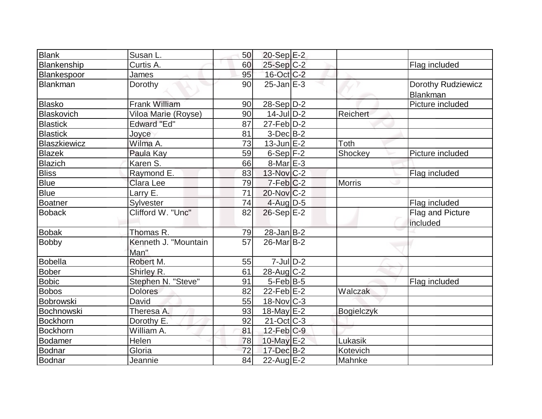| Blank           | Susan L.                     | 50              | 20-Sep E-2               |               |                                |
|-----------------|------------------------------|-----------------|--------------------------|---------------|--------------------------------|
| Blankenship     | Curtis A.                    | 60              | $25-Sep$ C-2             |               | Flag included                  |
| Blankespoor     | James                        | 95              | 16-Oct C-2               |               |                                |
| Blankman        | Dorothy                      | 90              | $25$ -Jan $E-3$          |               | Dorothy Rudziewicz<br>Blankman |
| Blasko          | <b>Frank William</b>         | 90              | $28-Sep D-2$             |               | Picture included               |
| Blaskovich      | Viloa Marie (Royse)          | 90              | $14$ -Jul $D-2$          | Reichert      |                                |
| <b>Blastick</b> | <b>Edward "Ed"</b>           | 87              | $27$ -Feb $D-2$          |               |                                |
| <b>Blastick</b> | Joyce                        | 81              | $3-Dec B-2$              |               |                                |
| Blaszkiewicz    | Wilma A.                     | 73              | $13$ -Jun $E-2$          | Toth          |                                |
| <b>Blazek</b>   | Paula Kay                    | 59              | $6-Sep$ $F-2$            | Shockey       | Picture included               |
| Blazich         | Karen S.                     | 66              | $8$ -Mar $E - 3$         |               |                                |
| <b>Bliss</b>    | Raymond E.                   | 83              | $13-Nov$ <sub>C-2</sub>  |               | Flag included                  |
| <b>Blue</b>     | Clara Lee                    | 79              | $7-Feb C-2$              | <b>Morris</b> |                                |
| <b>Blue</b>     | Larry E.                     | $\overline{71}$ | $20$ -Nov $ C-2 $        |               |                                |
| Boatner         | Sylvester                    | 74              | 4-Aug D-5                |               | Flag included                  |
| <b>Boback</b>   | Clifford W. "Unc"            | 82              | $26-Sep$ $E-2$           |               | Flag and Picture<br>included   |
| <b>Bobak</b>    | Thomas R.                    | 79              | $28$ -Jan $B-2$          |               |                                |
| <b>Bobby</b>    | Kenneth J. "Mountain<br>Man" | 57              | 26-Mar B-2               |               |                                |
| <b>Bobella</b>  | Robert M.                    | 55              | $7$ -JulD-2              |               |                                |
| <b>Bober</b>    | Shirley R.                   | 61              | $28-Aug$ <sub>C-2</sub>  |               |                                |
| <b>Bobic</b>    | Stephen N. "Steve"           | 91              | $5$ -Feb $ B-5$          |               | Flag included                  |
| <b>Bobos</b>    | <b>Dolores</b>               | 82              | $22$ -Feb $E-2$          | Walczak       |                                |
| Bobrowski       | David                        | 55              | 18-Nov C-3               |               |                                |
| Bochnowski      | Theresa A.                   | 93              | $18$ -May $E-2$          | Bogielczyk    |                                |
| Bockhorn        | Dorothy E.                   | 92              | $21-Oct$ <sub>C</sub> -3 |               |                                |
| Bockhorn        | William A.                   | 81              | $12$ -Feb $C-9$          |               |                                |
| Bodamer         | Helen                        | 78              | 10-May E-2               | Lukasik       |                                |
| Bodnar          | Gloria                       | 72              | 17-Dec B-2               | Kotevich      |                                |
| Bodnar          | Jeannie                      | 84              | $22$ -Aug $E-2$          | Mahnke        |                                |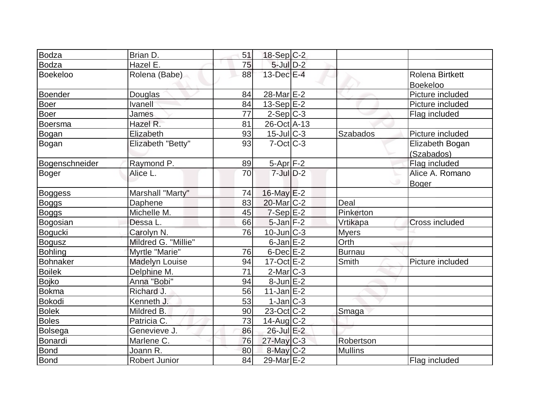| Bodza           | Brian D.              | 51              | $18-Sep C-2$      |                 |                  |
|-----------------|-----------------------|-----------------|-------------------|-----------------|------------------|
| <b>Bodza</b>    | Hazel E.              | 75              | $5$ -Jul $D-2$    |                 |                  |
| <b>Boekeloo</b> | Rolena (Babe)         | 88              | 13-Dec E-4        |                 | Rolena Birtkett  |
|                 |                       |                 |                   |                 | <b>Boekeloo</b>  |
| Boender         | Douglas               | 84              | 28-Mar $E$ -2     |                 | Picture included |
| <b>Boer</b>     | <b>Ivanell</b>        | 84              | $13-Sep$ $E-2$    |                 | Picture included |
| <b>Boer</b>     | James                 | 77              | $2-Sep C-3$       |                 | Flag included    |
| Boersma         | Hazel R.              | 81              | 26-Oct A-13       |                 |                  |
| Bogan           | Elizabeth             | 93              | $15$ -Jul $ C-3 $ | <b>Szabados</b> | Picture included |
| Bogan           | Elizabeth "Betty"     | 93              | $7$ -Oct $ C-3 $  |                 | Elizabeth Bogan  |
|                 |                       |                 |                   |                 | (Szabados)       |
| Bogenschneider  | Raymond P.            | 89              | $5-Apr$ F-2       |                 | Flag included    |
| <b>Boger</b>    | Alice L.              | 70              | $7$ -Jul $D-2$    |                 | Alice A. Romano  |
|                 |                       |                 |                   |                 | <b>Boger</b>     |
| Boggess         | Marshall "Marty"      | 74              | 16-May E-2        |                 |                  |
| <b>Boggs</b>    | Daphene               | 83              | 20-Mar C-2        | Deal            |                  |
| <b>Boggs</b>    | Michelle M.           | 45              | $7-Sep$ $E-2$     | Pinkerton       |                  |
| Bogosian        | Dessa L.              | 66              | $5$ -Jan $F-2$    | Vrtikapa        | Cross included   |
| Bogucki         | Carolyn N.            | 76              | $10$ -Jun $ C-3 $ | <b>Myers</b>    |                  |
| <b>Bogusz</b>   | Mildred G. "Millie"   |                 | $6$ -Jan $E-2$    | Orth            |                  |
| <b>Bohling</b>  | Myrtle "Marie"        | 76              | $6$ -Dec $E-2$    | Burnau          |                  |
| <b>Bohnaker</b> | <b>Madelyn Louise</b> | 94              | $17-Oct$ $E-2$    | Smith           | Picture included |
| <b>Boilek</b>   | Delphine M.           | $\overline{71}$ | $2$ -Mar $ C-3 $  |                 |                  |
| <b>Bojko</b>    | Anna "Bobi"           | 94              | $8$ -Jun $E-2$    |                 |                  |
| <b>Bokma</b>    | Richard J.            | 56              | $11$ -Jan $E-2$   |                 |                  |
| Bokodi          | Kenneth J.            | 53              | $1-Jan$ $C-3$     |                 |                  |
| <b>Bolek</b>    | Mildred B.            | 90              | $23$ -Oct $ C-2 $ | Smaga           |                  |
| <b>Boles</b>    | Patricia C.           | 73              | 14-Aug C-2        |                 |                  |
| <b>Bolsega</b>  | Genevieve J.          | 86              | $26$ -Jul $E-2$   |                 |                  |
| Bonardi         | Marlene C.            | 76              | $27$ -May C-3     | Robertson       |                  |
| <b>Bond</b>     | Joann R.              | 80              | $8$ -May $C-2$    | <b>Mullins</b>  |                  |
| <b>Bond</b>     | <b>Robert Junior</b>  | 84              | 29-Mar E-2        |                 | Flag included    |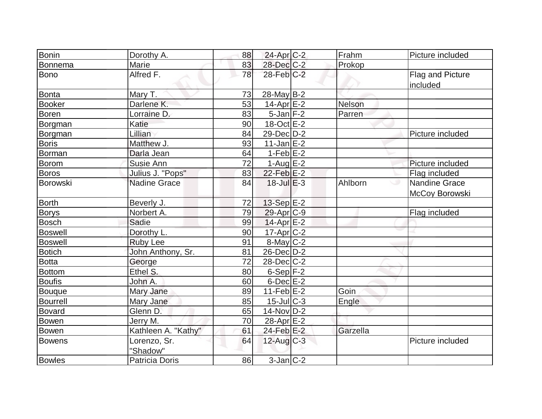| <b>Bonin</b>    | Dorothy A.               | 88 | 24-Apr C-2                 | Frahm         | Picture included                |
|-----------------|--------------------------|----|----------------------------|---------------|---------------------------------|
| <b>Bonnema</b>  | Marie                    | 83 | 28-Dec C-2                 | Prokop        |                                 |
| <b>Bono</b>     | Alfred F.                | 78 | 28-Feb C-2                 |               | Flag and Picture<br>included    |
| <b>Bonta</b>    | Mary T.                  | 73 | $28$ -May B-2              |               |                                 |
| <b>Booker</b>   | Darlene K.               | 53 | $14$ -Apr $E-2$            | <b>Nelson</b> |                                 |
| <b>Boren</b>    | Lorraine D.              | 83 | $5$ -Jan $ F-2 $           | Parren        |                                 |
| Borgman         | Katie                    | 90 | $18-Oct$ E-2               |               |                                 |
| Borgman         | Lillian                  | 84 | 29-Dec D-2                 |               | Picture included                |
| <b>Boris</b>    | Matthew J.               | 93 | $11$ -Jan $E-2$            |               |                                 |
| <b>Borman</b>   | Darla Jean               | 64 | $1-FebE-2$                 |               |                                 |
| <b>Borom</b>    | Susie Ann                | 72 | $1-Aug$ $E-2$              |               | Picture included                |
| <b>Boros</b>    | Julius J. "Pops"         | 83 | $22$ -Feb $E-2$            |               | Flag included                   |
| <b>Borowski</b> | <b>Nadine Grace</b>      | 84 | $18$ -Jul $E-3$            | Ahlborn       | Nandine Grace<br>McCoy Borowski |
| <b>Borth</b>    | Beverly J.               | 72 | 13-Sep E-2                 |               |                                 |
| <b>Borys</b>    | Norbert A.               | 79 | $29$ -Apr $ C-9 $          |               | Flag included                   |
| <b>Bosch</b>    | Sadie                    | 99 | $14$ -Apr $E-2$            |               |                                 |
| <b>Boswell</b>  | Dorothy L.               | 90 | $17$ -Apr $C-2$            |               |                                 |
| <b>Boswell</b>  | <b>Ruby Lee</b>          | 91 | $8$ -May $C-2$             |               |                                 |
| <b>Botich</b>   | John Anthony, Sr.        | 81 | $26$ -Dec $D-2$            |               |                                 |
| <b>Botta</b>    | George                   | 72 | 28-Dec C-2                 |               |                                 |
| <b>Bottom</b>   | Ethel S.                 | 80 | $6-Sep$ F-2                |               |                                 |
| <b>Boufis</b>   | John A.                  | 60 | $6$ -Dec $E-2$             |               |                                 |
| <b>Bouque</b>   | Mary Jane                | 89 | $11-Feb$ $E-2$             | Goin          |                                 |
| <b>Bourrell</b> | Mary Jane                | 85 | $15$ -JulC-3               | Engle         |                                 |
| <b>Bovard</b>   | Glenn D.                 | 65 | $14$ -Nov $D-2$            |               |                                 |
| <b>Bowen</b>    | Jerry M.                 | 70 | 28-Apr E-2                 |               |                                 |
| <b>Bowen</b>    | Kathleen A. "Kathy"      | 61 | $24$ -Feb $E-2$            | Garzella      |                                 |
| <b>Bowens</b>   | Lorenzo, Sr.<br>"Shadow" | 64 | $12$ -Aug $C-3$            |               | Picture included                |
| <b>Bowles</b>   | <b>Patricia Doris</b>    | 86 | $3$ -Jan $\overline{C}$ -2 |               |                                 |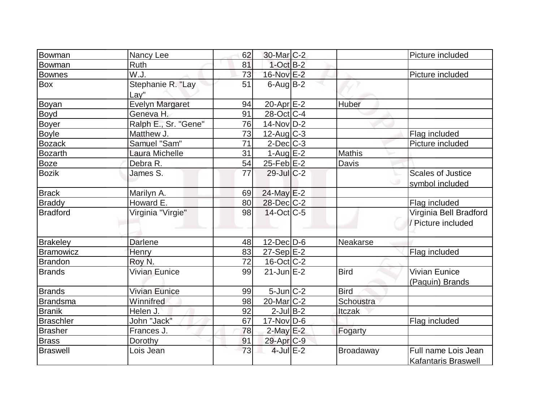| Bowman           | Nancy Lee              | 62 | 30-Mar C-2            |               | Picture included           |
|------------------|------------------------|----|-----------------------|---------------|----------------------------|
| Bowman           | Ruth                   | 81 | $1$ -Oct $B-2$        |               |                            |
| <b>Bownes</b>    | W.J.                   | 73 | 16-Nov E-2            |               | Picture included           |
| Box              | Stephanie R. "Lay      | 51 | $6$ -Aug B-2          |               |                            |
|                  | Lay"                   |    |                       |               |                            |
| Boyan            | <b>Evelyn Margaret</b> | 94 | 20-Apr $E-2$          | <b>Huber</b>  |                            |
| <b>Boyd</b>      | Geneva H.              | 91 | 28-Oct C-4            |               |                            |
| <b>Boyer</b>     | Ralph E., Sr. "Gene"   | 76 | $14$ -Nov $ D-2 $     |               |                            |
| <b>Boyle</b>     | Matthew J.             | 73 | $12$ -Aug C-3         |               | Flag included              |
| <b>Bozack</b>    | Samuel "Sam"           | 71 | $2$ -Dec $C-3$        |               | Picture included           |
| <b>Bozarth</b>   | Laura Michelle         | 31 | $1-Aug$ E-2           | <b>Mathis</b> |                            |
| <b>Boze</b>      | Debra R.               | 54 | $25$ -Feb $E-2$       | Davis         |                            |
| <b>Bozik</b>     | James S.               | 77 | $29$ -Jul $C-2$       |               | <b>Scales of Justice</b>   |
|                  |                        |    |                       |               | symbol included            |
| <b>Brack</b>     | Marilyn A.             | 69 | 24-May E-2            |               |                            |
| <b>Braddy</b>    | Howard E.              | 80 | 28-Dec C-2            |               | Flag included              |
| <b>Bradford</b>  | Virginia "Virgie"      | 98 | $14$ -Oct C-5         |               | Virginia Bell Bradford     |
|                  |                        |    |                       |               | / Picture included         |
|                  |                        |    |                       |               |                            |
| <b>Brakeley</b>  | <b>Darlene</b>         | 48 | $12$ -Dec $ D-6 $     | Neakarse      |                            |
| <b>Bramowicz</b> | Henry                  | 83 | $27-Sep$ $E-2$        |               | Flag included              |
| <b>Brandon</b>   | Roy N.                 | 72 | $16$ -Oct $ C-2 $     |               |                            |
| <b>Brands</b>    | <b>Vivian Eunice</b>   | 99 | $21$ -Jun $E-2$       | <b>Bird</b>   | <b>Vivian Eunice</b>       |
|                  |                        |    |                       |               | (Paquin) Brands            |
| <b>Brands</b>    | Vivian Eunice          | 99 | $5$ -Jun $C-2$        | <b>Bird</b>   |                            |
| <b>Brandsma</b>  | Winnifred              | 98 | $20$ -Mar $ C-2 $     | Schoustra     |                            |
| <b>Branik</b>    | Helen J.               | 92 | $2$ -Jul B-2          | Itczak        |                            |
| <b>Braschler</b> | John "Jack"            | 67 | $17$ -Nov $ D-6$      |               | Flag included              |
| <b>Brasher</b>   | Frances J.             | 78 | $2$ -May E-2          | Fogarty       |                            |
| <b>Brass</b>     | Dorothy                | 91 | 29-Apr <sub>C-9</sub> |               |                            |
| <b>Braswell</b>  | Lois Jean              | 73 | $4$ -Jul $E-2$        | Broadaway     | Full name Lois Jean        |
|                  |                        |    |                       |               | <b>Kafantaris Braswell</b> |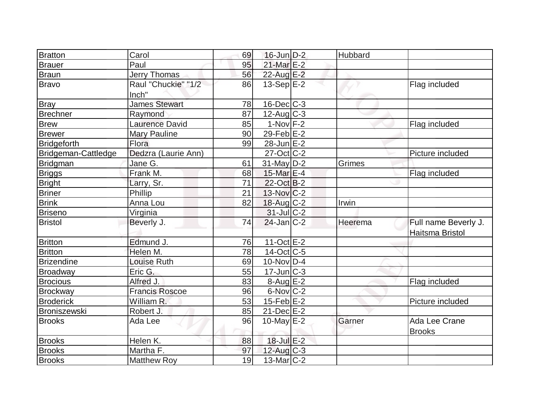| <b>Bratton</b>      | Carol                        | 69 | $16$ -Jun $D-2$             | Hubbard |                                         |
|---------------------|------------------------------|----|-----------------------------|---------|-----------------------------------------|
| <b>Brauer</b>       | Paul                         | 95 | 21-Mar E-2                  |         |                                         |
| Braun               | Jerry Thomas                 | 56 | 22-Aug E-2                  |         |                                         |
| <b>Bravo</b>        | Raul "Chuckie" "1/2<br>Inch" | 86 | $13-Sep$ E-2                |         | Flag included                           |
| <b>Bray</b>         | <b>James Stewart</b>         | 78 | $16$ -Dec $ C-3 $           |         |                                         |
| <b>Brechner</b>     | Raymond                      | 87 | $12$ -Aug C-3               |         |                                         |
| <b>Brew</b>         | <b>Laurence David</b>        | 85 | $1-Nov$ F-2                 |         | Flag included                           |
| <b>Brewer</b>       | <b>Mary Pauline</b>          | 90 | $29$ -Feb $E-2$             |         |                                         |
| <b>Bridgeforth</b>  | Flora                        | 99 | $28$ -Jun $E-2$             |         |                                         |
| Bridgeman-Cattledge | Dedzra (Laurie Ann)          |    | $27-Oct$ <sub>C</sub> -2    |         | Picture included                        |
| Bridgman            | Jane G.                      | 61 | $31$ -May $D-2$             | Grimes  |                                         |
| <b>Briggs</b>       | Frank M.                     | 68 | 15-Mar E-4                  |         | Flag included                           |
| <b>Bright</b>       | Larry, Sr.                   | 71 | $22$ -Oct B-2               |         |                                         |
| <b>Briner</b>       | Phillip                      | 21 | $13-Nov$ <sub>C</sub> -2    |         |                                         |
| <b>Brink</b>        | Anna Lou                     | 82 | 18-Aug C-2                  | Irwin   |                                         |
| <b>Briseno</b>      | Virginia                     |    | $31$ -JulC-2                |         |                                         |
| <b>Bristol</b>      | Beverly J.                   | 74 | $24$ -Jan $ C-2 $           | Heerema | Full name Beverly J.<br>Haitsma Bristol |
| <b>Britton</b>      | Edmund J.                    | 76 | $11-Oct$ $E-2$              |         |                                         |
| <b>Britton</b>      | Helen M.                     | 78 | $14$ -Oct C-5               |         |                                         |
| <b>Brizendine</b>   | <b>Louise Ruth</b>           | 69 | $10$ -Nov $ D-4$            |         |                                         |
| Broadway            | Eric G.                      | 55 | $17$ -Jun $\overline{C}$ -3 |         |                                         |
| <b>Brocious</b>     | Alfred J.                    | 83 | $8-Aug$ $E-2$               |         | Flag included                           |
| <b>Brockway</b>     | <b>Francis Roscoe</b>        | 96 | $6$ -Nov $ C-2 $            |         |                                         |
| <b>Broderick</b>    | William R.                   | 53 | $15$ -Feb $E$ -2            |         | Picture included                        |
| <b>Broniszewski</b> | Robert J.                    | 85 | $21$ -Dec $E-2$             |         |                                         |
| <b>Brooks</b>       | Ada Lee                      | 96 | 10-May $E-2$                | Garner  | Ada Lee Crane<br><b>Brooks</b>          |
| <b>Brooks</b>       | Helen K.                     | 88 | 18-Jul E-2                  |         |                                         |
| <b>Brooks</b>       | Martha F.                    | 97 | $12$ -Aug C-3               |         |                                         |
| <b>Brooks</b>       | <b>Matthew Roy</b>           | 19 | $13$ -Mar $ C-2 $           |         |                                         |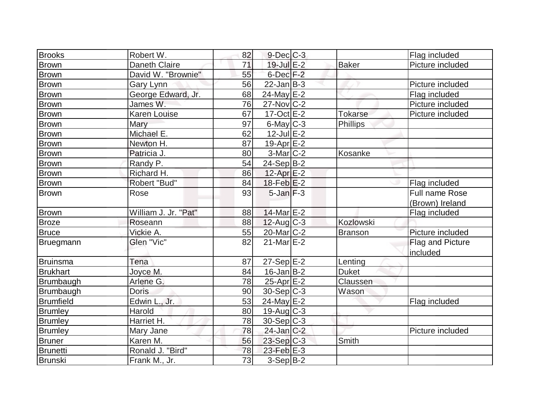| <b>Brooks</b>    | Robert W.            | 82              | $9$ -Dec $C$ -3       |                | Flag included    |
|------------------|----------------------|-----------------|-----------------------|----------------|------------------|
| <b>Brown</b>     | <b>Daneth Claire</b> | 71              | $19$ -Jul $E-2$       | <b>Baker</b>   | Picture included |
| Brown            | David W. "Brownie"   | 55              | $6$ -Dec $F-2$        |                |                  |
| <b>Brown</b>     | Gary Lynn            | 56              | $22$ -Jan B-3         |                | Picture included |
| <b>Brown</b>     | George Edward, Jr.   | 68              | $24$ -May E-2         |                | Flag included    |
| Brown            | James W.             | 76              | $27$ -Nov $ C-2 $     |                | Picture included |
| <b>Brown</b>     | Karen Louise         | 67              | $17-Oct$ $E-2$        | <b>Tokarse</b> | Picture included |
| <b>Brown</b>     | Mary                 | 97              | $6$ -May $C$ -3       | Phillips       |                  |
| <b>Brown</b>     | Michael E.           | 62              | $12$ -Jul $E-2$       |                |                  |
| <b>Brown</b>     | Newton H.            | 87              | $19-Apr$ $E-2$        |                |                  |
| <b>Brown</b>     | Patricia J.          | 80              | $3-Mar$ C-2           | Kosanke        |                  |
| <b>Brown</b>     | Randy P.             | 54              | $24-Sep B-2$          |                |                  |
| Brown            | Richard H.           | 86              | $12$ -Apr $E-2$       |                |                  |
| <b>Brown</b>     | Robert "Bud"         | 84              | $18$ -Feb $E-2$       |                | Flag included    |
| <b>Brown</b>     | Rose                 | 93              | $5$ -Jan $F-3$        |                | Full name Rose   |
|                  |                      |                 |                       |                | (Brown) Ireland  |
| Brown            | William J. Jr. "Pat" | 88              | 14-Mar E-2            |                | Flag included    |
| <b>Broze</b>     | Roseann              | 88              | $12$ -Aug C-3         | Kozlowski      |                  |
| <b>Bruce</b>     | Vickie A.            | 55              | 20-Mar <sub>C-2</sub> | <b>Branson</b> | Picture included |
| Bruegmann        | Glen "Vic"           | 82              | $21$ -Mar $E-2$       |                | Flag and Picture |
|                  |                      |                 |                       |                | included         |
| <b>Bruinsma</b>  | Tena                 | 87              | $27-Sep$ $E-2$        | Lenting        |                  |
| <b>Brukhart</b>  | Joyce M.             | 84              | $16$ -Jan $ B-2 $     | <b>Duket</b>   |                  |
| Brumbaugh        | Arlene G.            | 78              | $25$ -Apr $E-2$       | Claussen       |                  |
| Brumbaugh        | <b>Doris</b>         | 90              | $30-Sep C-3$          | Wason          |                  |
| <b>Brumfield</b> | Edwin L., Jr.        | 53              | 24-May E-2            |                | Flag included    |
| <b>Brumley</b>   | Harold               | 80              | $19$ -Aug $C-3$       |                |                  |
| <b>Brumley</b>   | Harriet H.           | 78              | $30-Sep C-3$          |                |                  |
| <b>Brumley</b>   | Mary Jane            | 78              | $24$ -Jan $C-2$       |                | Picture included |
| <b>Bruner</b>    | Karen M.             | 56              | $23-Sep$ C-3          | Smith          |                  |
| <b>Brunetti</b>  | Ronald J. "Bird"     | 78              | $23$ -Feb $E-3$       |                |                  |
| Brunski          | Frank M., Jr.        | $\overline{73}$ | $3-Sep B-2$           |                |                  |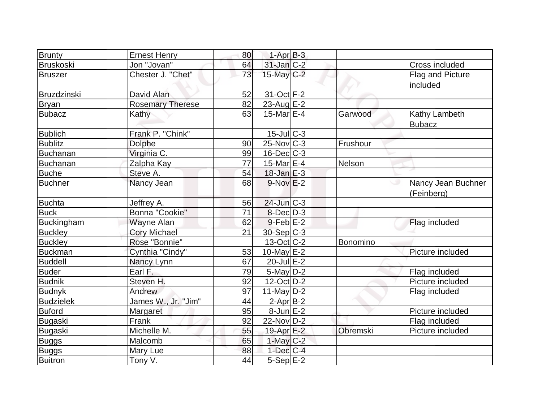| <b>Brunty</b>     | <b>Ernest Henry</b>     | 80 | $1-AprB-3$        |          |                                  |
|-------------------|-------------------------|----|-------------------|----------|----------------------------------|
| <b>Bruskoski</b>  | Jon "Jovan"             | 64 | $31$ -Jan $C-2$   |          | Cross included                   |
| <b>Bruszer</b>    | Chester J. "Chet"       | 73 | 15-May C-2        |          | Flag and Picture<br>included     |
| Bruzdzinski       | David Alan              | 52 | 31-Oct F-2        |          |                                  |
| <b>Bryan</b>      | <b>Rosemary Therese</b> | 82 | 23-Aug $E-2$      |          |                                  |
| <b>Bubacz</b>     | Kathy                   | 63 | $15$ -Mar $E-4$   | Garwood  | Kathy Lambeth<br><b>Bubacz</b>   |
| <b>Bublich</b>    | Frank P. "Chink"        |    | $15$ -Jul $C-3$   |          |                                  |
| <b>Bublitz</b>    | <b>Dolphe</b>           | 90 | $25$ -Nov $ C-3 $ | Frushour |                                  |
| Buchanan          | Virginia C.             | 99 | $16$ -Dec $C$ -3  |          |                                  |
| Buchanan          | Zalpha Kay              | 77 | 15-Mar $E-4$      | Nelson   |                                  |
| <b>Buche</b>      | Steve A.                | 54 | $18$ -Jan E-3     |          |                                  |
| <b>Buchner</b>    | Nancy Jean              | 68 | $9-NovE-2$        | ی        | Nancy Jean Buchner<br>(Feinberg) |
| <b>Buchta</b>     | Jeffrey A.              | 56 | $24$ -Jun $C-3$   |          |                                  |
| <b>Buck</b>       | Bonna "Cookie"          | 71 | $8$ -Dec $D-3$    |          |                                  |
| <b>Buckingham</b> | Wayne Alan              | 62 | $9$ -Feb $E-2$    |          | Flag included                    |
| <b>Buckley</b>    | <b>Cory Michael</b>     | 21 | $30-Sep C-3$      |          |                                  |
| <b>Buckley</b>    | Rose "Bonnie"           |    | $13-Oct$ $C-2$    | Bonomino |                                  |
| <b>Buckman</b>    | Cynthia "Cindy"         | 53 | 10-May $E-2$      |          | Picture included                 |
| <b>Buddell</b>    | Nancy Lynn              | 67 | $20$ -Jul $E-2$   |          |                                  |
| <b>Buder</b>      | Earl F.                 | 79 | $5$ -May $D-2$    |          | Flag included                    |
| <b>Budnik</b>     | Steven H.               | 92 | $12$ -Oct $ D-2 $ |          | Picture included                 |
| <b>Budnyk</b>     | Andrew                  | 97 | 11-May $D-2$      |          | Flag included                    |
| <b>Budzielek</b>  | James W., Jr. "Jim"     | 44 | $2$ -Apr $B-2$    |          |                                  |
| <b>Buford</b>     | Margaret                | 95 | $8$ -Jun $E-2$    |          | Picture included                 |
| Bugaski           | Frank                   | 92 | 22-Nov D-2        |          | Flag included                    |
| Bugaski           | Michelle M.             | 55 | 19-Apr E-2        | Obremski | Picture included                 |
| <b>Buggs</b>      | Malcomb                 | 65 | $1$ -May $C-2$    |          |                                  |
| <b>Buggs</b>      | Mary Lue                | 88 | $1$ -Dec $ C-4 $  |          |                                  |
| <b>Buitron</b>    | Tony V.                 | 44 | 5-Sep E-2         |          |                                  |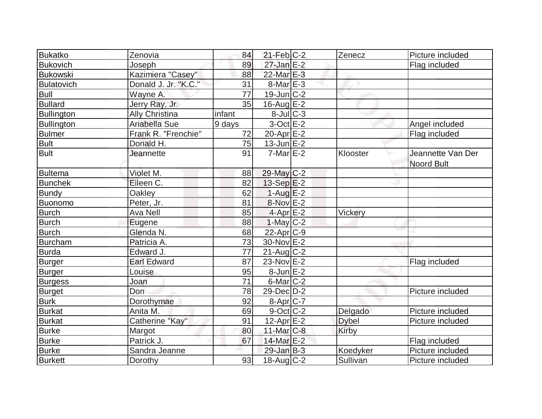| <b>Bukatko</b>    | Zenovia              | 84              | $21$ -Feb $C-2$         | Zenecz       | Picture included  |
|-------------------|----------------------|-----------------|-------------------------|--------------|-------------------|
| <b>Bukovich</b>   | Joseph               | 89              | $27$ -Jan E-2           |              | Flag included     |
| <b>Bukowski</b>   | Kazimiera "Casey"    | 88              | 22-Mar E-3              |              |                   |
| Bulatovich        | Donald J. Jr. "K.C." | 31              | $8$ -Mar $E-3$          |              |                   |
| Bull              | Wayne A.             | $\overline{77}$ | $19$ -Jun $C-2$         |              |                   |
| <b>Bullard</b>    | Jerry Ray, Jr.       | 35              | 16-Aug $E-2$            |              |                   |
| <b>Bullington</b> | Ally Christina       | infant          | $8$ -Jul $C-3$          |              |                   |
| <b>Bullington</b> | Ariabella Sue        | 9 days          | $3$ -Oct $E-2$          |              | Angel included    |
| <b>Bulmer</b>     | Frank R. "Frenchie"  | 72              | 20-Apr $E-2$            |              | Flag included     |
| <b>Bult</b>       | Donald H.            | 75              | $13$ -Jun $E-2$         |              |                   |
| <b>Bult</b>       | <b>Jeannette</b>     | 91              | $7$ -Mar $E-2$          | Klooster     | Jeannette Van Der |
|                   |                      |                 |                         |              | <b>Noord Bult</b> |
| <b>Bultema</b>    | Violet M.            | 88              | 29-May C-2              |              |                   |
| <b>Bunchek</b>    | Eileen C.            | 82              | $13-Sep$ $E-2$          |              |                   |
| <b>Bundy</b>      | Oakley               | 62              | $1-Auq$ $E-2$           |              |                   |
| Buonomo           | Peter, Jr.           | 81              | $8-Nov$ $E-2$           |              |                   |
| <b>Burch</b>      | <b>Ava Nell</b>      | 85              | $4-Apr$ E-2             | Vickery      |                   |
| <b>Burch</b>      | Eugene               | 88              | $1-May$ <sub>C</sub> -2 |              |                   |
| <b>Burch</b>      | Glenda N.            | 68              | $22$ -Apr $C-9$         |              |                   |
| <b>Burcham</b>    | Patricia A.          | 73              | 30-Nov E-2              |              |                   |
| Burda             | Edward J.            | 77              | $21$ -Aug $C-2$         |              |                   |
| Burger            | <b>Earl Edward</b>   | 87              | 23-Nov E-2              |              | Flag included     |
| <b>Burger</b>     | Louise               | 95              | $8$ -Jun $E-2$          |              |                   |
| <b>Burgess</b>    | Joan                 | 71              | $6$ -Mar $ C-2 $        |              |                   |
| <b>Burget</b>     | Don                  | 78              | 29-Dec D-2              |              | Picture included  |
| <b>Burk</b>       | Dorothymae           | 92              | $8-Apr$ $C-7$           |              |                   |
| <b>Burkat</b>     | Anita M.             | 69              | 9-Oct C-2               | Delgado      | Picture included  |
| <b>Burkat</b>     | Catherine "Kay"      | 91              | $12$ -Apr $E-2$         | <b>Dybel</b> | Picture included  |
| <b>Burke</b>      | Margot               | 80              | 11-Mar C-8              | Kirby        |                   |
| <b>Burke</b>      | Patrick J.           | 67              | 14-Mar E-2              |              | Flag included     |
| <b>Burke</b>      | Sandra Jeanne        |                 | $29$ -Jan B-3           | Koedyker     | Picture included  |
| <b>Burkett</b>    | Dorothy              | 93              | $18$ -Aug C-2           | Sullivan     | Picture included  |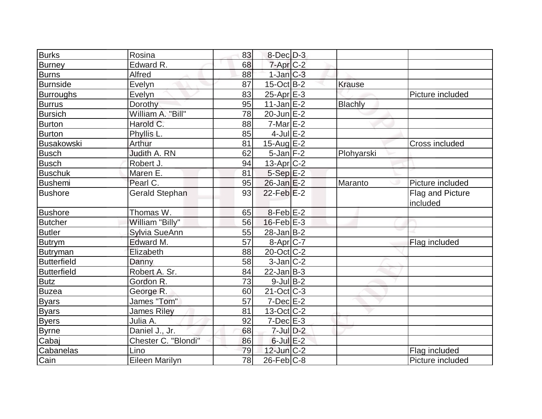| <b>Burks</b>       | Rosina                | 83 | $8$ -Dec $D-3$    |                |                              |
|--------------------|-----------------------|----|-------------------|----------------|------------------------------|
| Burney             | Edward R.             | 68 | $7$ -Apr $C-2$    |                |                              |
| <b>Burns</b>       | Alfred                | 88 | $1$ -Jan $C-3$    |                |                              |
| Burnside           | Evelyn                | 87 | $15$ -Oct B-2     | <b>Krause</b>  |                              |
| <b>Burroughs</b>   | Evelyn                | 83 | $25$ -Apr $E-3$   |                | Picture included             |
| <b>Burrus</b>      | Dorothy               | 95 | $11$ -Jan $E-2$   | <b>Blachly</b> |                              |
| <b>Bursich</b>     | William A. "Bill"     | 78 | $20$ -Jun $E-2$   |                |                              |
| <b>Burton</b>      | Harold C.             | 88 | $7-Mar$ $E-2$     |                |                              |
| <b>Burton</b>      | Phyllis <sub>L.</sub> | 85 | $4$ -Jul $E-2$    |                |                              |
| <b>Busakowski</b>  | Arthur                | 81 | 15-Aug $E-2$      |                | Cross included               |
| <b>Busch</b>       | Judith A. RN          | 62 | $5$ -Jan $F-2$    | Plohyarski     |                              |
| <b>Busch</b>       | Robert J.             | 94 | $13$ -Apr $ C-2 $ |                |                              |
| <b>Buschuk</b>     | Maren E.              | 81 | $5-Sep$ $E-2$     |                |                              |
| Bushemi            | Pearl C.              | 95 | $26$ -Jan $E-2$   | Maranto        | Picture included             |
| <b>Bushore</b>     | <b>Gerald Stephan</b> | 93 | $22$ -Feb $E-2$   |                | Flag and Picture<br>included |
| <b>Bushore</b>     | Thomas W.             | 65 | $8$ -Feb $E-2$    |                |                              |
| <b>Butcher</b>     | William "Billy"       | 56 | $16$ -Feb $E-3$   |                |                              |
| <b>Butler</b>      | Sylvia SueAnn         | 55 | $28$ -Jan B-2     |                |                              |
| <b>Butrym</b>      | Edward M.             | 57 | $8-Apr$ $C-7$     |                | Flag included                |
| <b>Butryman</b>    | Elizabeth             | 88 | $20$ -Oct $C$ -2  |                |                              |
| <b>Butterfield</b> | Danny                 | 58 | $3$ -Jan $ C-2 $  |                |                              |
| Butterfield        | Robert A. Sr.         | 84 | $22$ -Jan $ B-3 $ |                |                              |
| <b>Butz</b>        | Gordon R.             | 73 | $9$ -Jul B-2      |                |                              |
| <b>Buzea</b>       | George R.             | 60 | $21-Oct$ $C-3$    |                |                              |
| <b>Byars</b>       | James "Tom"           | 57 | $7$ -Dec $E-2$    |                |                              |
| <b>Byars</b>       | <b>James Riley</b>    | 81 | 13-Oct C-2        |                |                              |
| <b>Byers</b>       | Julia A.              | 92 | $7-Dec$ $E-3$     |                |                              |
| <b>Byrne</b>       | Daniel J., Jr.        | 68 | $7$ -Jul $D-2$    |                |                              |
| Cabaj              | Chester C. "Blondi"   | 86 | $6$ -Jul $E-2$    |                |                              |
| Cabanelas          | Lino                  | 79 | $12$ -Jun $C-2$   |                | Flag included                |
| Cain               | Eileen Marilyn        | 78 | $26$ -Feb $ C-8$  |                | Picture included             |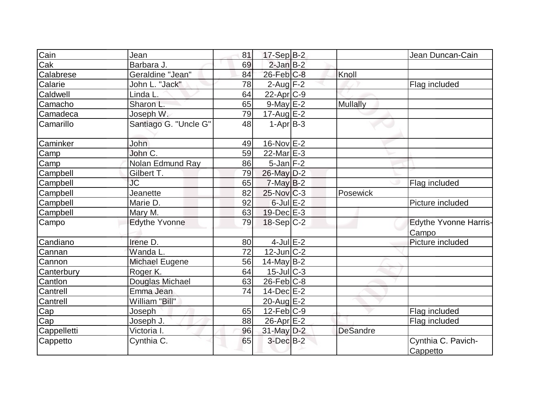| Cain            |                       |    |                   |                 |                              |
|-----------------|-----------------------|----|-------------------|-----------------|------------------------------|
|                 | Jean                  | 81 | $17-Sep$ B-2      |                 | Jean Duncan-Cain             |
| Cak             | Barbara J.            | 69 | $2$ -Jan $B-2$    |                 |                              |
| Calabrese       | Geraldine "Jean"      | 84 | $26$ -Feb $C-8$   | Knoll           |                              |
| Calarie         | John L. "Jack"        | 78 | $2$ -Aug F-2      |                 | Flag included                |
| Caldwell        | Linda L.              | 64 | $22$ -Apr $C-9$   |                 |                              |
| Camacho         | Sharon L.             | 65 | $9$ -May $E-2$    | <b>Mullally</b> |                              |
| Camadeca        | Joseph W.             | 79 | $17$ -Aug E-2     |                 |                              |
| Camarillo       | Santiago G. "Uncle G" | 48 | $1-Apr$ B-3       |                 |                              |
| Caminker        | John                  | 49 | 16-Nov $E$ -2     |                 |                              |
| Camp            | John C.               | 59 | 22-Mar $E-3$      |                 |                              |
| Camp            | Nolan Edmund Ray      | 86 | $5$ -Jan $F-2$    |                 |                              |
| Campbell        | Gilbert T.            | 79 | 26-May D-2        |                 |                              |
| Campbell        | <b>JC</b>             | 65 | $7$ -May $B-2$    |                 | Flag included                |
| Campbell        | Jeanette              | 82 | $25$ -Nov $ C-3 $ | Posewick        |                              |
| Campbell        | Marie D.              | 92 | $6$ -Jul $E-2$    |                 | Picture included             |
| Campbell        | Mary M.               | 63 | $19$ -Dec $E-3$   |                 |                              |
| Campo           | <b>Edythe Yvonne</b>  | 79 | $18-Sep C-2$      |                 | <b>Edythe Yvonne Harris-</b> |
|                 |                       |    |                   |                 | Campo                        |
| Candiano        | Irene D.              | 80 | $4$ -Jul $E-2$    |                 | Picture included             |
| Cannan          | Wanda L.              | 72 | $12$ -Jun $ C-2 $ |                 |                              |
| Cannon          | Michael Eugene        | 56 | $14$ -May B-2     |                 |                              |
| Canterbury      | Roger K.              | 64 | $15$ -JulC-3      |                 |                              |
| Cantlon         | Douglas Michael       | 63 | $26$ -Feb $ C-8$  |                 |                              |
| <b>Cantrell</b> | Emma Jean             | 74 | $14$ -Dec $E-2$   |                 |                              |
| Cantrell        | William "Bill"        |    | $20$ -Aug $E-2$   |                 |                              |
| Cap             | Joseph                | 65 | $12-Feb C-9$      |                 | Flag included                |
| Cap             | Joseph J.             | 88 | $26$ -Apr $E-2$   |                 | Flag included                |
| Cappelletti     | Victoria I.           | 96 | 31-May D-2        | <b>DeSandre</b> |                              |
| <b>Cappetto</b> | Cynthia C.            | 65 | $3$ -Dec $B-2$    |                 | Cynthia C. Pavich-           |
|                 |                       |    |                   |                 | Cappetto                     |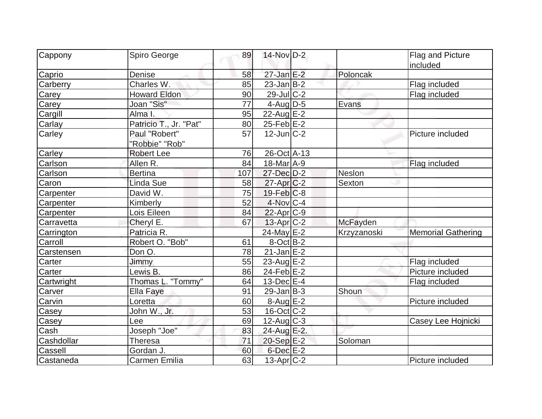| Cappony    | Spiro George           | 89  | 14-Nov D-2        |             | Flag and Picture          |
|------------|------------------------|-----|-------------------|-------------|---------------------------|
|            |                        |     |                   |             | included                  |
| Caprio     | Denise                 | 58  | $27$ -Jan $E-2$   | Poloncak    |                           |
| Carberry   | Charles W.             | 85  | $23$ -Jan B-2     |             | Flag included             |
| Carey      | <b>Howard Eldon</b>    | 90  | 29-Jul C-2        |             | Flag included             |
| Carey      | Joan "Sis"             | 77  | $4$ -Aug $D-5$    | Evans       |                           |
| Cargill    | Alma I.                | 95  | 22-Aug E-2        |             |                           |
| Carlay     | Patricio T., Jr. "Pat" | 80  | $25$ -Feb $ E-2 $ |             |                           |
| Carley     | Paul "Robert"          | 57  | $12$ -Jun $ C-2 $ |             | Picture included          |
|            | "Robbie" "Rob"         |     |                   |             |                           |
| Carley     | <b>Robert Lee</b>      | 76  | 26-Oct A-13       |             |                           |
| Carlson    | Allen R.               | 84  | 18-Mar A-9        |             | Flag included             |
| Carlson    | <b>Bertina</b>         | 107 | 27-Dec D-2        | Neslon      |                           |
| Caron      | Linda Sue              | 58  | $27$ -Apr $ C-2 $ | Sexton      |                           |
| Carpenter  | David W.               | 75  | $19$ -Feb $ C-8$  |             |                           |
| Carpenter  | Kimberly               | 52  | $4$ -Nov $ C-4$   |             |                           |
| Carpenter  | Lois Eileen            | 84  | $22$ -Apr $ C-9$  |             |                           |
| Carravetta | Cheryl E.              | 67  | $13$ -Apr $ C-2 $ | McFayden    |                           |
| Carrington | Patricia R.            |     | 24-May E-2        | Krzyzanoski | <b>Memorial Gathering</b> |
| Carroll    | Robert O. "Bob"        | 61  | $8-Oct$ B-2       |             |                           |
| Carstensen | Don O.                 | 78  | $21$ -Jan $E-2$   |             |                           |
| Carter     | Jimmy                  | 55  | 23-Aug E-2        |             | Flag included             |
| Carter     | Lewis B.               | 86  | $24$ -Feb $E$ -2  |             | Picture included          |
| Cartwright | Thomas L. "Tommy"      | 64  | $13$ -Dec $E-4$   |             | Flag included             |
| Carver     | <b>Ella Faye</b>       | 91  | $29$ -Jan $ B-3 $ | Shoun       |                           |
| Carvin     | Loretta                | 60  | $8-Aug$ E-2       |             | Picture included          |
| Casey      | John W., Jr.           | 53  | $16$ -Oct $ C-2 $ |             |                           |
| Casey      | Lee                    | 69  | $12$ -Aug C-3     |             | Casey Lee Hojnicki        |
| Cash       | Joseph "Joe"           | 83  | 24-Aug E-2.       |             |                           |
| Cashdollar | Theresa                | 71  | 20-Sep E-2        | Soloman     |                           |
| Cassell    | Gordan J.              | 60  | $6$ -Dec $E-2$    |             |                           |
| Castaneda  | Carmen Emilia          | 63  | $13$ -Apr $ C-2 $ |             | Picture included          |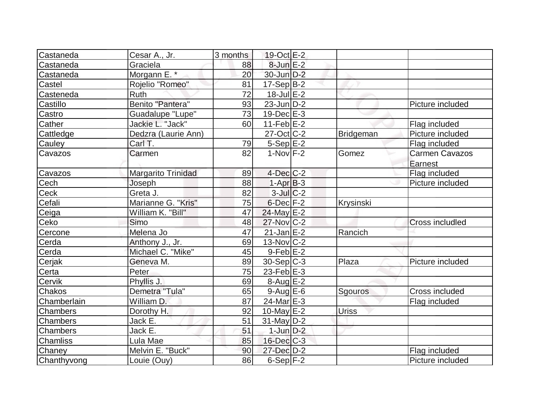| Castaneda       | Cesar A., Jr.           | 3 months | 19-Oct E-2              |                  |                        |
|-----------------|-------------------------|----------|-------------------------|------------------|------------------------|
| Castaneda       | Graciela                | 88       | $8$ -Jun $E-2$          |                  |                        |
| Castaneda       | Morgann E. *            | 20       | $30$ -Jun $D-2$         |                  |                        |
| Castel          | Rojelio "Romeo"         | 81       | $17-Sep B-2$            |                  |                        |
| Casteneda       | <b>Ruth</b>             | 72       | $18$ -Jul $E-2$         |                  |                        |
| Castillo        | Benito "Pantera"        | 93       | $23$ -Jun $ D-2$        |                  | Picture included       |
| Castro          | <b>Guadalupe "Lupe"</b> | 73       | $19$ -Dec $E-3$         |                  |                        |
| Cather          | Jackie L. "Jack"        | 60       | 11-Feb $E$ -2           |                  | Flag included          |
| Cattledge       | Dedzra (Laurie Ann)     |          | $27$ -Oct $ C-2 $       | <b>Bridgeman</b> | Picture included       |
| Cauley          | Carl T.                 | 79       | $5-Sep$ $E-2$           |                  | Flag included          |
| Cavazos         | Carmen                  | 82       | $1-Nov$ F-2             | Gomez            | <b>Carmen Cavazos</b>  |
|                 |                         |          |                         |                  | Earnest                |
| Cavazos         | Margarito Trinidad      | 89       | $4$ -Dec $ C-2 $        |                  | Flag included          |
| Cech            | Joseph                  | 88       | $1-AprB-3$              |                  | Picture included       |
| Ceck            | Greta J.                | 82       | $3$ -Jul $C-2$          |                  |                        |
| Cefali          | Marianne G. "Kris"      | 75       | $6$ -Dec $F-2$          | Krysinski        |                        |
| Ceiga           | William K. "Bill"       | 47       | $24$ -May E-2           |                  |                        |
| Ceko            | Simo                    | 48       | 27-Nov C-2              |                  | <b>Cross includled</b> |
| Cercone         | Melena Jo               | 47       | $21$ -Jan $E-2$         | Rancich          |                        |
| Cerda           | Anthony J., Jr.         | 69       | $13-Nov$ <sub>C-2</sub> |                  |                        |
| Cerda           | Michael C. "Mike"       | 45       | $9$ -Feb $E-2$          |                  |                        |
| Cerjak          | Geneva M.               | 89       | $30-Sep C-3$            | Plaza            | Picture included       |
| Certa           | Peter                   | 75       | $23$ -Feb $E-3$         |                  |                        |
| Cervik          | Phyllis J.              | 69       | $8-Aug$ $E-2$           |                  |                        |
| Chakos          | Demetra "Tula"          | 65       | $9$ -Aug E-6            | Sgouros          | Cross included         |
| Chamberlain     | William D.              | 87       | 24-Mar E-3              |                  | Flag included          |
| Chambers        | Dorothy H.              | 92       | $10$ -May $E-2$         | <b>Uriss</b>     |                        |
| <b>Chambers</b> | Jack E.                 | 51       | $31$ -May $ D-2 $       |                  |                        |
| <b>Chambers</b> | Jack E.                 | 51       | $1$ -Jun $D-2$          |                  |                        |
| <b>Chamliss</b> | Lula Mae                | 85       | $16$ -Dec $C$ -3        |                  |                        |
| Chaney          | Melvin E. "Buck"        | 90       | 27-Dec D-2              |                  | Flag included          |
| Chanthyvong     | Louie (Ouy)             | 86       | $6-Sep$ F-2             |                  | Picture included       |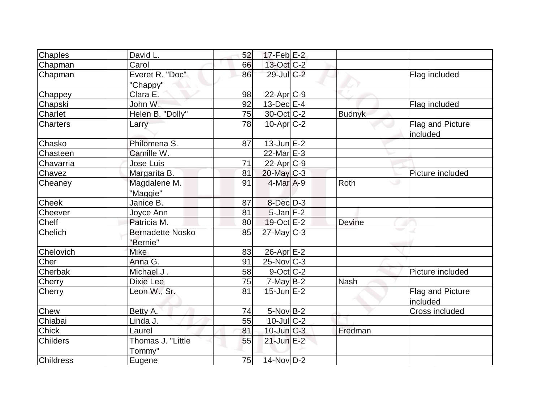| Chaples          | David L.                            | 52 | $17$ -Feb $E-2$   |               |                              |
|------------------|-------------------------------------|----|-------------------|---------------|------------------------------|
| Chapman          | Carol                               | 66 | $13$ -Oct C-2     |               |                              |
| Chapman          | Everet R. "Doc"<br>"Chappy"         | 86 | 29-Jul C-2        |               | Flag included                |
| Chappey          | Clara E.                            | 98 | $22$ -Apr $C-9$   |               |                              |
| Chapski          | John W.                             | 92 | $13$ -Dec $E-4$   |               | Flag included                |
| Charlet          | Helen B. "Dolly"                    | 75 | $30$ -Oct C-2     | <b>Budnyk</b> |                              |
| <b>Charters</b>  | Larry                               | 78 | $10$ -Apr $ C-2 $ |               | Flag and Picture<br>included |
| Chasko           | Philomena S.                        | 87 | $13$ -Jun $E-2$   |               |                              |
| Chasteen         | Camille W.                          |    | $22$ -Mar $E-3$   |               |                              |
| Chavarria        | <b>Jose Luis</b>                    | 71 | $22$ -Apr $C-9$   |               |                              |
| Chavez           | Margarita B.                        | 81 | $20$ -May $C-3$   |               | Picture included             |
| Cheaney          | Magdalene M.<br>"Maggie"            | 91 | $4$ -Mar $A$ -9   | Roth          | ە                            |
| <b>Cheek</b>     | Janice B.                           | 87 | $8$ -Dec $D-3$    |               |                              |
| Cheever          | Joyce Ann                           | 81 | $5$ -Jan $F-2$    |               |                              |
| Chelf            | Patricia M.                         | 80 | $19-Oct$ $E-2$    | <b>Devine</b> |                              |
| <b>Chelich</b>   | <b>Bernadette Nosko</b><br>"Bernie" | 85 | $27$ -May C-3     |               |                              |
| Chelovich        | <b>Mike</b>                         | 83 | $26$ -Apr $E-2$   |               |                              |
| Cher             | Anna G.                             | 91 | $25$ -Nov $ C-3 $ |               |                              |
| Cherbak          | Michael J.                          | 58 | $9-Oct$ $C-2$     |               | Picture included             |
| Cherry           | Dixie Lee                           | 75 | $7$ -May B-2      | <b>Nash</b>   |                              |
| Cherry           | Leon W., Sr.                        | 81 | $15$ -Jun $E-2$   |               | Flag and Picture<br>included |
| <b>Chew</b>      | Betty A.                            | 74 | 5-Nov B-2         |               | Cross included               |
| Chiabai          | Linda J.                            | 55 | $10$ -Jul C-2     |               |                              |
| <b>Chick</b>     | Laurel                              | 81 | $10$ -Jun $C-3$   | Fredman       |                              |
| <b>Childers</b>  | Thomas J. "Little<br>Tommy"         | 55 | $21$ -Jun $E-2$   |               |                              |
| <b>Childress</b> | Eugene                              | 75 | $14$ -Nov $D-2$   |               |                              |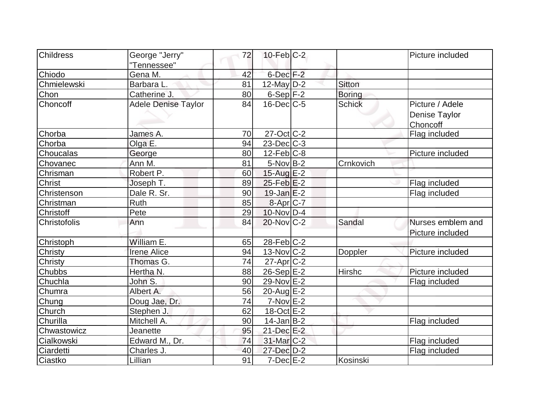| <b>Childress</b> | George "Jerry"             | 72 | $10$ -Feb $ C-2 $      |               | Picture included  |
|------------------|----------------------------|----|------------------------|---------------|-------------------|
|                  | "Tennessee"                |    |                        |               |                   |
| Chiodo           | Gena M.                    | 42 | $6$ -Dec $F-2$         |               |                   |
| Chmielewski      | Barbara L.                 | 81 | $12$ -May D-2          | <b>Sitton</b> |                   |
| Chon             | Catherine J.               | 80 | $6-Sep F-2$            | <b>Boring</b> |                   |
| Choncoff         | <b>Adele Denise Taylor</b> | 84 | $16$ -Dec $C$ -5       | <b>Schick</b> | Picture / Adele   |
|                  |                            |    |                        |               | Denise Taylor     |
|                  |                            |    |                        |               | Choncoff          |
| Chorba           | James A.                   | 70 | $27$ -Oct C-2          |               | Flag included     |
| Chorba           | Olga E.                    | 94 | $23$ -Dec $C-3$        |               |                   |
| Choucalas        | George                     | 80 | $12$ -Feb $ C-8 $      |               | Picture included  |
| Chovanec         | Ann M.                     | 81 | $5-Nov$ B-2            | Crnkovich     |                   |
| Chrisman         | Robert P.                  | 60 | $15$ -Aug E-2          |               |                   |
| <b>Christ</b>    | Joseph T.                  | 89 | $25$ -Feb $E-2$        |               | Flag included     |
| Christenson      | Dale R. Sr.                | 90 | $19$ -Jan $E-2$        |               | Flag included     |
| Christman        | Ruth                       | 85 | 8-Apr C-7              |               |                   |
| Christoff        | Pete                       | 29 | $10$ -Nov $ D-4 $      |               |                   |
| Christofolis     | Ann                        | 84 | $20$ -Nov $C-2$        | Sandal        | Nurses emblem and |
|                  |                            |    |                        |               | Picture included  |
| Christoph        | William E.                 | 65 | $28$ -Feb $ C-2 $      |               |                   |
| Christy          | <b>Irene Alice</b>         | 94 | $13-Nov$ C-2           | Doppler       | Picture included  |
| Christy          | Thomas G.                  | 74 | $27$ -Apr $ C-2 $      |               |                   |
| Chubbs           | Hertha N.                  | 88 | 26-Sep E-2             | <b>Hirshc</b> | Picture included  |
| Chuchla          | John S.                    | 90 | 29-Nov E-2             |               | Flag included     |
| Chumra           | Albert A.                  | 56 | $20$ -Aug $E-2$        |               |                   |
| Chung            | Doug Jae, Dr.              | 74 | $7-Nov$ $E-2$          |               |                   |
| Church           | Stephen J.                 | 62 | $18-Oct$ E-2           |               |                   |
| Churilla         | Mitchell A.                | 90 | $14$ -Jan B-2          |               | Flag included     |
| Chwastowicz      | Jeanette                   | 95 | 21-Dec E-2             |               |                   |
| Cialkowski       | Edward M., Dr.             | 74 | 31-Mar <sub>C</sub> -2 |               | Flag included     |
| Ciardetti        | Charles J.                 | 40 | 27-Dec D-2             |               | Flag included     |
| Ciastko          | Lillian                    | 91 | $7$ -Dec $E-2$         | Kosinski      |                   |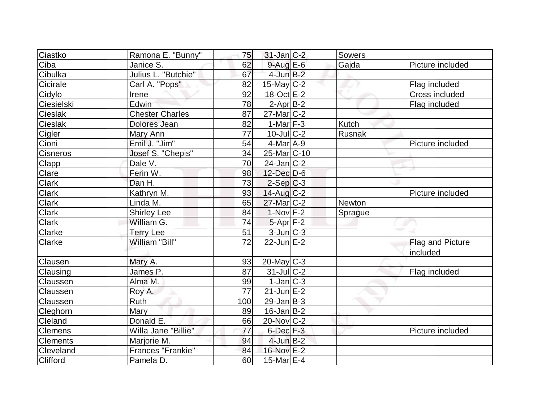| Ciastko      | Ramona E. "Bunny"      | 75              | $31$ -Jan $ C-2 $     | Sowers  |                  |
|--------------|------------------------|-----------------|-----------------------|---------|------------------|
| Ciba         | Janice S.              | 62              | $9$ -Aug $E$ -6       | Gajda   | Picture included |
| Cibulka      | Julius L. "Butchie"    | 67              | $4$ -Jun $B-2$        |         |                  |
| Cicirale     | Carl A. "Pops"         | 82              | $15$ -May C-2         |         | Flag included    |
| Cidylo       | Irene                  | 92              | $18-Oct$ E-2          |         | Cross included   |
| Ciesielski   | Edwin                  | 78              | $2$ -Apr $B-2$        |         | Flag included    |
| Cieslak      | <b>Chester Charles</b> | 87              | $27$ -Mar $C-2$       |         |                  |
| Cieslak      | Dolores Jean           | 82              | $1-Mar$ F-3           | Kutch   |                  |
| Cigler       | Mary Ann               | 77              | $10$ -Jul $C-2$       | Rusnak  |                  |
| Cioni        | Emil J. "Jim"          | 54              | $4$ -Mar $A$ -9       |         | Picture included |
| Cisneros     | Josef S. "Chepis"      | 34              | 25-Mar C-10           |         |                  |
| Clapp        | Dale V.                | 70              | $24$ -Jan $ C-2 $     |         |                  |
| Clare        | Ferin W.               | 98              | 12-Dec D-6            |         |                  |
| <b>Clark</b> | Dan H.                 | 73              | $2-Sep C-3$           |         |                  |
| <b>Clark</b> | Kathryn M.             | 93              | $14$ -Aug $C-2$       |         | Picture included |
| Clark        | Linda M.               | 65              | 27-Mar C-2            | Newton  |                  |
| Clark        | <b>Shirley Lee</b>     | 84              | $1-Nov$ F-2           | Sprague |                  |
| Clark        | William G.             | 74              | $5-Apr$ F-2           |         |                  |
| Clarke       | <b>Terry Lee</b>       | 51              | 3-Jun C-3             |         |                  |
| Clarke       | William "Bill"         | $\overline{72}$ | $22$ -Jun $E-2$       |         | Flag and Picture |
|              |                        |                 |                       |         | included         |
| Clausen      | Mary A.                | 93              | $20$ -May C-3         |         |                  |
| Clausing     | James P.               | 87              | $31$ -JulC-2          |         | Flag included    |
| Claussen     | Alma M.                | 99              | $1-Jan C-3$           |         |                  |
| Claussen     | Roy A.                 | 77              | $21$ -Jun $E-2$       |         |                  |
| Claussen     | Ruth                   | 100             | $29$ -Jan B-3         |         |                  |
| Cleghorn     | Mary                   | 89              | $16$ -Jan $ B-2 $     |         |                  |
| Cleland      | Donald E.              | 66              | $20$ -Nov $C-2$       |         |                  |
| Clemens      | Willa Jane "Billie"    | 77              | $6$ -Dec $F-3$        |         | Picture included |
| Clements     | Marjorie M.            | 94              | $4$ -Jun $B-2$        |         |                  |
| Cleveland    | Frances "Frankie"      | 84              | 16-Nov E-2            |         |                  |
| Clifford     | Pamela D.              | 60              | 15-Mar <sub>E-4</sub> |         |                  |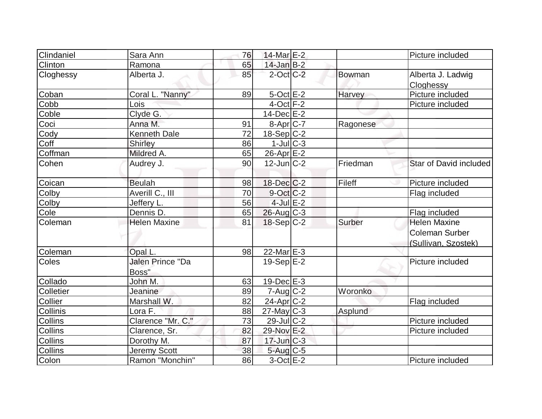| Clindaniel     | Sara Ann                         | 76 | $14$ -Mar $E-2$   |          | Picture included               |
|----------------|----------------------------------|----|-------------------|----------|--------------------------------|
| Clinton        | Ramona                           | 65 | $14$ -Jan $B-2$   |          |                                |
| Cloghessy      | Alberta J.                       | 85 | $2$ -Oct $C-2$    | Bowman   | Alberta J. Ladwig<br>Cloghessy |
| Coban          | Coral L. "Nanny"                 | 89 | $5$ -Oct $E-2$    | Harvey   | Picture included               |
| Cobb           | Lois                             |    | $4$ -Oct $ F-2 $  |          | Picture included               |
| Coble          | Clyde G.                         |    | $14$ -Dec $E-2$   |          |                                |
| Coci           | Anna M.                          | 91 | 8-Apr C-7         | Ragonese |                                |
| Cody           | <b>Kenneth Dale</b>              | 72 | $18-Sep C-2$      |          |                                |
| Coff           | <b>Shirley</b>                   | 86 | $1$ -Jul $ C-3 $  |          |                                |
| Coffman        | Mildred A.                       | 65 | $26$ -Apr $E-2$   |          |                                |
| Cohen          | Audrey J.                        | 90 | $12$ -Jun $ C-2 $ | Friedman | Star of David included         |
| Coican         | <b>Beulah</b>                    | 98 | $18$ -Dec $C-2$   | Fileff   | Picture included               |
| Colby          | Averill C., III                  | 70 | $9-Oct$ $C-2$     |          | Flag included                  |
| Colby          | Jeffery L.                       | 56 | $4$ -Jul $E-2$    |          |                                |
| Cole           | Dennis D.                        | 65 | $26$ -Aug C-3     |          | Flag included                  |
| Coleman        | <b>Helen Maxine</b>              | 81 | $18-Sep C-2$      | Surber   | <b>Helen Maxine</b>            |
|                |                                  |    |                   |          | <b>Coleman Surber</b>          |
|                |                                  |    |                   |          | (Sullivan, Szostek)            |
| Coleman        | Opal L.                          | 98 | $22$ -Mar $E-3$   |          |                                |
| Coles          | <b>Jalen Prince "Da</b><br>Boss" |    | 19-Sep $ E-2 $    |          | Picture included               |
| Collado        | John M.                          | 63 | $19$ -Dec $E-3$   |          |                                |
| Colletier      | Jeanine                          | 89 | $7 - Aug   C-2$   | Woronko  |                                |
| Collier        | Marshall W.                      | 82 | 24-Apr C-2        |          | Flag included                  |
| Collinis       | Lora F.                          | 88 | $27$ -May C-3     | Asplund  |                                |
| Collins        | Clarence "Mr. C."                | 73 | $29$ -Jul C-2     |          | Picture included               |
| <b>Collins</b> | Clarence, Sr.                    | 82 | 29-Nov E-2        |          | Picture included               |
| Collins        | Dorothy M.                       | 87 | $17$ -Jun $C-3$   |          |                                |
| <b>Collins</b> | Jeremy Scott                     | 38 | $5$ -Aug $C$ -5   |          |                                |
| Colon          | Ramon "Monchin"                  | 86 | $3-Oct$ $E-2$     |          | Picture included               |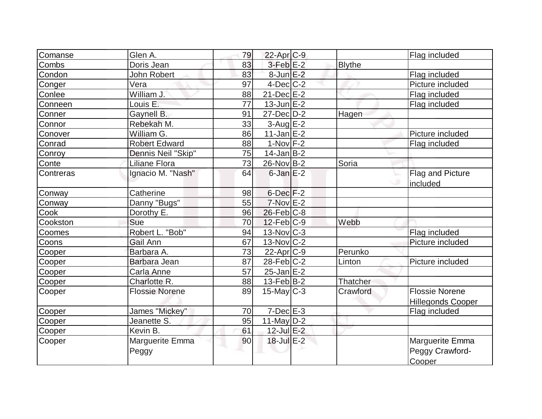| Comanse   | Glen A.               | 79 | 22-Apr C-9              |               | Flag included            |
|-----------|-----------------------|----|-------------------------|---------------|--------------------------|
| Combs     | Doris Jean            | 83 | $3-Feb$ $E-2$           | <b>Blythe</b> |                          |
| Condon    | John Robert           | 83 | 8-Jun E-2               |               | Flag included            |
| Conger    | Vera                  | 97 | $4$ -Dec $ C-2 $        |               | Picture included         |
| Conlee    | William J.            | 88 | $21$ -Dec $E-2$         |               | Flag included            |
| Conneen   | Louis E.              | 77 | $13$ -Jun $E-2$         |               | Flag included            |
| Conner    | Gaynell B.            | 91 | 27-Dec D-2              | Hagen         |                          |
| Connor    | Rebekah M.            | 33 | $3-Aug$ $E-2$           |               |                          |
| Conover   | William G.            | 86 | $11$ -Jan $E-2$         |               | Picture included         |
| Conrad    | <b>Robert Edward</b>  | 88 | $1-Nov$ F-2             |               | Flag included            |
| Conroy    | Dennis Neil "Skip"    | 75 | $14$ -Jan B-2           |               |                          |
| Conte     | Liliane Flora         | 73 | $26$ -Nov $B-2$         | Soria         |                          |
| Contreras | Ignacio M. "Nash"     | 64 | $6$ -Jan $E-2$          |               | Flag and Picture         |
|           |                       |    |                         |               | included                 |
| Conway    | Catherine             | 98 | $6$ -Dec $F-2$          |               |                          |
| Conway    | Danny "Bugs"          | 55 | $7-Nov$ $E-2$           |               |                          |
| Cook      | Dorothy E.            | 96 | $26$ -Feb $C-8$         |               |                          |
| Cookston  | Sue                   | 70 | $12$ -Feb $ C-9 $       | Webb          |                          |
| Coomes    | Robert L. "Bob"       | 94 | $13-Nov$ <sub>C-3</sub> |               | Flag included            |
| Coons     | Gail Ann              | 67 | $13-Nov$ $C-2$          |               | Picture included         |
| Cooper    | Barbara A.            | 73 | $22$ -Apr $ C-9 $       | Perunko       |                          |
| Cooper    | Barbara Jean          | 87 | $28$ -Feb $ C-2 $       | Linton        | Picture included         |
| Cooper    | Carla Anne            | 57 | $25$ -Jan $E-2$         |               |                          |
| Cooper    | Charlotte R.          | 88 | $13$ -Feb $ B-2 $       | Thatcher      |                          |
| Cooper    | <b>Flossie Norene</b> | 89 | $15$ -May C-3           | Crawford      | <b>Flossie Norene</b>    |
|           |                       |    |                         |               | <b>Hillegonds Cooper</b> |
| Cooper    | James "Mickey"        | 70 | $7$ -Dec $E-3$          |               | Flag included            |
| Cooper    | Jeanette S.           | 95 | 11-May $D-2$            |               |                          |
| Cooper    | Kevin B.              | 61 | $12$ -Jul $E-2$         |               |                          |
| Cooper    | Marguerite Emma       | 90 | 18-Jul E-2              |               | Marguerite Emma          |
|           | Peggy                 |    |                         |               | Peggy Crawford-          |
|           |                       |    |                         |               | Cooper                   |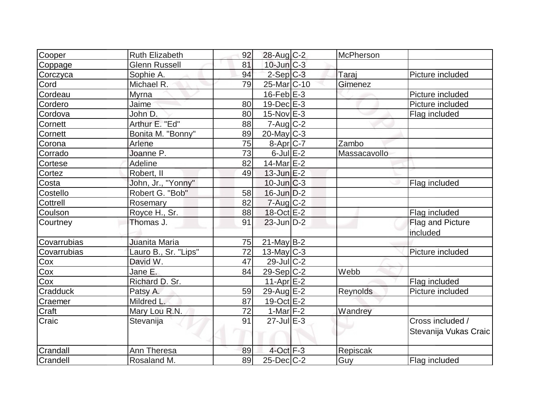| Cooper      | <b>Ruth Elizabeth</b> | 92 | 28-Aug C-2               | McPherson    |                       |
|-------------|-----------------------|----|--------------------------|--------------|-----------------------|
| Coppage     | Glenn Russell         | 81 | $10$ -Jun $C-3$          |              |                       |
| Corczyca    | Sophie A.             | 94 | $2-Sep C-3$              | Taraj        | Picture included      |
| Cord        | Michael R.            | 79 | 25-Mar <sub>IC</sub> -10 | Gimenez      |                       |
| Cordeau     | <b>Myrna</b>          |    | $16$ -Feb $E-3$          |              | Picture included      |
| Cordero     | Jaime                 | 80 | $19$ -Dec $E-3$          |              | Picture included      |
| Cordova     | John D.               | 80 | 15-Nov E-3               |              | Flag included         |
| Cornett     | Arthur E. "Ed"        | 88 | $7 - Aug$ <sub>C-2</sub> |              |                       |
| Cornett     | Bonita M. "Bonny"     | 89 | $20$ -May C-3            |              |                       |
| Corona      | Arlene                | 75 | $8-Apr$ $C-7$            | Zambo        |                       |
| Corrado     | Joanne P.             | 73 | $6$ -Jul $E-2$           | Massacavollo |                       |
| Cortese     | Adeline               | 82 | 14-Mar $E-2$             |              |                       |
| Cortez      | Robert, II            | 49 | $13$ -Jun $E-2$          |              |                       |
| Costa       | John, Jr., "Yonny"    |    | $10$ -Jun $C-3$          |              | Flag included         |
| Costello    | Robert G. "Bob"       | 58 | $16$ -Jun $D-2$          |              |                       |
| Cottrell    | Rosemary              | 82 | $7 - Aug$ $C-2$          |              |                       |
| Coulson     | Royce H., Sr.         | 88 | $18-Oct$ $E-2$           |              | Flag included         |
| Courtney    | Thomas J.             | 91 | $23$ -Jun $D-2$          |              | Flag and Picture      |
|             |                       |    |                          |              | included              |
| Covarrubias | Juanita Maria         | 75 | $21$ -May B-2            |              |                       |
| Covarrubias | Lauro B., Sr. "Lips"  | 72 | $13$ -May C-3            |              | Picture included      |
| Cox         | David W.              | 47 | $29$ -JulC-2             |              |                       |
| Cox         | Jane E.               | 84 | $29-Sep C-2$             | Webb         |                       |
| Cox         | Richard D. Sr.        |    | $11-Apr$ $E-2$           |              | Flag included         |
| Cradduck    | Patsy A.              | 59 | 29-Aug E-2               | Reynolds     | Picture included      |
| Craemer     | Mildred L.            | 87 | 19-Oct E-2               |              |                       |
| Craft       | Mary Lou R.N.         | 72 | 1-Mar $F-2$              | Wandrey      |                       |
| Craic       | Stevanija             | 91 | $27$ -Jul $E-3$          |              | Cross included /      |
|             |                       |    |                          |              | Stevanija Vukas Craic |
| Crandall    | Ann Theresa           | 89 | $4$ -Oct $F-3$           | Repiscak     |                       |
| Crandell    | Rosaland M.           | 89 | $25$ -Dec $C$ -2         | Guy          | Flag included         |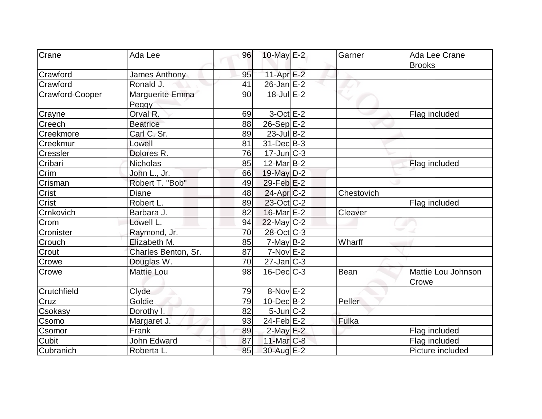| Crane           | Ada Lee             | 96 | 10-May $E-2$         | Garner      | Ada Lee Crane      |
|-----------------|---------------------|----|----------------------|-------------|--------------------|
|                 |                     |    |                      |             | <b>Brooks</b>      |
| Crawford        | James Anthony       | 95 | $11-Apr$ $E-2$       |             |                    |
| Crawford        | Ronald J.           | 41 | $26$ -Jan $E-2$      |             |                    |
| Crawford-Cooper | Marguerite Emma     | 90 | $18 -$ Jul E-2       |             |                    |
|                 | Peggy               |    |                      |             |                    |
| Crayne          | Orval R.            | 69 | $3-Oct$ E-2          |             | Flag included      |
| Creech          | <b>Beatrice</b>     | 88 | $26-Sep$ $E-2$       |             |                    |
| Creekmore       | Carl C. Sr.         | 89 | $23$ -Jul B-2        |             |                    |
| Creekmur        | Lowell              | 81 | $31$ -Dec $B-3$      |             |                    |
| <b>Cressler</b> | Dolores R.          | 76 | $17$ -Jun $ C-3 $    |             |                    |
| Cribari         | <b>Nicholas</b>     | 85 | $12$ -Mar $ B-2 $    |             | Flag included      |
| Crim            | John L., Jr.        | 66 | 19-May D-2           |             |                    |
| Crisman         | Robert T. "Bob"     | 49 | $29$ -Feb $E-2$      |             |                    |
| Crist           | Diane               | 48 | $24$ -Apr $C-2$      | Chestovich  |                    |
| <b>Crist</b>    | Robert L.           | 89 | 23-Oct C-2           |             | Flag included      |
| Crnkovich       | Barbara J.          | 82 | $16$ -Mar $E-2$      | Cleaver     |                    |
| Crom            | Lowell L.           | 94 | $22$ -May C-2        |             |                    |
| Cronister       | Raymond, Jr.        | 70 | 28-Oct C-3           |             |                    |
| Crouch          | Elizabeth M.        | 85 | $7$ -May B-2         | Wharff      |                    |
| Crout           | Charles Benton, Sr. | 87 | $7-Nov$ $E-2$        |             |                    |
| Crowe           | Douglas W.          | 70 | $27$ -Jan $ C-3 $    |             |                    |
| Crowe           | <b>Mattie Lou</b>   | 98 | $16$ -Dec $C$ -3     | <b>Bean</b> | Mattie Lou Johnson |
|                 |                     |    |                      |             | Crowe              |
| Crutchfield     | Clyde               | 79 | 8-Nov <sup>E-2</sup> |             |                    |
| Cruz            | Goldie              | 79 | $10$ -Dec $B - 2$    | Peller      |                    |
| Csokasy         | Dorothy I.          | 82 | $5$ -Jun $ C-2 $     |             |                    |
| Csomo           | Margaret J.         | 93 | 24-Feb $E-2$         | Fulka       |                    |
| Csomor          | Frank               | 89 | $2$ -May E-2         |             | Flag included      |
| <b>Cubit</b>    | John Edward         | 87 | 11-Mar $ C-8 $       |             | Flag included      |
| Cubranich       | Roberta L.          | 85 | 30-Aug E-2           |             | Picture included   |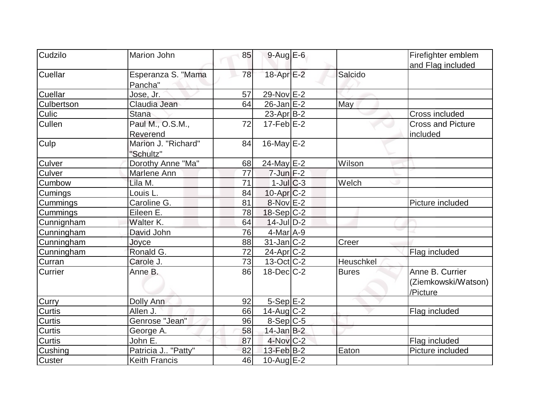| Cudzilo        | Marion John          | 85 | $9-Aug$ $E-6$            |              | Firefighter emblem       |
|----------------|----------------------|----|--------------------------|--------------|--------------------------|
|                |                      |    |                          |              | and Flag included        |
| <b>Cuellar</b> | Esperanza S. "Mama   | 78 | 18-Apr E-2               | Salcido      |                          |
|                | Pancha"              |    |                          |              |                          |
| <b>Cuellar</b> | Jose, Jr.            | 57 | 29-Nov E-2               |              |                          |
| Culbertson     | Claudia Jean         | 64 | $26$ -Jan $E-2$          | May          |                          |
| Culic          | <b>Stana</b>         |    | $23$ -Apr $ B-2 $        |              | Cross included           |
| <b>Cullen</b>  | Paul M., O.S.M.,     | 72 | $17-Feb$ $E-2$           |              | <b>Cross and Picture</b> |
|                | Reverend             |    |                          |              | included                 |
| Culp           | Marion J. "Richard"  | 84 | $16$ -May $E$ -2         |              |                          |
|                | "Schultz"            |    |                          |              |                          |
| <b>Culver</b>  | Dorothy Anne "Ma"    | 68 | 24-May E-2               | Wilson       |                          |
| Culver         | Marlene Ann          | 77 | $7$ -Jun $F-2$           |              |                          |
| Cumbow         | Lila M.              | 71 | $1$ -Jul $C$ -3          | Welch        |                          |
| <b>Cumings</b> | Louis L.             | 84 | $10$ -Apr $C-2$          |              |                          |
| Cummings       | Caroline G.          | 81 | $8-Nov$ $E-2$            |              | Picture included         |
| Cummings       | Eileen E.            | 78 | $18-Sep C-2$             |              |                          |
| Cunnignham     | Walter K.            | 64 | $14$ -Jul $D-2$          |              |                          |
| Cunningham     | David John           | 76 | $4$ -Mar $A-9$           |              |                          |
| Cunningham     | Joyce                | 88 | $31$ -Jan $ C-2 $        | Creer        |                          |
| Cunningham     | Ronald G.            | 72 | $24$ -Apr $C-2$          |              | Flag included            |
| Curran         | Carole J.            | 73 | $13-Oct$ <sub>C</sub> -2 | Heuschkel    |                          |
| <b>Currier</b> | Anne B.              | 86 | $18$ -Dec $C-2$          | <b>Bures</b> | Anne B. Currier          |
|                |                      |    |                          |              | (Ziemkowski/Watson)      |
|                |                      |    |                          |              | /Picture                 |
| Curry          | Dolly Ann            | 92 | $5-Sep$ $E-2$            |              |                          |
| <b>Curtis</b>  | Allen J.             | 66 | $14$ -Aug C-2            |              | Flag included            |
| <b>Curtis</b>  | Genrose "Jean"       | 96 | $8-Sep C-5$              |              |                          |
| <b>Curtis</b>  | George A.            | 58 | $14$ -Jan B-2            |              |                          |
| Curtis         | John E.              | 87 | $4$ -Nov $ C-2 $         |              | Flag included            |
| Cushing        | Patricia J "Patty"   | 82 | $13$ -Feb $ B-2 $        | Eaton        | Picture included         |
| <b>Custer</b>  | <b>Keith Francis</b> | 46 | $10$ -Aug $E-2$          |              |                          |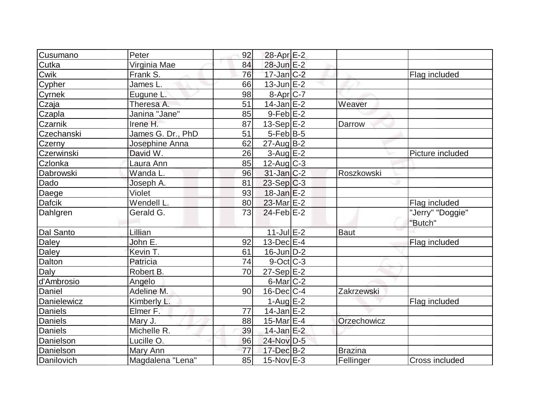| Cusumano       | Peter             | 92 | 28-Apr E-2              |                |                             |
|----------------|-------------------|----|-------------------------|----------------|-----------------------------|
| Cutka          | Virginia Mae      | 84 | 28-Jun E-2              |                |                             |
| Cwik           | Frank S.          | 76 | $17$ -Jan $C-2$         |                | Flag included               |
| Cypher         | James L.          | 66 | $13$ -Jun $E-2$         |                |                             |
| Cyrnek         | Eugune L.         | 98 | $8-Apr$ <sub>C-7</sub>  |                |                             |
| Czaja          | Theresa A.        | 51 | $14$ -Jan $E-2$         | Weaver         |                             |
| Czapla         | Janina "Jane"     | 85 | $9$ -Feb $E-2$          |                |                             |
| Czarnik        | Irene H.          | 87 | $13-Sep$ $E-2$          | Darrow         |                             |
| Czechanski     | James G. Dr., PhD | 51 | $5-Feb B-5$             |                |                             |
| Czerny         | Josephine Anna    | 62 | $27$ -Aug $B-2$         |                |                             |
| Czerwinski     | David W.          | 26 | $3$ -Aug $E-2$          |                | Picture included            |
| Czlonka        | Laura Ann         | 85 | $12$ -Aug C-3           |                |                             |
| Dabrowski      | Wanda L.          | 96 | $31$ -Jan $ C-2 $       | Roszkowski     |                             |
| Dado           | Joseph A.         | 81 | $23-Sep$ C-3            |                |                             |
| Daege          | Violet            | 93 | $18$ -Jan $E-2$         |                |                             |
| <b>Dafcik</b>  | Wendell L.        | 80 | 23-Mar E-2              |                | Flag included               |
| Dahlgren       | Gerald G.         | 73 | $24$ -Feb $E-2$         |                | "Jerry" "Doggie"<br>"Butch" |
| Dal Santo      | Lillian           |    | $11$ -Jul $E-2$         | <b>Baut</b>    |                             |
| Daley          | John E.           | 92 | $13$ -Dec $E-4$         |                | Flag included               |
| Daley          | Kevin T.          | 61 | $16$ -Jun $D-2$         |                |                             |
| Dalton         | Patricia          | 74 | $9$ -Oct $ C-3 $        |                |                             |
| Daly           | Robert B.         | 70 | $27-Sep \overline{E-2}$ |                |                             |
| d'Ambrosio     | Angelo            |    | $6$ -Mar $C-2$          |                |                             |
| Daniel         | Adeline M.        | 90 | $16$ -Dec $ C-4 $       | Zakrzewski     |                             |
| Danielewicz    | Kimberly L.       |    | $1-AugE-2$              |                | Flag included               |
| Daniels        | Elmer F.          | 77 | $14$ -Jan $E-2$         |                |                             |
| <b>Daniels</b> | Mary J.           | 88 | 15-Mar $E-4$            | Orzechowicz    |                             |
| <b>Daniels</b> | Michelle R.       | 39 | $14$ -Jan $E-2$         |                |                             |
| Danielson      | Lucille O.        | 96 | 24-Nov D-5              |                |                             |
| Danielson      | Mary Ann          | 77 | 17-Dec B-2              | <b>Brazina</b> |                             |
| Danilovich     | Magdalena "Lena"  | 85 | $15$ -Nov $E-3$         | Fellinger      | <b>Cross included</b>       |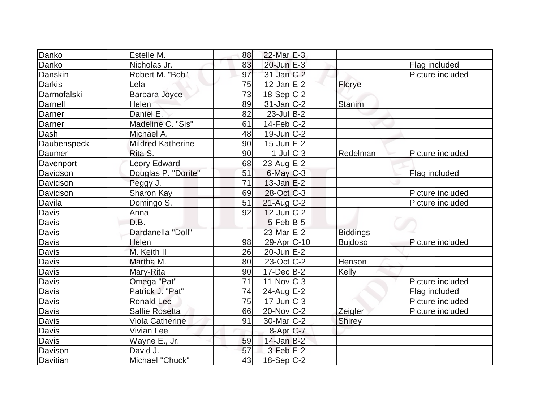| Danko         | Estelle M.               | 88 | $22$ -Mar $E-3$   |                 |                  |
|---------------|--------------------------|----|-------------------|-----------------|------------------|
| Danko         | Nicholas Jr.             | 83 | $20$ -Jun $E-3$   |                 | Flag included    |
| Danskin       | Robert M. "Bob"          | 97 | $31$ -Jan $ C-2 $ |                 | Picture included |
| <b>Darkis</b> | Lela                     | 75 | $12$ -Jan $E-2$   | Florye          |                  |
| Darmofalski   | <b>Barbara Joyce</b>     | 73 | $18-Sep C-2$      |                 |                  |
| Darnell       | Helen                    | 89 | $31$ -Jan $ C-2 $ | <b>Stanim</b>   |                  |
| Darner        | Daniel E.                | 82 | $23$ -Jul B-2     |                 |                  |
| Darner        | Madeline C. "Sis"        | 61 | $14$ -Feb $ C-2 $ |                 |                  |
| Dash          | Michael A.               | 48 | $19$ -Jun $C-2$   |                 |                  |
| Daubenspeck   | <b>Mildred Katherine</b> | 90 | $15$ -Jun $E-2$   |                 |                  |
| Daumer        | Rita S.                  | 90 | $1$ -JulC-3       | Redelman        | Picture included |
| Davenport     | Leory Edward             | 68 | $23$ -Aug E-2     |                 |                  |
| Davidson      | Douglas P. "Dorite"      | 51 | $6$ -May $C-3$    |                 | Flag included    |
| Davidson      | Peggy J.                 | 71 | $13$ -Jan $E-2$   |                 |                  |
| Davidson      | Sharon Kay               | 69 | $28-Oct$ $C-3$    |                 | Picture included |
| Davila        | Domingo S.               | 51 | $21$ -Aug $C-2$   |                 | Picture included |
| Davis         | Anna                     | 92 | $12$ -Jun $ C-2 $ |                 |                  |
| Davis         | D.B.                     |    | $5$ -Feb $ B-5 $  |                 |                  |
| Davis         | Dardanella "Doll"        |    | 23-Mar E-2        | <b>Biddings</b> |                  |
| <b>Davis</b>  | Helen                    | 98 | $29$ -Apr $ C-10$ | <b>Bujdoso</b>  | Picture included |
| Davis         | M. Keith II              | 26 | $20$ -Jun $E-2$   |                 |                  |
| <b>Davis</b>  | Martha M.                | 80 | 23-Oct C-2        | Henson          |                  |
| Davis         | Mary-Rita                | 90 | $17 - Dec$ B-2    | Kelly           |                  |
| Davis         | Omega "Pat"              | 71 | $11-Nov$ C-3      |                 | Picture included |
| Davis         | Patrick J. "Pat"         | 74 | $24$ -Aug $E-2$   |                 | Flag included    |
| <b>Davis</b>  | Ronald Lee               | 75 | $17$ -Jun $ C-3 $ |                 | Picture included |
| Davis         | <b>Sallie Rosetta</b>    | 66 | $20$ -Nov $ C-2 $ | Zeigler         | Picture included |
| Davis         | Viola Catherine          | 91 | $30$ -Mar $ C-2 $ | Shirey          |                  |
| Davis         | Vivian Lee               |    | 8-Apr C-7         |                 |                  |
| Davis         | Wayne E., Jr.            | 59 | $14$ -Jan B-2     |                 |                  |
| Davison       | David J.                 | 57 | $3$ -Feb $E-2$    |                 |                  |
| Davitian      | Michael "Chuck"          | 43 | 18-Sep C-2        |                 |                  |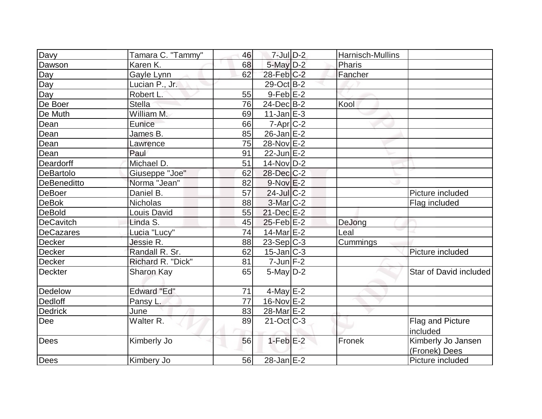| Davy             | Tamara C. "Tammy"  | 46       | $7$ -Jul $D-2$         | Harnisch-Mullins |                        |
|------------------|--------------------|----------|------------------------|------------------|------------------------|
|                  |                    |          |                        |                  |                        |
| Dawson           | Karen K.           | 68<br>62 | $5$ -May $D-2$         | Pharis           |                        |
| Day              | Gayle Lynn         |          | $28$ -Feb $C-2$        | Fancher          |                        |
| Day              | Lucian P., Jr.     |          | $29-Oct$ B-2           |                  |                        |
| Day              | Robert L.          | 55       | $9$ -Feb $E-2$         |                  |                        |
| De Boer          | <b>Stella</b>      | 76       | $24$ -Dec $B-2$        | Kool             |                        |
| De Muth          | William M.         | 69       | $11$ -Jan $E-3$        |                  |                        |
| Dean             | Eunice             | 66       | $7 - Apr$ $C-2$        |                  |                        |
| Dean             | James B.           | 85       | $26$ -Jan $E-2$        |                  |                        |
| Dean             | Lawrence           | 75       | 28-Nov E-2             |                  |                        |
| Dean             | Paul               | 91       | $22$ -Jun $E-2$        |                  |                        |
| Deardorff        | Michael D.         | 51       | $14$ -Nov $ D-2 $      |                  |                        |
| <b>DeBartolo</b> | Giuseppe "Joe"     | 62       | 28-Dec C-2             |                  |                        |
| DeBeneditto      | Norma "Jean"       | 82       | $9-Nov$ $E-2$          |                  |                        |
| DeBoer           | Daniel B.          | 57       | $24$ -Jul C-2          |                  | Picture included       |
| <b>DeBok</b>     | <b>Nicholas</b>    | 88       | 3-Mar C-2              |                  | Flag included          |
| <b>DeBold</b>    | Louis David        | 55       | $21$ -Dec $E-2$        |                  |                        |
| DeCavitch        | Linda S.           | 45       | $25$ -Feb $E-2$        | DeJong           |                        |
| DeCazares        | Lucia "Lucy"       | 74       | 14-Mar E-2             | Leal             |                        |
| <b>Decker</b>    | Jessie R.          | 88       | $23-Sep C-3$           | Cummings         |                        |
| Decker           | Randall R. Sr.     | 62       | $15$ -Jan $ C-3 $      |                  | Picture included       |
| Decker           | Richard R. "Dick"  | 81       | $7$ -Jun $F-2$         |                  |                        |
| <b>Deckter</b>   | <b>Sharon Kay</b>  | 65       | $5$ -May $D-2$         |                  | Star of David included |
| Dedelow          | <b>Edward "Ed"</b> | 71       | $4$ -May $E-2$         |                  |                        |
| Dedloff          | Pansy L.           | 77       | $16$ -Nov $E-2$        |                  |                        |
| <b>Dedrick</b>   | June               | 83       | 28-Mar <sub>E</sub> -2 |                  |                        |
| Dee              | Walter R.          | 89       | $21$ -Oct $ C-3 $      |                  | Flag and Picture       |
|                  |                    |          |                        |                  | included               |
| Dees             | Kimberly Jo        | 56       | $1-Feb$ $E-2$          | Fronek           | Kimberly Jo Jansen     |
|                  |                    |          |                        |                  | (Fronek) Dees          |
| Dees             | Kimbery Jo         | 56       | $28 - Jan$ $E-2$       |                  | Picture included       |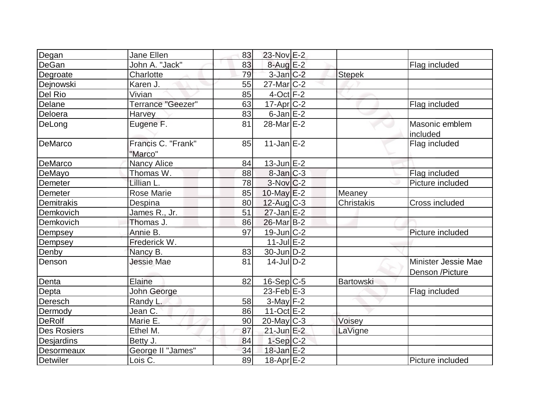| Degan              | Jane Ellen                    | 83 | 23-Nov E-2             |                   |                                        |
|--------------------|-------------------------------|----|------------------------|-------------------|----------------------------------------|
| DeGan              | John A. "Jack"                | 83 | $8$ -Aug $E-2$         |                   | Flag included                          |
| Degroate           | Charlotte                     | 79 | $3$ -Jan $C-2$         | <b>Stepek</b>     |                                        |
| Dejnowski          | Karen J.                      | 55 | $27$ -Mar $C-2$        |                   |                                        |
| Del Rio            | Vivian                        | 85 | $4$ -Oct $F-2$         |                   |                                        |
| Delane             | <b>Terrance "Geezer"</b>      | 63 | $17$ -Apr $ C-2$       |                   | Flag included                          |
| Deloera            | Harvey                        | 83 | $6$ -Jan $E-2$         |                   |                                        |
| DeLong             | Eugene <sub>F.</sub>          | 81 | 28-Mar <sub>E</sub> -2 |                   | Masonic emblem<br>included             |
| DeMarco            | Francis C. "Frank"<br>"Marco" | 85 | $11$ -Jan $E-2$        |                   | Flag included                          |
| DeMarco            | <b>Nancy Alice</b>            | 84 | $13$ -Jun $E-2$        |                   |                                        |
| DeMayo             | Thomas W.                     | 88 | $8$ -Jan $ C-3 $       |                   | Flag included                          |
| Demeter            | Lillian L.                    | 78 | $3-Nov$ <sub>C-2</sub> |                   | Picture included                       |
| Demeter            | <b>Rose Marie</b>             | 85 | $10$ -May $E-2$        | Meaney            |                                        |
| Demitrakis         | Despina                       | 80 | $12$ -Aug C-3          | <b>Christakis</b> | Cross included                         |
| Demkovich          | James R., Jr.                 | 51 | $27$ -Jan $E-2$        |                   |                                        |
| Demkovich          | Thomas J.                     | 86 | $26$ -Mar $B-2$        |                   |                                        |
| Dempsey            | Annie B.                      | 97 | $19$ -Jun $C-2$        |                   | Picture included                       |
| Dempsey            | Frederick W.                  |    | $11$ -Jul $E-2$        |                   |                                        |
| Denby              | Nancy B.                      | 83 | $30$ -Jun $D-2$        |                   |                                        |
| Denson             | <b>Jessie Mae</b>             | 81 | $14$ -Jul $D-2$        |                   | Minister Jessie Mae<br>Denson /Picture |
| Denta              | Elaine                        | 82 | $16-Sep C-5$           | <b>Bartowski</b>  |                                        |
| Depta              | John George                   |    | $23$ -Feb $E-3$        |                   | Flag included                          |
| Deresch            | Randy L.                      | 58 | $3$ -May $F-2$         |                   |                                        |
| Dermody            | Jean C.                       | 86 | $11-Oct$ $E-2$         |                   |                                        |
| <b>DeRolf</b>      | Marie E.                      | 90 | $20$ -May C-3          | Voisey            |                                        |
| <b>Des Rosiers</b> | Ethel M.                      | 87 | $21$ -Jun $E-2$        | LaVigne           |                                        |
| Desjardins         | Betty J.                      | 84 | $1-Sep C-2$            |                   |                                        |
| Desormeaux         | George II "James"             | 34 | $18$ -Jan $E-2$        |                   |                                        |
| <b>Detwiler</b>    | Lois C.                       | 89 | $18$ -Apr $E-2$        |                   | Picture included                       |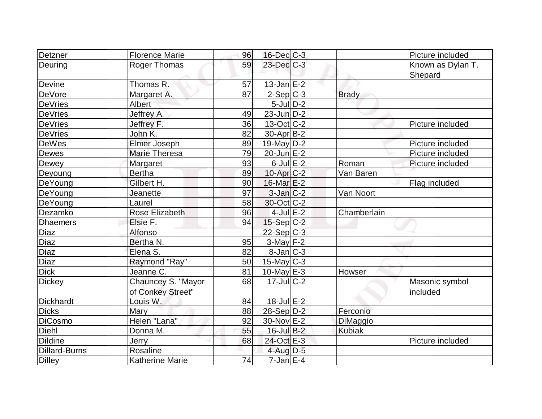| Detzner              | <b>Florence Marie</b>  | 96 | $16$ -Dec $C$ -3  |               | Picture included  |
|----------------------|------------------------|----|-------------------|---------------|-------------------|
| Deuring              | <b>Roger Thomas</b>    | 59 | 23-Dec C-3        |               | Known as Dylan T. |
|                      |                        |    |                   |               | Shepard           |
| Devine               | Thomas R.              | 57 | $13$ -Jan $E-2$   |               |                   |
| DeVore               | Margaret A.            | 87 | $2-Sep C-3$       | <b>Brady</b>  |                   |
| <b>DeVries</b>       | Albert                 |    | $5$ -JulD-2       |               |                   |
| <b>DeVries</b>       | Jeffrey A.             | 49 | $23$ -Jun $ D-2 $ |               |                   |
| <b>DeVries</b>       | Jeffrey F.             | 36 | $13-Oct$ $C-2$    |               | Picture included  |
| <b>DeVries</b>       | John K.                | 82 | $30$ -Apr $ B-2 $ |               |                   |
| DeWes                | Elmer Joseph           | 89 | $19$ -May D-2     |               | Picture included  |
| Dewes                | <b>Marie Theresa</b>   | 79 | $20$ -Jun $E-2$   |               | Picture included  |
| Dewey                | Margaret               | 93 | $6$ -Jul $E-2$    | Roman         | Picture included  |
| Deyoung              | <b>Bertha</b>          | 89 | $10$ -Apr $C-2$   | Van Baren     |                   |
| DeYoung              | Gilbert H.             | 90 | $16$ -Mar $E-2$   |               | Flag included     |
| DeYoung              | Jeanette               | 97 | $3$ -Jan $C-2$    | Van Noort     |                   |
| DeYoung              | Laurel                 | 58 | 30-Oct C-2        |               |                   |
| Dezamko              | <b>Rose Elizabeth</b>  | 96 | $4$ -Jul $E-2$    | Chamberlain   |                   |
| <b>Dhaemers</b>      | Elsie F.               | 94 | $15-Sep C-2$      |               |                   |
| <b>Diaz</b>          | Alfonso                |    | 22-Sep C-3        |               |                   |
| Diaz                 | Bertha N.              | 95 | $3-May$ F-2       |               |                   |
| Diaz                 | Elena S.               | 82 | $8$ -Jan $ C-3 $  |               |                   |
| Diaz                 | Raymond "Ray"          | 50 | $15$ -May C-3     |               |                   |
| <b>Dick</b>          | Jeanne C.              | 81 | 10-May $E-3$      | Howser        |                   |
| <b>Dickey</b>        | Chauncey S. "Mayor     | 68 | $17 -$ JulC-2     |               | Masonic symbol    |
|                      | of Conkey Street"      |    |                   |               | included          |
| <b>Dickhardt</b>     | Louis W.               | 84 | $18$ -Jul $E-2$   |               |                   |
| <b>Dicks</b>         | Mary                   | 88 | $28-Sep D-2$      | Ferconio      |                   |
| <b>DiCosmo</b>       | Helen "Lana"           | 92 | 30-Nov E-2        | DiMaggio      |                   |
| Diehl                | Donna M.               | 55 | $16$ -Jul B-2     | <b>Kubiak</b> |                   |
| <b>Dildine</b>       | Jerry                  | 68 | 24-Oct E-3        |               | Picture included  |
| <b>Dillard-Burns</b> | Rosaline               |    | $4$ -Aug $D-5$    |               |                   |
| <b>Dilley</b>        | <b>Katherine Marie</b> | 74 | $7$ -Jan $E-4$    |               |                   |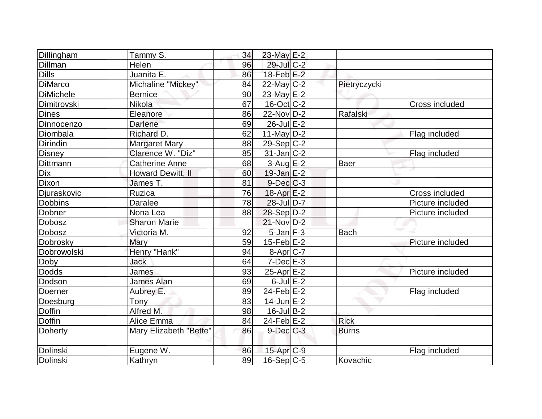| Dillingham          | Tammy S.                 | 34 | 23-May E-2              |              |                       |
|---------------------|--------------------------|----|-------------------------|--------------|-----------------------|
| Dillman             | Helen                    | 96 | 29-Jul C-2              |              |                       |
| $\overline{D}$ ills | Juanita E.               | 86 | $18$ -Feb $E-2$         |              |                       |
| <b>DiMarco</b>      | Michaline "Mickey"       | 84 | $22$ -May C-2           | Pietryczycki |                       |
| <b>DiMichele</b>    | <b>Bernice</b>           | 90 | $23$ -May $E-2$         |              |                       |
| <b>Dimitrovski</b>  | <b>Nikola</b>            | 67 | $16$ -Oct $ C-2 $       |              | <b>Cross included</b> |
| Dines               | Eleanore                 | 86 | 22-Nov D-2              | Rafalski     |                       |
| Dinnocenzo          | Darlene                  | 69 | $26$ -Jul $E-2$         |              |                       |
| Diombala            | Richard D.               | 62 | 11-May $D-2$            |              | Flag included         |
| Dirindin            | <b>Margaret Mary</b>     | 88 | $29-Sep C-2$            |              |                       |
| <b>Disney</b>       | Clarence W. "Diz"        | 85 | $31$ -Jan C-2           |              | Flag included         |
| <b>Dittmann</b>     | Catherine Anne           | 68 | $3-Aug$ $E-2$           | <b>Baer</b>  |                       |
| <b>Dix</b>          | <b>Howard Dewitt, II</b> | 60 | $19$ -Jan $E-2$         |              |                       |
| <b>Dixon</b>        | James T.                 | 81 | $9$ -Dec $C$ -3         |              |                       |
| Djuraskovic         | Ruzica                   | 76 | $18$ -Apr $E-2$         |              | Cross included        |
| <b>Dobbins</b>      | <b>Daralee</b>           | 78 | 28-Jul D-7              |              | Picture included      |
| Dobner              | Nona Lea                 | 88 | $28-Sep D-2$            |              | Picture included      |
| Dobosz              | <b>Sharon Marie</b>      |    | $21-Nov D-2$            |              |                       |
| <b>Dobosz</b>       | Victoria M.              | 92 | $5$ -Jan $F-3$          | <b>Bach</b>  |                       |
| Dobrosky            | Mary                     | 59 | $15$ -Feb $ E-2 $       |              | Picture included      |
| Dobrowolski         | Henry "Hank"             | 94 | 8-Apr C-7               |              |                       |
| Doby                | <b>Jack</b>              | 64 | $7-Dec$ $E-3$           |              |                       |
| Dodds               | James                    | 93 | $25$ -Apr $E-2$         |              | Picture included      |
| Dodson              | <b>James Alan</b>        | 69 | $6$ -Jul $E-2$          |              |                       |
| Doerner             | Aubrey E.                | 89 | $24$ -Feb $E-2$         |              | Flag included         |
| Doesburg            | Tony                     | 83 | $14$ -Jun $E-2$         |              |                       |
| Doffin              | Alfred M.                | 98 | $16$ -Jul B-2           |              |                       |
| <b>Doffin</b>       | Alice Emma               | 84 | $24$ -Feb $E-2$         | <b>Rick</b>  |                       |
| Doherty             | Mary Elizabeth "Bette"   | 86 | $9$ -Dec $C$ -3         | <b>Burns</b> |                       |
| Dolinski            | Eugene W.                | 86 | $15-Apr$ <sub>C-9</sub> |              | Flag included         |
| Dolinski            | Kathryn                  | 89 | $16-Sep C-5$            | Kovachic     |                       |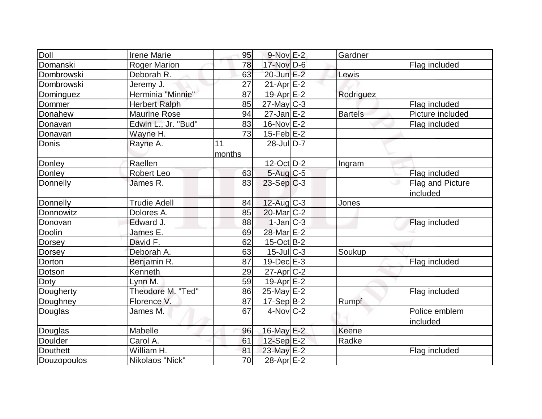| <b>Doll</b>   | <b>Irene Marie</b>   | 95     | $9-Nov$ E-2       | Gardner        |                  |
|---------------|----------------------|--------|-------------------|----------------|------------------|
| Domanski      | <b>Roger Marion</b>  | 78     | 17-Nov D-6        |                | Flag included    |
| Dombrowski    | Deborah R.           | 63     | $20$ -Jun $E-2$   | Lewis          |                  |
| Dombrowski    | Jeremy J.            | 27     | $21-Apr$ $E-2$    |                |                  |
| Dominguez     | Herminia "Minnie"    | 87     | $19-Apr$ $E-2$    | Rodriguez      |                  |
| Dommer        | <b>Herbert Ralph</b> | 85     | $27$ -May C-3     |                | Flag included    |
| Donahew       | <b>Maurine Rose</b>  | 94     | $27$ -Jan $E-2$   | <b>Bartels</b> | Picture included |
| Donavan       | Edwin L., Jr. "Bud"  | 83     | $16$ -Nov $E-2$   |                | Flag included    |
| Donavan       | Wayne H.             | 73     | 15-Feb $E-2$      |                |                  |
| Donis         | Rayne A.             | 11     | $28$ -Jul $D-7$   |                |                  |
|               |                      | months |                   |                |                  |
| Donley        | Raellen              |        | $12$ -Oct $ D-2 $ | Ingram         |                  |
| Donley        | <b>Robert Leo</b>    | 63     | $5-Aug$ $C-5$     |                | Flag included    |
| Donnelly      | James R.             | 83     | $23-Sep C-3$      |                | Flag and Picture |
|               |                      |        |                   |                | included         |
| Donnelly      | <b>Trudie Adell</b>  | 84     | $12$ -Aug C-3     | Jones          |                  |
| Donnowitz     | Dolores A.           | 85     | $20$ -Mar $C-2$   |                |                  |
| Donovan       | Edward J.            | 88     | $1-Jan$ $C-3$     |                | Flag included    |
| Doolin        | James E.             | 69     | 28-Mar E-2        |                |                  |
| Dorsey        | David F.             | 62     | $15$ -Oct B-2     |                |                  |
| <b>Dorsey</b> | Deborah A.           | 63     | $15$ -Jul $C-3$   | Soukup         |                  |
| Dorton        | Benjamin R.          | 87     | $19$ -Dec $E-3$   |                | Flag included    |
| Dotson        | Kenneth              | 29     | $27$ -Apr $ C-2 $ |                |                  |
| Doty          | Lynn M.              | 59     | 19-Apr $E-2$      |                |                  |
| Dougherty     | Theodore M. "Ted"    | 86     | $25$ -May $E-2$   |                | Flag included    |
| Doughney      | Florence V.          | 87     | $17-Sep B-2$      | Rumpf          |                  |
| Douglas       | James M.             | 67     | $4$ -Nov $ C-2 $  |                | Police emblem    |
|               |                      |        |                   |                | included         |
| Douglas       | Mabelle              | 96     | 16-May E-2        | Keene          |                  |
| Doulder       | Carol A.             | 61     | $12-Sep$ $E-2$    | Radke          |                  |
| Douthett      | William H.           | 81     | 23-May E-2        |                | Flag included    |
| Douzopoulos   | Nikolaos "Nick"      | 70     | 28-Apr $E-2$      |                |                  |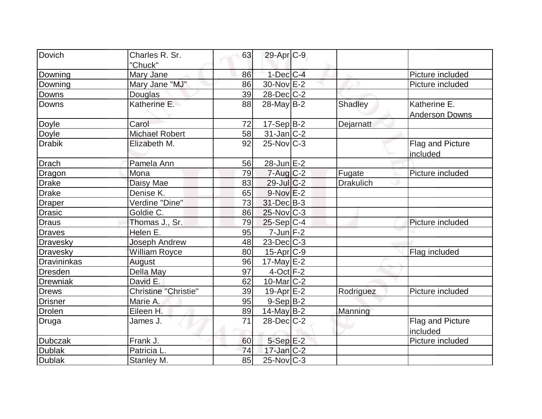| Dovich             | Charles R. Sr.              | 63 | 29-Apr <sub>C-9</sub> |                  |                                     |
|--------------------|-----------------------------|----|-----------------------|------------------|-------------------------------------|
|                    | "Chuck"                     |    |                       |                  |                                     |
| Downing            | Mary Jane                   | 86 | $1$ -Dec $C$ -4       |                  | Picture included                    |
| Downing            | Mary Jane "MJ"              | 86 | 30-Nov E-2            |                  | Picture included                    |
| Downs              | Douglas                     | 39 | 28-Dec C-2            |                  |                                     |
| <b>Downs</b>       | Katherine E.                | 88 | $28$ -May B-2         | Shadley          | Katherine E.                        |
|                    |                             |    |                       |                  | <b>Anderson Downs</b>               |
| Doyle              | Carol                       | 72 | $17-Sep$ B-2          | Dejarnatt        |                                     |
| Doyle              | <b>Michael Robert</b>       | 58 | $31$ -Jan C-2         |                  |                                     |
| <b>Drabik</b>      | Elizabeth M.                | 92 | $25$ -Nov $C-3$       |                  | <b>Flag and Picture</b><br>included |
| <b>Drach</b>       | Pamela Ann                  | 56 | $28$ -Jun $E$ -2      |                  |                                     |
| Dragon             | Mona                        | 79 | $7 - Aug$ $C-2$       | Fugate           | Picture included                    |
| <b>Drake</b>       | Daisy Mae                   | 83 | $29$ -Jul $C-2$       | <b>Drakulich</b> |                                     |
| Drake              | Denise K.                   | 65 | $9-Nov$ E-2           |                  |                                     |
| <b>Draper</b>      | Verdine "Dine"              | 73 | 31-Dec B-3            |                  |                                     |
| <b>Drasic</b>      | Goldie C.                   | 86 | $25$ -Nov $ C-3 $     |                  |                                     |
| <b>Draus</b>       | Thomas J., Sr.              | 79 | $25-Sep C-4$          |                  | Picture included                    |
| <b>Draves</b>      | Helen E.                    | 95 | $7$ -Jun $F-2$        |                  |                                     |
| Dravesky           | <b>Joseph Andrew</b>        | 48 | $23$ -Dec $C$ -3      |                  |                                     |
| Dravesky           | William Royce               | 80 | $15$ -Apr $ C$ -9     |                  | Flag included                       |
| <b>Dravininkas</b> | August                      | 96 | $17$ -May $E-2$       |                  |                                     |
| <b>Dresden</b>     | Della May                   | 97 | $4$ -Oct $F-2$        |                  |                                     |
| Drewniak           | David E.                    | 62 | 10-Mar $ C-2 $        |                  |                                     |
| <b>Drews</b>       | <b>Christine "Christie"</b> | 39 | $19-Apr$ $E-2$        | Rodriguez        | Picture included                    |
| <b>Drisner</b>     | Marie A.                    | 95 | $9-Sep$ B-2           |                  |                                     |
| <b>Drolen</b>      | Eileen H.                   | 89 | $14$ -May B-2         | Manning          |                                     |
| Druga              | James J.                    | 71 | $28$ -Dec $C-2$       |                  | <b>Flag and Picture</b><br>included |
| <b>Dubczak</b>     | Frank J.                    | 60 | $5-Sep$ E-2           |                  | Picture included                    |
| <b>Dublak</b>      | Patricia L                  | 74 | $17$ -Jan $ C-2 $     |                  |                                     |
| <b>Dublak</b>      | Stanley M.                  | 85 | $25$ -Nov $ C-3 $     |                  |                                     |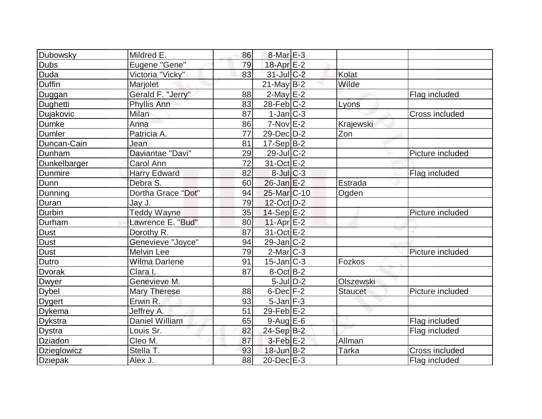| Dubowsky       | Mildred E.          | 86 | $8$ -Mar $E-3$          |                |                  |
|----------------|---------------------|----|-------------------------|----------------|------------------|
| Dubs           | Eugene "Gene"       | 79 | $18$ -Apr $E-2$         |                |                  |
| <b>Duda</b>    | Victoria "Vicky"    | 83 | $31$ -Jul C-2           | Kolat          |                  |
| Duffin         | Marjolet            |    | $21$ -May B-2           | Wilde          |                  |
| Duggan         | Gerald F. "Jerry"   | 88 | $2$ -May $E-2$          |                | Flag included    |
| Dughetti       | Phyllis Ann         | 83 | $28$ -Feb $ C-2 $       | Lyons          |                  |
| Dujakovic      | Milan               | 87 | $1-Jan C-3$             |                | Cross included   |
| <b>Dumke</b>   | Anna                | 86 | $7-Nov$ E-2             | Krajewski      |                  |
| <b>Dumler</b>  | Patricia A.         | 77 | 29-Dec D-2              | Zon            |                  |
| Duncan-Cain    | Jean                | 81 | $17-Sep B-2$            |                |                  |
| Dunham         | Daviantae "Davi"    | 29 | $29$ -Jul $C-2$         |                | Picture included |
| Dunkelbarger   | Carol Ann           | 72 | 31-Oct E-2              |                |                  |
| Dunmire        | <b>Harry Edward</b> | 82 | $8$ -Jul $C-3$          |                | Flag included    |
| Dunn           | Debra S.            | 60 | $26$ -Jan $E-2$         | Estrada        |                  |
| Dunning        | Dortha Grace "Dot"  | 94 | 25-Mar <sub>IC-10</sub> | Ogden          |                  |
| Duran          | Jay J.              | 79 | 12-Oct D-2              |                |                  |
| Durbin         | <b>Teddy Wayne</b>  | 35 | $14-Sep$ $E-2$          |                | Picture included |
| Durham         | Lawrence E. "Bud"   | 80 | $11-Apr$ $E-2$          |                |                  |
| <b>Dust</b>    | Dorothy R.          | 87 | 31-Oct E-2              |                |                  |
| <b>Dust</b>    | Genevieve "Joyce"   | 94 | $29$ -Jan $ C-2 $       |                |                  |
| <b>Dust</b>    | <b>Melvin Lee</b>   | 79 | $2$ -Mar $ C-3 $        |                | Picture included |
| Dutro          | Wilma Darlene       | 91 | $15$ -Jan $ C-3 $       | Fozkos         |                  |
| <b>Dvorak</b>  | Clara I.            | 87 | $8-Oct$ B-2             |                |                  |
| Dwyer          | Genevieve M.        |    | $5$ -Jul $D-2$          | Olszewski      |                  |
| Dybel          | <b>Mary Therese</b> | 88 | $6$ -Dec $F-2$          | <b>Staucet</b> | Picture included |
| <b>Dygert</b>  | Erwin R.            | 93 | $5$ -Jan $F-3$          |                |                  |
| Dykema         | Jeffrey A.          | 51 | $29$ -Feb $E-2$         |                |                  |
| <b>Dykstra</b> | Daniel William      | 65 | $9$ -Aug $E$ -6         |                | Flag included    |
| <b>Dystra</b>  | Louis Sr.           | 82 | 24-Sep B-2              |                | Flag included    |
| Dziadon        | Cleo M.             | 87 | $3-Feb$ $E-2$           | Allman         |                  |
| Dzieglowicz    | Stella T.           | 93 | $18$ -Jun $B-2$         | Tarka          | Cross included   |
| <b>Dziepak</b> | Alex J.             | 88 | $20$ -Dec $E-3$         |                | Flag included    |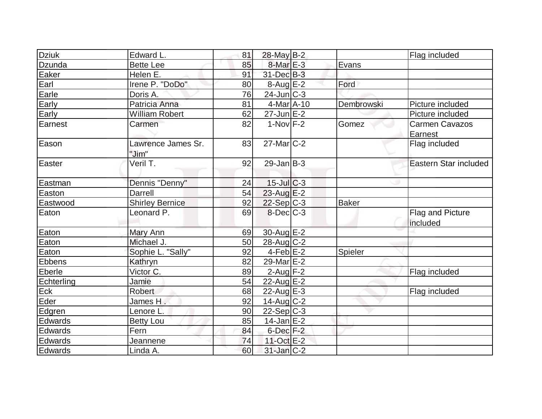| Dziuk      | Edward L.                   | 81 | 28-May B-2        |              | Flag included                    |
|------------|-----------------------------|----|-------------------|--------------|----------------------------------|
| Dzunda     | <b>Bette Lee</b>            | 85 | $8-MarE-3$        | Evans        |                                  |
| Eaker      | Helen E.                    | 91 | 31-Dec B-3        |              |                                  |
| Earl       | Irene P. "DoDo"             | 80 | $8-Aug$ $E-2$     | Ford         |                                  |
| Earle      | Doris A.                    | 76 | $24$ -Jun $C-3$   |              |                                  |
| Early      | Patricia Anna               | 81 | $4$ -Mar $A$ -10  | Dembrowski   | Picture included                 |
| Early      | <b>William Robert</b>       | 62 | $27$ -Jun $E$ -2  |              | Picture included                 |
| Earnest    | Carmen                      | 82 | $1-Nov$ F-2       | Gomez        | <b>Carmen Cavazos</b><br>Earnest |
| Eason      | Lawrence James Sr.<br>"Jim" | 83 | 27-Mar C-2        |              | Flag included                    |
| Easter     | Veril T.                    | 92 | $29$ -Jan B-3     |              | Eastern Star included            |
| Eastman    | Dennis "Denny"              | 24 | $15$ -JulC-3      |              |                                  |
| Easton     | Darrell                     | 54 | $23$ -Aug E-2     |              |                                  |
| Eastwood   | <b>Shirley Bernice</b>      | 92 | $22-Sep$ C-3      | <b>Baker</b> |                                  |
| Eaton      | Leonard P.                  | 69 | $8$ -Dec $C-3$    |              | Flag and Picture<br>included     |
| Eaton      | Mary Ann                    | 69 | $30$ -Aug E-2     |              |                                  |
| Eaton      | Michael J.                  | 50 | $28$ -Aug C-2     |              |                                  |
| Eaton      | Sophie L. "Sally"           | 92 | $4-Feb$ E-2       | Spieler      |                                  |
| Ebbens     | Kathryn                     | 82 | 29-Mar E-2        |              |                                  |
| Eberle     | Victor C.                   | 89 | $2$ -Aug $F-2$    |              | Flag included                    |
| Echterling | Jamie                       | 54 | 22-Aug E-2        |              |                                  |
| <b>Eck</b> | <b>Robert</b>               | 68 | $22$ -Aug $E-3$   |              | Flag included                    |
| Eder       | James H .                   | 92 | 14-Aug C-2        |              |                                  |
| Edgren     | Lenore L.                   | 90 | $22-Sep C-3$      |              |                                  |
| Edwards    | <b>Betty Lou</b>            | 85 | $14$ -Jan $E-2$   |              |                                  |
| Edwards    | Fern                        | 84 | $6$ -Dec $F-2$    |              |                                  |
| Edwards    | Jeannene                    | 74 | 11-Oct E-2        |              |                                  |
| Edwards    | Linda A.                    | 60 | $31$ -Jan $ C-2 $ |              |                                  |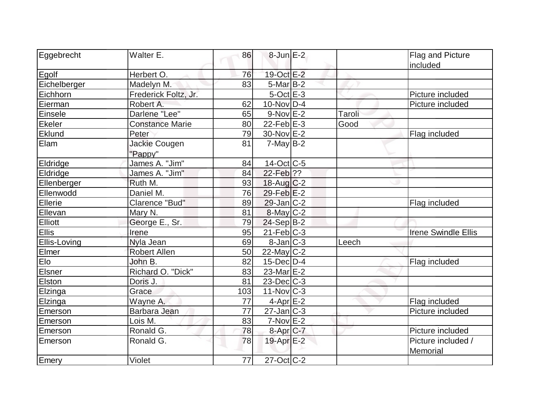| Eggebrecht     | Walter E.              | 86  | $8$ -Jun $E-2$    |        | Flag and Picture           |
|----------------|------------------------|-----|-------------------|--------|----------------------------|
|                |                        |     |                   |        | included                   |
| Egolf          | Herbert O.             | 76  | 19-Oct E-2        |        |                            |
| Eichelberger   | Madelyn M.             | 83  | $5$ -Mar $B$ -2   |        |                            |
| Eichhorn       | Frederick Foltz, Jr.   |     | $5$ -Oct $E-3$    |        | Picture included           |
| Eierman        | Robert A.              | 62  | $10$ -Nov $ D-4 $ |        | Picture included           |
| Einsele        | Darlene "Lee"          | 65  | $9-Nov$ E-2       | Taroli |                            |
| Ekeler         | <b>Constance Marie</b> | 80  | 22-Feb $E-3$      | Good   |                            |
| Eklund         | Peter                  | 79  | 30-Nov E-2        |        | Flag included              |
| Elam           | Jackie Cougen          | 81  | $7$ -May B-2      |        |                            |
|                | "Pappy"                |     |                   |        |                            |
| Eldridge       | James A. "Jim"         | 84  | 14-Oct C-5        |        |                            |
| Eldridge       | James A. "Jim"         | 84  | 22-Feb ??         |        |                            |
| Ellenberger    | Ruth M.                | 93  | $18$ -Aug $C-2$   |        |                            |
| Ellenwodd      | Daniel M.              | 76  | $29$ -Feb $E-2$   |        |                            |
| Ellerie        | Clarence "Bud"         | 89  | $29$ -Jan $C-2$   |        | Flag included              |
| Ellevan        | Mary N.                | 81  | $8$ -May C-2      |        |                            |
| <b>Elliott</b> | George E., Sr.         | 79  | $24-Sep B-2$      |        |                            |
| <b>Ellis</b>   | Irene                  | 95  | $21$ -Feb $C-3$   |        | <b>Irene Swindle Ellis</b> |
| Ellis-Loving   | Nyla Jean              | 69  | $8$ -Jan $ C-3 $  | Leech  |                            |
| Elmer          | Robert Allen           | 50  | $22$ -May C-2     |        |                            |
| Elo            | John B.                | 82  | $15$ -Dec $D-4$   |        | Flag included              |
| Elsner         | Richard O. "Dick"      | 83  | $23$ -Mar $E-2$   |        |                            |
| Elston         | Doris J.               | 81  | $23$ -Dec $C-3$   |        |                            |
| Elzinga        | Grace                  | 103 | $11$ -Nov $ C-3 $ |        |                            |
| Elzinga        | Wayne A.               | 77  | $4$ -Apr $E-2$    |        | Flag included              |
| Emerson        | Barbara Jean           | 77  | $27$ -Jan $ C-3 $ |        | Picture included           |
| Emerson        | Lois M.                | 83  | $7-Nov$ $E-2$     |        |                            |
| Emerson        | Ronald G.              | 78  | 8-Apr C-7         |        | Picture included           |
| Emerson        | Ronald G.              | 78  | 19-Apr E-2        |        | Picture included /         |
|                |                        |     |                   |        | Memorial                   |
| Emery          | Violet                 | 77  | $27$ -Oct C-2     |        |                            |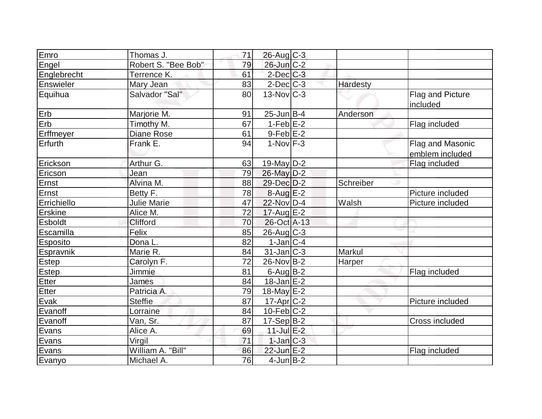| Emro            | Thomas J.           | 71 | $26$ -Aug C-3           |           |                                     |
|-----------------|---------------------|----|-------------------------|-----------|-------------------------------------|
| Engel           | Robert S. "Bee Bob" | 79 | 26-Jun C-2              |           |                                     |
| Englebrecht     | Terrence K.         | 61 | $2$ -Dec $C-3$          |           |                                     |
| Enswieler       | Mary Jean           | 83 | $2$ -Dec $C$ -3         | Hardesty  |                                     |
| Equihua         | Salvador "Sal"      | 80 | $13-Nov$ <sub>C-3</sub> |           | Flag and Picture<br>included        |
| Erb             | Marjorie M.         | 91 | $25$ -Jun $B$ -4        | Anderson  |                                     |
| Erb             | Timothy M.          | 67 | $1-Feb$ E-2             |           | Flag included                       |
| Erffmeyer       | <b>Diane Rose</b>   | 61 | $9-Feb$ $E-2$           |           |                                     |
| Erfurth         | Frank E.            | 94 | $1-Nov$ F-3             |           | Flag and Masonic<br>emblem included |
| Erickson        | Arthur G.           | 63 | 19-May $D-2$            |           | Flag included                       |
| Ericson         | Jean                | 79 | 26-May D-2              |           |                                     |
| Ernst           | Alvina M.           | 88 | 29-Dec D-2              | Schreiber |                                     |
| Ernst           | Betty F.            | 78 | $8-Aug$ $E-2$           |           | Picture included                    |
| Errichiello     | <b>Julie Marie</b>  | 47 | 22-Nov D-4              | Walsh     | Picture included                    |
| <b>Erskine</b>  | Alice M.            | 72 | $17$ -Aug E-2           |           |                                     |
| <b>Esboldt</b>  | Clifford            | 70 | 26-Oct A-13             |           |                                     |
| Escamilla       | Felix               | 85 | 26-Aug C-3              |           |                                     |
| <b>Esposito</b> | Dona L.             | 82 | $1$ -Jan $ C-4 $        |           |                                     |
| Espravnik       | Marie R.            | 84 | $31$ -Jan $ C-3 $       | Markul    |                                     |
| Estep           | Carolyn F.          | 72 | 26-Nov B-2              | Harper    |                                     |
| <b>Estep</b>    | Jimmie              | 81 | $6$ -Aug $B$ -2         |           | Flag included                       |
| <b>Etter</b>    | James               | 84 | $18$ -Jan $E-2$         |           |                                     |
| Etter           | Patricia A.         | 79 | 18-May $E-2$            |           |                                     |
| Evak            | <b>Steffie</b>      | 87 | 17-Apr C-2              |           | Picture included                    |
| Evanoff         | Lorraine            | 84 | $10$ -Feb $ C-2 $       |           |                                     |
| Evanoff         | Van, Sr.            | 87 | $17-Sep B-2$            |           | Cross included                      |
| Evans           | Alice A.            | 69 | $11$ -Jul $E-2$         |           |                                     |
| Evans           | Virgil              | 71 | $1$ -Jan $C-3$          |           |                                     |
| Evans           | William A. "Bill"   | 86 | 22-Jun E-2              |           | Flag included                       |
| Evanyo          | Michael A.          | 76 | $4$ -Jun $B-2$          |           |                                     |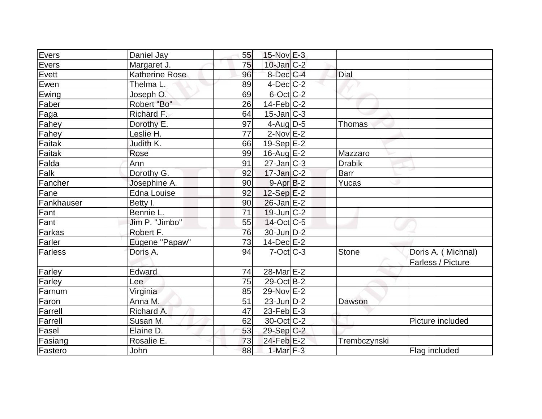| Evers      | Daniel Jay     | 55 | $15$ -Nov $E-3$         |               |                    |
|------------|----------------|----|-------------------------|---------------|--------------------|
| Evers      | Margaret J.    | 75 | $10$ -Jan $C-2$         |               |                    |
| Evett      | Katherine Rose | 96 | 8-Dec C-4               | Dial          |                    |
| Ewen       | Thelma L.      | 89 | $4$ -Dec $C$ -2         |               |                    |
| Ewing      | Joseph O.      | 69 | $6$ -Oct $C$ -2         |               |                    |
| Faber      | Robert "Bo"    | 26 | $14$ -Feb $ C-2 $       |               |                    |
| Faga       | Richard F.     | 64 | $15$ -Jan $ C-3 $       |               |                    |
| Fahey      | Dorothy E.     | 97 | $4$ -Aug D-5            | Thomas        |                    |
| Fahey      | Leslie H.      | 77 | $2$ -Nov $E-2$          |               |                    |
| Faitak     | Judith K.      | 66 | $19-Sep$ $E-2$          |               |                    |
| Faitak     | Rose           | 99 | $16$ -Aug $E-2$         | Mazzaro       |                    |
| Falda      | Ann            | 91 | $27$ -Jan $ C-3 $       | <b>Drabik</b> |                    |
| Falk       | Dorothy G.     | 92 | $17$ -Jan $C-2$         | <b>Barr</b>   |                    |
| Fancher    | Josephine A.   | 90 | $9 - Apr$ $B-2$         | <b>Yucas</b>  |                    |
| Fane       | Edna Louise    | 92 | $12-Sep$ $E-2$          |               |                    |
| Fankhauser | Betty I.       | 90 | $26$ -Jan $E-2$         |               |                    |
| Fant       | Bennie L.      | 71 | $19$ -Jun $ C-2 $       |               |                    |
| Fant       | Jim P. "Jimbo" | 55 | $14$ -Oct C-5           |               |                    |
| Farkas     | Robert F.      | 76 | 30-Jun D-2              |               |                    |
| Farler     | Eugene "Papaw" | 73 | $14$ -Dec $E-2$         |               |                    |
| Farless    | Doris A.       | 94 | $7-Cct$ $C-3$           | <b>Stone</b>  | Doris A. (Michnal) |
|            |                |    |                         |               | Farless / Picture  |
| Farley     | Edward         | 74 | 28-Mar <sub>IE</sub> -2 |               |                    |
| Farley     | Lee            | 75 | 29-Oct B-2              |               |                    |
| Farnum     | Virginia       | 85 | 29-Nov E-2              |               |                    |
| Faron      | Anna M.        | 51 | $23$ -Jun $D-2$         | Dawson        |                    |
| Farrell    | Richard A.     | 47 | 23-Feb $E-3$            |               |                    |
| Farrell    | Susan M.       | 62 | $30$ -Oct $ C-2 $       |               | Picture included   |
| Fasel      | Elaine D.      | 53 | 29-Sep C-2              |               |                    |
| Fasiang    | Rosalie E.     | 73 | 24-Feb E-2              | Trembczynski  |                    |
| Fastero    | John           | 88 | 1-Mar $F-3$             |               | Flag included      |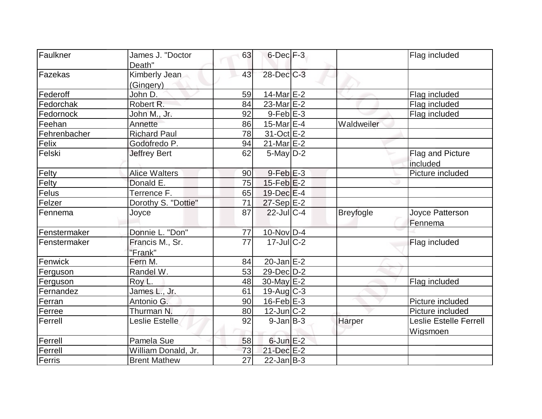| Faulkner     | James J. "Doctor     | 63              | $6$ -Dec $F-3$     |                  | Flag included                 |
|--------------|----------------------|-----------------|--------------------|------------------|-------------------------------|
|              | Death"               |                 |                    |                  |                               |
| Fazekas      | Kimberly Jean        | 43              | 28-Dec C-3         |                  |                               |
|              | (Gingery)            |                 |                    |                  |                               |
| Federoff     | John D.              | 59              | $14$ -Mar $E-2$    |                  | Flag included                 |
| Fedorchak    | Robert R.            | 84              | 23-Mar $E-2$       |                  | Flag included                 |
| Fedornock    | John M., Jr.         | 92              | $9$ -Feb $E-3$     |                  | Flag included                 |
| Feehan       | Annette              | 86              | 15-Mar E-4         | Waldweiler       |                               |
| Fehrenbacher | <b>Richard Paul</b>  | 78              | 31-Oct E-2         |                  |                               |
| Felix        | Godofredo P.         | 94              | $21$ -Mar $E-2$    |                  |                               |
| Felski       | <b>Jeffrey Bert</b>  | 62              | $5$ -May $D-2$     |                  | Flag and Picture              |
|              |                      |                 |                    |                  | included                      |
| Felty        | <b>Alice Walters</b> | 90              | $9$ -Feb $E-3$     |                  | Picture included              |
| Felty        | Donald E.            | 75              | $15$ -Feb $E-2$    |                  |                               |
| Felus        | Terrence F.          | 65              | $19$ -Dec $E-4$    |                  |                               |
| Felzer       | Dorothy S. "Dottie"  | 71              | 27-Sep E-2         |                  |                               |
| Fennema      | Joyce                | 87              | $22$ -JulC-4       | <b>Breyfogle</b> | Joyce Patterson               |
|              |                      |                 |                    |                  | Fennema                       |
| Fenstermaker | Donnie L. "Don"      | 77              | $10$ -Nov D-4      |                  |                               |
| Fenstermaker | Francis M., Sr.      | $\overline{77}$ | $17 -$ Jul $C - 2$ |                  | Flag included                 |
|              | "Frank"              |                 |                    |                  |                               |
| Fenwick      | Fern M.              | 84              | $20 - Jan$ $E-2$   |                  |                               |
| Ferguson     | Randel W.            | 53              | 29-Dec D-2         |                  |                               |
| Ferguson     | Roy L.               | 48              | $30$ -May $E-2$    |                  | Flag included                 |
| Fernandez    | James L., Jr.        | 61              | $19$ -Aug C-3      |                  |                               |
| Ferran       | Antonio G.           | 90              | $16$ -Feb $E-3$    |                  | Picture included              |
| Ferree       | Thurman N.           | 80              | $12$ -Jun $ C-2 $  |                  | Picture included              |
| Ferrell      | Leslie Estelle       | 92              | $9$ -Jan B-3       | Harper           | <b>Leslie Estelle Ferrell</b> |
|              |                      |                 |                    |                  | Wigsmoen                      |
| Ferrell      | Pamela Sue           | 58              | $6$ -Jun $E-2$     |                  |                               |
| Ferrell      | William Donald, Jr.  | 73              | 21-Dec E-2         |                  |                               |
| Ferris       | <b>Brent Mathew</b>  | $\overline{27}$ | $22$ -Jan B-3      |                  |                               |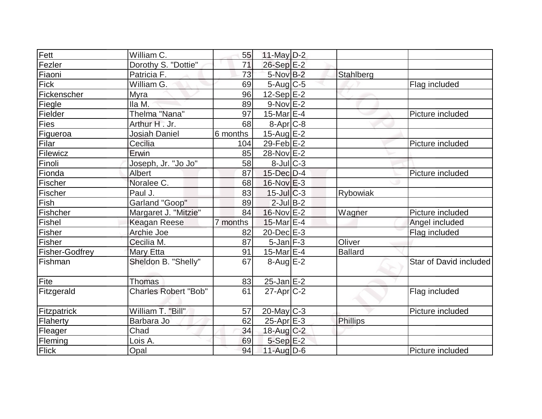| Fett                  | William C.                  | 55       | $11$ -May $D-2$   |                 |                        |
|-----------------------|-----------------------------|----------|-------------------|-----------------|------------------------|
| Fezler                | Dorothy S. "Dottie"         | 71       | 26-Sep E-2        |                 |                        |
| Fiaoni                | Patricia F.                 | 73       | 5-Nov B-2         | Stahlberg       |                        |
| Fick                  | William G.                  | 69       | $5-Aug$ $C-5$     |                 | Flag included          |
| Fickenscher           | Myra                        | 96       | $12-Sep$ E-2      |                 |                        |
| Fiegle                | Ila M.                      | 89       | $9-Nov$ E-2       |                 |                        |
| Fielder               | Thelma "Nana"               | 97       | 15-Mar $E-4$      |                 | Picture included       |
| Fies                  | Arthur H . Jr.              | 68       | $8-Apr$ $C-8$     |                 |                        |
| Figueroa              | <b>Josiah Daniel</b>        | 6 months | 15-Aug E-2        |                 |                        |
| Filar                 | Cecilia                     | 104      | $29$ -Feb $E-2$   |                 | Picture included       |
| Filewicz              | Erwin                       | 85       | 28-Nov E-2        |                 |                        |
| Finoli                | Joseph, Jr. "Jo Jo"         | 58       | $8$ -Jul $ C-3$   |                 |                        |
| Fionda                | <b>Albert</b>               | 87       | 15-Dec D-4        |                 | Picture included       |
| Fischer               | Noralee C.                  | 68       | $16$ -Nov $E-3$   |                 |                        |
| Fischer               | Paul J.                     | 83       | $15$ -JulC-3      | Rybowiak        |                        |
| Fish                  | Garland "Goop"              | 89       | $2$ -Jul $B-2$    |                 |                        |
| Fishcher              | Margaret J. "Mitzie"        | 84       | 16-Nov E-2        | Wagner          | Picture included       |
| <b>Fishel</b>         | <b>Keagan Reese</b>         | 7 months | 15-Mar E-4        |                 | Angel included         |
| <b>Fisher</b>         | Archie Joe                  | 82       | 20-Dec E-3        |                 | Flag included          |
| Fisher                | Cecilia M.                  | 87       | $5$ -Jan $F-3$    | Oliver          |                        |
| <b>Fisher-Godfrey</b> | Mary Etta                   | 91       | 15-Mar $E-4$      | Ballard         |                        |
| Fishman               | Sheldon B. "Shelly"         | 67       | $8-Aug$ $E-2$     |                 | Star of David included |
| Fite                  | <b>Thomas</b>               | 83       | $25$ -Jan $E-2$   |                 |                        |
| Fitzgerald            | <b>Charles Robert "Bob"</b> | 61       | $27$ -Apr $ C-2 $ |                 | Flag included          |
| Fitzpatrick           | William T. "Bill"           | 57       | $20$ -May C-3     |                 | Picture included       |
| Flaherty              | Barbara Jo                  | 62       | $25$ -Apr $E-3$   | <b>Phillips</b> |                        |
| Fleager               | Chad                        | 34       | 18-Aug C-2        |                 |                        |
| Fleming               | Lois A.                     | 69       | $5-Sep$ E-2       |                 |                        |
| Flick                 | Opal                        | 94       | $11$ -Aug $D-6$   |                 | Picture included       |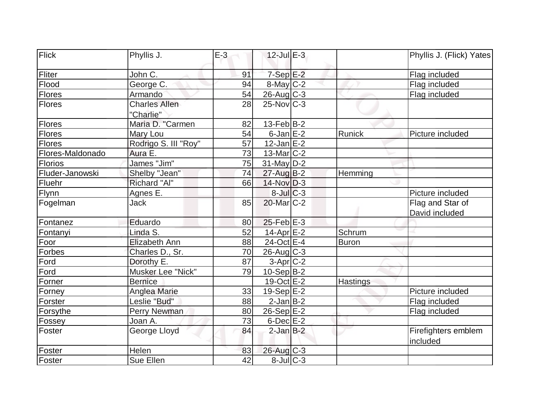| Flick            | Phyllis J.                        | $E-3$ | $12$ -Jul $E-3$       |              | Phyllis J. (Flick) Yates           |
|------------------|-----------------------------------|-------|-----------------------|--------------|------------------------------------|
| Fliter           | John C.                           | 91    | $7-Sep$ $E-2$         |              | Flag included                      |
| Flood            | George C.                         | 94    | $8$ -May $C-2$        |              | Flag included                      |
| <b>Flores</b>    | Armando                           | 54    | $26$ -Aug $C-3$       |              | Flag included                      |
| Flores           | <b>Charles Allen</b><br>"Charlie" | 28    | $25$ -Nov $C-3$       |              |                                    |
| <b>Flores</b>    | Maria D. "Carmen                  | 82    | $13-Feb B-2$          |              |                                    |
| Flores           | Mary Lou                          | 54    | $6$ -Jan $E-2$        | Runick       | Picture included                   |
| Flores           | Rodrigo S. III "Roy"              | 57    | $12$ -Jan $E-2$       |              |                                    |
| Flores-Maldonado | Aura E.                           | 73    | $13$ -Mar $ C-2 $     |              |                                    |
| <b>Florios</b>   | James "Jim"                       | 75    | $31$ -May D-2         |              |                                    |
| Fluder-Janowski  | Shelby "Jean"                     | 74    | 27-Aug B-2            | Hemming      |                                    |
| Fluehr           | Richard "Al"                      | 66    | $14$ -Nov D-3         |              |                                    |
| <b>Flynn</b>     | Agnes E.                          |       | $8$ -Jul $C$ -3       |              | Picture included                   |
| Fogelman         | Jack                              | 85    | 20-Mar C-2            |              | Flag and Star of<br>David included |
| Fontanez         | Eduardo                           | 80    | $25$ -Feb $E-3$       |              |                                    |
| Fontanyi         | Linda S.                          | 52    | 14-Apr <sub>E-2</sub> | Schrum       |                                    |
| Foor             | Elizabeth Ann                     | 88    | 24-Oct E-4            | <b>Buron</b> |                                    |
| <b>Forbes</b>    | Charles D., Sr.                   | 70    | $26$ -Aug $C-3$       |              |                                    |
| Ford             | Dorothy E.                        | 87    | $3-Apr$ C-2           |              |                                    |
| Ford             | Musker Lee "Nick"                 | 79    | $10-Sep B-2$          |              |                                    |
| Forner           | <b>Bernice</b>                    |       | $19-Oct$ $E-2$        | Hastings     |                                    |
| Forney           | Anglea Marie                      | 33    | $19-Sep$ E-2          |              | Picture included                   |
| Forster          | Leslie "Bud"                      | 88    | $2$ -Jan B-2          |              | Flag included                      |
| Forsythe         | Perry Newman                      | 80    | $26-Sep$ $E-2$        |              | Flag included                      |
| Fossey           | Joan A.                           | 73    | $6$ -Dec $E-2$        |              |                                    |
| Foster           | George Lloyd                      | 84    | $2$ -Jan $B-2$        |              | Firefighters emblem<br>included    |
| Foster           | Helen                             | 83    | $26$ -Aug $C-3$       |              |                                    |
| Foster           | Sue Ellen                         | 42    | $8$ -Jul $C-3$        |              |                                    |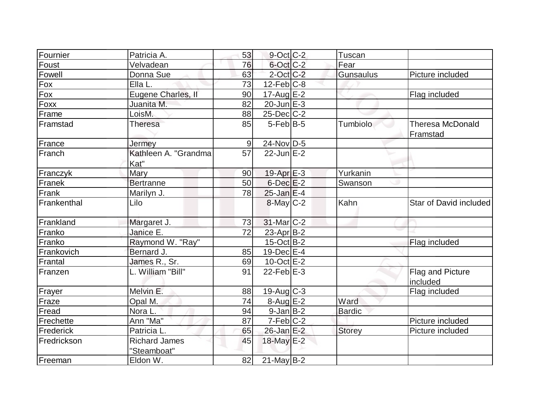| Fournier         | Patricia A.                         | 53    | $9$ -Oct $ C-2 $  | Tuscan        |                                     |
|------------------|-------------------------------------|-------|-------------------|---------------|-------------------------------------|
| Foust            | Velvadean                           | 76    | 6-Oct C-2         | Fear          |                                     |
| Fowell           | Donna Sue                           | 63    | $2$ -Oct C-2      | Gunsaulus     | Picture included                    |
| Fox              | Ella L.                             | 73    | $12$ -Feb $ C-8 $ |               |                                     |
| Fox              | Eugene Charles, II                  | 90    | $17$ -Aug E-2     |               | Flag included                       |
| Foxx             | Juanita M.                          | 82    | $20$ -Jun $E-3$   |               |                                     |
| Frame            | LoisM.                              | 88    | $25$ -Dec $C$ -2  |               |                                     |
| <b>IFramstad</b> | Theresa                             | 85    | $5$ -Feb $ B-5 $  | Tumbiolo      | <b>Theresa McDonald</b><br>Framstad |
| France           | Jermey                              | $9\,$ | 24-Nov D-5        |               |                                     |
| Franch           | Kathleen A. "Grandma<br>Kat"        | 57    | $22$ -Jun $E-2$   |               |                                     |
| Franczyk         | Mary                                | 90    | $19$ -Apr $E-3$   | Yurkanin      |                                     |
| Franek           | <b>Bertranne</b>                    | 50    | $6$ -Dec $E-2$    | Swanson       |                                     |
| Frank            | Marilyn J.                          | 78    | $25$ -Jan $E-4$   |               |                                     |
| Frankenthal      | Lilo                                |       | $8$ -May $C-2$    | Kahn          | Star of David included              |
| Frankland        | Margaret J.                         | 73    | $31$ -Mar $C-2$   |               |                                     |
| Franko           | Janice E.                           | 72    | 23-Apr B-2        |               |                                     |
| Franko           | Raymond W. "Ray"                    |       | $15$ -Oct B-2     |               | Flag included                       |
| Frankovich       | Bernard J.                          | 85    | 19-Dec E-4        |               |                                     |
| Frantal          | James R., Sr.                       | 69    | $10$ -Oct $E - 2$ |               |                                     |
| Franzen          | L. William "Bill"                   | 91    | $22$ -Feb $E-3$   |               | Flag and Picture<br>included        |
| Frayer           | Melvin E.                           | 88    | $19$ -Aug C-3     |               | Flag included                       |
| Fraze            | Opal M.                             | 74    | $8-Aug$ E-2       | Ward          |                                     |
| Fread            | Nora L.                             | 94    | $9$ -Jan $B$ -2   | Bardic        |                                     |
| Frechette        | Ann "Ma"                            | 87    | $7-Feb$ $C-2$     |               | Picture included                    |
| Frederick        | Patricia L.                         | 65    | $26$ -Jan $E-2$   | <b>Storey</b> | Picture included                    |
| Fredrickson      | <b>Richard James</b><br>"Steamboat" | 45    | 18-May E-2        |               |                                     |
| Freeman          | Eldon W.                            | 82    | $21$ -May B-2     |               |                                     |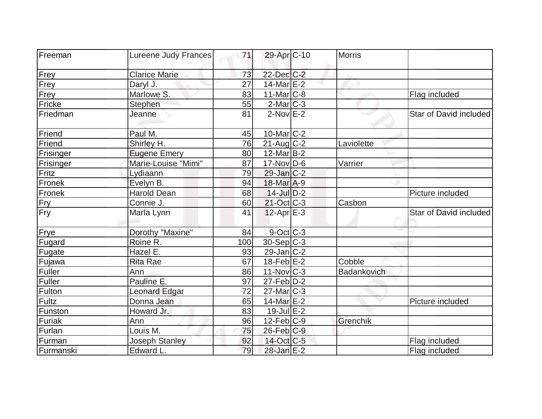| Freeman   | Lureene Judy Frances | 71  | 29-Apr <sub>C-10</sub> | <b>Morris</b> |                        |
|-----------|----------------------|-----|------------------------|---------------|------------------------|
|           |                      |     |                        |               |                        |
| Frey      | <b>Clarice Marie</b> | 73  | $22$ -Dec $C-2$        |               |                        |
| Frey      | Daryl J.             | 27  | 14-Mar $E-2$           |               |                        |
| Frey      | Marlowe S.           | 83  | $11$ -Mar $C-8$        |               | Flag included          |
| Fricke    | Stephen              | 55  | $2$ -Mar $ C-3 $       |               |                        |
| Friedman  | Jeanne               | 81  | $2$ -Nov $E-2$         |               | Star of David included |
| Friend    | Paul M.              | 45  | $10$ -Mar $ C-2 $      |               |                        |
| Friend    | Shirley H.           | 76  | $21$ -Aug $C-2$        | Laviolette    |                        |
| Frisinger | <b>Eugene Emery</b>  | 80  | $12$ -Mar $B-2$        |               |                        |
| Frisinger | Marie-Louise "Mimi"  | 87  | $17$ -Nov $ D-6$       | Varrier       |                        |
| Fritz     | Lydiaann             | 79  | $29$ -Jan $ C-2 $      |               |                        |
| Fronek    | Evelyn B.            | 94  | 18-Mar A-9             |               |                        |
| Fronek    | <b>Harold Dean</b>   | 68  | $14$ -Jul $D-2$        |               | Picture included       |
| Fry       | Connie J.            | 60  | 21-Oct C-3             | Casbon        |                        |
| Fry       | Marla Lynn           | 41  | $12$ -Apr $E-3$        |               | Star of David included |
| Frye      | Dorothy "Maxine"     | 84  | $9$ -Oct $C$ -3        |               |                        |
| Fugard    | Roine R.             | 100 | $30-Sep C-3$           |               |                        |
| Fugate    | Hazel E.             | 93  | $29$ -Jan $ C-2 $      |               |                        |
| Fujawa    | <b>Rita Rae</b>      | 67  | $18$ -Feb $E-2$        | Cobble        |                        |
| Fuller    | Ann                  | 86  | $11$ -Nov $ C-3 $      | Badankovich   |                        |
| Fuller    | Pauline E.           | 97  | $27$ -Feb $ D-2 $      |               |                        |
| Fulton    | Leonard Edgar        | 72  | $27$ -Mar $ C-3 $      |               |                        |
| Fultz     | Donna Jean           | 65  | 14-Mar $E-2$           |               | Picture included       |
| Funston   | Howard Jr.           | 83  | $19$ -Jul $E-2$        |               |                        |
| Furiak    | Ann                  | 96  | $12$ -Feb $ C-9 $      | Grenchik      |                        |
| Furlan    | Louis M.             | 75  | $26$ -Feb $C-9$        |               |                        |
| Furman    | Joseph Stanley       | 92  | 14-Oct C-5             |               | Flag included          |
| Furmanski | Edward L.            | 79  | 28-Jan E-2             |               | Flag included          |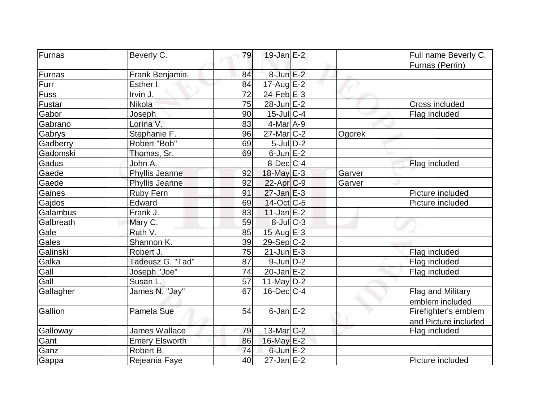| Furnas    | Beverly C.            | 79 | $19$ -Jan $E-2$         |        | Full name Beverly C. |
|-----------|-----------------------|----|-------------------------|--------|----------------------|
|           |                       |    |                         |        | Furnas (Perrin)      |
| Furnas    | Frank Benjamin        | 84 | $8$ -Jun $E-2$          |        |                      |
| Furr      | Esther I.             | 84 | $17$ -Aug $E-2$         |        |                      |
| Fuss      | Irvin J.              | 72 | $24$ -Feb $E-3$         |        |                      |
| Fustar    | Nikola                | 75 | 28-Jun E-2              |        | Cross included       |
| Gabor     | Joseph                | 90 | 15-Jul C-4              |        | Flag included        |
| Gabrano   | Lorina V.             | 83 | $\overline{4}$ -Mar A-9 |        |                      |
| Gabrys    | Stephanie F.          | 96 | $27$ -Mar $ C-2 $       | Ogorek |                      |
| Gadberry  | Robert "Bob"          | 69 | $5$ -Jul $D-2$          |        |                      |
| Gadomski  | Thomas, Sr.           | 69 | $6$ -Jun $E-2$          |        |                      |
| Gadus     | John A.               |    | $8$ -Dec $ C-4 $        |        | Flag included        |
| Gaede     | Phyllis Jeanne        | 92 | 18-May E-3              | Garver |                      |
| Gaede     | Phyllis Jeanne        | 92 | $22$ -Apr $ C-9 $       | Garver |                      |
| Gaines    | <b>Ruby Fern</b>      | 91 | $27$ -Jan $E-3$         |        | Picture included     |
| Gajdos    | Edward                | 69 | $14$ -Oct $ C-5 $       |        | Picture included     |
| Galambus  | Frank J.              | 83 | $11$ -Jan $E-2$         |        |                      |
| Galbreath | Mary C.               | 59 | $8$ -Jul $C$ -3         |        |                      |
| Gale      | Ruth V.               | 85 | 15-Aug E-3              |        |                      |
| Gales     | Shannon K.            | 39 | $29-Sep C-2$            |        |                      |
| Galinski  | Robert J.             | 75 | $21$ -Jun $E-3$         |        | Flag included        |
| Galka     | Tadeusz G. "Tad"      | 87 | $9$ -Jun $D-2$          |        | Flag included        |
| Gall      | Joseph "Joe"          | 74 | $20$ -Jan $E-2$         |        | Flag included        |
| Gall      | Susan L.              | 57 | $11$ -May D-2           |        |                      |
| Gallagher | James N. "Jay"        | 67 | $16$ -Dec $C-4$         |        | Flag and Military    |
|           |                       |    |                         |        | emblem included      |
| Gallion   | Pamela Sue            | 54 | $6$ -Jan $E-2$          |        | Firefighter's emblem |
|           |                       |    |                         |        | and Picture included |
| Galloway  | <b>James Wallace</b>  | 79 | 13-Mar C-2              |        | Flag included        |
| Gant      | <b>Emery Elsworth</b> | 86 | 16-May E-2              |        |                      |
| Ganz      | Robert B.             | 74 | $6$ -Jun $E-2$          |        |                      |
| Gappa     | Rejeania Faye         | 40 | $27 - Jan$ $E-2$        |        | Picture included     |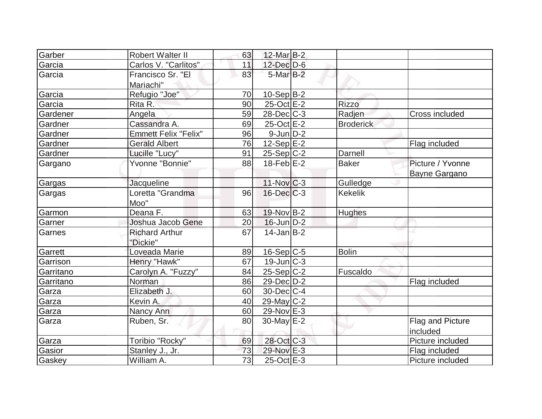|                  | <b>Robert Walter II</b>     |          | 12-Mar B-2             |                  |                       |
|------------------|-----------------------------|----------|------------------------|------------------|-----------------------|
| Garber           | Carlos V. "Carlitos"        | 63<br>11 | $12$ -Dec $D-6$        |                  |                       |
| Garcia<br>Garcia | Francisco Sr. "El           | 83       | $5$ -Mar $B-2$         |                  |                       |
|                  |                             |          |                        |                  |                       |
|                  | Mariachi"                   |          |                        |                  |                       |
| Garcia           | Refugio "Joe"               | 70       | $10-Sep\overline{B-2}$ |                  |                       |
| Garcia           | Rita R.                     | 90       | 25-Oct E-2             | <b>Rizzo</b>     |                       |
| Gardener         | Angela                      | 59       | $28$ -Dec $C-3$        | Radjen           | <b>Cross included</b> |
| Gardner          | Cassandra A.                | 69       | 25-Oct E-2             | <b>Broderick</b> |                       |
| Gardner          | <b>Emmett Felix "Felix"</b> | 96       | $9$ -Jun $D-2$         |                  |                       |
| Gardner          | <b>Gerald Albert</b>        | 76       | $12-Sep$ $E-2$         |                  | Flag included         |
| Gardner          | Lucille "Lucy"              | 91       | $25-Sep C-2$           | Darnell          |                       |
| Gargano          | Yvonne "Bonnie"             | 88       | $18$ -Feb $E-2$        | <b>Baker</b>     | Picture / Yvonne      |
|                  |                             |          |                        |                  | Bayne Gargano         |
| Gargas           | Jacqueline                  |          | $11$ -Nov $ C-3 $      | Gulledge         |                       |
| Gargas           | Loretta "Grandma            | 96       | $16$ -Dec $C-3$        | <b>Kekelik</b>   |                       |
|                  | Moo"                        |          |                        |                  |                       |
| Garmon           | Deana F.                    | 63       | $19-Nov B-2$           | <b>Hughes</b>    |                       |
| Garner           | Joshua Jacob Gene           | 20       | $16$ -Jun $D-2$        |                  |                       |
| Garnes           | <b>Richard Arthur</b>       | 67       | $14$ -Jan B-2          |                  |                       |
|                  | "Dickie"                    |          |                        |                  |                       |
| Garrett          | Loveada Marie               | 89       | 16-Sep C-5             | <b>Bolin</b>     |                       |
| Garrison         | Henry "Hawk"                | 67       | $19$ -Jun $C-3$        |                  |                       |
| Garritano        | Carolyn A. "Fuzzy"          | 84       | $25-Sep C-2$           | Fuscaldo         |                       |
| Garritano        | Norman                      | 86       | $29$ -Dec $D-2$        |                  | Flag included         |
| Garza            | Elizabeth J.                | 60       | $30$ -Dec $C-4$        |                  |                       |
| Garza            | Kevin A.                    | 40       | 29-May C-2             |                  |                       |
| Garza            | Nancy Ann                   | 60       | 29-Nov $E-3$           |                  |                       |
| Garza            | Ruben, Sr.                  | 80       | $30$ -May $E-2$        |                  | Flag and Picture      |
|                  |                             |          |                        |                  | included              |
| Garza            | Toribio "Rocky"             | 69       | 28-Oct C-3             |                  | Picture included      |
| Gasior           | Stanley J., Jr.             | 73       | 29-Nov E-3             |                  | Flag included         |
| Gaskey           | William A.                  | 73       | 25-Oct E-3             |                  | Picture included      |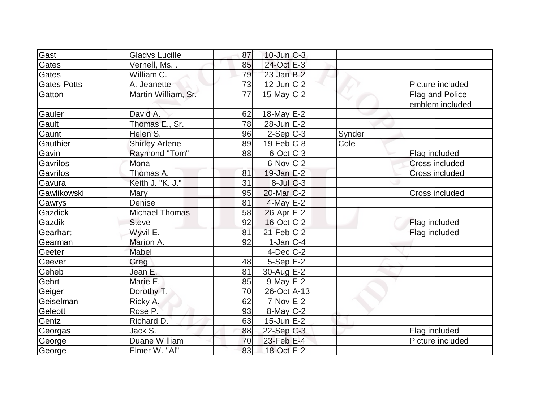| Gast        |                       |    |                   |        |                       |
|-------------|-----------------------|----|-------------------|--------|-----------------------|
|             | <b>Gladys Lucille</b> | 87 | $10$ -Jun $C-3$   |        |                       |
| Gates       | Vernell, Ms. .        | 85 | 24-Oct E-3        |        |                       |
| Gates       | William C.            | 79 | $23$ -Jan $B-2$   |        |                       |
| Gates-Potts | A. Jeanette           | 73 | $12$ -Jun $ C-2 $ |        | Picture included      |
| Gatton      | Martin William, Sr.   | 77 | $15$ -May C-2     |        | Flag and Police       |
|             |                       |    |                   |        | emblem included       |
| Gauler      | David A.              | 62 | 18-May E-2        |        |                       |
| Gault       | Thomas E., Sr.        | 78 | $28$ -Jun $E-2$   |        |                       |
| Gaunt       | Helen S.              | 96 | $2-Sep C-3$       | Synder |                       |
| Gauthier    | <b>Shirley Arlene</b> | 89 | $19$ -Feb $ C-8$  | Cole   |                       |
| Gavin       | Raymond "Tom"         | 88 | $6$ -Oct $ C-3 $  |        | Flag included         |
| Gavrilos    | Mona                  |    | $6$ -Nov $ C-2 $  |        | <b>Cross included</b> |
| Gavrilos    | Thomas A.             | 81 | $19$ -Jan $E-2$   |        | <b>Cross included</b> |
| Gavura      | Keith J. "K. J."      | 31 | $8$ -Jul $C-3$    |        |                       |
| Gawlikowski | Mary                  | 95 | $20$ -Mar $ C-2 $ |        | Cross included        |
| Gawrys      | Denise                | 81 | $4$ -May $E-2$    |        |                       |
| Gazdick     | <b>Michael Thomas</b> | 58 | $26$ -Apr $E-2$   |        |                       |
| Gazdik      | <b>Steve</b>          | 92 | $16$ -Oct $ C-2 $ |        | Flag included         |
| Gearhart    | Wyvil E.              | 81 | $21$ -Feb $ C-2 $ |        | Flag included         |
| Gearman     | Marion A.             | 92 | $1$ -Jan $ C-4 $  |        |                       |
| Geeter      | Mabel                 |    | $4$ -Dec $ C-2 $  |        |                       |
| Geever      | Greg                  | 48 | $5-Sep$ $E-2$     |        |                       |
| Geheb       | Jean E.               | 81 | 30-Aug $E-2$      |        |                       |
| Gehrt       | Marie E.              | 85 | $9$ -May $E-2$    |        |                       |
| Geiger      | Dorothy T.            | 70 | 26-Oct A-13       |        |                       |
| Geiselman   | Ricky A.              | 62 | $7-Nov$ $E-2$     |        |                       |
| Geleott     | Rose P.               | 93 | $8$ -May $C-2$    |        |                       |
| Gentz       | Richard D.            | 63 | $15$ -Jun $E-2$   |        |                       |
| Georgas     | Jack S.               | 88 | 22-Sep C-3        |        | Flag included         |
| George      | Duane William         | 70 | 23-Feb E-4        |        | Picture included      |
| George      | Elmer W. "Al"         | 83 | 18-Oct E-2        |        |                       |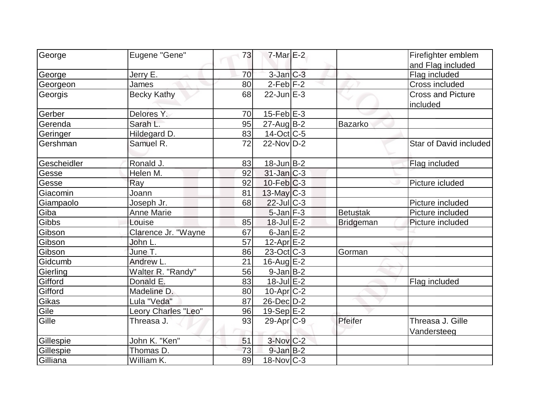|             | Eugene "Gene"       | 73 | $7$ -Mar $E-2$           |                  | Firefighter emblem                   |
|-------------|---------------------|----|--------------------------|------------------|--------------------------------------|
| George      |                     |    |                          |                  |                                      |
|             |                     | 70 |                          |                  | and Flag included                    |
| George      | Jerry E.            |    | $3$ -Jan $C-3$           |                  | Flag included                        |
| Georgeon    | James               | 80 | $2$ -Feb $ F-2 $         |                  | Cross included                       |
| Georgis     | <b>Becky Kathy</b>  | 68 | $22$ -Jun $E-3$          |                  | <b>Cross and Picture</b><br>included |
| Gerber      | Delores Y.          | 70 | $15$ -Feb $E-3$          |                  |                                      |
| Gerenda     | Sarah L.            | 95 | $27$ -Aug $B-2$          | Bazarko          |                                      |
| Geringer    | Hildegard D.        | 83 | 14-Oct C-5               |                  |                                      |
| Gershman    | Samuel R.           | 72 | $22$ -Nov $ID-2$         |                  | Star of David included               |
| Gescheidler | Ronald J.           | 83 | $18$ -Jun $B-2$          |                  | Flag included                        |
| Gesse       | Helen M.            | 92 | $31$ -Jan $ C-3 $        |                  |                                      |
| Gesse       | Ray                 | 92 | $10$ -Feb $ C-3 $        |                  | Picture icluded                      |
| Giacomin    | Joann               | 81 | $13$ -May C-3            |                  |                                      |
| Giampaolo   | Joseph Jr.          | 68 | $22$ -Jul $C-3$          |                  | Picture included                     |
| Giba        | <b>Anne Marie</b>   |    | $5$ -Jan $F-3$           | <b>Betustak</b>  | Picture included                     |
| Gibbs       | Louise              | 85 | 18-Jul E-2               | <b>Bridgeman</b> | Picture included                     |
| Gibson      | Clarence Jr. "Wayne | 67 | $6$ -Jan $E-2$           |                  |                                      |
| Gibson      | John L.             | 57 | $12$ -Apr $E-2$          |                  |                                      |
| Gibson      | June T.             | 86 | $23-Oct$ <sub>C</sub> -3 | Gorman           |                                      |
| Gidcumb     | Andrew L.           | 21 | $16$ -Aug $E-2$          |                  |                                      |
| Gierling    | Walter R. "Randy"   | 56 | $9$ -Jan $B$ -2          |                  |                                      |
| Gifford     | Donald E.           | 83 | $18$ -Jul $E-2$          |                  | Flag included                        |
| Gifford     | Madeline D.         | 80 | $10$ -Apr $ C-2 $        |                  |                                      |
| Gikas       | Lula "Veda"         | 87 | 26-Dec D-2               |                  |                                      |
| Gile        | Leory Charles "Leo" | 96 | 19-Sep E-2               |                  |                                      |
| Gille       | Threasa J.          | 93 | $29-Apr$ $C-9$           | Pfeifer          | Threasa J. Gille<br>Vandersteeg      |
| Gillespie   | John K. "Ken"       | 51 | 3-Nov C-2                |                  |                                      |
| Gillespie   | Thomas D.           | 73 | $9$ -Jan $B-2$           |                  |                                      |
| Gilliana    | William K.          | 89 | $18-Nov$ C-3             |                  |                                      |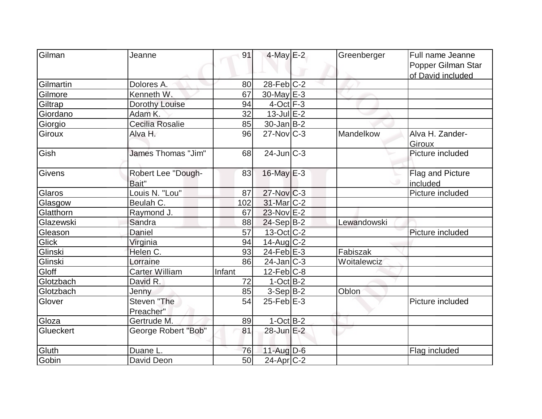| Gilman        | Jeanne                      | 91     | $4$ -May $E-2$    | Greenberger | Full name Jeanne<br>Popper Gilman Star |
|---------------|-----------------------------|--------|-------------------|-------------|----------------------------------------|
|               |                             |        |                   |             | of David included                      |
| Gilmartin     | Dolores A.                  | 80     | $28$ -Feb $ C-2$  |             |                                        |
| Gilmore       | Kenneth W.                  | 67     | $30$ -May $E-3$   |             |                                        |
| Giltrap       | Dorothy Louise              | 94     | $4$ -Oct $F-3$    |             |                                        |
| Giordano      | Adam K.                     | 32     | $13$ -Jul $E-2$   |             |                                        |
| Giorgio       | Cecilia Rosalie             | 85     | $30$ -Jan $ B-2 $ |             |                                        |
| <b>Giroux</b> | Alva H.                     | 96     | $27$ -Nov $ C-3 $ | Mandelkow   | Alva H. Zander-<br><b>Giroux</b>       |
| Gish          | James Thomas "Jim"          | 68     | $24$ -Jun $ C-3 $ |             | Picture included                       |
| Givens        | Robert Lee "Dough-<br>Bait" | 83     | 16-May E-3        |             | Flag and Picture<br>included           |
| Glaros        | Louis N. "Lou"              | 87     | $27$ -Nov $ C-3 $ |             | Picture included                       |
| Glasgow       | Beulah C.                   | 102    | 31-Mar C-2        |             |                                        |
| Glatthorn     | Raymond J.                  | 67     | $23$ -Nov $E-2$   |             |                                        |
| Glazewski     | Sandra                      | 88     | 24-Sep B-2        | Lewandowski |                                        |
| Gleason       | Daniel                      | 57     | $13-Oct$ $C-2$    |             | Picture included                       |
| Glick         | Virginia                    | 94     | $14$ -Aug C-2     |             |                                        |
| Glinski       | Helen C.                    | 93     | $24$ -Feb $E-3$   | Fabiszak    |                                        |
| Glinski       | Lorraine                    | 86     | $24$ -Jan $ C-3 $ | Woitalewciz |                                        |
| Gloff         | <b>Carter William</b>       | Infant | $12$ -Feb $ C-8$  |             |                                        |
| Glotzbach     | David R.                    | 72     | $1-Oct$ B-2       |             |                                        |
| Glotzbach     | Jenny                       | 85     | $3-Sep B-2$       | Oblon       |                                        |
| Glover        | Steven "The<br>Preacher"    | 54     | $25$ -Feb $E-3$   |             | Picture included                       |
| Gloza         | Gertrude M.                 | 89     | $1-Oct$ B-2       |             |                                        |
| Glueckert     | George Robert "Bob"         | 81     | 28-Jun E-2        |             |                                        |
| Gluth         | Duane L.                    | 76     | $11$ -Aug $D-6$   |             | Flag included                          |
| Gobin         | David Deon                  | 50     | $24$ -Apr $C-2$   |             |                                        |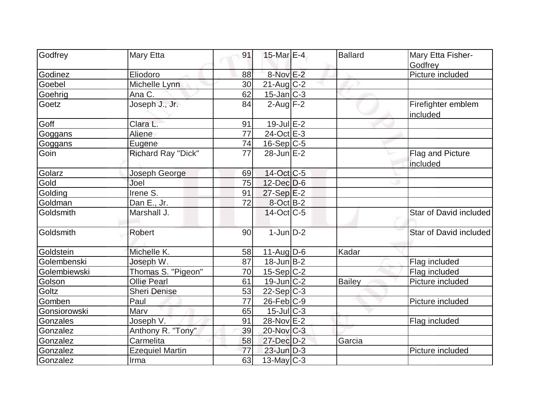|              |                           |    | $15$ -Mar $E-4$           | <b>Ballard</b> |                                |
|--------------|---------------------------|----|---------------------------|----------------|--------------------------------|
| Godfrey      | Mary Etta                 | 91 |                           |                | Mary Etta Fisher-<br>Godfrey   |
| Godinez      | Eliodoro                  | 88 | 8-Nov E-2                 |                | Picture included               |
| Goebel       | Michelle Lynn             | 30 | $21$ -Aug C-2             |                |                                |
| Goehrig      | Ana C.                    | 62 | $15$ -Jan $C-3$           |                |                                |
| Goetz        | Joseph J., Jr.            | 84 | $2$ -Aug $\overline{F-2}$ |                | Firefighter emblem<br>included |
| Goff         | Clara L.                  | 91 | $19$ -Jul $E-2$           |                |                                |
| Goggans      | Aliene                    | 77 | 24-Oct E-3                |                |                                |
| Goggans      | Eugene                    | 74 | $16-Sep C-5$              |                |                                |
| Goin         | <b>Richard Ray "Dick"</b> | 77 | $28$ -Jun $E-2$           |                | Flag and Picture<br>included   |
| Golarz       | Joseph George             | 69 | 14-Oct C-5                |                |                                |
| Gold         | Joel                      | 75 | $12$ -Dec $D$ -6          |                |                                |
| Golding      | $l$ rene $\overline{S}$ . | 91 | $27-Sep$ $E-2$            |                |                                |
| Goldman      | Dan E., Jr.               | 72 | $8-Oct$ B-2               |                |                                |
| Goldsmith    | Marshall J.               |    | $14$ -Oct $ C-5 $         |                | Star of David included         |
| Goldsmith    | Robert                    | 90 | $1$ -Jun $D-2$            |                | Star of David included         |
| Goldstein    | Michelle K.               | 58 | $11-Auq$ D-6              | Kadar          |                                |
| Golembenski  | Joseph W.                 | 87 | $18$ -Jun $B-2$           |                | Flag included                  |
| Golembiewski | Thomas S. "Pigeon"        | 70 | $15-Sep C-2$              |                | Flag included                  |
| Golson       | <b>Ollie Pearl</b>        | 61 | $19$ -Jun $ C-2 $         | Bailey         | Picture included               |
| Goltz        | <b>Sheri Denise</b>       | 53 | $22-Sep C-3$              |                |                                |
| Gomben       | Paul                      | 77 | $26$ -Feb $C-9$           |                | Picture included               |
| Gonsiorowski | Marv                      | 65 | $15$ -Jul $C-3$           |                |                                |
| Gonzales     | Joseph V.                 | 91 | 28-Nov E-2                |                | Flag included                  |
| Gonzalez     | Anthony R. "Tony"         | 39 | 20-Nov C-3                |                |                                |
| Gonzalez     | Carmelita                 | 58 | 27-Dec D-2                | Garcia         |                                |
| Gonzalez     | <b>Ezequiel Martin</b>    | 77 | $23$ -Jun $D-3$           |                | Picture included               |
| Gonzalez     | Irma                      | 63 | $13$ -May C-3             |                |                                |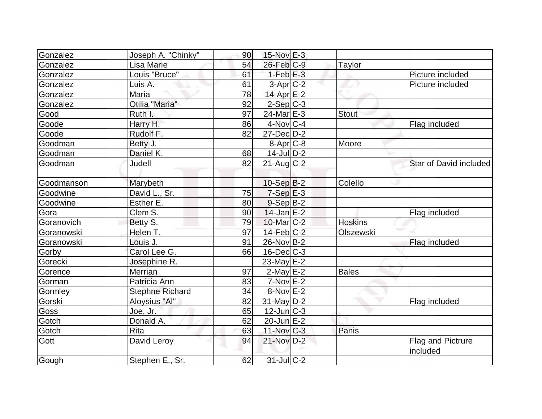| Gonzalez    | Joseph A. "Chinky"     | 90 | $15$ -Nov $E-3$       |                |                        |
|-------------|------------------------|----|-----------------------|----------------|------------------------|
| Gonzalez    | Lisa Marie             | 54 | $26$ -Feb $C-9$       | Taylor         |                        |
| Gonzalez    | Louis "Bruce"          | 61 | $1-Feb$ $E-3$         |                | Picture included       |
| Gonzalez    | Luis A.                | 61 | $3-Apr$ $C-2$         |                | Picture included       |
| Gonzalez    | Maria                  | 78 | 14-Apr $E-2$          |                |                        |
| Gonzalez    | Otilia "Maria"         | 92 | $2-Sep C-3$           |                |                        |
| Good        | Ruth I.                | 97 | 24-Mar <sub>E-3</sub> | Stout          |                        |
| Goode       | Harry H.               | 86 | $4$ -Nov $ C-4$       |                | Flag included          |
| Goode       | Rudolf F.              | 82 | $27 - Dec$ $D-2$      |                |                        |
| Goodman     | Betty J.               |    | $8 - Apr$ $C-8$       | Moore          |                        |
| Goodman     | Daniel K.              | 68 | $14$ -JulD-2          |                |                        |
| Goodman     | Judell                 | 82 | $21$ -Aug $C-2$       |                | Star of David included |
|             |                        |    |                       |                |                        |
| Goodmanson  | Marybeth               |    | $10-Sep B-2$          | Colello        |                        |
| Goodwine    | David L., Sr.          | 75 | $7-Sep$ $E-3$         |                |                        |
| Goodwine    | Esther E.              | 80 | $9-Sep B-2$           |                |                        |
| Gora        | Clem S.                | 90 | $14$ -Jan $E-2$       |                | Flag included          |
| Goranovich  | Betty S.               | 79 | $10$ -Mar $ C-2 $     | <b>Hoskins</b> |                        |
| Goranowski  | Helen T.               | 97 | $14$ -Feb $ C-2 $     | Olszewski      |                        |
| Goranowski  | Louis J.               | 91 | $26$ -Nov B-2         |                | Flag included          |
| Gorby       | Carol Lee G.           | 66 | $16$ -Dec $C$ -3      |                |                        |
| Gorecki     | Josephine R.           |    | $23$ -May $E-2$       |                |                        |
| Gorence     | Merrian                | 97 | $2$ -May $E-2$        | <b>Bales</b>   |                        |
| Gorman      | Patricia Ann           | 83 | $7-Nov$ $E-2$         |                |                        |
| Gormley     | <b>Stephne Richard</b> | 34 | $8-Nov$ E-2           |                |                        |
| Gorski      | Aloysius "Al"          | 82 | $31$ -May $D-2$       |                | Flag included          |
| <b>Goss</b> | Joe, Jr.               | 65 | $12$ -Jun $ C-3 $     |                |                        |
| Gotch       | Donald A.              | 62 | $20$ -Jun $E-2$       |                |                        |
| Gotch       | <b>Rita</b>            | 63 | $11$ -Nov $ C-3 $     | Panis          |                        |
| Gott        | David Leroy            | 94 | $21-NovD-2$           |                | Flag and Pictrure      |
|             |                        |    |                       |                | included               |
| Gough       | Stephen E., Sr.        | 62 | $31$ -JulC-2          |                |                        |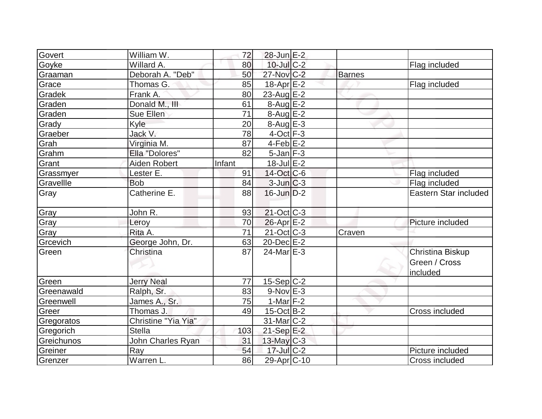| Govert     | William W.          | 72     | 28-Jun E-2               |        |                           |
|------------|---------------------|--------|--------------------------|--------|---------------------------|
| Goyke      | Willard A.          | 80     | $10$ -Jul $C-2$          |        | Flag included             |
| Graaman    | Deborah A. "Deb"    | 50     | 27-Nov C-2               | Barnes |                           |
| Grace      | Thomas G.           | 85     | $18$ -Apr $E-2$          |        | Flag included             |
| Gradek     | Frank A.            | 80     | 23-Aug $E-2$             |        |                           |
| Graden     | Donald M., III      | 61     | $8-Aug$ $E-2$            |        |                           |
| Graden     | Sue Ellen           | 71     | 8-Aug E-2                |        |                           |
| Grady      | Kyle                | 20     | $8-Aug$ $E-3$            |        |                           |
| Graeber    | Jack V.             | 78     | $4$ -Oct $F-3$           |        |                           |
| Grah       | Virginia M.         | 87     | $4$ -Feb $E-2$           |        |                           |
| Grahm      | Ella "Dolores"      | 82     | $5$ -Jan $F-3$           |        |                           |
| Grant      | Aiden Robert        | Infant | $18$ -Jul $E-2$          |        |                           |
| Grassmyer  | Lester E.           | 91     | 14-Oct C-6               |        | Flag included             |
| Gravellle  | <b>Bob</b>          | 84     | $3$ -Jun $C-3$           |        | Flag included             |
| Gray       | Catherine E.        | 88     | $16$ -Jun $D-2$          |        | Eastern Star included     |
| Gray       | John R.             | 93     | $21-Oct$ <sub>C</sub> -3 |        |                           |
| Gray       | Leroy               | 70     | $26$ -Apr $E-2$          |        | Picture included          |
| Gray       | Rita A.             | 71     | $21$ -Oct C-3            | Craven |                           |
| Grcevich   | George John, Dr.    | 63     | $20$ -Dec $E-2$          |        |                           |
| Green      | Christina           | 87     | $24$ -Mar $E-3$          |        | Christina Biskup          |
|            |                     |        |                          |        | Green / Cross<br>included |
| Green      | <b>Jerry Neal</b>   | 77     | $15-Sep C-2$             |        |                           |
| Greenawald | Ralph, Sr.          | 83     | $9-Nov$ E-3              |        |                           |
| Greenwell  | James A., Sr.       | 75     | 1-Mar $F-2$              |        |                           |
| Greer      | Thomas J.           | 49     | $15$ -Oct B-2            |        | Cross included            |
| Gregoratos | Christine "Yia Yia" |        | 31-Mar <sub>IC</sub> -2  |        |                           |
| Gregorich  | <b>Stella</b>       | 103    | $21-Sep$ E-2             |        |                           |
| Greichunos | John Charles Ryan   | 31     | $13$ -May C-3            |        |                           |
| Greiner    | Ray                 | 54     | $17$ -Jul $C-2$          |        | Picture included          |
| Grenzer    | Warren L.           | 86     | 29-Apr <sub>IC</sub> -10 |        | Cross included            |
|            |                     |        |                          |        |                           |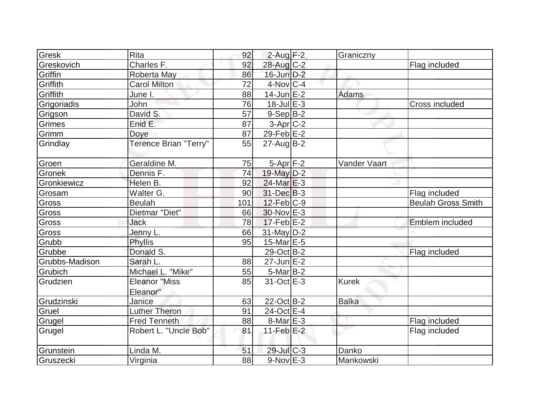| Gresk          | <b>Rita</b>           | 92  | $2$ -Aug $F-2$     | Graniczny    |                           |
|----------------|-----------------------|-----|--------------------|--------------|---------------------------|
| Greskovich     | Charles F.            | 92  | 28-Aug C-2         |              | Flag included             |
| Griffin        | Roberta May           | 86  | $16$ -Jun $D-2$    |              |                           |
| Griffith       | <b>Carol Milton</b>   | 72  | $4$ -Nov $ C-4$    |              |                           |
| Griffith       | June I.               | 88  | $14$ -Jun $E-2$    | Adams        |                           |
| Grigoriadis    | John                  | 76  | $18 -$ Jul $E - 3$ |              | <b>Cross included</b>     |
| Grigson        | David S.              | 57  | $9-Sep B-2$        |              |                           |
| Grimes         | Enid E.               | 87  | $3-Apr$ $C-2$      |              |                           |
| Grimm          | Doye                  | 87  | 29-Feb E-2         |              |                           |
| Grindlay       | Terence Brian "Terry" | 55  | $27$ -Aug $B-2$    |              |                           |
| Groen          | Geraldine M.          | 75  | $5-Apr$ F-2        | Vander Vaart |                           |
| Gronek         | Dennis F.             | 74  | 19-May D-2         |              |                           |
| Gronkiewicz    | Helen B.              | 92  | $24$ -Mar $E-3$    |              |                           |
| Grosam         | Walter G.             | 90  | $31$ -Dec $B-3$    |              | Flag included             |
| Gross          | <b>Beulah</b>         | 101 | $12$ -Feb $ C-9 $  |              | <b>Beulah Gross Smith</b> |
| Gross          | Dietmar "Diet"        | 66  | $30$ -Nov $E-3$    |              |                           |
| Gross          | <b>Jack</b>           | 78  | $17$ -Feb $E-2$    |              | Emblem included           |
| Gross          | Jenny L.              | 66  | 31-May D-2         |              |                           |
| Grubb          | <b>Phyllis</b>        | 95  | 15-Mar E-5         |              |                           |
| Grubbe         | Donald S.             |     | 29-Oct B-2         |              | Flag included             |
| Grubbs-Madison | Sarah L.              | 88  | $27$ -Jun $E-2$    |              |                           |
| Grubich        | Michael L. "Mike"     | 55  | $5$ -Mar $ B-2 $   |              |                           |
| Grudzien       | <b>Eleanor "Miss</b>  | 85  | 31-Oct E-3         | <b>Kurek</b> |                           |
|                | Eleanor"              |     |                    |              |                           |
| Grudzinski     | Janice                | 63  | 22-Oct B-2         | <b>Balka</b> |                           |
| Gruel          | <b>Luther Theron</b>  | 91  | $24$ -Oct E-4      |              |                           |
| Grugel         | <b>Fred Tenneth</b>   | 88  | $8$ -Mar $E - 3$   |              | Flag included             |
| Grugel         | Robert L. "Uncle Bob" | 81  | 11-Feb $E-2$       |              | Flag included             |
| Grunstein      | Linda M.              | 51  | 29-Jul C-3         | Danko        |                           |
| Gruszecki      | Virginia              | 88  | $9-Nov$ $E-3$      | Mankowski    |                           |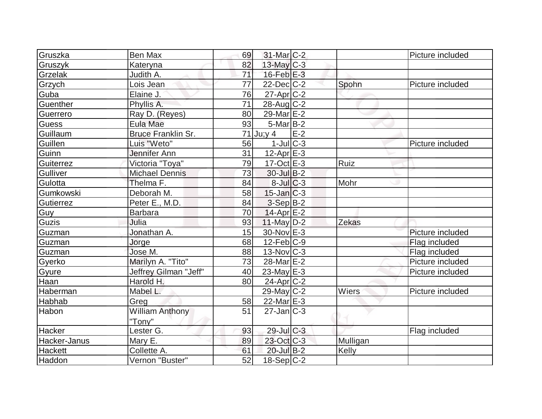| Gruszka        | Ben Max                | 69 | 31-Mar <sub>IC</sub> -2            |       |              | Picture included |
|----------------|------------------------|----|------------------------------------|-------|--------------|------------------|
| Gruszyk        | Kateryna               | 82 | $13$ -May C-3                      |       |              |                  |
| Grzelak        | Judith A.              | 71 | $16$ -Feb $E-3$                    |       |              |                  |
| Grzych         | Lois Jean              | 77 | $22$ -Dec $C-2$                    |       | Spohn        | Picture included |
| Guba           | Elaine J.              | 76 | $27$ -Apr $C$ -2                   |       |              |                  |
| Guenther       | Phyllis A.             | 71 | $28$ -Aug C-2                      |       |              |                  |
| Guerrero       | Ray D. (Reyes)         | 80 | 29-Mar E-2                         |       |              |                  |
| <b>Guess</b>   | Eula Mae               | 93 | $5$ -Mar $ B-2 $                   |       |              |                  |
| Guillaum       | Bruce Franklin Sr.     |    | 71 Ju;y 4                          | $E-2$ |              |                  |
| Guillen        | Luis "Weto"            | 56 | $1$ -Jul $ C-3 $                   |       |              | Picture included |
| Guinn          | Jennifer Ann           | 31 | $12-Apr \, E-3$                    |       |              |                  |
| Guiterrez      | Victoria "Toya"        | 79 | $17-Oct$ $E-3$                     |       | Ruiz         |                  |
| Gulliver       | <b>Michael Dennis</b>  | 73 | $30$ -Jul B-2                      |       |              |                  |
| Gulotta        | Thelma F.              | 84 | $8$ -Jul $C$ -3                    |       | Mohr         |                  |
| Gumkowski      | Deborah M.             | 58 | $15$ -Jan $C-3$                    |       |              |                  |
| Gutierrez      | Peter E., M.D.         | 84 | $3-Sep B-2$                        |       |              |                  |
| Guy            | <b>Barbara</b>         | 70 | $14$ -Apr $E-2$                    |       |              |                  |
| Guzis          | Julia                  | 93 | $11$ -May D-2                      |       | <b>Zekas</b> |                  |
| Guzman         | Jonathan A.            | 15 | 30-Nov E-3                         |       |              | Picture included |
| Guzman         | Jorge                  | 68 | $12$ -Feb $ C-9 $                  |       |              | Flag included    |
| Guzman         | Jose M.                | 88 | $13-Nov$ $C-3$                     |       |              | Flag included    |
| Gyerko         | Marilyn A. "Tito"      | 73 | 28-Mar <sub>E</sub> -2             |       |              | Picture included |
| Gyure          | Jeffrey Gilman "Jeff"  | 40 | 23-May $E-3$                       |       |              | Picture included |
| Haan           | Harold H.              | 80 | $24$ -Apr $ C-2 $                  |       |              |                  |
| Haberman       | Mabel L.               |    | $29$ -May C-2                      |       | Wiers        | Picture included |
| <b>Habhab</b>  | Greg                   | 58 | 22-Mar $E-3$                       |       |              |                  |
| Habon          | <b>William Anthony</b> | 51 | $27$ -Jan $\overline{\text{C}}$ -3 |       |              |                  |
|                | "Tony"                 |    |                                    |       |              |                  |
| Hacker         | Lester G.              | 93 | $29$ -Jul $C-3$                    |       |              | Flag included    |
| Hacker-Janus   | Mary E.                | 89 | 23-Oct C-3                         |       | Mulligan     |                  |
| <b>Hackett</b> | Collette A.            | 61 | 20-Jul B-2                         |       | Kelly        |                  |
| Haddon         | Vernon "Buster"        | 52 | 18-Sep C-2                         |       |              |                  |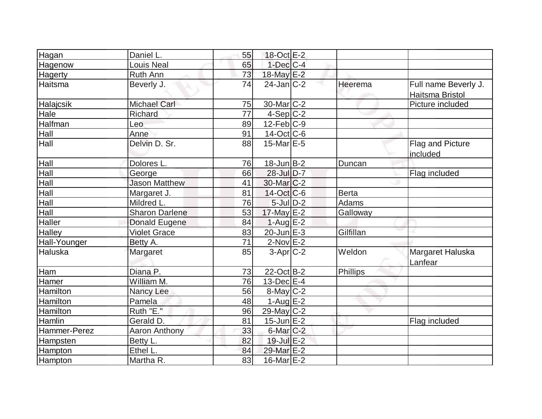| Hagan        | Daniel L.             | 55 | 18-Oct E-2        |              |                      |
|--------------|-----------------------|----|-------------------|--------------|----------------------|
| Hagenow      | <b>Louis Neal</b>     | 65 | $1$ -Dec $C$ -4   |              |                      |
| Hagerty      | Ruth Ann              | 73 | 18-May E-2        |              |                      |
| Haitsma      | Beverly J.            | 74 | $24$ -Jan $ C-2 $ | Heerema      | Full name Beverly J. |
|              |                       |    |                   |              | Haitsma Bristol      |
| Halajcsik    | <b>Michael Carl</b>   | 75 | $30$ -Mar $ C-2 $ |              | Picture included     |
| Hale         | Richard               | 77 | $4-Sep C-2$       |              |                      |
| Halfman      | Leo                   | 89 | $12$ -Feb $ C-9 $ |              |                      |
| Hall         | Anne                  | 91 | $14$ -Oct C-6     |              |                      |
| Hall         | Delvin D. Sr.         | 88 | $15$ -Mar $E$ -5  |              | Flag and Picture     |
|              |                       |    |                   |              | included             |
| Hall         | Dolores L.            | 76 | $18$ -Jun $B-2$   | Duncan       |                      |
| Hall         | George                | 66 | 28-Jul D-7        |              | Flag included        |
| Hall         | <b>Jason Matthew</b>  | 41 | $30$ -Mar $ C-2 $ |              |                      |
| Hall         | Margaret J.           | 81 | $14$ -Oct $ C$ -6 | <b>Berta</b> |                      |
| Hall         | Mildred L.            | 76 | $5$ -Jul $D-2$    | Adams        |                      |
| Hall         | <b>Sharon Darlene</b> | 53 | $17$ -May $E-2$   | Galloway     |                      |
| Haller       | Donald Eugene         | 84 | $1-Aug$ $E-2$     |              |                      |
| Halley       | <b>Violet Grace</b>   | 83 | $20$ -Jun $E-3$   | Gilfillan    |                      |
| Hall-Younger | Betty A.              | 71 | $2$ -Nov $E-2$    |              |                      |
| Haluska      | Margaret              | 85 | $3-Apr$ $C-2$     | Weldon       | Margaret Haluska     |
|              |                       |    |                   |              | Lanfear              |
| Ham          | Diana P.              | 73 | $22-Oct$ B-2      | Phillips     |                      |
| Hamer        | William M.            | 76 | $13$ -Dec $E-4$   |              |                      |
| Hamilton     | Nancy Lee             | 56 | $8$ -May C-2      |              |                      |
| Hamilton     | Pamela                | 48 | 1-Aug $E-2$       |              |                      |
| Hamilton     | Ruth "E."             | 96 | $29$ -May C-2     |              |                      |
| Hamlin       | Gerald D.             | 81 | $15$ -Jun $E-2$   |              | Flag included        |
| Hammer-Perez | Aaron Anthony         | 33 | 6-Mar C-2         |              |                      |
| Hampsten     | Betty L.              | 82 | 19-Jul E-2        |              |                      |
| Hampton      | Ethel L.              | 84 | 29-Mar E-2        |              |                      |
| Hampton      | Martha R.             | 83 | 16-Mar $E-2$      |              |                      |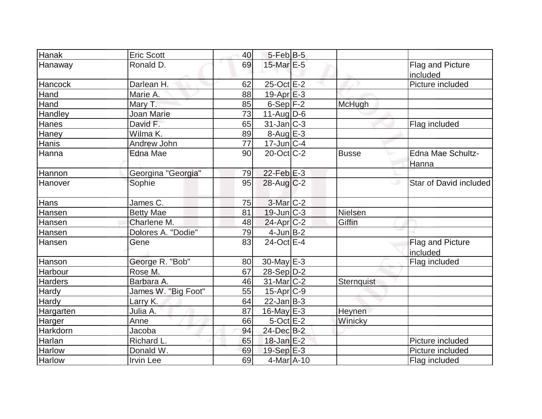| Hanak          | <b>Eric Scott</b>   | 40 | $5$ -Feb $B$ -5   |               |                             |
|----------------|---------------------|----|-------------------|---------------|-----------------------------|
| Hanaway        | Ronald D.           | 69 | 15-Mar E-5        |               | Flag and Picture            |
|                |                     |    |                   |               | included                    |
| Hancock        | Darlean H.          | 62 | $25$ -Oct $E$ -2  |               | Picture included            |
| Hand           | Marie A.            | 88 | $19-Apr$ $E-3$    |               |                             |
| Hand           | Mary T.             | 85 | $6-Sep$ F-2       | <b>McHugh</b> |                             |
| <b>Handley</b> | <b>Joan Marie</b>   | 73 | $11$ -AugD-6      |               |                             |
| <b>Hanes</b>   | David F.            | 65 | $31$ -Jan $C-3$   |               | Flag included               |
| Haney          | Wilma K.            | 89 | 8-Aug E-3         |               |                             |
| Hanis          | Andrew John         | 77 | $17$ -Jun $ C-4 $ |               |                             |
| Hanna          | Edna Mae            | 90 | $20$ -Oct $ C-2 $ | <b>Busse</b>  | Edna Mae Schultz-           |
|                |                     |    |                   |               | Hanna                       |
| Hannon         | Georgina "Georgia"  | 79 | $22$ -Feb $E-3$   |               |                             |
| Hanover        | Sophie              | 95 | 28-Aug C-2        |               | Star of David included<br>w |
| Hans           | James C.            | 75 | $3-Mar$ $C-2$     |               |                             |
| Hansen         | <b>Betty Mae</b>    | 81 | $19$ -Jun $C-3$   | Nielsen       |                             |
| <b>Hansen</b>  | Charlene M.         | 48 | $24$ -Apr $C-2$   | Giffin        |                             |
| Hansen         | Dolores A. "Dodie"  | 79 | $4$ -Jun $B-2$    |               |                             |
| Hansen         | Gene                | 83 | $24$ -Oct $E-4$   |               | Flag and Picture            |
|                |                     |    |                   |               | included                    |
| Hanson         | George R. "Bob"     | 80 | $30$ -May $E-3$   |               | Flag included               |
| Harbour        | Rose M.             | 67 | $28-Sep D-2$      |               |                             |
| <b>Harders</b> | Barbara A.          | 46 | $31$ -Mar $C-2$   | Sternquist    |                             |
| <b>Hardy</b>   | James W. "Big Foot" | 55 | $15-Apr$ $C-9$    |               |                             |
| Hardy          | Larry K.            | 64 | $22$ -Jan B-3     |               |                             |
| Hargarten      | Julia A.            | 87 | $16$ -May $E-3$   | Heynen        |                             |
| Harger         | Anne                | 66 | $5$ -Oct $E-2$    | Winicky       |                             |
| Harkdorn       | Jacoba              | 94 | 24-Dec B-2        |               |                             |
| Harlan         | Richard L.          | 65 | $18$ -Jan $E-2$   |               | Picture included            |
| <b>Harlow</b>  | Donald W.           | 69 | $19-Sep$ $E-3$    |               | Picture included            |
| Harlow         | <b>Irvin Lee</b>    | 69 | $4$ -Mar $A$ -10  |               | Flag included               |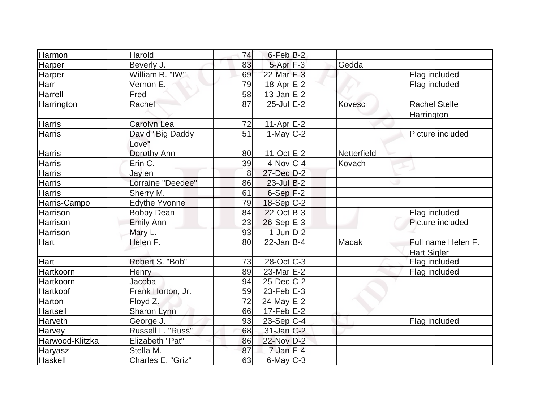| Harmon           | Harold                    | 74 | $6$ -Feb $B-2$   |             |                                          |
|------------------|---------------------------|----|------------------|-------------|------------------------------------------|
| Harper           | Beverly J.                | 83 | $5-Apr$ $F-3$    | Gedda       |                                          |
| Harper           | William R. "IW"           | 69 | 22-Mar E-3       |             | Flag included                            |
| Harr             | Vernon E.                 | 79 | $18$ -Apr $E-2$  |             | Flag included                            |
| Harrell          | Fred                      | 58 | $13$ -Jan $E-2$  |             |                                          |
| Harrington       | Rachel                    | 87 | $25$ -Jul $E-2$  | Kovesci     | <b>Rachel Stelle</b><br>Harrington       |
| <b>Harris</b>    | Carolyn Lea               | 72 | $11-Apr$ $E-2$   |             |                                          |
| <b>Harris</b>    | David "Big Daddy<br>Love" | 51 | 1-May $C-2$      |             | Picture included                         |
| <b>Harris</b>    | Dorothy Ann               | 80 | $11-Oct$ $E$ -2  | Netterfield |                                          |
| Harris           | Erin C.                   | 39 | $4$ -Nov $ C-4 $ | Kovach      |                                          |
| <b>Harris</b>    | Jaylen                    | 8  | 27-Dec D-2       |             |                                          |
| <b>Harris</b>    | Lorraine "Deedee"         | 86 | $23$ -Jul B-2    |             |                                          |
| <b>Harris</b>    | Sherry M.                 | 61 | $6-Sep$ F-2      |             |                                          |
| Harris-Campo     | <b>Edythe Yvonne</b>      | 79 | 18-Sep C-2       |             |                                          |
| <b>Harrison</b>  | <b>Bobby Dean</b>         | 84 | $22$ -Oct B-3    |             | Flag included                            |
| Harrison         | <b>Emily Ann</b>          | 23 | $26-Sep$ E-3     |             | Picture included                         |
| Harrison         | Mary L.                   | 93 | $1$ -Jun $D-2$   |             |                                          |
| Hart             | Helen F.                  | 80 | $22$ -Jan $B-4$  | Macak       | Full name Helen F.<br><b>Hart Sigler</b> |
| Hart             | Robert S. "Bob"           | 73 | $28$ -Oct C-3    |             | Flag included                            |
| <b>Hartkoorn</b> | Henry                     | 89 | $23$ -Mar $E-2$  |             | Flag included                            |
| Hartkoorn        | Jacoba                    | 94 | $25$ -Dec $C$ -2 |             |                                          |
| Hartkopf         | Frank Horton, Jr.         | 59 | $23$ -Feb $E-3$  |             |                                          |
| Harton           | Floyd Z.                  | 72 | 24-May E-2       |             |                                          |
| Hartsell         | Sharon Lynn               | 66 | $17-Feb$ $E-2$   |             |                                          |
| Harveth          | George J.                 | 93 | $23-Sep C-4$     |             | Flag included                            |
| <b>Harvey</b>    | Russell L. "Russ"         | 68 | $31$ -Jan $C-2$  |             |                                          |
| Harwood-Klitzka  | <b>Elizabeth "Pat"</b>    | 86 | 22-Nov D-2       |             |                                          |
| Haryasz          | Stella M.                 | 87 | $7$ -Jan $E-4$   |             |                                          |
| Haskell          | Charles E. "Griz"         | 63 | $6$ -May $C$ -3  |             |                                          |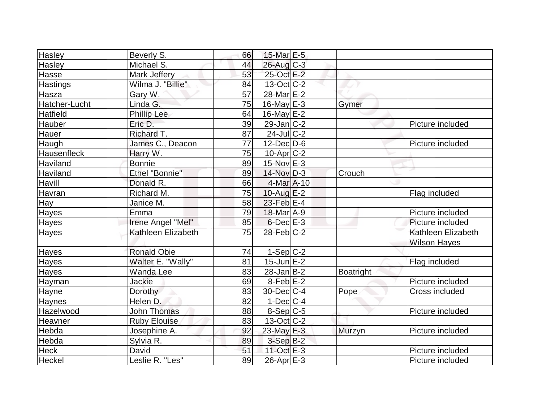| Hasley             | Beverly S.            | 66 | 15-Mar E-5                  |                  |                     |
|--------------------|-----------------------|----|-----------------------------|------------------|---------------------|
| <b>Hasley</b>      | Michael S.            | 44 | $26$ -Aug $C-3$             |                  |                     |
| Hasse              | Mark Jeffery          | 53 | 25-Oct E-2                  |                  |                     |
| <b>Hastings</b>    | Wilma J. "Billie"     | 84 | $13-Oct$ $C-2$              |                  |                     |
| Hasza              | Gary W.               | 57 | 28-Mar <sub>IE</sub> -2     |                  |                     |
| Hatcher-Lucht      | Linda G.              | 75 | 16-May $E-3$                | Gymer            |                     |
| Hatfield           | <b>Phillip Lee</b>    | 64 | 16-May $E-2$                |                  |                     |
| Hauber             | Eric D.               | 39 | $29$ -Jan $ C-2 $           |                  | Picture included    |
| Hauer              | Richard T.            | 87 | $24$ -Jul C-2               |                  |                     |
| Haugh              | James C., Deacon      | 77 | $12$ -Dec $D$ -6            |                  | Picture included    |
| <b>Hausenfleck</b> | Harry W.              | 75 | $10$ -Apr $C-2$             |                  |                     |
| Haviland           | <b>Bonnie</b>         | 89 | $15$ -Nov $E-3$             |                  |                     |
| <b>Haviland</b>    | <b>Ethel "Bonnie"</b> | 89 | $14$ -Nov $D-3$             | Crouch           |                     |
| Havill             | Donald R.             | 66 | $4$ -Mar $A$ -10            |                  |                     |
| Havran             | Richard M.            | 75 | $10$ -Aug $E-2$             |                  | Flag included       |
| Hay                | Janice M.             | 58 | $23$ -Feb $E-4$             |                  |                     |
| <b>Hayes</b>       | Emma                  | 79 | $18$ -Mar $\overline{A}$ -9 |                  | Picture included    |
| <b>Hayes</b>       | Irene Angel "Mel"     | 85 | $6$ -Dec $E-3$              |                  | Picture included    |
| <b>Hayes</b>       | Kathleen Elizabeth    | 75 | $28$ -Feb $C-2$             |                  | Kathleen Elizabeth  |
|                    |                       |    |                             |                  | <b>Wilson Hayes</b> |
| <b>Hayes</b>       | <b>Ronald Obie</b>    | 74 | $1-Sep$ $C-2$               |                  |                     |
| <b>Hayes</b>       | Walter E. "Wally"     | 81 | $15$ -Jun $E-2$             |                  | Flag included       |
| Hayes              | Wanda Lee             | 83 | $28$ -Jan $ B-2 $           | <b>Boatright</b> |                     |
| Hayman             | <b>Jackie</b>         | 69 | $8$ -Feb $E-2$              |                  | Picture included    |
| Hayne              | Dorothy               | 83 | $30$ -Dec $C-4$             | Pope             | Cross included      |
| Haynes             | Helen D.              | 82 | $1-Dec$ $C-4$               |                  |                     |
| Hazelwood          | <b>John Thomas</b>    | 88 | $8-Sep C-5$                 |                  | Picture included    |
| Heavner            | <b>Ruby Elouise</b>   | 83 | $13-Oct$ $C-2$              |                  |                     |
| Hebda              | Josephine A.          | 92 | $23$ -May $E-3$             | Murzyn           | Picture included    |
| Hebda              | Sylvia R.             | 89 | $3-Sep B-2$                 |                  |                     |
| <b>Heck</b>        | David                 | 51 | 11-Oct E-3                  |                  | Picture included    |
| Heckel             | Leslie R. "Les"       | 89 | $26$ -Apr $E-3$             |                  | Picture included    |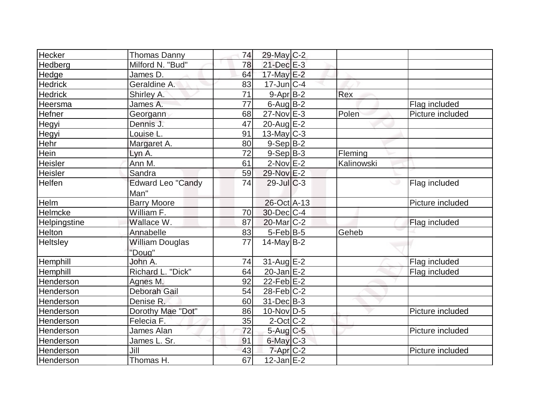| Hecker              | <b>Thomas Danny</b>      | 74 | 29-May C-2              |            |                  |
|---------------------|--------------------------|----|-------------------------|------------|------------------|
| Hedberg             | Milford N. "Bud"         | 78 | $21$ -Dec $E-3$         |            |                  |
| Hedge               | James D.                 | 64 | 17-May E-2              |            |                  |
| <b>Hedrick</b>      | Geraldine A.             | 83 | $17$ -Jun $ C-4$        |            |                  |
| <b>Hedrick</b>      | Shirley A.               | 71 | $9-Apr$ B-2             | Rex        |                  |
| Heersma             | James A.                 | 77 | $6$ -Aug $B$ -2         |            | Flag included    |
| Hefner              | Georgann                 | 68 | 27-Nov E-3              | Polen      | Picture included |
| Hegyi               | Dennis J.                | 47 | $20$ -Aug $E-2$         |            |                  |
| Hegyi               | Louise L.                | 91 | $13$ -May C-3           |            |                  |
| Hehr                | Margaret A.              | 80 | $9-Sep B-2$             |            |                  |
| Hein                | Lyn A.                   | 72 | $9-Sep B-3$             | Fleming    |                  |
| Heisler             | Ann M.                   | 61 | $2$ -Nov $E-2$          | Kalinowski |                  |
| Heisler             | Sandra                   | 59 | 29-Nov E-2              |            |                  |
| <b>Helfen</b>       | <b>Edward Leo "Candy</b> | 74 | $29$ -Jul $C-3$         |            | Flag included    |
|                     | Man"                     |    |                         |            |                  |
| Helm                | <b>Barry Moore</b>       |    | 26-Oct A-13             |            | Picture included |
| Helmcke             | William F.               | 70 | $30$ -Dec $C-4$         |            |                  |
| <b>Helpingstine</b> | Wallace W.               | 87 | 20-Mar <sub>IC</sub> -2 |            | Flag included    |
| <b>Helton</b>       | Annabelle                | 83 | $5-Feb$ B-5             | Geheb      |                  |
| Heltsley            | William Douglas          | 77 | $14$ -May B-2           |            |                  |
|                     | "Doug"                   |    |                         |            |                  |
| <b>Hemphill</b>     | John A.                  | 74 | $31$ -Aug $E-2$         |            | Flag included    |
| Hemphill            | Richard L. "Dick"        | 64 | $20$ -Jan $E-2$         |            | Flag included    |
| Henderson           | Agnes M.                 | 92 | $22$ -Feb $E-2$         |            |                  |
| Henderson           | <b>Deborah Gail</b>      | 54 | $28$ -Feb $C-2$         |            |                  |
| Henderson           | Denise R.                | 60 | $31$ -Dec $B-3$         |            |                  |
| Henderson           | Dorothy Mae "Dot"        | 86 | $10$ -Nov $ D-5$        |            | Picture included |
| <b>Henderson</b>    | Felecia F.               | 35 | $2$ -Oct $C$ -2         |            |                  |
| <b>Henderson</b>    | James Alan               | 72 | $5$ -Aug $C$ -5         |            | Picture included |
| Henderson           | James L. Sr.             | 91 | $6$ -May $C$ -3         |            |                  |
| Henderson           | Jill                     | 43 | $7 - Apr$ $C-2$         |            | Picture included |
| Henderson           | Thomas H.                | 67 | $12$ -Jan $E-2$         |            |                  |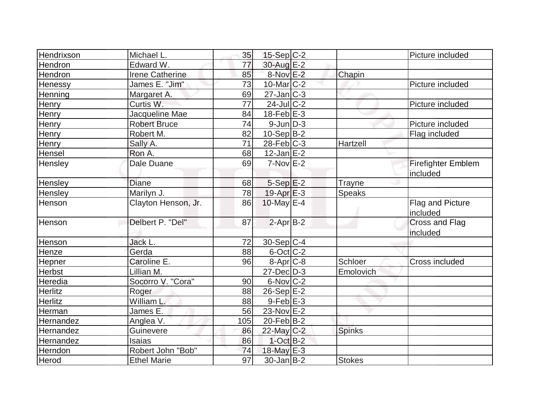| Hendrixson     | Michael L.          | 35  | $15-Sep C-2$               |               | Picture included                  |
|----------------|---------------------|-----|----------------------------|---------------|-----------------------------------|
| Hendron        | Edward W.           | 77  | 30-Aug E-2                 |               |                                   |
| Hendron        | Irene Catherine     | 85  | 8-Nov E-2                  | Chapin        |                                   |
| Henessy        | James E. "Jim"      | 73  | $10$ -Mar $ C-2 $          |               | Picture included                  |
| Henning        | Margaret A.         | 69  | $27$ -Jan $C-3$            |               |                                   |
| Henry          | Curtis W.           | 77  | $24$ -Jul $C-2$            |               | Picture included                  |
| Henry          | Jacqueline Mae      | 84  | $18$ -Feb $E-3$            |               |                                   |
| Henry          | <b>Robert Bruce</b> | 74  | $9$ -Jun $D-3$             |               | Picture included                  |
| Henry          | Robert M.           | 82  | $10-Sep$ B-2               |               | Flag included                     |
| Henry          | Sally A.            | 71  | $28$ -Feb $ C-3 $          | Hartzell      |                                   |
| Hensel         | Ron A.              | 68  | $12$ -Jan $E-2$            |               |                                   |
| Hensley        | Dale Duane          | 69  | $7-Nov$ E-2                |               | <b>Firefighter Emblem</b>         |
|                |                     |     |                            |               | included                          |
| <b>Hensley</b> | <b>Diane</b>        | 68  | $5-Sep$ $E-2$              | Trayne        |                                   |
| Hensley        | Marilyn J.          | 78  | $19-Apr \nightharpoonup 3$ | <b>Speaks</b> |                                   |
| Henson         | Clayton Henson, Jr. | 86  | 10-May E-4                 |               | Flag and Picture<br>included      |
| Henson         | Delbert P. "Del"    | 87  | $2-Apr$ B-2                |               | <b>Cross and Flag</b><br>included |
| Henson         | Jack L.             | 72  | 30-Sep C-4                 |               |                                   |
| Henze          | Gerda               | 88  | 6-Oct C-2                  |               |                                   |
| Hepner         | Caroline E.         | 96  | $8 - Apr$ $C - 8$          | Schloer       | Cross included                    |
| Herbst         | Lillian M.          |     | $27$ -Dec $D-3$            | Emolovich     |                                   |
| Heredia        | Socorro V. "Cora"   | 90  | $6$ -Nov $ C-2 $           |               |                                   |
| <b>Herlitz</b> | Roger               | 88  | $26-Sep$ E-2               |               |                                   |
| <b>Herlitz</b> | William L.          | 88  | $9$ -Feb $E-3$             |               |                                   |
| Herman         | James E.            | 56  | $23-Nov$ $E-2$             |               |                                   |
| Hernandez      | Anglea V.           | 105 | 20-Feb B-2                 |               |                                   |
| Hernandez      | Guinevere           | 86  | 22-May C-2                 | <b>Spinks</b> |                                   |
| Hernandez      | Isaias              | 86  | $1$ -Oct $B-2$             |               |                                   |
| Herndon        | Robert John "Bob"   | 74  | 18-May E-3                 |               |                                   |
| Herod          | <b>Ethel Marie</b>  | 97  | $30$ -Jan $ B-2 $          | <b>Stokes</b> |                                   |
|                |                     |     |                            |               |                                   |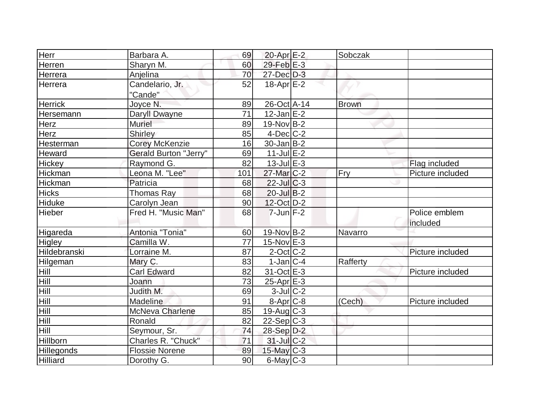| Herr            | Barbara A.                   | 69              | 20-Apr E-2        | Sobczak      |                           |
|-----------------|------------------------------|-----------------|-------------------|--------------|---------------------------|
| Herren          | Sharyn M.                    | 60              | 29-Feb $E-3$      |              |                           |
| Herrera         | Anjelina                     | 70              | 27-Dec D-3        |              |                           |
| Herrera         | Candelario, Jr.<br>"Cande"   | 52              | $18-Apr \E-2$     |              |                           |
| <b>Herrick</b>  | Joyce N.                     | 89              | 26-Oct A-14       | <b>Brown</b> |                           |
| Hersemann       | Daryll Dwayne                | 71              | $12$ -Jan $E-2$   |              |                           |
| <b>Herz</b>     | <b>Muriel</b>                | 89              | $19-Nov B-2$      |              |                           |
| Herz            | <b>Shirley</b>               | 85              | $4$ -Dec $C$ -2   |              |                           |
| Hesterman       | <b>Corey McKenzie</b>        | 16              | $30$ -Jan $ B-2 $ |              |                           |
| Heward          | <b>Gerald Burton "Jerry"</b> | 69              | $11$ -Jul $E-2$   |              |                           |
| Hickey          | Raymond G.                   | 82              | $13$ -Jul $E-3$   |              | Flag included             |
| Hickman         | Leona M. "Lee"               | 101             | 27-Mar C-2        | Fry          | Picture included          |
| Hickman         | Patricia                     | 68              | $22$ -Jul $C-3$   |              |                           |
| <b>Hicks</b>    | <b>Thomas Ray</b>            | 68              | $20$ -Jul B-2     |              |                           |
| Hiduke          | Carolyn Jean                 | 90              | $12$ -Oct $ D-2 $ |              |                           |
| Hieber          | Fred H. "Music Man"          | 68              | $7$ -Jun $F-2$    |              | Police emblem<br>included |
| Higareda        | Antonia "Tonia"              | 60              | 19-Nov B-2        | Navarro      |                           |
| Higley          | Camilla W.                   | $\overline{77}$ | $15$ -Nov $E-3$   |              |                           |
| Hildebranski    | Lorraine M.                  | 87              | $2$ -Oct $ C-2 $  |              | Picture included          |
| Hilgeman        | Mary C.                      | 83              | $1-Jan C-4$       | Rafferty     |                           |
| Hill            | <b>Carl Edward</b>           | 82              | $31-Oct$ $E-3$    |              | Picture included          |
| Hill            | Joann                        | 73              | $25$ -Apr $E-3$   |              |                           |
| Hill            | Judith M.                    | 69              | $3$ -Jul $C-2$    |              |                           |
| Hill            | Madeline                     | 91              | 8-Apr C-8         | (Cech)       | Picture included          |
| Hill            | <b>McNeva Charlene</b>       | 85              | $19$ -Aug C-3     |              |                           |
| Hill            | Ronald                       | 82              | $22-Sep C-3$      |              |                           |
| Hill            | Seymour, Sr.                 | 74              | 28-Sep D-2        |              |                           |
| Hillborn        | Charles R. "Chuck"           | 71              | $31$ -Jul C-2     |              |                           |
| Hillegonds      | <b>Flossie Norene</b>        | 89              | 15-May C-3        |              |                           |
| <b>Hilliard</b> | Dorothy G.                   | 90              | $6$ -May $C$ -3   |              |                           |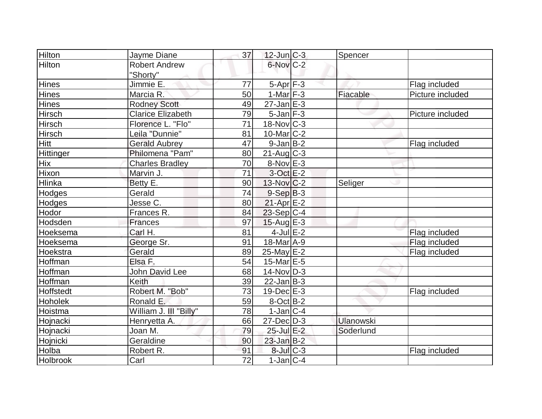| <b>Hilton</b>   | Jayme Diane              | 37              | $12$ -Jun $ C-3 $        | Spencer          |                  |
|-----------------|--------------------------|-----------------|--------------------------|------------------|------------------|
| Hilton          | <b>Robert Andrew</b>     |                 | $6$ -Nov $C-2$           |                  |                  |
|                 | "Shorty"                 |                 |                          |                  |                  |
| <b>Hines</b>    | Jimmie E.                | 77              | $5-Apr$ $F-3$            |                  | Flag included    |
| <b>Hines</b>    | Marcia R.                | 50              | $1-Mar$ F-3              | Fiacable         | Picture included |
| Hines           | <b>Rodney Scott</b>      | 49              | $27 - Jan$ E-3           |                  |                  |
| Hirsch          | <b>Clarice Elizabeth</b> | 79              | $5$ -Jan $ F-3 $         |                  | Picture included |
| <b>Hirsch</b>   | Florence L. "Flo"        | $\overline{71}$ | $18-Nov$ C-3             |                  |                  |
| <b>Hirsch</b>   | Leila "Dunnie"           | 81              | $10$ -Mar $ C-2 $        |                  |                  |
| Hitt            | <b>Gerald Aubrey</b>     | 47              | $9$ -Jan B-2             |                  | Flag included    |
| Hittinger       | Philomena "Pam"          | 80              | $21$ -Aug C-3            |                  |                  |
| <b>Hix</b>      | <b>Charles Bradley</b>   | 70              | $8-Nov$ $E-3$            |                  |                  |
| Hixon           | Marvin J.                | 71              | $3$ -Oct $E-2$           |                  |                  |
| Hlinka          | Betty E.                 | 90              | $13-Nov$ <sub>C</sub> -2 | Seliger          |                  |
| Hodges          | Gerald                   | 74              | $9-Sep B-3$              |                  |                  |
| Hodges          | Jesse C.                 | 80              | $21-Apr \E-2$            |                  |                  |
| Hodor           | Frances R.               | 84              | $23-Sep C-4$             |                  |                  |
| Hodsden         | Frances                  | 97              | $15$ -Aug E-3            |                  |                  |
| Hoeksema        | Carl H.                  | 81              | $4$ -Jul $E-2$           |                  | Flag included    |
| Hoeksema        | George Sr.               | 91              | $18$ -Mar $A$ -9         |                  | Flag included    |
| Hoekstra        | Gerald                   | 89              | $25$ -May $E-2$          |                  | Flag included    |
| Hoffman         | Elsa F.                  | 54              | $15$ -Mar $E-5$          |                  |                  |
| Hoffman         | <b>John David Lee</b>    | 68              | $14$ -Nov $ D-3 $        |                  |                  |
| Hoffman         | <b>Keith</b>             | 39              | $22$ -Jan $B-3$          |                  |                  |
| Hoffstedt       | Robert M. "Bob"          | 73              | $19$ -Dec $E-3$          |                  | Flag included    |
| Hoholek         | Ronald E.                | 59              | $8$ -Oct $B$ -2          |                  |                  |
| Hoistma         | William J. III "Billy"   | 78              | $1-Jan C-4$              |                  |                  |
| Hojnacki        | Henryetta A.             | 66              | $27 - Dec$ $D-3$         | <b>Ulanowski</b> |                  |
| Hojnacki        | Joan M.                  | 79              | 25-Jul E-2               | Soderlund        |                  |
| Hojnicki        | Geraldine                | 90              | $23$ -Jan B-2            |                  |                  |
| Holba           | Robert R.                | 91              | $8$ -Jul $C-3$           |                  | Flag included    |
| <b>Holbrook</b> | Carl                     | $\overline{72}$ | $1-Jan C-4$              |                  |                  |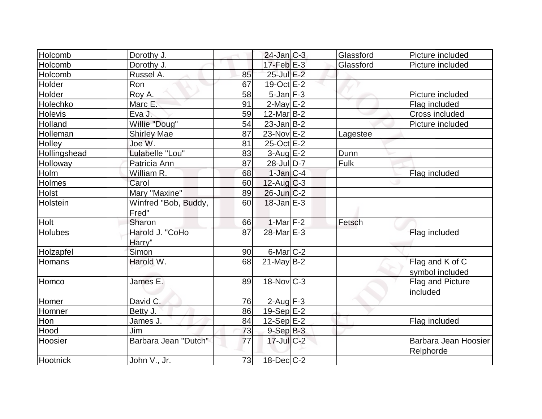| Holcomb        | Dorothy J.           |    | $24$ -Jan $ C-3 $ | Glassford | Picture included     |
|----------------|----------------------|----|-------------------|-----------|----------------------|
| Holcomb        | Dorothy J.           |    | $17$ -Feb $E-3$   | Glassford | Picture included     |
| Holcomb        | Russel A.            | 85 | 25-Jul E-2        |           |                      |
| Holder         | Ron                  | 67 | $19-Oct$ $E-2$    |           |                      |
| Holder         | Roy A.               | 58 | $5$ -Jan $F-3$    |           | Picture included     |
| Holechko       | Marc E.              | 91 | $2$ -May $E-2$    |           | Flag included        |
| <b>Holevis</b> | Eva J.               | 59 | $12$ -Mar $B-2$   |           | Cross included       |
| Holland        | Willie "Doug"        | 54 | $23$ -Jan B-2     |           | Picture included     |
| Holleman       | <b>Shirley Mae</b>   | 87 | 23-Nov E-2        | Lagestee  |                      |
| <b>Holley</b>  | Joe W.               | 81 | 25-Oct E-2        |           |                      |
| Hollingshead   | Lulabelle "Lou"      | 83 | $3-Aug$ $E-2$     | Dunn      |                      |
| Holloway       | Patricia Ann         | 87 | 28-Jul D-7        | Fulk      |                      |
| Holm           | William R.           | 68 | $1$ -Jan $C-4$    |           | Flag included        |
| Holmes         | Carol                | 60 | $12$ -Aug C-3     |           |                      |
| Holst          | Mary "Maxine"        | 89 | $26$ -Jun $C-2$   |           |                      |
| Holstein       | Winfred "Bob, Buddy, | 60 | $18$ -Jan $E-3$   |           |                      |
|                | Fred"                |    |                   |           |                      |
| Holt           | Sharon               | 66 | $1-Mar$ F-2       | Fetsch    |                      |
| <b>Holubes</b> | Harold J. "CoHo      | 87 | 28-Mar E-3        |           | Flag included        |
|                | Harry"               |    |                   |           |                      |
| Holzapfel      | Simon                | 90 | $6$ -Mar $C-2$    |           |                      |
| Homans         | Harold W.            | 68 | $21$ -May B-2     |           | Flag and K of C      |
|                |                      |    |                   |           | symbol included      |
| Homco          | James E.             | 89 | $18-Nov$ C-3      |           | Flag and Picture     |
|                |                      |    |                   |           | included             |
| Homer          | David C.             | 76 | $2$ -Aug $F-3$    |           |                      |
| Homner         | Betty J.             | 86 | $19-Sep$ $E-2$    |           |                      |
| Hon            | James J.             | 84 | $12-Sep$ $E-2$    |           | Flag included        |
| Hood           | Jim                  | 73 | $9-Sep$ $B-3$     |           |                      |
| Hoosier        | Barbara Jean "Dutch" | 77 | $17$ -Jul $C-2$   |           | Barbara Jean Hoosier |
|                |                      |    |                   |           | Relphorde            |
| Hootnick       | John V., Jr.         | 73 | $18$ -Dec $C$ -2  |           |                      |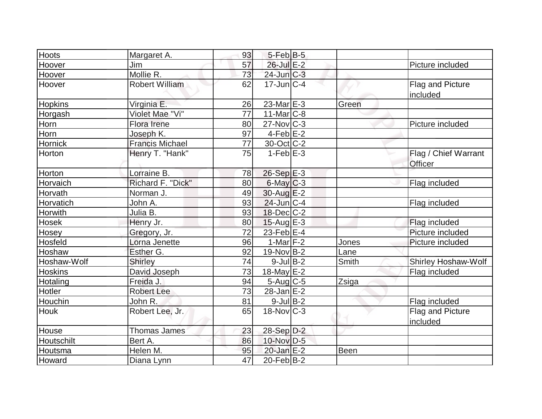| <b>Hoots</b>   |                        |    | $5$ -Feb $B$ -5             |             |                            |
|----------------|------------------------|----|-----------------------------|-------------|----------------------------|
|                | Margaret A.<br>Jim     | 93 |                             |             |                            |
| Hoover         | Mollie R.              | 57 | 26-Jul E-2                  |             | Picture included           |
| Hoover         |                        | 73 | $24$ -Jun $C-3$             |             |                            |
| Hoover         | <b>Robert William</b>  | 62 | $17$ -Jun $\overline{C}$ -4 |             | Flag and Picture           |
|                |                        |    |                             |             | included                   |
| <b>Hopkins</b> | Virginia E.            | 26 | 23-Mar E-3                  | Green       |                            |
| Horgash        | Violet Mae "Vi"        | 77 | $11$ -Mar $ C-8 $           |             |                            |
| <b>Horn</b>    | Flora Irene            | 80 | $27$ -Nov $ C-3 $           |             | Picture included           |
| Horn           | Joseph K.              | 97 | $4-Feb$ $E-2$               |             |                            |
| Hornick        | <b>Francis Michael</b> | 77 | 30-Oct C-2                  |             |                            |
| Horton         | Henry T. "Hank"        | 75 | $1-Feb$ $E-3$               |             | Flag / Chief Warrant       |
|                |                        |    |                             |             | Officer                    |
| Horton         | Lorraine B.            | 78 | 26-Sep E-3                  |             |                            |
| Horvaich       | Richard F. "Dick"      | 80 | $6$ -May $C$ -3             |             | Flag included              |
| Horvath        | Norman J.              | 49 | $30$ -Aug $E-2$             |             |                            |
| Horvatich      | John A.                | 93 | $24$ -Jun $ C-4 $           |             | Flag included              |
| Horwith        | Julia B.               | 93 | $18$ -Dec $C-2$             |             |                            |
| <b>Hosek</b>   | Henry Jr.              | 80 | $15$ -Aug $E-3$             |             | Flag included              |
| Hosey          | Gregory, Jr.           | 72 | 23-Feb E-4                  |             | Picture included           |
| Hosfeld        | Lorna Jenette          | 96 | $1-Mar$ F-2                 | Jones       | Picture included           |
| Hoshaw         | Esther G.              | 92 | $19-Nov B-2$                | Lane        |                            |
| Hoshaw-Wolf    | Shirley                | 74 | $9$ -Jul B-2                | Smith       | <b>Shirley Hoshaw-Wolf</b> |
| <b>Hoskins</b> | David Joseph           | 73 | 18-May $E-2$                |             | Flag included              |
| Hotaling       | Freida J.              | 94 | $5 - Aug$ C-5               | Zsiga       |                            |
| Hotler         | <b>Robert Lee</b>      | 73 | $28$ -Jan $E-2$             |             |                            |
| Houchin        | John R.                | 81 | $9$ -Jul B-2                |             | Flag included              |
| <b>Houk</b>    | Robert Lee, Jr.        | 65 | $18-Nov$ <sub>C</sub> -3    |             | Flag and Picture           |
|                |                        |    |                             |             | included                   |
| House          | <b>Thomas James</b>    | 23 | 28-Sep D-2                  |             |                            |
| Houtschilt     | Bert A.                | 86 | 10-Nov D-5                  |             |                            |
| Houtsma        | Helen M.               | 95 | $20$ -Jan $E-2$             | <b>Been</b> |                            |
| Howard         | Diana Lynn             | 47 | $20$ -Feb $ B-2 $           |             |                            |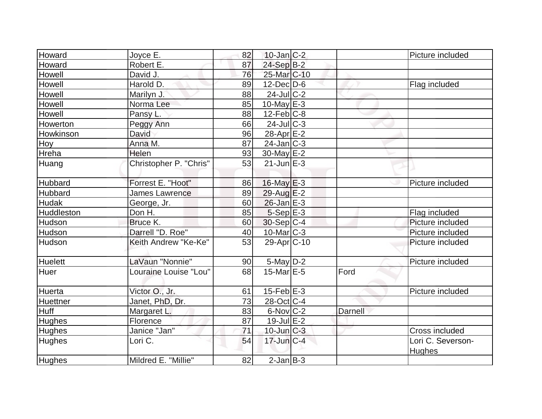| Howard        | Joyce E.               | 82 | $10$ -Jan $ C-2 $       |         | Picture included  |
|---------------|------------------------|----|-------------------------|---------|-------------------|
| Howard        | Robert E.              | 87 | $24-Sep$ B-2            |         |                   |
| Howell        | David J.               | 76 | 25-Mar C-10             |         |                   |
| <b>Howell</b> | Harold D.              | 89 | $12$ -Dec $D-6$         |         | Flag included     |
| Howell        | Marilyn J.             | 88 | $24$ -JulC-2            |         |                   |
| Howell        | Norma Lee              | 85 | $10$ -May $E-3$         |         |                   |
| <b>Howell</b> | Pansy L.               | 88 | $12$ -Feb $ C-8$        |         |                   |
| Howerton      | Peggy Ann              | 66 | $24$ -JulC-3            |         |                   |
| Howkinson     | David                  | 96 | 28-Apr $E-2$            |         |                   |
| Hoy           | Anna M.                | 87 | $24$ -Jan $ C-3 $       |         |                   |
| Hreha         | Helen                  | 93 | 30-May $E-2$            |         |                   |
| Huang         | Christopher P. "Chris" | 53 | $21$ -Jun $E-3$         |         |                   |
|               |                        |    |                         |         |                   |
| Hubbard       | Forrest E. "Hoot"      | 86 | $16$ -May $E-3$         |         | Picture included  |
| Hubbard       | James Lawrence         | 89 | $29$ -Aug $E-2$         |         |                   |
| Hudak         | George, Jr.            | 60 | $26$ -Jan $E-3$         |         |                   |
| Huddleston    | Don H.                 | 85 | $5-Sep$ $E-3$           |         | Flag included     |
| Hudson        | Bruce K.               | 60 | $30-Sep C-4$            |         | Picture included  |
| Hudson        | Darrell "D. Roe"       | 40 | 10-Mar <sub>C-3</sub>   |         | Picture included  |
| Hudson        | Keith Andrew "Ke-Ke"   | 53 | 29-Apr <sub>IC-10</sub> |         | Picture included  |
| Huelett       | LaVaun "Nonnie"        | 90 | $5$ -May $D-2$          |         | Picture included  |
| <b>Huer</b>   | Louraine Louise "Lou"  | 68 | 15-Mar E-5              | Ford    |                   |
| Huerta        | Victor O., Jr.         | 61 | $15$ -Feb $E-3$         |         | Picture included  |
| Huettner      | Janet, PhD, Dr.        | 73 | $28$ -Oct C-4           |         |                   |
| Huff          | Margaret L.            | 83 | $6$ -Nov $ C-2 $        | Darnell |                   |
| <b>Hughes</b> | Florence               | 87 | $19$ -Jul $E-2$         |         |                   |
| <b>Hughes</b> | Janice "Jan"           | 71 | $10$ -Jun $C-3$         |         | Cross included    |
| <b>Hughes</b> | Lori C.                | 54 | $17$ -Jun $ C-4 $       |         | Lori C. Severson- |
|               |                        |    |                         |         | <b>Hughes</b>     |
| <b>Hughes</b> | Mildred E. "Millie"    | 82 | $2$ -Jan $B-3$          |         |                   |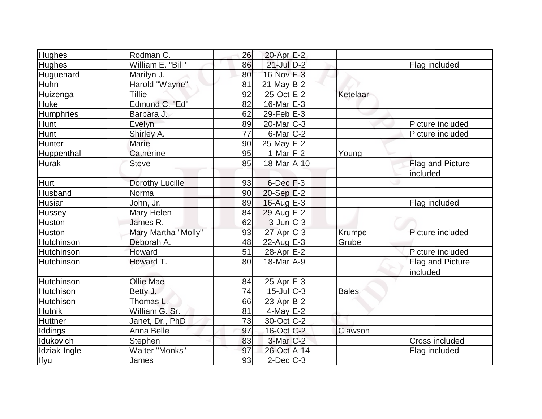| Hughes            | Rodman C.           | 26 | 20-Apr E-2                  |              |                  |
|-------------------|---------------------|----|-----------------------------|--------------|------------------|
| <b>Hughes</b>     | William E. "Bill"   | 86 | $21$ -Jul $D-2$             |              | Flag included    |
| Huguenard         | Marilyn J.          | 80 | 16-Nov E-3                  |              |                  |
| Huhn              | Harold "Wayne"      | 81 | $21$ -May B-2               |              |                  |
| Huizenga          | <b>Tillie</b>       | 92 | $25$ -Oct $E-2$             | Ketelaar     |                  |
| Huke              | Edmund C. "Ed"      | 82 | $16$ -Mar $E-3$             |              |                  |
| <b>Humphries</b>  | Barbara J.          | 62 | $29$ -Feb $E-3$             |              |                  |
| <b>Hunt</b>       | Evelyn              | 89 | $20$ -Mar $ C-3 $           |              | Picture included |
| Hunt              | Shirley A.          | 77 | $6$ -Mar $C$ -2             |              | Picture included |
| Hunter            | <b>Marie</b>        | 90 | $25$ -May $E-2$             |              |                  |
| Huppenthal        | Catherine           | 95 | 1-Mar $F-2$                 | Young        |                  |
| <b>Hurak</b>      | <b>Steve</b>        | 85 | 18-Mar A-10                 |              | Flag and Picture |
|                   |                     |    |                             |              | included         |
| Hurt              | Dorothy Lucille     | 93 | $6$ -Dec $F-3$              |              |                  |
| Husband           | Norma               | 90 | $20-Sep$ $E-2$              |              |                  |
| Husiar            | John, Jr.           | 89 | $16$ -Aug E-3               |              | Flag included    |
| <b>Hussey</b>     | Mary Helen          | 84 | 29-Aug E-2                  |              |                  |
| Huston            | James R.            | 62 | $3$ -Jun $C-3$              |              |                  |
| <b>Huston</b>     | Mary Martha "Molly" | 93 | 27-Apr <sub>C-3</sub>       | Krumpe       | Picture included |
| Hutchinson        | Deborah A.          | 48 | 22-Aug $E-3$                | Grube        |                  |
| <b>Hutchinson</b> | Howard              | 51 | $28$ -Apr $E-2$             |              | Picture included |
| Hutchinson        | Howard T.           | 80 | $18$ -Mar $\overline{A}$ -9 |              | Flag and Picture |
|                   |                     |    |                             |              | included         |
| <b>Hutchinson</b> | <b>Ollie Mae</b>    | 84 | $25$ -Apr $E-3$             |              |                  |
| <b>Hutchison</b>  | Betty J.            | 74 | $15$ -Jul $ C-3 $           | <b>Bales</b> |                  |
| Hutchison         | Thomas L.           | 66 | 23-Apr B-2                  |              |                  |
| <b>Hutnik</b>     | William G. Sr.      | 81 | $4$ -May $E-2$              |              |                  |
| <b>Huttner</b>    | Janet, Dr., PhD     | 73 | $30$ -Oct $ C-2 $           |              |                  |
| Iddings           | Anna Belle          | 97 | $16$ -Oct $ C-2 $           | Clawson      |                  |
| Idukovich         | <b>Stephen</b>      | 83 | 3-Mar C-2                   |              | Cross included   |
| Idziak-Ingle      | Walter "Monks"      | 97 | 26-Oct A-14                 |              | Flag included    |
| Ifyu              | James               | 93 | $2$ -Dec $ C-3 $            |              |                  |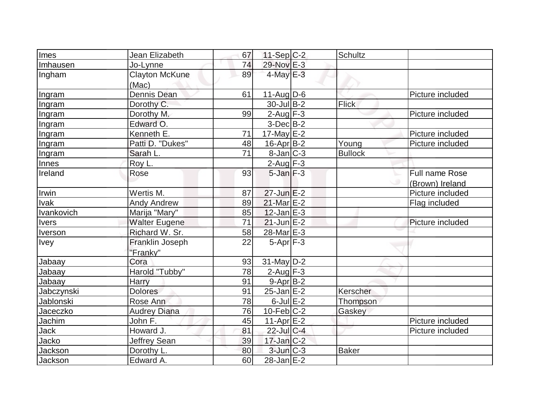| Imes         | Jean Elizabeth         | 67 | $11-Sep C-2$             | Schultz        |                  |
|--------------|------------------------|----|--------------------------|----------------|------------------|
| Imhausen     | Jo-Lynne               | 74 | 29-Nov E-3               |                |                  |
| Ingham       | <b>Clayton McKune</b>  | 89 | $4$ -May $E-3$           |                |                  |
|              | (Mac)                  |    |                          |                |                  |
| Ingram       | <b>Dennis Dean</b>     | 61 | $11-Aug D-6$             |                | Picture included |
| Ingram       | Dorothy C.             |    | $30$ -Jul B-2            | Flick          |                  |
| Ingram       | Dorothy M.             | 99 | $2$ -Aug $F-3$           |                | Picture included |
| Ingram       | Edward O.              |    | $3-Dec$ B-2              |                |                  |
| Ingram       | Kenneth E.             | 71 | $17$ -May E-2            |                | Picture included |
| Ingram       | Patti D. "Dukes"       | 48 | $16$ -Apr $B$ -2         | Young          | Picture included |
| Ingram       | Sarah L.               | 71 | $8$ -Jan $ C-3 $         | <b>Bullock</b> |                  |
| Innes        | Roy L.                 |    | $2$ -Aug $F-3$           |                |                  |
| Ireland      | Rose                   | 93 | $5$ -Jan $F-3$           |                | Full name Rose   |
|              |                        |    |                          |                | (Brown) Ireland  |
| Irwin        | Wertis M.              | 87 | $27$ -Jun $E-2$          |                | Picture included |
| <b>Ivak</b>  | <b>Andy Andrew</b>     | 89 | 21-Mar E-2               |                | Flag included    |
| Ivankovich   | Marija "Mary"          | 85 | $12$ -Jan $E-3$          |                |                  |
| <b>lvers</b> | <b>Walter Eugene</b>   | 71 | $21$ -Jun $E-2$          |                | Picture included |
| Iverson      | Richard W. Sr.         | 58 | 28-Mar E-3               |                |                  |
| <b>Ivey</b>  | <b>Franklin Joseph</b> | 22 | $5-Apr$ F-3              |                |                  |
|              | "Franky"               |    |                          |                |                  |
| Jabaay       | Cora                   | 93 | $31$ -May D-2            |                |                  |
| Jabaay       | Harold "Tubby"         | 78 | $2$ -Aug $F-3$           |                |                  |
| Jabaay       | Harry                  | 91 | $9-Apr B-2$              |                |                  |
| Jabczynski   | <b>Dolores</b>         | 91 | $\overline{25}$ -Jan E-2 | Kerscher       |                  |
| Jablonski    | Rose Ann               | 78 | $6$ -Jul $E-2$           | Thompson       |                  |
| Jaceczko     | <b>Audrey Diana</b>    | 76 | $10$ -Feb $ C-2 $        | Gaskey         |                  |
| Jachim       | John F.                | 45 | 11-Apr $E-2$             |                | Picture included |
| Jack         | Howard J.              | 81 | $22$ -Jul C-4            |                | Picture included |
| Jacko        | <b>Jeffrey Sean</b>    | 39 | $17 - Jan$ $C-2$         |                |                  |
| Jackson      | Dorothy L.             | 80 | $3$ -Jun $C-3$           | Baker          |                  |
| Jackson      | Edward A.              | 60 | $28$ -Jan $E-2$          |                |                  |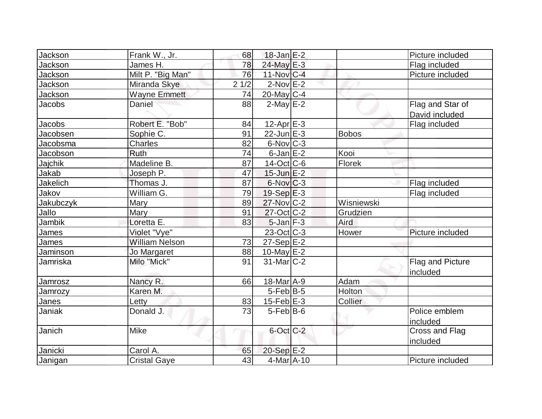| Jackson        | Frank W., Jr.         | 68              | $18$ -Jan $E-2$             |              | Picture included                   |
|----------------|-----------------------|-----------------|-----------------------------|--------------|------------------------------------|
| Jackson        | James H.              | 78              | 24-May E-3                  |              | Flag included                      |
| Jackson        | Milt P. "Big Man"     | 76              | 11-Nov C-4                  |              | Picture included                   |
| <b>Jackson</b> | Miranda Skye          | 21/2            | $2$ -Nov $E-2$              |              |                                    |
| Jackson        | <b>Wayne Emmett</b>   | 74              | $20$ -May C-4               |              |                                    |
| Jacobs         | Daniel                | 88              | $2$ -May $E-2$              |              | Flag and Star of<br>David included |
| Jacobs         | Robert E. "Bob"       | 84              | 12-Apr <sub>E-3</sub>       |              | Flag included                      |
| Jacobsen       | Sophie C.             | 91              | $22$ -Jun $E-3$             | <b>Bobos</b> |                                    |
| Jacobsma       | <b>Charles</b>        | 82              | $6$ -Nov $ C-3 $            |              |                                    |
| Jacobson       | Ruth                  | 74              | $6$ -Jan $E-2$              | Kooi         |                                    |
| <b>Jajchik</b> | Madeline B.           | 87              | $14$ -Oct $ C$ -6           | Florek       |                                    |
| Jakab          | Joseph P.             | 47              | $15$ -Jun $E-2$             |              |                                    |
| Jakelich       | Thomas J.             | 87              | $6$ -Nov $C-3$              |              | Flag included                      |
| Jakov          | William G.            | 79              | $19-Sep$ $E-3$              |              | Flag included                      |
| Jakubczyk      | Mary                  | 89              | 27-Nov C-2                  | Wisniewski   |                                    |
| Jallo          | Mary                  | 91              | $27$ -Oct C-2               | Grudzien     |                                    |
| <b>Jambik</b>  | Loretta E.            | 83              | $5$ -Jan $ F-3 $            | Aird         |                                    |
| <b>James</b>   | Violet "Vye"          |                 | $23-Oct$ $C-3$              | Hower        | Picture included                   |
| James          | <b>William Nelson</b> | 73              | $27-Sep$ $E-2$              |              |                                    |
| Jaminson       | Jo Margaret           | 88              | $10$ -May $E-2$             |              |                                    |
| Jamriska       | Milo "Mick"           | 91              | $31$ -Mar $C-2$             |              | Flag and Picture<br>included       |
| Jamrosz        | Nancy R.              | 66              | $18$ -Mar $\overline{A}$ -9 | Adam         |                                    |
| Jamrozy        | Karen M.              |                 | $5-Feb$ B-5                 | Holton       |                                    |
| <b>Janes</b>   | Letty                 | 83              | 15-Feb $E-3$                | Collier      |                                    |
| Janiak         | Donald J.             | $\overline{73}$ | $5$ -Feb $ B$ -6            |              | Police emblem<br>included          |
| Janich         | <b>Mike</b>           |                 | $6$ -Oct $C$ -2             |              | Cross and Flag<br>included         |
| Janicki        | Carol A.              | 65              | $20-Sep$ $E-2$              |              |                                    |
| Janigan        | <b>Cristal Gaye</b>   | 43              | $4$ -Mar $A$ -10            |              | Picture included                   |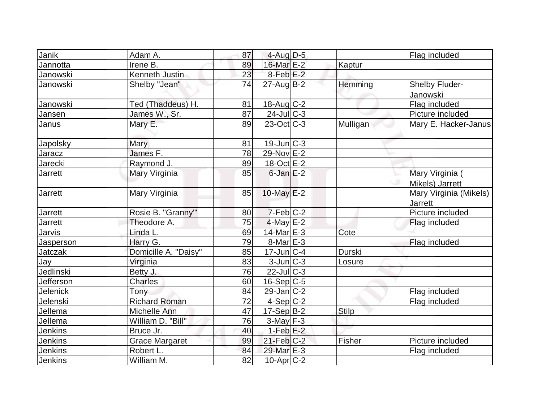| Janik          | Adam A.               | 87 | $4$ -Aug $D-5$    |              | Flag included                            |
|----------------|-----------------------|----|-------------------|--------------|------------------------------------------|
| Jannotta       | Irene B.              | 89 | 16-Mar E-2        | Kaptur       |                                          |
| Janowski       | Kenneth Justin        | 23 | $8$ -Feb $E-2$    |              |                                          |
| Janowski       | Shelby "Jean"         | 74 | $27$ -Aug $B-2$   | Hemming      | Shelby Fluder-<br>Janowski               |
| Janowski       | Ted (Thaddeus) H.     | 81 | $18$ -Aug C-2     |              | Flag included                            |
| Jansen         | James W., Sr.         | 87 | $24$ -Jul C-3     |              | Picture included                         |
| Janus          | Mary E.               | 89 | $23-Oct$ $C-3$    | Mulligan     | Mary E. Hacker-Janus                     |
| Japolsky       | Mary                  | 81 | $19$ -Jun $ C-3 $ |              |                                          |
| Jaracz         | James F.              | 78 | 29-Nov E-2        |              |                                          |
| Jarecki        | Raymond J.            | 89 | $18-Oct$ $E-2$    |              |                                          |
| Jarrett        | Mary Virginia         | 85 | $6$ -Jan $E-2$    |              | Mary Virginia (<br>Mikels) Jarrett       |
| <b>Jarrett</b> | Mary Virginia         | 85 | 10-May $E-2$      |              | Mary Virginia (Mikels)<br><b>Jarrett</b> |
| <b>Jarrett</b> | Rosie B. "Granny"'    | 80 | $7-Feb C-2$       |              | Picture included                         |
| <b>Jarrett</b> | Theodore A.           | 75 | $4$ -May $E-2$    |              | Flag included                            |
| Jarvis         | Linda L.              | 69 | 14-Mar $E-3$      | Cote         |                                          |
| Jasperson      | Harry G.              | 79 | $8$ -Mar $E - 3$  |              | Flag included                            |
| Jatczak        | Domicille A. "Daisy"  | 85 | $17$ -Jun $ C-4$  | Durski       |                                          |
| Jay            | Virginia              | 83 | $3$ -Jun $C-3$    | Losure       |                                          |
| Jedlinski      | Betty J.              | 76 | $22$ -Jul C-3     |              |                                          |
| Jefferson      | <b>Charles</b>        | 60 | $16-Sep C-5$      |              |                                          |
| Jelenick       | Tony                  | 84 | $29$ -Jan $C-2$   |              | Flag included                            |
| Jelenski       | <b>Richard Roman</b>  | 72 | $4-Sep$ C-2       |              | Flag included                            |
| Jellema        | Michelle Ann          | 47 | $17-Sep B-2$      | <b>Stilp</b> |                                          |
| Jellema        | William D. "Bill"     | 76 | $3$ -May $F-3$    |              |                                          |
| Jenkins        | Bruce Jr.             | 40 | $1-Feb$ E-2       |              |                                          |
| <b>Jenkins</b> | <b>Grace Margaret</b> | 99 | $21$ -Feb $C-2$   | Fisher       | Picture included                         |
| <b>Jenkins</b> | Robert L.             | 84 | 29-Mar E-3        |              | Flag included                            |
| Jenkins        | William M.            | 82 | $10$ -Apr $ C-2 $ |              |                                          |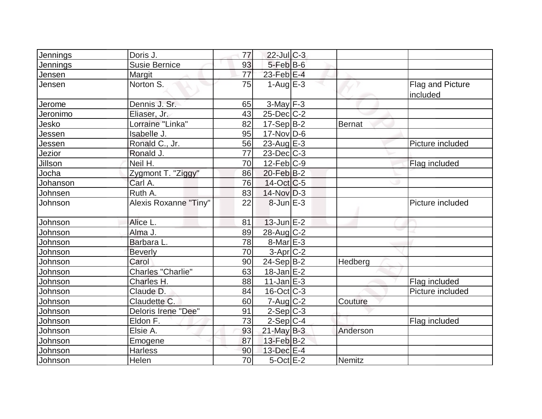| Jennings | Doris J.              | 77              | $22$ -Jul $C-3$   |          |                                     |
|----------|-----------------------|-----------------|-------------------|----------|-------------------------------------|
| Jennings | <b>Susie Bernice</b>  | 93              | $5$ -Feb $B$ -6   |          |                                     |
| Jensen   | Margit                | $\overline{77}$ | $23$ -Feb $E-4$   |          |                                     |
| Jensen   | Norton S.             | 75              | $1-Aug$ $E-3$     |          | <b>Flag and Picture</b><br>included |
| Jerome   | Dennis J. Sr.         | 65              | $3$ -May $F-3$    |          |                                     |
| Jeronimo | Eliaser, Jr.          | 43              | $25$ -Dec $C$ -2  |          |                                     |
| Jesko    | Lorraine "Linka"      | 82              | $17-Sep B-2$      | Bernat   |                                     |
| Jessen   | Isabelle J.           | 95              | $17$ -Nov $ D-6$  |          |                                     |
| Jessen   | Ronald C., Jr.        | 56              | $23$ -Aug E-3     |          | Picture included                    |
| Jezior   | Ronald J.             | 77              | $23$ -Dec $ C-3$  |          |                                     |
| Jillson  | Neil H.               | 70              | $12$ -Feb $ C-9$  |          | Flag included                       |
| Jocha    | Zygmont T. "Ziggy"    | 86              | $20$ -Feb $B-2$   |          |                                     |
| Johanson | Carl A.               | 76              | $14-Oct$ $C-5$    |          |                                     |
| Johnsen  | Ruth A.               | 83              | $14$ -Nov $D-3$   |          |                                     |
| Johnson  | Alexis Roxanne "Tiny" | 22              | 8-Jun E-3         |          | Picture included                    |
| Johnson  | Alice L.              | 81              | $13$ -Jun $E-2$   |          |                                     |
| Johnson  | Alma J.               | 89              | 28-Aug C-2        |          |                                     |
| Johnson  | Barbara L.            | 78              | 8-Mar E-3         |          |                                     |
| Johnson  | <b>Beverly</b>        | 70              | $3-Apr$ $C-2$     |          |                                     |
| Johnson  | Carol                 | 90              | $24-Sep B-2$      | Hedberg  |                                     |
| Johnson  | Charles "Charlie"     | 63              | $18$ -Jan $E-2$   |          |                                     |
| Johnson  | Charles H.            | 88              | $11$ -Jan $E-3$   |          | Flag included                       |
| Johnson  | Claude D.             | 84              | $16$ -Oct $ C-3 $ |          | Picture included                    |
| Johnson  | Claudette C.          | 60              | 7-Aug C-2         | Couture  |                                     |
| Johnson  | Deloris Irene "Dee"   | 91              | $2-Sep C-3$       |          |                                     |
| Johnson  | Eldon F.              | 73              | $2-Sep C-4$       |          | Flag included                       |
| Johnson  | Elsie A.              | 93              | $21$ -May B-3     | Anderson |                                     |
| Johnson  | Emogene               | 87              | $13$ -Feb $B-2$   |          |                                     |
| Johnson  | <b>Harless</b>        | 90              | 13-Dec E-4        |          |                                     |
| Johnson  | Helen                 | 70              | $5$ -Oct $E-2$    | Nemitz   |                                     |
|          |                       |                 |                   |          |                                     |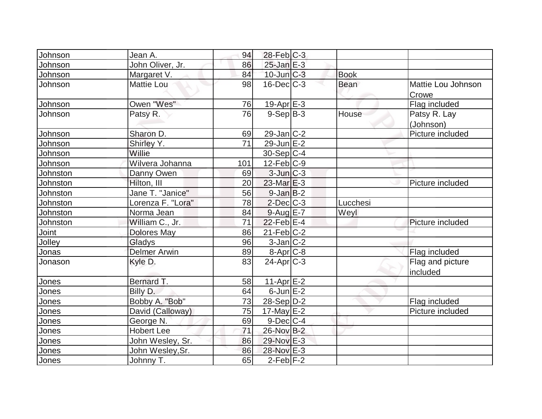| Johnson       | Jean A.             | 94  | $28$ -Feb $ C-3 $ |             |                              |
|---------------|---------------------|-----|-------------------|-------------|------------------------------|
| Johnson       | John Oliver, Jr.    | 86  | $25$ -Jan $E-3$   |             |                              |
| Johnson       | Margaret V.         | 84  | $10$ -Jun $C-3$   | <b>Book</b> |                              |
| Johnson       | <b>Mattie Lou</b>   | 98  | $16$ -Dec $C-3$   | <b>Bean</b> | Mattie Lou Johnson<br>Crowe  |
| Johnson       | Owen "Wes"          | 76  | $19$ -Apr $E - 3$ |             | Flag included                |
| Johnson       | Patsy R.            | 76  | $9-Sep B-3$       | House       | Patsy R. Lay<br>(Johnson)    |
| Johnson       | Sharon D.           | 69  | $29$ -Jan $ C-2 $ |             | Picture included             |
| Johnson       | Shirley Y.          | 71  | $29$ -Jun $E-2$   |             |                              |
| Johnson       | Willie              |     | $30-Sep C-4$      |             |                              |
| Johnson       | Wilvera Johanna     | 101 | $12$ -Feb $ C-9 $ |             |                              |
| Johnston      | Danny Owen          | 69  | $3$ -Jun $ C-3 $  |             |                              |
| Johnston      | Hilton, III         | 20  | $23$ -Mar $E-3$   |             | Picture included             |
| Johnston      | Jane T. "Janice"    | 56  | $9$ -Jan $B$ -2   |             |                              |
| Johnston      | Lorenza F. "Lora"   | 78  | $2$ -Dec $C-3$    | Lucchesi    |                              |
| Johnston      | Norma Jean          | 84  | $9$ -Aug E-7      | Weyl        |                              |
| Johnston      | William C., Jr.     | 71  | $22$ -Feb $E-4$   |             | Picture included             |
| Joint         | <b>Dolores May</b>  | 86  | $21$ -Feb $ C-2 $ |             |                              |
| <b>Jolley</b> | Gladys              | 96  | $3$ -Jan $ C-2 $  |             |                              |
| Jonas         | <b>Delmer Arwin</b> | 89  | 8-Apr C-8         |             | Flag included                |
| Jonason       | Kyle D.             | 83  | $24$ -Apr $ C-3 $ |             | Flag and picture<br>included |
| Jones         | Bernard T.          | 58  | 11-Apr $E-2$      |             |                              |
| Jones         | Billy D.            | 64  | $6$ -Jun $E-2$    |             |                              |
| Jones         | Bobby A. "Bob"      | 73  | $28-Sep D-2$      |             | Flag included                |
| Jones         | David (Calloway)    | 75  | $17$ -May $E-2$   |             | Picture included             |
| Jones         | George N.           | 69  | $9$ -Dec $C$ -4   |             |                              |
| Jones         | <b>Hobert Lee</b>   | 71  | 26-Nov B-2        |             |                              |
| Jones         | John Wesley, Sr.    | 86  | 29-Nov E-3        |             |                              |
| Jones         | John Wesley, Sr.    | 86  | 28-Nov E-3        |             |                              |
| Jones         | Johnny T.           | 65  | $2$ -Feb $ F-2 $  |             |                              |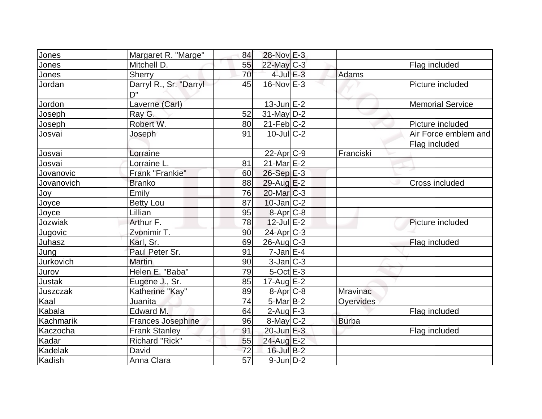| Jones         | Margaret R. "Marge"          | 84              | 28-Nov E-3            |                 |                                       |
|---------------|------------------------------|-----------------|-----------------------|-----------------|---------------------------------------|
| Jones         | Mitchell D.                  | 55              | 22-May C-3            |                 | Flag included                         |
| Jones         | Sherry                       | 70              | $4$ -Jul $E-3$        | Adams           |                                       |
| Jordan        | Darryl R., Sr. "Darryl<br>D" | 45              | $16$ -NovlE-3         |                 | Picture included                      |
| Jordon        | Laverne (Carl)               |                 | $13$ -Jun $E-2$       |                 | <b>Memorial Service</b>               |
| Joseph        | Ray G.                       | 52              | $31$ -May D-2         |                 |                                       |
| <b>Joseph</b> | Robert W.                    | 80              | $21$ -Feb $ C-2 $     |                 | Picture included                      |
| Josvai        | Joseph                       | 91              | $10$ -JulC-2          |                 | Air Force emblem and<br>Flag included |
| Josvai        | Lorraine                     |                 | $22$ -Apr $C-9$       | Franciski       |                                       |
| Josvai        | Lorraine L                   | 81              | $21$ -Mar $E-2$       |                 |                                       |
| Jovanovic     | Frank "Frankie"              | 60              | 26-Sep E-3            |                 |                                       |
| Jovanovich    | <b>Branko</b>                | 88              | 29-Aug E-2            |                 | Cross included                        |
| Joy           | Emily                        | 76              | $20$ -Mar $ C-3 $     |                 |                                       |
| Joyce         | <b>Betty Lou</b>             | 87              | $10$ -Jan $ C-2 $     |                 |                                       |
| Joyce         | Lillian                      | 95              | $8 - Apr$ $C-8$       |                 |                                       |
| Jozwiak       | Arthur F.                    | 78              | $12$ -Jul $E-2$       |                 | Picture included                      |
| Jugovic       | Zvonimir T.                  | 90              | 24-Apr <sub>C-3</sub> |                 |                                       |
| Juhasz        | Karl, Sr.                    | 69              | $26$ -Aug C-3         |                 | Flag included                         |
| Jung          | Paul Peter Sr.               | 91              | $7$ -Jan $E-4$        |                 |                                       |
| Jurkovich     | <b>Martin</b>                | 90              | $3$ -Jan $ C-3 $      |                 |                                       |
| Jurov         | Helen E. "Baba"              | 79              | $5$ -Oct $E - 3$      |                 |                                       |
| Justak        | Eugene J., Sr.               | 85              | $17$ -Aug $E-2$       |                 |                                       |
| Juszczak      | Katherine "Kay"              | 89              | $8-Apr$ $C-8$         | <b>Mravinac</b> |                                       |
| Kaal          | Juanita                      | 74              | $5-Mar$ B-2           | Oyervides       |                                       |
| Kabala        | Edward M.                    | 64              | $2$ -Aug $F-3$        |                 | Flag included                         |
| Kachmarik     | Frances Josephine            | 96              | $8$ -May $ C-2$       | <b>Burba</b>    |                                       |
| Kaczocha      | <b>Frank Stanley</b>         | 91              | $20$ -Jun $E-3$       |                 | Flag included                         |
| Kadar         | Richard "Rick"               | 55              | 24-Aug E-2            |                 |                                       |
| Kadelak       | David                        | 72              | $16$ -Jul B-2         |                 |                                       |
| Kadish        | Anna Clara                   | $\overline{57}$ | $9$ -Jun $D-2$        |                 |                                       |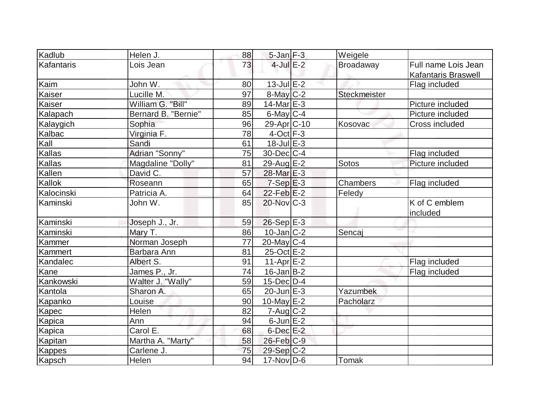| Kadlub        | Helen J.            | 88 | $5$ -Jan $F-3$              | Weigele             |                            |
|---------------|---------------------|----|-----------------------------|---------------------|----------------------------|
| Kafantaris    | Lois Jean           | 73 | $4$ -Jul $E-2$              | Broadaway           | Full name Lois Jean        |
|               |                     |    |                             |                     | <b>Kafantaris Braswell</b> |
| Kaim          | John W.             | 80 | $13$ -Jul $E-2$             |                     | Flag included              |
| Kaiser        | Lucille M.          | 97 | $8$ -May $C-2$              | <b>Steckmeister</b> |                            |
| Kaiser        | William G. "Bill"   | 89 | $14$ -Mar $E-3$             |                     | Picture included           |
| Kalapach      | Bernard B. "Bernie" | 85 | $6$ -May $C$ -4             |                     | Picture included           |
| Kalaygich     | Sophia              | 96 | 29-Apr <sub>C-10</sub>      | Kosovac             | Cross included             |
| Kalbac        | Virginia F.         | 78 | $4$ -Oct $F-3$              |                     |                            |
| Kall          | Sandi               | 61 | $18$ -Jul $E-3$             |                     |                            |
| Kallas        | Adrian "Sonny"      | 75 | $30$ -Dec $C$ -4            |                     | Flag included              |
| Kallas        | Magdaline "Dolly"   | 81 | 29-Aug E-2                  | Sotos               | Picture included           |
| Kallen        | David C.            | 57 | 28-Mar E-3                  |                     |                            |
| Kallok        | Roseann             | 65 | $7-Sep$ $E-3$               | Chambers            | Flag included              |
| Kalocinski    | Patricia A.         | 64 | $22$ -Feb $E-2$             | Feledy              |                            |
| Kaminski      | John W.             | 85 | 20-Nov C-3                  |                     | K of C emblem<br>included  |
| Kaminski      | Joseph J., Jr.      | 59 | $26-Sep$ E-3                |                     |                            |
| Kaminski      | Mary T.             | 86 | $10$ -Jan $ C-2 $           | Sencaj              |                            |
| Kammer        | Norman Joseph       | 77 | $20$ -May C-4               |                     |                            |
| Kammert       | Barbara Ann         | 81 | 25-Oct E-2                  |                     |                            |
| Kandalec      | Albert S.           | 91 | $11-Apr$ $E-2$              |                     | Flag included              |
| Kane          | James P., Jr.       | 74 | $16$ -Jan $ B-2 $           |                     | Flag included              |
| Kankowski     | Walter J. "Wally"   | 59 | $15$ -Dec $D-4$             |                     |                            |
| Kantola       | Sharon A.           | 65 | $20$ -Jun $E-3$             | Yazumbek            |                            |
| Kapanko       | Louise              | 90 | 10-May E-2                  | Pacholarz           |                            |
| Kapec         | Helen               | 82 | $7 - Aug   C-2$             |                     |                            |
| Kapica        | Ann                 | 94 | $6$ -Jun $E-2$              |                     |                            |
| Kapica        | Carol E.            | 68 | $6$ -Dec $E-2$              |                     |                            |
| Kapitan       | Martha A. "Marty"   | 58 | 26-Feb C-9                  |                     |                            |
| <b>Kappes</b> | Carlene J.          | 75 | $29-Sep C-2$                |                     |                            |
| Kapsch        | Helen               | 94 | $17$ -Nov $\overline{D}$ -6 | Tomak               |                            |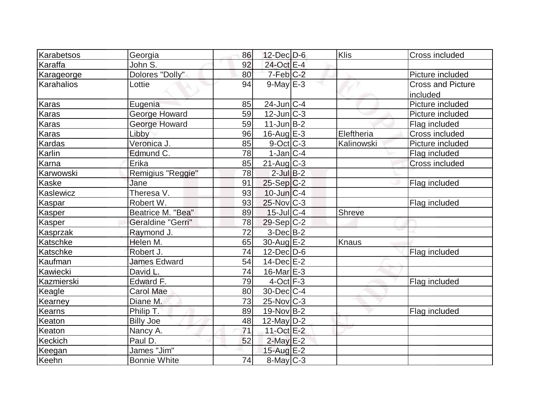| Karabetsos               | Georgia<br>86             | 12-Dec D-6        | Klis          | Cross included           |
|--------------------------|---------------------------|-------------------|---------------|--------------------------|
| Karaffa                  | 92<br>John S.             | 24-Oct E-4        |               |                          |
|                          | Dolores "Dolly"<br>80     | $7-Feb$ $C-2$     |               | Picture included         |
| Karageorge<br>Karahalios | 94<br>Lottie              | $9$ -May $E-3$    |               | <b>Cross and Picture</b> |
|                          |                           |                   |               | included                 |
| Karas                    | Eugenia<br>85             | $24$ -Jun $ C-4 $ |               | Picture included         |
| Karas                    | 59<br>George Howard       | 12-Jun C-3        |               | Picture included         |
|                          | 59                        | $11$ -Jun $B-2$   |               |                          |
| Karas                    | George Howard             |                   |               | Flag included            |
| Karas                    | Libby<br>96               | 16-Aug $E-3$      | Eleftheria    | Cross included           |
| Kardas                   | Veronica J.<br>85         | $9$ -Oct $ C-3 $  | Kalinowski    | Picture included         |
| Karlin                   | Edmund C.<br>78           | $1-Jan C-4$       |               | Flag included            |
| Karna                    | Erika<br>85               | $21$ -Aug C-3     |               | <b>Cross included</b>    |
| Karwowski                | Remigius "Reggie"<br>78   | $2$ -Jul $B-2$    |               |                          |
| Kaske                    | 91<br>Jane                | $25-Sep C-2$      |               | Flag included            |
| Kaslewicz                | Theresa V.<br>93          | $10$ -Jun $ C-4$  |               |                          |
| Kaspar                   | Robert W.<br>93           | 25-Nov C-3        |               | Flag included            |
| <b>Kasper</b>            | Beatrice M. "Bea"<br>89   | $15$ -Jul $C-4$   | <b>Shreve</b> |                          |
| Kasper                   | Geraldine "Gerri"<br>78   | $29-Sep C-2$      |               |                          |
| Kasprzak                 | 72<br>Raymond J.          | $3-Dec$ $B-2$     |               |                          |
| Katschke                 | 65<br>Helen M.            | 30-Aug E-2        | Knaus         |                          |
| Katschke                 | Robert J.<br>74           | $12$ -Dec $D$ -6  |               | Flag included            |
| Kaufman                  | <b>James Edward</b><br>54 | $14$ -Dec $E-2$   |               |                          |
| Kawiecki                 | 74<br>David L.            | 16-Mar $E-3$      |               |                          |
| Kazmierski               | Edward F.<br>79           | $4$ -Oct $F-3$    |               | Flag included            |
| Keagle                   | <b>Carol Mae</b><br>80    | $30$ -Dec $ C-4$  |               |                          |
| Kearney                  | 73<br>Diane M.            | $25$ -Nov $C-3$   |               |                          |
| <b>Kearns</b>            | Philip T.<br>89           | $19-Nov B-2$      |               | Flag included            |
| Keaton                   | <b>Billy Joe</b><br>48    | $12$ -May D-2     |               |                          |
| Keaton                   | Nancy A.<br>71            | 11-Oct E-2        |               |                          |
| Keckich                  | Paul D.<br>52             | $2$ -May $E-2$    |               |                          |
| Keegan                   | James "Jim"               | 15-Aug E-2        |               |                          |
| Keehn                    | 74<br><b>Bonnie White</b> | $8$ -May $C-3$    |               |                          |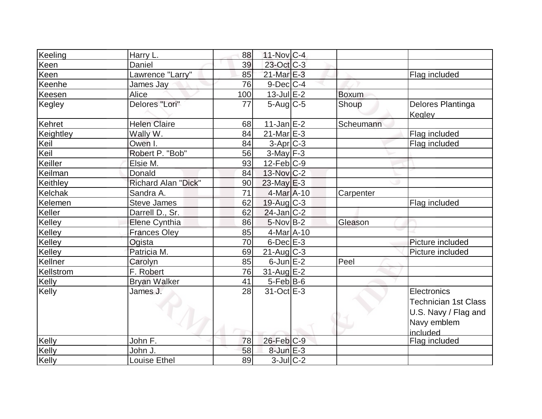| Keeling   | Harry L.             | 88  | $11$ -Nov $ C-4$  |              |                                                                                               |
|-----------|----------------------|-----|-------------------|--------------|-----------------------------------------------------------------------------------------------|
| Keen      | Daniel               | 39  | 23-Oct C-3        |              |                                                                                               |
| Keen      | Lawrence "Larry"     | 85  | 21-Mar E-3        |              | Flag included                                                                                 |
| Keenhe    | James Jay            | 76  | $9$ -Dec $ C-4 $  |              |                                                                                               |
| Keesen    | Alice                | 100 | $13$ -Jul $E-2$   | <b>Boxum</b> |                                                                                               |
| Kegley    | Delores "Lori"       | 77  | $5$ -Aug $C$ -5   | Shoup        | Delores Plantinga<br>Kegley                                                                   |
| Kehret    | <b>Helen Claire</b>  | 68  | $11$ -Jan $E-2$   | Scheumann    |                                                                                               |
| Keightley | Wally W.             | 84  | $21$ -Mar $E-3$   |              | Flag included                                                                                 |
| Keil      | Owen I.              | 84  | $3-Apr$ $C-3$     |              | Flag included                                                                                 |
| Keil      | Robert P. "Bob"      | 56  | $3-May$ F-3       |              |                                                                                               |
| Keiller   | Elsie M.             | 93  | $12$ -Feb $ C-9 $ |              |                                                                                               |
| Keilman   | Donald               | 84  | $13$ -Nov $ C-2 $ |              |                                                                                               |
| Keithley  | Richard Alan "Dick"  | 90  | $23$ -May $E-3$   |              |                                                                                               |
| Kelchak   | Sandra A.            | 71  | $4$ -Mar $A$ -10  | Carpenter    |                                                                                               |
| Kelemen   | Steve James          | 62  | $19$ -Aug C-3     |              | Flag included                                                                                 |
| Keller    | Darrell D., Sr.      | 62  | $24$ -Jan $ C-2 $ |              |                                                                                               |
| Kelley    | <b>Elene Cynthia</b> | 86  | $5$ -Nov B-2      | Gleason      |                                                                                               |
| Kelley    | <b>Frances Oley</b>  | 85  | $4$ -Mar $A$ -10  |              |                                                                                               |
| Kelley    | Ogista               | 70  | $6$ -Dec $E-3$    |              | Picture included                                                                              |
| Kelley    | Patricia M.          | 69  | $21$ -Aug C-3     |              | Picture included                                                                              |
| Kellner   | Carolyn              | 85  | $6$ -Jun $E-2$    | Peel         |                                                                                               |
| Kellstrom | F. Robert            | 76  | $31$ -Aug E-2     |              |                                                                                               |
| Kelly     | <b>Bryan Walker</b>  | 41  | $5-Feb$ B-6       |              |                                                                                               |
| Kelly     | James J.             | 28  | 31-Oct E-3        |              | Electronics<br><b>Technician 1st Class</b><br>U.S. Navy / Flag and<br>Navy emblem<br>included |
| Kelly     | John F.              | 78  | $26$ -Feb $C-9$   |              | Flag included                                                                                 |
| Kelly     | John J.              | 58  | $8$ -Jun $E-3$    |              |                                                                                               |
| Kelly     | Louise Ethel         | 89  | $3$ -Jul $C-2$    |              |                                                                                               |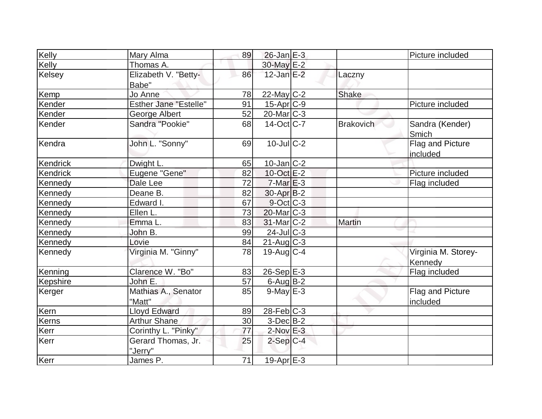| Kelly    | Mary Alma                     | 89 | $26$ -Jan $E-3$       |                  | Picture included               |
|----------|-------------------------------|----|-----------------------|------------------|--------------------------------|
| Kelly    | Thomas A.                     |    | 30-May E-2            |                  |                                |
| Kelsey   | Elizabeth V. "Betty-<br>Babe" | 86 | $12$ -Jan $E-2$       | Laczny           |                                |
| Kemp     | Jo Anne                       | 78 | 22-May C-2            | Shake            |                                |
| Kender   | <b>Esther Jane "Estelle"</b>  | 91 | $15$ -Apr $C-9$       |                  | Picture included               |
| Kender   | <b>George Albert</b>          | 52 | 20-Mar <sub>C-3</sub> |                  |                                |
| Kender   | Sandra "Pookie"               | 68 | $14-Oct$ $C-7$        | <b>Brakovich</b> | Sandra (Kender)<br>Smich       |
| Kendra   | John L. "Sonny"               | 69 | $10$ -JulC-2          |                  | Flag and Picture<br>included   |
| Kendrick | Dwight L.                     | 65 | $10$ -Jan $ C-2 $     |                  |                                |
| Kendrick | Eugene "Gene"                 | 82 | $10$ -Oct $E - 2$     |                  | Picture included               |
| Kennedy  | Dale Lee                      | 72 | $7-MarE-3$            |                  | Flag included                  |
| Kennedy  | Deane B.                      | 82 | $30$ -Apr $ B-2 $     |                  |                                |
| Kennedy  | Edward I.                     | 67 | $9$ -Oct $C$ -3       |                  |                                |
| Kennedy  | Ellen L.                      | 73 | $20$ -Mar $C-3$       |                  |                                |
| Kennedy  | Emma L.                       | 83 | $31$ -Mar $ C-2 $     | <b>Martin</b>    |                                |
| Kennedy  | John B.                       | 99 | 24-Jul C-3            |                  |                                |
| Kennedy  | Lovie                         | 84 | $21$ -Aug $C-3$       |                  |                                |
| Kennedy  | Virginia M. "Ginny"           | 78 | $19$ -Aug C-4         |                  | Virginia M. Storey-<br>Kennedy |
| Kenning  | Clarence W. "Bo"              | 83 | $26-Sep$ E-3          |                  | Flag included                  |
| Kepshire | John E.                       | 57 | $6$ -Aug B-2          |                  |                                |
| Kerger   | Mathias A., Senator<br>"Matt" | 85 | $9$ -May $E-3$        |                  | Flag and Picture<br>included   |
| Kern     | <b>Lloyd Edward</b>           | 89 | $28$ -Feb $ C-3 $     |                  |                                |
| Kerns    | <b>Arthur Shane</b>           | 30 | $3-Dec B-2$           |                  |                                |
| Kerr     | Corinthy L. "Pinky"           | 77 | $2$ -Nov $E-3$        |                  |                                |
| Kerr     | Gerard Thomas, Jr.<br>"Jerry" | 25 | $2-Sep C-4$           |                  |                                |
| Kerr     | James P.                      | 71 | 19-Apr E-3            |                  |                                |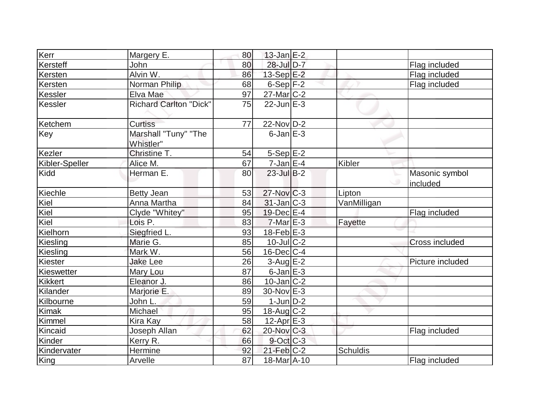| Kerr           | Margery E.                        | 80 | $13$ -Jan $E-2$   |                 |                            |
|----------------|-----------------------------------|----|-------------------|-----------------|----------------------------|
| Kersteff       | John                              | 80 | 28-Jul D-7        |                 | Flag included              |
| Kersten        | Alvin W.                          | 86 | 13-Sep E-2        |                 | Flag included              |
| Kersten        | Norman Philip                     | 68 | $6-Sep$ $F-2$     |                 | Flag included              |
| Kessler        | Elva Mae                          | 97 | $27$ -Mar $ C-2 $ |                 |                            |
| Kessler        | <b>Richard Carlton "Dick"</b>     | 75 | $22$ -Jun $E-3$   |                 |                            |
| Ketchem        | <b>Curtiss</b>                    | 77 | $22$ -Nov D-2     |                 |                            |
| Key            | Marshall "Tuny" "The<br>Whistler" |    | $6$ -Jan $E-3$    |                 |                            |
| Kezler         | Christine T.                      | 54 | $5-Sep$ $E-2$     |                 |                            |
| Kibler-Speller | Alice M.                          | 67 | $7$ -Jan $E-4$    | Kibler          |                            |
| Kidd           | Herman E.                         | 80 | $23$ -Jul B-2     |                 | Masonic symbol<br>included |
| Kiechle        | <b>Betty Jean</b>                 | 53 | $27$ -Nov $ C-3 $ | Lipton          |                            |
| Kiel           | Anna Martha                       | 84 | $31$ -Jan C-3     | VanMilligan     |                            |
| Kiel           | Clyde "Whitey"                    | 95 | $19$ -Dec $E-4$   |                 | Flag included              |
| Kiel           | Lois P.                           | 83 | $7-Mar$ $E-3$     | Fayette         |                            |
| Kielhorn       | Siegfried L.                      | 93 | $18$ -Feb $E-3$   |                 |                            |
| Kiesling       | Marie G.                          | 85 | $10$ -Jul $C-2$   |                 | Cross included             |
| Kiesling       | Mark W.                           | 56 | $16$ -Dec $ C-4 $ |                 |                            |
| Kiester        | <b>Jake Lee</b>                   | 26 | $3$ -Aug $E-2$    |                 | Picture included           |
| Kieswetter     | Mary Lou                          | 87 | $6$ -Jan $E-3$    |                 |                            |
| <b>Kikkert</b> | Eleanor J.                        | 86 | $10$ -Jan $ C-2 $ |                 |                            |
| Kilander       | Marjorie E.                       | 89 | 30-Nov E-3        |                 |                            |
| Kilbourne      | John L.                           | 59 | $1$ -Jun $D-2$    |                 |                            |
| Kimak          | Michael                           | 95 | $18$ -Aug C-2     |                 |                            |
| Kimmel         | Kira Kay                          | 58 | $12$ -Apr $E-3$   |                 |                            |
| Kincaid        | Joseph Allan                      | 62 | $20$ -Nov $C-3$   |                 | Flag included              |
| Kinder         | Kerry R.                          | 66 | $9$ -Oct $C$ -3   |                 |                            |
| Kindervater    | Hermine                           | 92 | $21$ -Feb $C-2$   | <b>Schuldis</b> |                            |
| King           | Arvelle                           | 87 | 18-Mar A-10       |                 | Flag included              |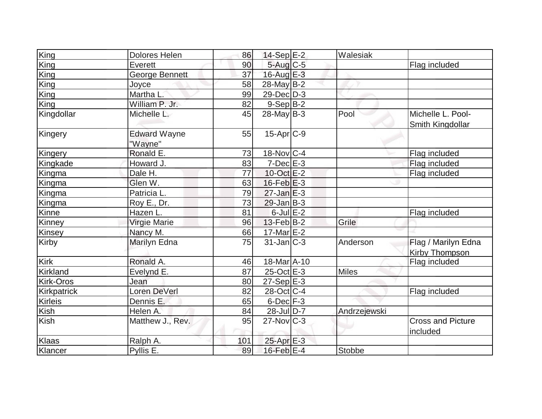| King           | <b>Dolores Helen</b>           | 86  | $14-Sep$ $E-2$          | Walesiak      |                                              |
|----------------|--------------------------------|-----|-------------------------|---------------|----------------------------------------------|
| King           | Everett                        | 90  | $5$ -Aug $C$ -5         |               | Flag included                                |
| King           | George Bennett                 | 37  | 16-Aug E-3              |               |                                              |
| King           | Joyce                          | 58  | $28$ -May B-2           |               |                                              |
| <b>King</b>    | Martha L.                      | 99  | 29-Dec D-3              |               |                                              |
| King           | William P. Jr.                 | 82  | $9-Sep B-2$             |               |                                              |
| Kingdollar     | Michelle L.                    | 45  | $28$ -May B-3           | Pool          | Michelle L. Pool-<br><b>Smith Kingdollar</b> |
| Kingery        | <b>Edward Wayne</b><br>"Wayne" | 55  | $15-Apr$ $C-9$          |               |                                              |
| Kingery        | Ronald E.                      | 73  | $18-Nov$ <sub>C-4</sub> |               | Flag included                                |
| Kingkade       | Howard J.                      | 83  | $7-Dec$ $E-3$           |               | Flag included                                |
| Kingma         | Dale H.                        | 77  | 10-Oct E-2              |               | Flag included                                |
| Kingma         | Glen W.                        | 63  | $16$ -Feb $E-3$         |               |                                              |
| Kingma         | Patricia L.                    | 79  | $27$ -Jan $E-3$         |               |                                              |
| Kingma         | Roy E., Dr.                    | 73  | $29$ -Jan B-3           |               |                                              |
| Kinne          | Hazen L.                       | 81  | $6$ -Jul $E-2$          |               | Flag included                                |
| Kinney         | Virgie Marie                   | 96  | $13$ -Feb $ B-2 $       | Grile         |                                              |
| Kinsey         | Nancy M.                       | 66  | 17-Mar E-2              |               |                                              |
| Kirby          | Marilyn Edna                   | 75  | $31$ -Jan $ C-3 $       | Anderson      | Flag / Marilyn Edna<br>Kirby Thompson        |
| Kirk           | Ronald A.                      | 46  | 18-Mar A-10             |               | Flag included                                |
| Kirkland       | Evelynd E.                     | 87  | $25$ -Oct $E-3$         | <b>Miles</b>  |                                              |
| Kirk-Oros      | Jean                           | 80  | $27-Sep \E-3$           |               |                                              |
| Kirkpatrick    | Loren DeVerl                   | 82  | $28$ -Oct C-4           |               | Flag included                                |
| <b>Kirleis</b> | Dennis E.                      | 65  | $6$ -Dec $F-3$          |               |                                              |
| Kish           | Helen A.                       | 84  | $28$ -Jul $D-7$         | Andrzejewski  |                                              |
| Kish           | Matthew J., Rev.               | 95  | $27$ -Nov $ C-3 $       |               | <b>Cross and Picture</b><br>included         |
| Klaas          | Ralph A.                       | 101 | $25$ -Apr $E-3$         |               |                                              |
| Klancer        | Pyllis E.                      | 89  | 16-Feb $E-4$            | <b>Stobbe</b> |                                              |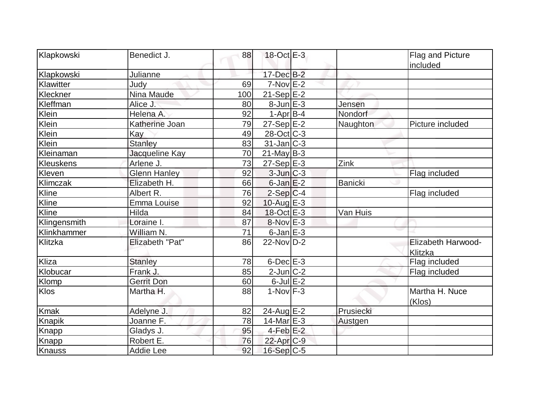| Klapkowski    | Benedict J.         | 88  | 18-Oct E-3              |                | Flag and Picture<br>included  |
|---------------|---------------------|-----|-------------------------|----------------|-------------------------------|
| Klapkowski    | Julianne            |     | 17-Dec B-2              |                |                               |
| Klawitter     | Judy                | 69  | $7-Nov$ $E-2$           |                |                               |
| Kleckner      | <b>Nina Maude</b>   | 100 | $21-Sep$ E-2            |                |                               |
| Kleffman      | Alice J.            | 80  | $8$ -Jun $E-3$          | Jensen         |                               |
| Klein         | Helena A.           | 92  | $1-Apr$ B-4             | Nondorf        |                               |
| Klein         | Katherine Joan      | 79  | $27-Sep$ $E-2$          | Naughton       | Picture included              |
| Klein         | Kay                 | 49  | $28-Oct$ $C-3$          |                |                               |
| Klein         | Stanley             | 83  | $31$ -Jan $ C-3 $       |                |                               |
| Kleinaman     | Jacqueline Kay      | 70  | $21$ -May B-3           |                |                               |
| Kleuskens     | Arlene J.           | 73  | $27-Sep$ <sup>E-3</sup> | Zink           |                               |
| Kleven        | <b>Glenn Hanley</b> | 92  | $3$ -Jun $C-3$          |                | Flag included                 |
| Klimczak      | Elizabeth H.        | 66  | $6$ -Jan $E-2$          | <b>Banicki</b> |                               |
| Kline         | Albert R.           | 76  | $2-Sep C-4$             |                | Flag included                 |
| Kline         | Emma Louise         | 92  | 10-Aug $E-3$            |                |                               |
| Kline         | Hilda               | 84  | $18-Oct$ <sub>E-3</sub> | Van Huis       |                               |
| Klingensmith  | Loraine I.          | 87  | $8-Nov$ E-3             |                |                               |
| Klinkhammer   | William N.          | 71  | $6$ -Jan $E-3$          |                |                               |
| Klitzka       | Elizabeth "Pat"     | 86  | 22-Nov D-2              |                | Elizabeth Harwood-<br>Klitzka |
| Kliza         | <b>Stanley</b>      | 78  | $6$ -Dec $E-3$          |                | Flag included                 |
| Klobucar      | Frank J.            | 85  | $2$ -Jun $ C-2 $        |                | Flag included                 |
| Klomp         | <b>Gerrit Don</b>   | 60  | $6$ -Jul $E-2$          |                |                               |
| Klos          | Martha H.           | 88  | $1-Nov$ F-3             |                | Martha H. Nuce<br>(Klos)      |
| <b>Kmak</b>   | Adelyne J.          | 82  | 24-Aug E-2              | Prusiecki      |                               |
| Knapik        | Joanne F.           | 78  | $14$ -Mar $E-3$         | Austgen        |                               |
| Knapp         | Gladys J.           | 95  | $4$ -Feb $E-2$          |                |                               |
| <b>Knapp</b>  | Robert E.           | 76  | $22$ -Apr $C-9$         |                |                               |
| <b>Knauss</b> | <b>Addie Lee</b>    | 92  | $16-Sep C-5$            |                |                               |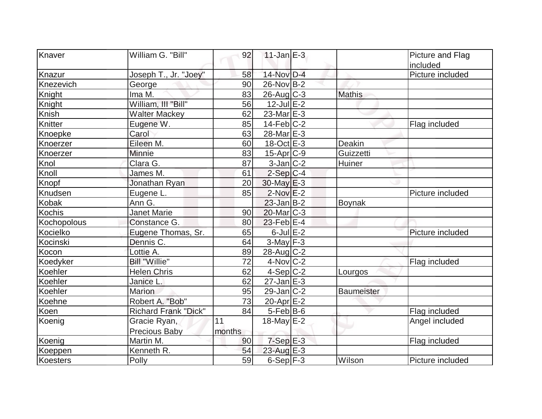| Knaver      | William G. "Bill"           | 92     | $11$ -Jan $E-3$       |                   | Picture and Flag |
|-------------|-----------------------------|--------|-----------------------|-------------------|------------------|
|             |                             |        |                       |                   | included         |
| Knazur      | Joseph T., Jr. "Joey"       | 58     | 14-Nov D-4            |                   | Picture included |
| Knezevich   | George                      | 90     | $26$ -Nov B-2         |                   |                  |
| Knight      | Ima M.                      | 83     | $26$ -Aug C-3         | <b>Mathis</b>     |                  |
| Knight      | William, III "Bill"         | 56     | $12$ -Jul $E-2$       |                   |                  |
| Knish       | <b>Walter Mackey</b>        | 62     | $23$ -Mar $E-3$       |                   |                  |
| Knitter     | Eugene W.                   | 85     | $14$ -Feb $ C-2$      |                   | Flag included    |
| Knoepke     | Carol                       | 63     | 28-Mar <sub>E-3</sub> |                   |                  |
| Knoerzer    | Eileen M.                   | 60     | $18-Oct$ $E-3$        | Deakin            |                  |
| Knoerzer    | Minnie                      | 83     | $15$ -Apr $ C-9$      | Guizzetti         |                  |
| Knol        | Clara G.                    | 87     | $3$ -Jan $ C-2 $      | Huiner            |                  |
| Knoll       | James M.                    | 61     | $2-Sep C-4$           |                   |                  |
| Knopf       | Jonathan Ryan               | 20     | $30$ -May $E-3$       |                   |                  |
| Knudsen     | Eugene L.                   | 85     | $2$ -Nov $E-2$        |                   | Picture included |
| Kobak       | Ann G.                      |        | $23$ -Jan B-2         | Boynak            |                  |
| Kochis      | Janet Marie                 | 90     | $20$ -Mar $C-3$       |                   |                  |
| Kochopolous | Constance G.                | 80     | $23$ -Feb $ E-4$      |                   |                  |
| Kocielko    | Eugene Thomas, Sr.          | 65     | $6$ -Jul $E-2$        |                   | Picture included |
| Kocinski    | Dennis C.                   | 64     | $3-May$ F-3           |                   |                  |
| Kocon       | Lottie A.                   | 89     | 28-Aug C-2            |                   |                  |
| Koedyker    | <b>Bill "Willie"</b>        | 72     | $4$ -Nov $ C-2 $      |                   | Flag included    |
| Koehler     | <b>Helen Chris</b>          | 62     | $4-Sep C-2$           | Lourgos           |                  |
| Koehler     | Janice L.                   | 62     | $27$ -Jan $E-3$       |                   |                  |
| Koehler     | Marion                      | 95     | $29$ -Jan $C-2$       | <b>Baumeister</b> |                  |
| Koehne      | Robert A. "Bob"             | 73     | 20-Apr <sub>E-2</sub> |                   |                  |
| Koen        | <b>Richard Frank "Dick"</b> | 84     | $5-Feb$ B-6           |                   | Flag included    |
| Koenig      | Gracie Ryan,                | 11     | 18-May E-2            |                   | Angel included   |
|             | <b>Precious Baby</b>        | months |                       |                   |                  |
| Koenig      | Martin M.                   | 90     | $7-Sep$ E-3           |                   | Flag included    |
| Koeppen     | Kenneth R.                  | 54     | $23$ -Aug $E-3$       |                   |                  |
| Koesters    | Polly                       | 59     | $6-Sep$ $F-3$         | Wilson            | Picture included |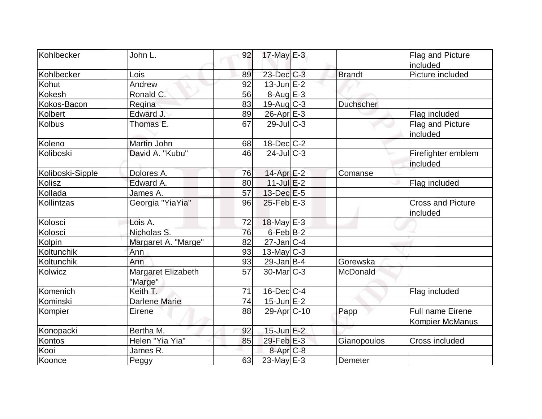| Kohlbecker       | John L.                       | 92 | $17$ -May $E-3$    |                  | Flag and Picture                                  |
|------------------|-------------------------------|----|--------------------|------------------|---------------------------------------------------|
|                  |                               |    |                    |                  | included                                          |
| Kohlbecker       | Lois                          | 89 | $23$ -Dec $C-3$    | <b>Brandt</b>    | Picture included                                  |
| Kohut            | Andrew                        | 92 | $13$ -Jun $E-2$    |                  |                                                   |
| <b>Kokesh</b>    | Ronald C.                     | 56 | 8-Aug E-3          |                  |                                                   |
| Kokos-Bacon      | Regina                        | 83 | $19$ -Aug C-3      | <b>Duchscher</b> |                                                   |
| Kolbert          | Edward J.                     | 89 | $26$ -Apr $E-3$    |                  | Flag included                                     |
| <b>Kolbus</b>    | Thomas E.                     | 67 | $29$ -JulC-3       |                  | Flag and Picture<br>included                      |
| Koleno           | Martin John                   | 68 | $18$ -Dec $C$ -2   |                  |                                                   |
| Koliboski        | David A. "Kubu"               | 46 | $24$ -JulC-3       |                  | Firefighter emblem<br>included                    |
| Koliboski-Sipple | Dolores A.                    | 76 | 14-Apr $E-2$       | Comanse          |                                                   |
| Kolisz           | Edward A.                     | 80 | $11$ -Jul $E-2$    |                  | Flag included                                     |
| Kollada          | James A.                      | 57 | $13$ -Dec $E-5$    |                  |                                                   |
| Kollintzas       | Georgia "YiaYia"              | 96 | $25$ -Feb $E-3$    |                  | <b>Cross and Picture</b><br>included              |
| Kolosci          | Lois A.                       | 72 | $18$ -May E-3      |                  |                                                   |
| Kolosci          | Nicholas S.                   | 76 | $6$ -Feb $B$ -2    |                  |                                                   |
| Kolpin           | Margaret A. "Marge"           | 82 | $27$ -Jan $ C-4 $  |                  |                                                   |
| Koltunchik       | Ann                           | 93 | $13$ -May C-3      |                  |                                                   |
| Koltunchik       | Ann                           | 93 | $29$ -Jan B-4      | Gorewska         |                                                   |
| Kolwicz          | Margaret Elizabeth<br>"Marge" | 57 | $30$ -Mar $C-3$    | McDonald         |                                                   |
| Komenich         | Keith T.                      | 71 | $16$ -Dec $ C-4$   |                  | Flag included                                     |
| Kominski         | Darlene Marie                 | 74 | $15$ -Jun $E-2$    |                  |                                                   |
| Kompier          | Eirene                        | 88 | $29$ -Apr $ C$ -10 | Papp             | <b>Full name Eirene</b><br><b>Kompier McManus</b> |
| Konopacki        | Bertha M.                     | 92 | $15$ -Jun $E-2$    |                  |                                                   |
| Kontos           | Helen "Yia Yia"               | 85 | $29$ -Feb $E-3$    | Gianopoulos      | Cross included                                    |
| Kooi             | James R.                      |    | $8 - Apr$ $C-8$    |                  |                                                   |
| Koonce           | Peggy                         | 63 | 23-May E-3         | Demeter          |                                                   |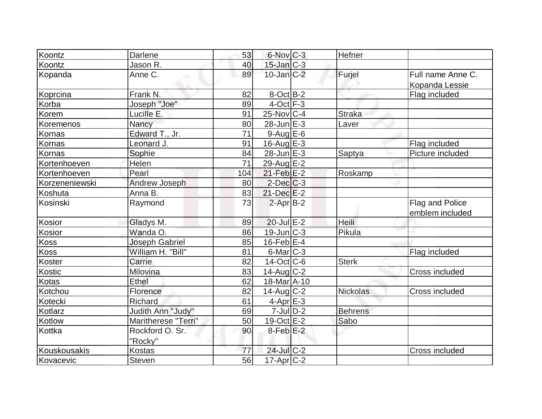| Koontz         | Darlene              | 53  | $6$ -Nov $C-3$    | Hefner        |                                    |
|----------------|----------------------|-----|-------------------|---------------|------------------------------------|
| Koontz         | Jason R.             | 40  | 15-Jan C-3        |               |                                    |
| Kopanda        | Anne C.              | 89  | $10$ -Jan $C-2$   | Furjel        | Full name Anne C.                  |
|                |                      |     |                   |               | Kopanda Lessie                     |
| Koprcina       | Frank N.             | 82  | $8$ -Oct $B$ -2   |               | Flag included                      |
| Korba          | Joseph "Joe"         | 89  | $4$ -Oct $F-3$    |               |                                    |
| Korem          | Lucille E.           | 91  | $25$ -Nov $ C-4 $ | <b>Straka</b> |                                    |
| Koremenos      | Nancy                | 80  | $28$ -Jun $E-3$   | Laver         |                                    |
| Kornas         | Edward T., Jr.       | 71  | $9$ -Aug E-6      |               |                                    |
| Kornas         | Leonard J.           | 91  | $16$ -Aug $E-3$   |               | Flag included                      |
| Kornas         | Sophie               | 84  | $28$ -Jun $E-3$   | Saptya        | Picture included                   |
| Kortenhoeven   | Helen                | 71  | 29-Aug E-2        |               |                                    |
| Kortenhoeven   | Pearl                | 104 | $21$ -Feb $E-2$   | Roskamp       |                                    |
| Korzeneniewski | <b>Andrew Joseph</b> | 80  | $2$ -Dec $C-3$    |               |                                    |
| Koshuta        | Anna B.              | 83  | $21$ -Dec $E-2$   |               |                                    |
| Kosinski       | Raymond              | 73  | $2$ -Apr $B-2$    |               | Flag and Police<br>emblem included |
| Kosior         | Gladys M.            | 89  | $20$ -Jul $E-2$   | <b>Heili</b>  |                                    |
| Kosior         | Wanda O.             | 86  | $19$ -Jun $ C-3 $ | Pikula        |                                    |
| <b>Koss</b>    | Joseph Gabriel       | 85  | $16$ -Feb $E-4$   |               |                                    |
| <b>Koss</b>    | William H. "Bill"    | 81  | $6$ -Mar $ C-3 $  |               | Flag included                      |
| Koster         | Carrie               | 82  | $14$ -Oct $ C$ -6 | Sterk         |                                    |
| Kostic         | Milovina             | 83  | $14$ -Aug $C-2$   |               | <b>Cross included</b>              |
| Kotas          | <b>Ethel</b>         | 62  | 18-Mar A-10       |               |                                    |
| Kotchou        | Florence             | 82  | $14$ -Aug C-2     | Nickolas      | Cross included                     |
| Kotecki        | Richard              | 61  | $4$ -Apr $E-3$    |               |                                    |
| Kotlarz        | Judith Ann "Judy"    | 69  | $7$ -Jul $ D-2 $  | Behrens       |                                    |
| Kotlow         | Maritherese "Terri"  | 50  | 19-Oct E-2        | Sabo          |                                    |
| Kottka         | Rockford O. Sr.      | 90  | $8$ -Feb $E-2$    |               |                                    |
|                | "Rocky"              |     |                   |               |                                    |
| Kouskousakis   | <b>Kostas</b>        | 77  | 24-Jul C-2        |               | <b>Cross included</b>              |
| Kovacevic      | Steven               | 56  | $17$ -Apr $ C-2 $ |               |                                    |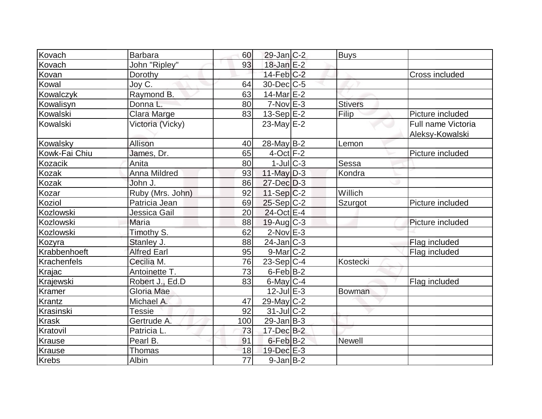| Kovach        | <b>Barbara</b>      | 60              | $29$ -Jan C-2     | <b>Buys</b>    |                    |
|---------------|---------------------|-----------------|-------------------|----------------|--------------------|
| Kovach        | John "Ripley"       | 93              | $18$ -Jan $E-2$   |                |                    |
| Kovan         | Dorothy             |                 | $14$ -Feb $ C-2 $ |                | Cross included     |
| Kowal         | Joy C.              | 64              | $30$ -Dec $C$ -5  |                |                    |
| Kowalczyk     | Raymond B.          | 63              | 14-Mar $E-2$      |                |                    |
| Kowalisyn     | Donna L.            | 80              | $7-Nov$ $E-3$     | <b>Stivers</b> |                    |
| Kowalski      | Clara Marge         | 83              | $13-Sep$ $E-2$    | Filip          | Picture included   |
| Kowalski      | Victoria (Vicky)    |                 | 23-May $E-2$      |                | Full name Victoria |
|               |                     |                 |                   |                | Aleksy-Kowalski    |
| Kowalsky      | Allison             | 40              | $28$ -May B-2     | Lemon          |                    |
| Kowk-Fai Chiu | James, Dr.          | 65              | $4$ -Oct $F-2$    |                | Picture included   |
| Kozacik       | Anita               | 80              | $1$ -Jul $ C-3 $  | Sessa          |                    |
| Kozak         | <b>Anna Mildred</b> | 93              | 11-May $D-3$      | Kondra         |                    |
| Kozak         | John J.             | 86              | 27-Dec D-3        |                |                    |
| Kozar         | Ruby (Mrs. John)    | 92              | $11-Sep C-2$      | Willich        |                    |
| Koziol        | Patricia Jean       | 69              | $25-Sep C-2$      | Szurgot        | Picture included   |
| Kozlowski     | Jessica Gail        | 20              | 24-Oct E-4        |                |                    |
| Kozlowski     | Maria               | 88              | $19$ -Aug C-3     |                | Picture included   |
| Kozlowski     | Timothy S.          | 62              | $2$ -Nov $E-3$    |                |                    |
| Kozyra        | Stanley J.          | 88              | $24$ -Jan $ C-3 $ |                | Flag included      |
| Krabbenhoeft  | <b>Alfred Earl</b>  | 95              | $9$ -Mar $ C-2 $  |                | Flag included      |
| Krachenfels   | Cecilia M.          | 76              | $23-Sep C-4$      | Kostecki       |                    |
| Krajac        | Antoinette T.       | 73              | $6$ -Feb $ B-2 $  |                |                    |
| Krajewski     | Robert J., Ed.D     | 83              | $6$ -May $C$ -4   |                | Flag included      |
| Kramer        | Gloria Mae          |                 | $12$ -Jul $E-3$   | Bowman         |                    |
| Krantz        | Michael A.          | 47              | $29$ -May C-2     |                |                    |
| Krasinski     | <b>Tessie</b>       | 92              | $31$ -JulC-2      |                |                    |
| <b>Krask</b>  | Gertrude A.         | 100             | $29$ -Jan B-3     |                |                    |
| Kratovil      | Patricia L.         | 73              | $17 - Dec$ B-2    |                |                    |
| Krause        | Pearl B.            | 91              | $6$ -Feb $B-2$    | <b>Newell</b>  |                    |
| Krause        | <b>Thomas</b>       | 18              | 19-Dec E-3        |                |                    |
| <b>Krebs</b>  | Albin               | $\overline{77}$ | $9$ -Jan B-2      |                |                    |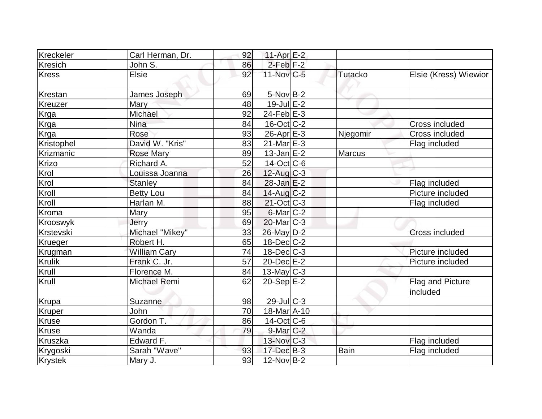| Kreckeler     | Carl Herman, Dr.    | 92 | 11-Apr $E-2$      |                |                              |
|---------------|---------------------|----|-------------------|----------------|------------------------------|
| Kresich       | John S.             | 86 | $2$ -Feb $F-2$    |                |                              |
| <b>Kress</b>  | <b>Elsie</b>        | 92 | $11$ -Nov $ C-5 $ | <b>Tutacko</b> | Elsie (Kress) Wiewior        |
| Krestan       | James Joseph        | 69 | $5-Nov$ B-2       |                |                              |
| Kreuzer       | Mary                | 48 | $19$ -Jul $E-2$   |                |                              |
| Krga          | Michael             | 92 | $24$ -Feb $E-3$   |                |                              |
| Krga          | Nina                | 84 | $16$ -Oct $ C-2 $ |                | Cross included               |
| Krga          | Rose                | 93 | $26$ -Apr $E-3$   | Njegomir       | <b>Cross included</b>        |
| Kristophel    | David W. "Kris"     | 83 | $21$ -Mar $E-3$   |                | Flag included                |
| Krizmanic     | <b>Rose Mary</b>    | 89 | $13$ -Jan $E-2$   | Marcus         |                              |
| Krizo         | Richard A.          | 52 | $14$ -Oct $ C$ -6 |                |                              |
| Krol          | Louissa Joanna      | 26 | $12$ -Aug $C-3$   |                |                              |
| Krol          | <b>Stanley</b>      | 84 | $28$ -Jan $E-2$   |                | Flag included                |
| Kroll         | <b>Betty Lou</b>    | 84 | $14$ -Aug C-2     |                | Picture included             |
| Kroll         | Harlan M.           | 88 | $21$ -Oct C-3     |                | Flag included                |
| Kroma         | Mary                | 95 | $6$ -Mar $ C-2 $  |                |                              |
| Krooswyk      | Jerry               | 69 | $20$ -Mar $C-3$   |                |                              |
| Krstevski     | Michael "Mikey"     | 33 | 26-May D-2        |                | Cross included               |
| Krueger       | Robert H.           | 65 | $18$ -Dec $ C-2 $ |                |                              |
| Krugman       | <b>William Cary</b> | 74 | $18$ -Dec $C$ -3  |                | Picture included             |
| <b>Krulik</b> | Frank C. Jr.        | 57 | $20$ -Dec $E-2$   |                | Picture included             |
| Krull         | Florence M.         | 84 | $13$ -May C-3     |                |                              |
| Krull         | <b>Michael Remi</b> | 62 | $20-Sep$ $E-2$    |                | Flag and Picture<br>included |
| Krupa         | <b>Suzanne</b>      | 98 | 29-Jul C-3        |                |                              |
| Kruper        | <b>John</b>         | 70 | 18-Mar A-10       |                |                              |
| <b>Kruse</b>  | Gordon T.           | 86 | $14$ -Oct $ C$ -6 |                |                              |
| Kruse         | Wanda               | 79 | $9$ -Mar $C-2$    |                |                              |
| Kruszka       | Edward F.           |    | 13-Nov C-3        |                | Flag included                |
| Krygoski      | Sarah "Wave"        | 93 | $17 - Dec$ B-3    | <b>Bain</b>    | Flag included                |
| Krystek       | Mary J.             | 93 | $12$ -Nov B-2     |                |                              |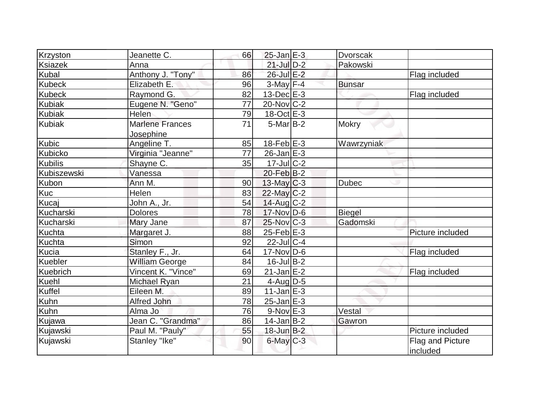| Krzyston         | Jeanette C.            | 66 | $25$ -Jan $E-3$   | <b>Dvorscak</b> |                  |
|------------------|------------------------|----|-------------------|-----------------|------------------|
| <b>Ksiazek</b>   | Anna                   |    | $21$ -Jul $D-2$   | Pakowski        |                  |
| Kubal            | Anthony J. "Tony"      | 86 | 26-Jul E-2        |                 | Flag included    |
| <b>Kubeck</b>    | Elizabeth E:           | 96 | $3$ -May $F-4$    | <b>Bunsar</b>   |                  |
| <b>Kubeck</b>    | Raymond G.             | 82 | $13$ -Dec $E-3$   |                 | Flag included    |
| <b>Kubiak</b>    | Eugene N. "Geno"       | 77 | $20$ -Nov $ C-2 $ |                 |                  |
| <b>Kubiak</b>    | Helen                  | 79 | $18-Oct$ $E-3$    |                 |                  |
| <b>Kubiak</b>    | <b>Marlene Frances</b> | 71 | $5$ -Mar $B$ -2   | <b>Mokry</b>    |                  |
|                  | Josephine              |    |                   |                 |                  |
| <b>Kubic</b>     | Angeline T.            | 85 | $18$ -Feb $E-3$   | Wawrzyniak      |                  |
| Kubicko          | Virginia "Jeanne"      | 77 | $26$ -Jan $E-3$   |                 |                  |
| <b>Kubilis</b>   | Shayne C.              | 35 | $17$ -Jul $C-2$   |                 |                  |
| Kubiszewski      | Vanessa                |    | $20$ -Feb $B-2$   |                 |                  |
| <b>Kubon</b>     | Ann M.                 | 90 | $13$ -May C-3     | <b>Dubec</b>    |                  |
| Kuc              | Helen                  | 83 | $22$ -May $C-2$   |                 |                  |
| Kucaj            | John A., Jr.           | 54 | $14$ -Aug C-2     |                 |                  |
| Kucharski        | <b>Dolores</b>         | 78 | $17$ -Nov $ D-6$  | <b>Biegel</b>   |                  |
| <b>Kucharski</b> | Mary Jane              | 87 | $25$ -Nov $ C-3 $ | Gadomski        |                  |
| <b>Kuchta</b>    | Margaret J.            | 88 | $25$ -Feb $E-3$   |                 | Picture included |
| <b>Kuchta</b>    | Simon                  | 92 | $22$ -Jul $C-4$   |                 |                  |
| Kucia            | Stanley F., Jr.        | 64 | $17$ -Nov $ D-6$  |                 | Flag included    |
| Kuebler          | <b>William George</b>  | 84 | $16$ -Jul B-2     |                 |                  |
| Kuebrich         | Vincent K. "Vince"     | 69 | $21$ -Jan $E-2$   |                 | Flag included    |
| <b>Kuehl</b>     | Michael Ryan           | 21 | $4$ -Aug D-5      |                 |                  |
| Kuffel           | Eileen M.              | 89 | $11$ -Jan $E-3$   |                 |                  |
| Kuhn             | Alfred John            | 78 | $25$ -Jan $E-3$   |                 |                  |
| Kuhn             | Alma Jo                | 76 | $9-Nov$ $E-3$     | Vestal          |                  |
| Kujawa           | Jean C. "Grandma"      | 86 | $14$ -Jan B-2     | Gawron          |                  |
| Kujawski         | Paul M. "Pauly"        | 55 | $18$ -Jun $B-2$   |                 | Picture included |
| Kujawski         | Stanley "Ike"          | 90 | $6$ -May $C$ -3   |                 | Flag and Picture |
|                  |                        |    |                   |                 | included         |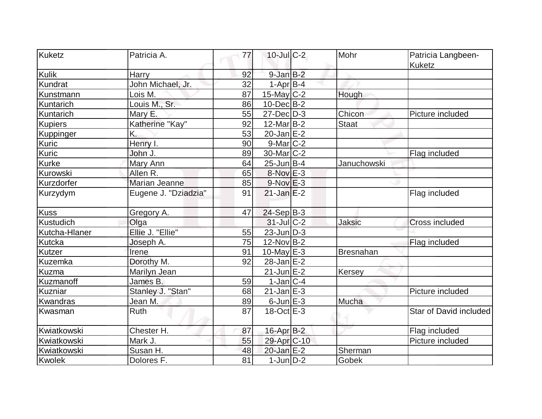| Kuketz         | Patricia A.          | 77 | $10$ -Jul $C-2$         | Mohr             | Patricia Langbeen-<br><b>Kuketz</b> |
|----------------|----------------------|----|-------------------------|------------------|-------------------------------------|
| Kulik          | Harry                | 92 | $9$ -Jan $B-2$          |                  |                                     |
| Kundrat        | John Michael, Jr.    | 32 | $1-AprB-4$              |                  |                                     |
| Kunstmann      | Lois M.              | 87 | $15$ -May C-2           | Hough            |                                     |
| Kuntarich      | Louis M., Sr.        | 86 | $10$ -Dec $B-2$         |                  |                                     |
| Kuntarich      | Mary E.              | 55 | $27$ -Dec $D-3$         | Chicon           | Picture included                    |
| <b>Kupiers</b> | Katherine "Kay"      | 92 | $12$ -Mar $B-2$         | <b>Staat</b>     |                                     |
| Kuppinger      | K.                   | 53 | $20$ -Jan $E-2$         |                  |                                     |
| Kuric          | Henry I.             | 90 | $9$ -Mar $ C-2 $        |                  |                                     |
| Kuric          | John J.              | 89 | 30-Mar <sub>IC</sub> -2 |                  | Flag included                       |
| Kurke          | Mary Ann             | 64 | $25$ -Jun $B$ -4        | Januchowski      |                                     |
| Kurowski       | Allen R.             | 65 | 8-Nov E-3               |                  |                                     |
| Kurzdorfer     | Marian Jeanne        | 85 | $9-Nov$ $E-3$           |                  |                                     |
| Kurzydym       | Eugene J. "Dziadzia" | 91 | $21$ -Jan $E-2$         |                  | Flag included                       |
| <b>Kuss</b>    | Gregory A.           | 47 | $24-Sep B-3$            |                  |                                     |
| Kustudich      | Olga                 |    | $31$ -JulC-2            | <b>Jaksic</b>    | <b>Cross included</b>               |
| Kutcha-Hlaner  | Ellie J. "Ellie"     | 55 | $23$ -Jun $D-3$         |                  |                                     |
| Kutcka         | Joseph A.            | 75 | 12-Nov B-2              |                  | Flag included                       |
| Kutzer         | Irene                | 91 | 10-May $E-3$            | <b>Bresnahan</b> |                                     |
| Kuzemka        | Dorothy M.           | 92 | $28$ -Jan $E-2$         |                  |                                     |
| <b>Kuzma</b>   | Marilyn Jean         |    | $21$ -Jun $E-2$         | Kersey           |                                     |
| Kuzmanoff      | James B.             | 59 | $1-Jan C-4$             |                  |                                     |
| Kuzniar        | Stanley J. "Stan"    | 68 | $21$ -Jan $E-3$         |                  | Picture included                    |
| Kwandras       | Jean M.              | 89 | $6$ -Jun $E-3$          | Mucha            |                                     |
| Kwasman        | <b>Ruth</b>          | 87 | $18-Oct$ $E-3$          |                  | Star of David included              |
| Kwiatkowski    | Chester H.           | 87 | 16-Apr B-2              |                  | Flag included                       |
| Kwiatkowski    | Mark J.              | 55 | 29-Apr C-10             |                  | Picture included                    |
| Kwiatkowski    | Susan H.             | 48 | 20-Jan E-2              | Sherman          |                                     |
| Kwolek         | Dolores F.           | 81 | $1$ -Jun $D-2$          | Gobek            |                                     |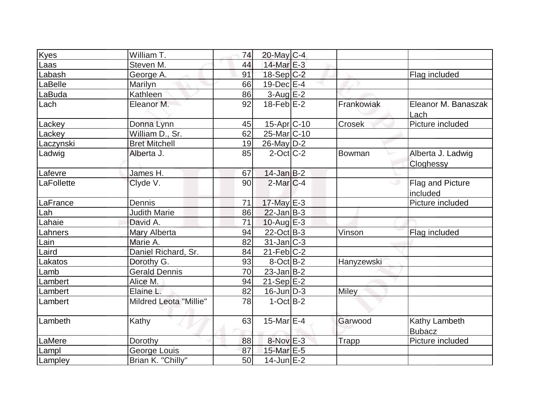| Kyes       | William T.             | 74 | $20$ -May C-4     |              |                                |
|------------|------------------------|----|-------------------|--------------|--------------------------------|
| Laas       | Steven M.              | 44 | 14-Mar $E-3$      |              |                                |
| Labash     | George A.              | 91 | $18-Sep C-2$      |              | Flag included                  |
| LaBelle    | Marilyn                | 66 | $19$ -Dec $E-4$   |              |                                |
| LaBuda     | Kathleen               | 86 | $3-Aug$ $E-2$     |              |                                |
| Lach       | Eleanor M.             | 92 | $18$ -Feb $E-2$   | Frankowiak   | Eleanor M. Banaszak<br>Lach    |
| Lackey     | Donna Lynn             | 45 | 15-Apr C-10       | Crosek       | Picture included               |
| Lackey     | William D., Sr.        | 62 | 25-Mar C-10       |              |                                |
| Laczynski  | <b>Bret Mitchell</b>   | 19 | $26$ -May $D-2$   |              |                                |
| Ladwig     | Alberta J.             | 85 | $2$ -Oct $ C-2 $  | Bowman       | Alberta J. Ladwig<br>Cloghessy |
| Lafevre    | James H.               | 67 | $14$ -Jan B-2     |              |                                |
| LaFollette | Clyde V.               | 90 | $2$ -Mar $ C-4 $  |              | Flag and Picture<br>included   |
| LaFrance   | Dennis                 | 71 | 17-May E-3        |              | Picture included               |
| Lah        | <b>Judith Marie</b>    | 86 | $22$ -Jan B-3     |              |                                |
| Lahaie     | David A.               | 71 | 10-Aug $E-3$      |              |                                |
| Lahners    | Mary Alberta           | 94 | $22$ -Oct B-3     | Vinson       | Flag included                  |
| Lain       | Marie A.               | 82 | $31$ -Jan $ C-3 $ |              |                                |
| Laird      | Daniel Richard, Sr.    | 84 | $21$ -Feb $ C-2 $ |              |                                |
| Lakatos    | Dorothy G.             | 93 | $8-Oct$ B-2       | Hanyzewski   |                                |
| Lamb       | <b>Gerald Dennis</b>   | 70 | $23$ -Jan B-2     |              |                                |
| Lambert    | Alice M.               | 94 | $21-Sep$ $E-2$    |              |                                |
| Lambert    | Elaine L.              | 82 | $16$ -Jun $D-3$   | Miley        |                                |
| Lambert    | Mildred Leota "Millie" | 78 | $1-Oct$ B-2       |              |                                |
| Lambeth    | Kathy                  | 63 | 15-Mar $E-4$      | Garwood      | Kathy Lambeth<br><b>Bubacz</b> |
| LaMere     | Dorothy                | 88 | 8-Nov E-3         | <b>Trapp</b> | Picture included               |
| Lampl      | George Louis           | 87 | 15-Mar E-5        |              |                                |
| Lampley    | Brian K. "Chilly"      | 50 | $14$ -Jun $E-2$   |              |                                |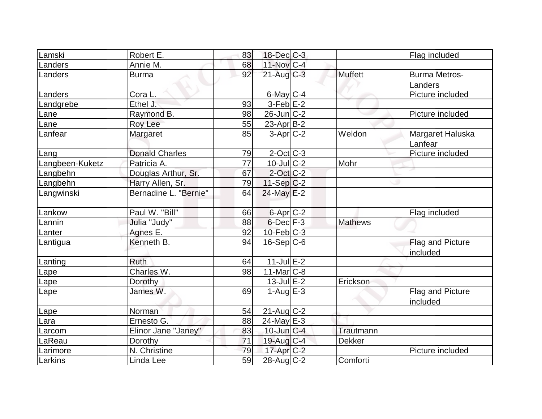| 18-Dec C-3<br>Robert E.<br>Flag included<br>83<br>11-Nov C-4<br>Annie M.<br>68<br>Landers<br>$21$ -Aug C-3<br>Muffett<br><b>Burma Metros-</b><br>92<br>Landers<br><b>Burma</b><br>Landers<br>Picture included<br>$6$ -May $C$ -4<br>Landers<br>Cora L.<br>$3-Feb$ E-2<br>Ethel J.<br>93<br>Landgrebe<br>$26$ -Jun $ C-2 $<br>Raymond B.<br>98<br>Picture included<br>Lane<br>55<br>$23$ -Apr $ B-2 $<br>Roy Lee<br>Lane<br>$3-Apr$ $C-2$<br>Weldon<br>Lanfear<br>Margaret Haluska<br>Margaret<br>85<br>Lanfear<br>Picture included<br><b>Donald Charles</b><br>$2$ -Oct C-3<br>79<br>Lang<br>$10$ -Jul $C-2$<br>Langbeen-Kuketz<br>Patricia A.<br>Mohr<br>77<br>$2$ -Oct C-2<br>Douglas Arthur, Sr.<br>67<br>Langbehn<br>Langbehn<br>Harry Allen, Sr.<br>79<br>$11-Sep C-2$<br>Bernadine L. "Bernie"<br>Langwinski<br>$24$ -May $E-2$<br>64<br>Paul W. "Bill"<br>6-Apr C-2<br>Lankow<br>66<br>Flag included<br>$6$ -Dec $F-3$<br>Julia "Judy"<br><b>Mathews</b><br>Lannin<br>88<br>$10$ -Feb $ C-3 $<br>Agnes E.<br>92<br>Lanter<br>Kenneth B.<br>$16-Sep C-6$<br>Flag and Picture<br>94<br>Lantigua<br>included<br>$11$ -Jul $E-2$<br><b>Ruth</b><br>64<br>Lanting<br>Charles W.<br>$11$ -Mar $ C-8 $<br>98<br>Lape<br>$13$ -Jul $E-2$<br>Erickson<br>Dorothy<br>Lape<br>James W.<br>69<br>$1-Auq$ $E-3$<br>Flag and Picture<br>Lape<br>included<br>$21$ -Aug C-2<br>54<br>Norman<br>Lape<br>Ernesto G.<br>$24$ -May E-3<br>88<br>Lara<br>Elinor Jane "Janey"<br>$10$ -Jun $C-4$<br>83<br>Trautmann<br>Larcom<br>71<br>$19$ -Aug $C-4$<br>LaReau<br><b>Dekker</b><br>Dorothy<br>N. Christine<br>$17$ -Apr $C-2$<br>Picture included<br>79<br>Larimore<br>$28$ -Aug C-2<br>Comforti |         |           |    |  |  |
|-------------------------------------------------------------------------------------------------------------------------------------------------------------------------------------------------------------------------------------------------------------------------------------------------------------------------------------------------------------------------------------------------------------------------------------------------------------------------------------------------------------------------------------------------------------------------------------------------------------------------------------------------------------------------------------------------------------------------------------------------------------------------------------------------------------------------------------------------------------------------------------------------------------------------------------------------------------------------------------------------------------------------------------------------------------------------------------------------------------------------------------------------------------------------------------------------------------------------------------------------------------------------------------------------------------------------------------------------------------------------------------------------------------------------------------------------------------------------------------------------------------------------------------------------------------------------------------------------------------------------------------------------------------------------------------|---------|-----------|----|--|--|
|                                                                                                                                                                                                                                                                                                                                                                                                                                                                                                                                                                                                                                                                                                                                                                                                                                                                                                                                                                                                                                                                                                                                                                                                                                                                                                                                                                                                                                                                                                                                                                                                                                                                                     | Lamski  |           |    |  |  |
|                                                                                                                                                                                                                                                                                                                                                                                                                                                                                                                                                                                                                                                                                                                                                                                                                                                                                                                                                                                                                                                                                                                                                                                                                                                                                                                                                                                                                                                                                                                                                                                                                                                                                     |         |           |    |  |  |
|                                                                                                                                                                                                                                                                                                                                                                                                                                                                                                                                                                                                                                                                                                                                                                                                                                                                                                                                                                                                                                                                                                                                                                                                                                                                                                                                                                                                                                                                                                                                                                                                                                                                                     |         |           |    |  |  |
|                                                                                                                                                                                                                                                                                                                                                                                                                                                                                                                                                                                                                                                                                                                                                                                                                                                                                                                                                                                                                                                                                                                                                                                                                                                                                                                                                                                                                                                                                                                                                                                                                                                                                     |         |           |    |  |  |
|                                                                                                                                                                                                                                                                                                                                                                                                                                                                                                                                                                                                                                                                                                                                                                                                                                                                                                                                                                                                                                                                                                                                                                                                                                                                                                                                                                                                                                                                                                                                                                                                                                                                                     |         |           |    |  |  |
|                                                                                                                                                                                                                                                                                                                                                                                                                                                                                                                                                                                                                                                                                                                                                                                                                                                                                                                                                                                                                                                                                                                                                                                                                                                                                                                                                                                                                                                                                                                                                                                                                                                                                     |         |           |    |  |  |
|                                                                                                                                                                                                                                                                                                                                                                                                                                                                                                                                                                                                                                                                                                                                                                                                                                                                                                                                                                                                                                                                                                                                                                                                                                                                                                                                                                                                                                                                                                                                                                                                                                                                                     |         |           |    |  |  |
|                                                                                                                                                                                                                                                                                                                                                                                                                                                                                                                                                                                                                                                                                                                                                                                                                                                                                                                                                                                                                                                                                                                                                                                                                                                                                                                                                                                                                                                                                                                                                                                                                                                                                     |         |           |    |  |  |
|                                                                                                                                                                                                                                                                                                                                                                                                                                                                                                                                                                                                                                                                                                                                                                                                                                                                                                                                                                                                                                                                                                                                                                                                                                                                                                                                                                                                                                                                                                                                                                                                                                                                                     |         |           |    |  |  |
|                                                                                                                                                                                                                                                                                                                                                                                                                                                                                                                                                                                                                                                                                                                                                                                                                                                                                                                                                                                                                                                                                                                                                                                                                                                                                                                                                                                                                                                                                                                                                                                                                                                                                     |         |           |    |  |  |
|                                                                                                                                                                                                                                                                                                                                                                                                                                                                                                                                                                                                                                                                                                                                                                                                                                                                                                                                                                                                                                                                                                                                                                                                                                                                                                                                                                                                                                                                                                                                                                                                                                                                                     |         |           |    |  |  |
|                                                                                                                                                                                                                                                                                                                                                                                                                                                                                                                                                                                                                                                                                                                                                                                                                                                                                                                                                                                                                                                                                                                                                                                                                                                                                                                                                                                                                                                                                                                                                                                                                                                                                     |         |           |    |  |  |
|                                                                                                                                                                                                                                                                                                                                                                                                                                                                                                                                                                                                                                                                                                                                                                                                                                                                                                                                                                                                                                                                                                                                                                                                                                                                                                                                                                                                                                                                                                                                                                                                                                                                                     |         |           |    |  |  |
|                                                                                                                                                                                                                                                                                                                                                                                                                                                                                                                                                                                                                                                                                                                                                                                                                                                                                                                                                                                                                                                                                                                                                                                                                                                                                                                                                                                                                                                                                                                                                                                                                                                                                     |         |           |    |  |  |
|                                                                                                                                                                                                                                                                                                                                                                                                                                                                                                                                                                                                                                                                                                                                                                                                                                                                                                                                                                                                                                                                                                                                                                                                                                                                                                                                                                                                                                                                                                                                                                                                                                                                                     |         |           |    |  |  |
|                                                                                                                                                                                                                                                                                                                                                                                                                                                                                                                                                                                                                                                                                                                                                                                                                                                                                                                                                                                                                                                                                                                                                                                                                                                                                                                                                                                                                                                                                                                                                                                                                                                                                     |         |           |    |  |  |
|                                                                                                                                                                                                                                                                                                                                                                                                                                                                                                                                                                                                                                                                                                                                                                                                                                                                                                                                                                                                                                                                                                                                                                                                                                                                                                                                                                                                                                                                                                                                                                                                                                                                                     |         |           |    |  |  |
|                                                                                                                                                                                                                                                                                                                                                                                                                                                                                                                                                                                                                                                                                                                                                                                                                                                                                                                                                                                                                                                                                                                                                                                                                                                                                                                                                                                                                                                                                                                                                                                                                                                                                     |         |           |    |  |  |
|                                                                                                                                                                                                                                                                                                                                                                                                                                                                                                                                                                                                                                                                                                                                                                                                                                                                                                                                                                                                                                                                                                                                                                                                                                                                                                                                                                                                                                                                                                                                                                                                                                                                                     |         |           |    |  |  |
|                                                                                                                                                                                                                                                                                                                                                                                                                                                                                                                                                                                                                                                                                                                                                                                                                                                                                                                                                                                                                                                                                                                                                                                                                                                                                                                                                                                                                                                                                                                                                                                                                                                                                     |         |           |    |  |  |
|                                                                                                                                                                                                                                                                                                                                                                                                                                                                                                                                                                                                                                                                                                                                                                                                                                                                                                                                                                                                                                                                                                                                                                                                                                                                                                                                                                                                                                                                                                                                                                                                                                                                                     |         |           |    |  |  |
|                                                                                                                                                                                                                                                                                                                                                                                                                                                                                                                                                                                                                                                                                                                                                                                                                                                                                                                                                                                                                                                                                                                                                                                                                                                                                                                                                                                                                                                                                                                                                                                                                                                                                     |         |           |    |  |  |
|                                                                                                                                                                                                                                                                                                                                                                                                                                                                                                                                                                                                                                                                                                                                                                                                                                                                                                                                                                                                                                                                                                                                                                                                                                                                                                                                                                                                                                                                                                                                                                                                                                                                                     |         |           |    |  |  |
|                                                                                                                                                                                                                                                                                                                                                                                                                                                                                                                                                                                                                                                                                                                                                                                                                                                                                                                                                                                                                                                                                                                                                                                                                                                                                                                                                                                                                                                                                                                                                                                                                                                                                     |         |           |    |  |  |
|                                                                                                                                                                                                                                                                                                                                                                                                                                                                                                                                                                                                                                                                                                                                                                                                                                                                                                                                                                                                                                                                                                                                                                                                                                                                                                                                                                                                                                                                                                                                                                                                                                                                                     |         |           |    |  |  |
|                                                                                                                                                                                                                                                                                                                                                                                                                                                                                                                                                                                                                                                                                                                                                                                                                                                                                                                                                                                                                                                                                                                                                                                                                                                                                                                                                                                                                                                                                                                                                                                                                                                                                     |         |           |    |  |  |
|                                                                                                                                                                                                                                                                                                                                                                                                                                                                                                                                                                                                                                                                                                                                                                                                                                                                                                                                                                                                                                                                                                                                                                                                                                                                                                                                                                                                                                                                                                                                                                                                                                                                                     |         |           |    |  |  |
|                                                                                                                                                                                                                                                                                                                                                                                                                                                                                                                                                                                                                                                                                                                                                                                                                                                                                                                                                                                                                                                                                                                                                                                                                                                                                                                                                                                                                                                                                                                                                                                                                                                                                     |         |           |    |  |  |
|                                                                                                                                                                                                                                                                                                                                                                                                                                                                                                                                                                                                                                                                                                                                                                                                                                                                                                                                                                                                                                                                                                                                                                                                                                                                                                                                                                                                                                                                                                                                                                                                                                                                                     |         |           |    |  |  |
|                                                                                                                                                                                                                                                                                                                                                                                                                                                                                                                                                                                                                                                                                                                                                                                                                                                                                                                                                                                                                                                                                                                                                                                                                                                                                                                                                                                                                                                                                                                                                                                                                                                                                     |         |           |    |  |  |
|                                                                                                                                                                                                                                                                                                                                                                                                                                                                                                                                                                                                                                                                                                                                                                                                                                                                                                                                                                                                                                                                                                                                                                                                                                                                                                                                                                                                                                                                                                                                                                                                                                                                                     |         |           |    |  |  |
|                                                                                                                                                                                                                                                                                                                                                                                                                                                                                                                                                                                                                                                                                                                                                                                                                                                                                                                                                                                                                                                                                                                                                                                                                                                                                                                                                                                                                                                                                                                                                                                                                                                                                     | Larkins | Linda Lee | 59 |  |  |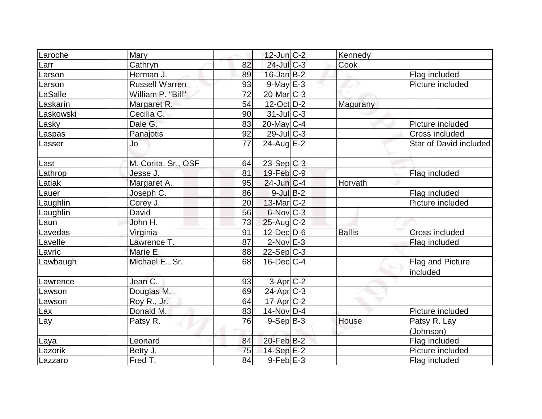| Laroche   | Mary                  |    | $12$ -Jun $C-2$   | Kennedy       |                              |
|-----------|-----------------------|----|-------------------|---------------|------------------------------|
| Larr      | Cathryn               | 82 | 24-Jul C-3        | Cook          |                              |
| Larson    | Herman J.             | 89 | $16$ -Jan $B-2$   |               | Flag included                |
| Larson    | <b>Russell Warren</b> | 93 | $9$ -May $E-3$    |               | Picture included             |
| LaSalle   | William P. "Bill"     | 72 | 20-Mar C-3        |               |                              |
| Laskarin  | Margaret R.           | 54 | $12$ -Oct $ D-2 $ | Magurany      |                              |
| Laskowski | Cecilia C.            | 90 | $31$ -JulC-3      |               |                              |
| Lasky     | Dale G.               | 83 | $20$ -May C-4     |               | Picture included             |
| Laspas    | Panajotis             | 92 | 29-Jul C-3        |               | Cross included               |
| Lasser    | Jo                    | 77 | $24$ -Aug $E-2$   |               | Star of David included       |
| Last      | M. Corita, Sr., OSF   | 64 | $23-Sep C-3$      |               |                              |
| Lathrop   | Jesse J.              | 81 | $19$ -Feb $C-9$   |               | Flag included                |
| Latiak    | Margaret A.           | 95 | $24$ -Jun $C-4$   | Horvath       |                              |
| Lauer     | Joseph C.             | 86 | $9$ -Jul B-2      |               | Flag included                |
| Laughlin  | Corey J.              | 20 | $13$ -Mar $ C-2 $ |               | Picture included             |
| Laughlin  | David                 | 56 | $6$ -Nov $ C-3 $  |               |                              |
| Laun      | John H.               | 73 | $25$ -Aug C-2     |               |                              |
| Lavedas   | Virginia              | 91 | $12$ -Dec $D-6$   | <b>Ballis</b> | <b>Cross included</b>        |
| Lavelle   | Lawrence T.           | 87 | $2$ -Nov $E-3$    |               | Flag included                |
| Lavric    | Marie E.              | 88 | $22-Sep C-3$      |               |                              |
| Lawbaugh  | Michael E., Sr.       | 68 | $16$ -Dec $C$ -4  |               | Flag and Picture<br>included |
| Lawrence  | Jean C.               | 93 | $3-Apr$ $C-2$     |               |                              |
| Lawson    | Douglas M.            | 69 | $24$ -Apr $C-3$   |               |                              |
| Lawson    | Roy R., Jr.           | 64 | 17-Apr C-2        |               |                              |
| Lax       | Donald M.             | 83 | $14$ -Nov D-4     |               | Picture included             |
| Lay       | Patsy R.              | 76 | $9-Sep B-3$       | House         | Patsy R. Lay<br>(Johnson)    |
| Laya      | Leonard               | 84 | $20$ -Feb $B-2$   |               | Flag included                |
| Lazorik   | Betty J.              | 75 | $14-Sep$ $E-2$    |               | Picture included             |
| Lazzaro   | Fred T.               | 84 | $9$ -Feb $E-3$    |               | Flag included                |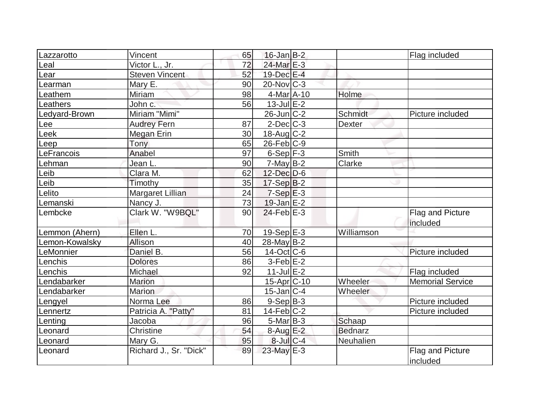|                | Vincent                | 65 | $16$ -Jan B-2         |                |                         |
|----------------|------------------------|----|-----------------------|----------------|-------------------------|
| Lazzarotto     | Victor L., Jr.         | 72 | 24-Mar <sub>E-3</sub> |                | Flag included           |
| Leal           |                        | 52 | 19-Dec E-4            |                |                         |
| Lear           | <b>Steven Vincent</b>  |    |                       |                |                         |
| Learman        | Mary E.                | 90 | $20$ -Nov $C-3$       |                |                         |
| Leathem        | Miriam                 | 98 | $4$ -Mar $A$ -10      | Holme          |                         |
| Leathers       | John c.                | 56 | $13$ -Jul $E-2$       |                |                         |
| Ledyard-Brown  | Miriam "Mimi"          |    | $26$ -Jun $ C-2 $     | Schmidt        | Picture included        |
| Lee            | <b>Audrey Fern</b>     | 87 | $2$ -Dec $C-3$        | <b>Dexter</b>  |                         |
| Leek           | Megan Erin             | 30 | $18$ -Aug $C-2$       |                |                         |
| Leep           | Tony                   | 65 | $26$ -Feb $ C-9$      |                |                         |
| LeFrancois     | Anabel                 | 97 | $6-Sep$ $F-3$         | Smith          |                         |
| Lehman         | Jean L.                | 90 | $7$ -May B-2          | Clarke         |                         |
| Leib           | Clara M.               | 62 | $12$ -Dec $D-6$       |                |                         |
| Leib           | Timothy                | 35 | $17-Sep B-2$          |                |                         |
| Lelito         | Margaret Lillian       | 24 | $7-Sep$ $E-3$         |                |                         |
| Lemanski       | Nancy J.               | 73 | $19$ -Jan $E-2$       |                |                         |
| Lembcke        | Clark W. "W9BQL"       | 90 | $24$ -Feb $E-3$       |                | Flag and Picture        |
|                |                        |    |                       | Williamson     | included                |
| Lemmon (Ahern) | Ellen L.<br>Allison    | 70 | 19-Sep $E-3$          |                |                         |
| Lemon-Kowalsky |                        | 40 | $28$ -May B-2         |                |                         |
| LeMonnier      | Daniel B.              | 56 | $14$ -Oct $ C$ -6     |                | Picture included        |
| Lenchis        | <b>Dolores</b>         | 86 | $3-Feb$ $E-2$         |                |                         |
| Lenchis        | Michael                | 92 | $11$ -Jul $E-2$       |                | Flag included           |
| Lendabarker    | <b>Marion</b>          |    | $15$ -Apr $ C$ -10    | Wheeler        | <b>Memorial Service</b> |
| Lendabarker    | <b>Marion</b>          |    | $15$ -Jan $ C-4$      | Wheeler        |                         |
| Lengyel        | Norma Lee              | 86 | $9-Sep$ B-3           |                | Picture included        |
| Lennertz       | Patricia A. "Patty"    | 81 | $14$ -Feb $ C-2 $     |                | Picture included        |
| Lenting        | Jacoba                 | 96 | $5$ -Mar $ B-3 $      | Schaap         |                         |
| Leonard        | Christine              | 54 | 8-Aug E-2             | <b>Bednarz</b> |                         |
| Leonard        | Mary G.                | 95 | $8$ -Jul $C$ -4       | Neuhalien      |                         |
| Leonard        | Richard J., Sr. "Dick" | 89 | 23-May E-3            |                | Flag and Picture        |
|                |                        |    |                       |                | included                |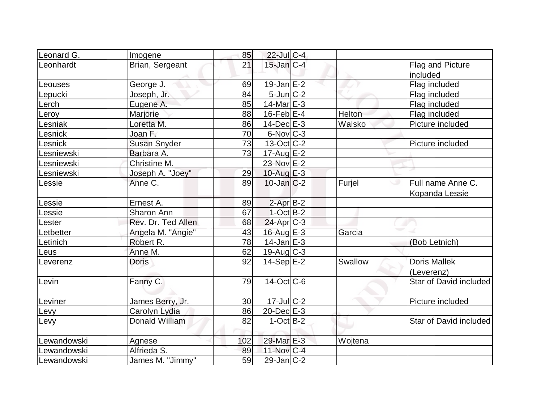| Leonard G.     | Imogene             | 85  | $22$ -Jul C-4            |         |                        |
|----------------|---------------------|-----|--------------------------|---------|------------------------|
| Leonhardt      | Brian, Sergeant     | 21  | $15$ -Jan $C-4$          |         | Flag and Picture       |
|                |                     |     |                          |         | included               |
| Leouses        | George J.           | 69  | $19$ -Jan $E-2$          |         | Flag included          |
| Lepucki        | Joseph, Jr.         | 84  | $5$ -Jun $ C-2 $         |         | Flag included          |
| Lerch          | Eugene A.           | 85  | $14$ -Mar $E-3$          |         | Flag included          |
| eroy           | Marjorie            | 88  | $16$ -Feb $E-4$          | Helton  | Flag included          |
| esniak         | Loretta M.          | 86  | $14$ -Dec $E$ -3         | Walsko  | Picture included       |
| <b>Lesnick</b> | Joan F.             | 70  | $6$ -Nov $ C-3 $         |         |                        |
| <b>Lesnick</b> | <b>Susan Snyder</b> | 73  | $13-Oct$ <sub>C</sub> -2 |         | Picture included       |
| Lesniewski     | Barbara A.          | 73  | $17$ -Aug $E-2$          |         |                        |
| Lesniewski     | Christine M.        |     | 23-Nov E-2               |         |                        |
| Lesniewski     | Joseph A. "Joey"    | 29  | $10$ -Aug E-3            |         |                        |
| Lessie         | Anne C.             | 89  | $10$ -Jan $ C-2 $        | Furjel  | Full name Anne C.<br>ی |
|                |                     |     |                          |         | Kopanda Lessie         |
| Lessie         | Ernest A.           | 89  | $2$ -Apr $B-2$           |         |                        |
| essie          | Sharon Ann          | 67  | $1-Oct$ B-2              |         |                        |
| Lester         | Rev. Dr. Ted Allen  | 68  | $24$ -Apr $ C-3 $        |         |                        |
| Letbetter      | Angela M. "Angie"   | 43  | $16$ -Aug $E-3$          | Garcia  |                        |
| Letinich       | Robert R.           | 78  | $14$ -Jan $E-3$          |         | (Bob Letnich)          |
| Leus           | Anne M.             | 62  | $19$ -Aug C-3            |         |                        |
| Leverenz       | <b>Doris</b>        | 92  | $14-Sep$ $E-2$           | Swallow | <b>Doris Mallek</b>    |
|                |                     |     |                          |         | (Leverenz)             |
| Levin          | Fanny C.            | 79  | $14$ -Oct $ C$ -6        |         | Star of David included |
|                |                     |     |                          |         |                        |
| Leviner        | James Berry, Jr.    | 30  | $17$ -JulC-2             |         | Picture included       |
| Levy           | Carolyn Lydia       | 86  | $20$ -Dec $E-3$          |         |                        |
| Levy           | Donald William      | 82  | $1-Oct$ B-2              |         | Star of David included |
|                |                     |     |                          |         |                        |
| Lewandowski    | Agnese              | 102 | 29-Mar E-3               | Wojtena |                        |
| ewandowski     | Alfrieda S.         | 89  | 11-Nov C-4               |         |                        |
| Lewandowski    | James M. "Jimmy"    | 59  | $29$ -Jan $ C-2 $        |         |                        |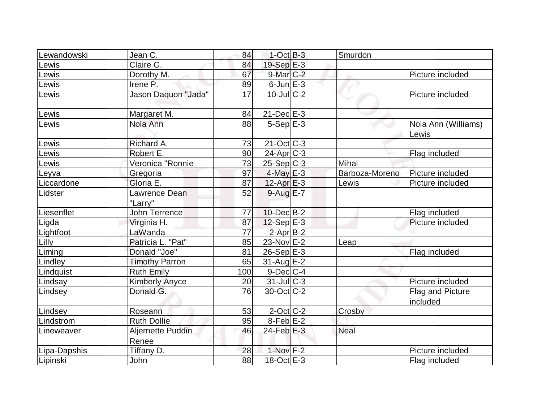| Lewandowski  | Jean C.                    | 84  | $1-Cct$ B-3       | Smurdon        |                              |
|--------------|----------------------------|-----|-------------------|----------------|------------------------------|
| Lewis        | Claire G.                  | 84  | $19-Sep$ E-3      |                |                              |
| Lewis        | Dorothy M.                 | 67  | 9-Mar C-2         |                | Picture included             |
| Lewis        | Irene P.                   | 89  | $6$ -Jun $E-3$    |                |                              |
| Lewis        | Jason Daquon "Jada"        | 17  | $10$ -Jul $C-2$   |                | Picture included             |
| Lewis        | Margaret M.                | 84  | $21$ -Dec $E-3$   |                |                              |
| Lewis        | Nola Ann                   | 88  | $5-Sep$ $E-3$     |                | Nola Ann (Williams)<br>Lewis |
| Lewis        | Richard A.                 | 73  | $21$ -Oct $ C-3 $ |                |                              |
| Lewis        | Robert E.                  | 90  | $24-Apr$ $C-3$    |                | Flag included                |
| Lewis        | Veronica "Ronnie           | 73  | $25-Sep C-3$      | Mihal          |                              |
| Leyva        | Gregoria                   | 97  | $4$ -May $E-3$    | Barboza-Moreno | Picture included             |
| Liccardone   | Gloria E.                  | 87  | $12$ -Apr $E-3$   | Lewis          | Picture included             |
| Lidster      | Lawrence Dean<br>"Larry"   | 52  | $9$ -Aug $E - 7$  |                |                              |
| Liesenflet   | John Terrence              | 77  | $10$ -Dec $B-2$   |                | Flag included                |
| Ligda        | Virginia H.                | 87  | $12-Sep$ E-3      |                | Picture included             |
| Lightfoot    | LaWanda                    | 77  | $2$ -Apr $B-2$    |                |                              |
| Lilly        | Patricia L. "Pat"          | 85  | 23-Nov E-2        | Leap           |                              |
| Liming       | Donald "Joe"               | 81  | $26-Sep$ $E-3$    |                | Flag included                |
| Lindley      | <b>Timothy Parron</b>      | 65  | $31$ -Aug $E-2$   |                |                              |
| Lindquist    | <b>Ruth Emily</b>          | 100 | $9$ -Dec $ C-4 $  |                |                              |
| Lindsay      | <b>Kimberly Anyce</b>      | 20  | $31$ -Jul $C-3$   |                | Picture included             |
| Lindsey      | Donald G.                  | 76  | $30$ -Oct $ C-2 $ |                | Flag and Picture<br>included |
| Lindsey      | Roseann                    | 53  | $2$ -Oct C-2      | Crosby         |                              |
| Lindstrom    | <b>Ruth Dollie</b>         | 95  | $8$ -Feb $E-2$    |                |                              |
| Lineweaver   | Aljernette Puddin<br>Renee | 46  | $24$ -Feb $E-3$   | Neal           |                              |
| Lipa-Dapshis | Tiffany D.                 | 28  | $1-Nov$ F-2       |                | Picture included             |
| Lipinski     | John                       | 88  | $18-Oct$ $E-3$    |                | Flag included                |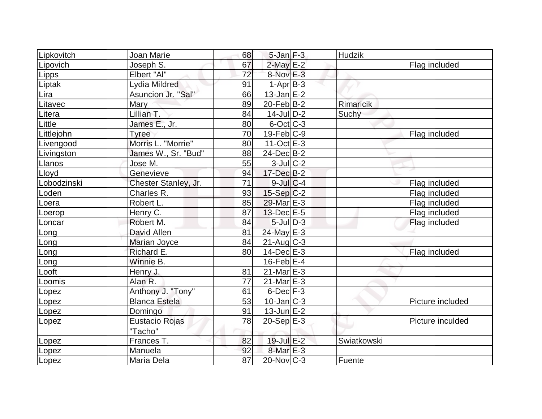| Lipkovitch  | Joan Marie           | 68 | $5$ -Jan $F-3$    | <b>Hudzik</b> |                  |
|-------------|----------------------|----|-------------------|---------------|------------------|
| Lipovich    | Joseph S.            | 67 | $2$ -May $E-2$    |               | Flag included    |
| Lipps       | Elbert "Al"          | 72 | $8-Nov$ $E-3$     |               |                  |
| Liptak      | Lydia Mildred        | 91 | $1-AprB-3$        |               |                  |
| Lira        | Asuncion Jr. "Sal"   | 66 | $13$ -Jan $E$ -2  |               |                  |
| Litavec     | Mary                 | 89 | $20$ -Feb $ B-2 $ | Rimaricik     |                  |
| Litera      | Lillian T.           | 84 | $14$ -JulD-2      | Suchy         |                  |
| Little      | James E., Jr.        | 80 | $6$ -Oct $C$ -3   |               |                  |
| Littlejohn  | Tyree                | 70 | $19$ -Feb $ C-9 $ |               | Flag included    |
| Livengood   | Morris L. "Morrie"   | 80 | 11-Oct $E-3$      |               |                  |
| Livingston  | James W., Sr. "Bud"  | 88 | $24$ -Dec $B-2$   |               |                  |
| Llanos      | Jose M.              | 55 | $3$ -Jul $C-2$    |               |                  |
| Lloyd       | Genevieve            | 94 | $17 - Dec$ B-2    |               |                  |
| Lobodzinski | Chester Stanley, Jr. | 71 | $9$ -Jul $C$ -4   |               | Flag included    |
| Loden       | Charles R.           | 93 | $15-Sep C-2$      |               | Flag included    |
| Loera       | Robert L.            | 85 | 29-Mar E-3        |               | Flag included    |
| Loerop      | Henry C.             | 87 | $13$ -Dec $E-5$   |               | Flag included    |
| Loncar      | Robert M.            | 84 | $5$ -Jul $D-3$    |               | Flag included    |
| Long        | <b>David Allen</b>   | 81 | 24-May E-3        |               |                  |
| Long        | Marian Joyce         | 84 | $21$ -Aug $C-3$   |               |                  |
| Long        | Richard E.           | 80 | $14$ -Dec $E-3$   |               | Flag included    |
| Long        | Winnie B.            |    | $16$ -Feb $E-4$   |               |                  |
| Looft       | Henry J.             | 81 | $21$ -Mar $E-3$   |               |                  |
| Loomis      | Alan R.              | 77 | $21$ -Mar $E-3$   |               |                  |
| Lopez       | Anthony J. "Tony"    | 61 | $6$ -Dec $F-3$    |               |                  |
| Lopez       | <b>Blanca Estela</b> | 53 | 10-Jan C-3        |               | Picture included |
| Lopez       | Domingo              | 91 | $13$ -Jun $E-2$   |               |                  |
| Lopez       | Eustacio Rojas       | 78 | $20-Sep$ $E-3$    |               | Picture inculded |
|             | "Tacho"              |    |                   |               |                  |
| Lopez       | Frances T.           | 82 | 19-Jul E-2        | Swiatkowski   |                  |
| Lopez       | Manuela              | 92 | $8$ -Mar $E - 3$  |               |                  |
| Lopez       | Maria Dela           | 87 | $20$ -Nov $ C-3 $ | Fuente        |                  |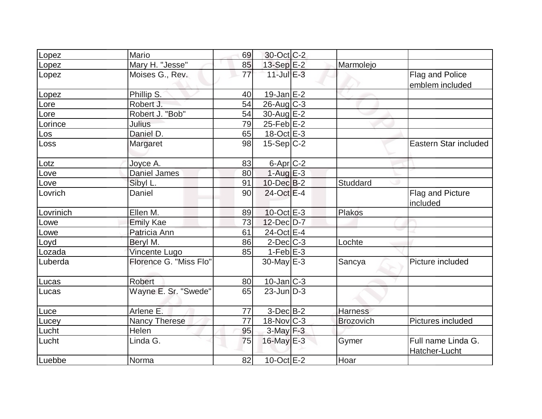| Lopez      | Mario                  | 69              | 30-Oct C-2           |                  |                                     |
|------------|------------------------|-----------------|----------------------|------------------|-------------------------------------|
| Lopez      | Mary H. "Jesse"        | 85              | 13-Sep E-2           | Marmolejo        |                                     |
| Lopez      | Moises G., Rev.        | $\overline{77}$ | $11$ -Jul E-3        |                  | Flag and Police<br>emblem included  |
| Lopez      | Phillip S.             | 40              | $19$ -Jan $E-2$      |                  |                                     |
| Lore       | Robert J.              | 54              | $26$ -Aug C-3        |                  |                                     |
| Lore       | Robert J. "Bob"        | 54              | $30$ -Aug $E-2$      |                  |                                     |
| Lorince    | Julius                 | 79              | $25$ -Feb $E-2$      |                  |                                     |
| <u>Los</u> | Daniel D.              | 65              | 18-Oct E-3           |                  |                                     |
| Loss       | Margaret               | 98              | $15-Sep C-2$         |                  | Eastern Star included               |
| Lotz       | Joyce A.               | 83              | 6-Apr <sub>C-2</sub> |                  |                                     |
| Love       | <b>Daniel James</b>    | 80              | $1-AugE-3$           |                  |                                     |
| Love       | Sibyl L.               | 91              | $10$ -Dec $B - 2$    | Studdard         |                                     |
| Lovrich    | Daniel                 | 90              | $24$ -Oct $E-4$      |                  | Flag and Picture<br>included        |
| Lovrinich  | Ellen M.               | 89              | $10$ -Oct $E - 3$    | Plakos           |                                     |
| Lowe       | <b>Emily Kae</b>       | 73              | 12-Dec D-7           |                  |                                     |
| Lowe       | Patricia Ann           | 61              | 24-Oct E-4           |                  |                                     |
| Loyd       | Beryl M.               | 86              | $2$ -Dec $C-3$       | Lochte           |                                     |
| Lozada     | Vincente Lugo          | 85              | $1-Feb$ $E-3$        |                  |                                     |
| Luberda    | Florence G. "Miss Flo" |                 | $30$ -May $E-3$      | Sancya           | Picture included                    |
| Lucas      | Robert                 | 80              | $10$ -Jan $ C-3 $    |                  |                                     |
| Lucas      | Wayne E. Sr. "Swede"   | 65              | $23$ -Jun $ D-3 $    |                  |                                     |
| Luce       | Arlene E.              | 77              | $3-Dec B-2$          | <b>Harness</b>   |                                     |
| Lucey      | <b>Nancy Therese</b>   | 77              | 18-Nov C-3           | <b>Brozovich</b> | Pictures included                   |
| Lucht      | Helen                  | 95              | $3$ -May $F-3$       |                  |                                     |
| Lucht      | Linda G.               | 75              | $16$ -May $E-3$      | Gymer            | Full name Linda G.<br>Hatcher-Lucht |
| Luebbe     | Norma                  | 82              | $10$ -Oct $E - 2$    | Hoar             |                                     |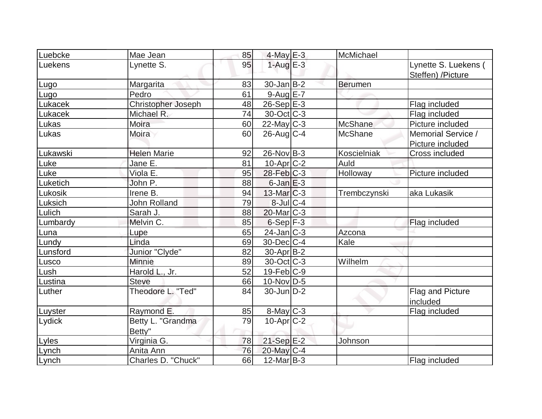| Luebcke  | Mae Jean            | 85 | $4$ -May $E-3$    | McMichael      |                      |
|----------|---------------------|----|-------------------|----------------|----------------------|
| Luekens  | Lynette S.          | 95 | $1-Aug$ $E-3$     |                | Lynette S. Luekens ( |
|          |                     |    |                   |                | Steffen) /Picture    |
| Lugo     | Margarita           | 83 | $30$ -Jan B-2     | Berumen        |                      |
| Lugo     | Pedro               | 61 | $9$ -Aug E-7      |                |                      |
| Lukacek  | Christopher Joseph  | 48 | $26-Sep$ E-3      |                | Flag included        |
| Lukacek  | Michael R.          | 74 | $30$ -Oct $ C-3 $ |                | Flag included        |
| Lukas    | Moira               | 60 | $22$ -May C-3     | McShane        | Picture included     |
| Lukas    | Moira               | 60 | $26$ -Aug $C-4$   | <b>McShane</b> | Memorial Service /   |
|          |                     |    |                   |                | Picture included     |
| Lukawski | <b>Helen Marie</b>  | 92 | $26$ -Nov $ B-3 $ | Koscielniak    | Cross included       |
| Luke     | Jane E.             | 81 | $10$ -Apr $C-2$   | Auld           |                      |
| Luke     | Viola E.            | 95 | $28$ -Feb $ C-3 $ | Holloway       | Picture included     |
| Luketich | John P.             | 88 | $6$ -Jan $E-3$    |                |                      |
| Lukosik  | Irene B.            | 94 | $13$ -Mar $ C-3 $ | Trembczynski   | aka Lukasik          |
| Luksich  | <b>John Rolland</b> | 79 | $8$ -Jul $ C-4 $  |                |                      |
| Lulich   | Sarah J.            | 88 | $20$ -Mar $C-3$   |                |                      |
| Lumbardy | Melvin C.           | 85 | $6-Sep$ $F-3$     |                | Flag included        |
| Luna     | Lupe                | 65 | 24-Jan C-3        | Azcona         |                      |
| Lundy    | Linda               | 69 | $30$ -Dec $C-4$   | Kale           |                      |
| Lunsford | Junior "Clyde"      | 82 | $30-Apr$ B-2      |                |                      |
| Lusco    | Minnie              | 89 | $30$ -Oct $ C-3 $ | Wilhelm        |                      |
| Lush     | Harold L., Jr.      | 52 | $19$ -Feb $ C-9$  |                |                      |
| Lustina  | <b>Steve</b>        | 66 | $10$ -Nov $ D-5 $ |                |                      |
| Luther   | Theodore L. "Ted"   | 84 | $30$ -Jun $D-2$   |                | Flag and Picture     |
|          |                     |    |                   |                | included             |
| Luyster  | Raymond E.          | 85 | $8$ -May $C$ -3   |                | Flag included        |
| Lydick   | Betty L. "Grandma   | 79 | $10$ -Apr $C-2$   |                |                      |
|          | Betty"              |    |                   |                |                      |
| Lyles    | Virginia G.         | 78 | $21-Sep$ $E-2$    | Johnson        |                      |
| Lynch    | Anita Ann           | 76 | 20-May C-4        |                |                      |
| Lynch    | Charles D. "Chuck"  | 66 | $12$ -Mar B-3     |                | Flag included        |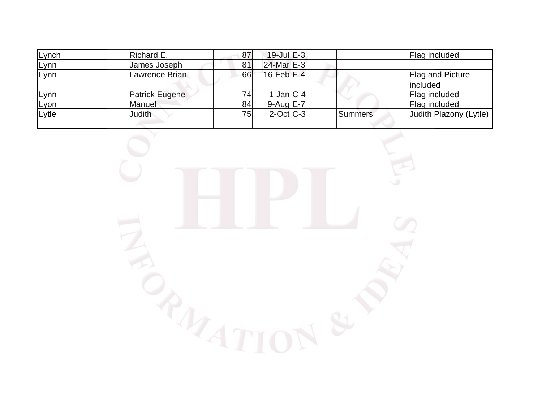| Lynch | Richard E.            | 87 | $19$ -Jul $E-3$  |         | Flag included           |
|-------|-----------------------|----|------------------|---------|-------------------------|
| Lynn  | James Joseph          | 81 | $24$ -Mar $E-3$  |         |                         |
| Lynn  | Lawrence Brian        | 66 | $16$ -Feb $E-4$  |         | <b>Flag and Picture</b> |
|       |                       |    |                  |         | lincluded               |
| Lynn  | <b>Patrick Eugene</b> | 74 | $1-Jan C-4$      |         | Flag included           |
| Lyon  | Manuel                | 84 | $9-Auq$ $E-7$    |         | Flag included           |
| Lytle | Judith                | 75 | $2$ -Oct $ C-3 $ | Summers | Judith Plazony (Lytle)  |
|       |                       |    |                  |         |                         |

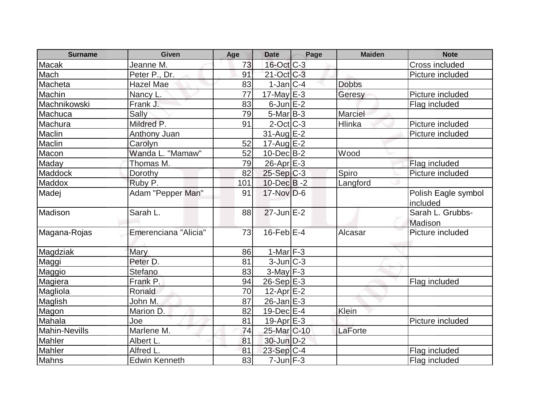| <b>Surname</b>       | <b>Given</b>         | Age | <b>Date</b>              | Page | <b>Maiden</b> | <b>Note</b>                     |
|----------------------|----------------------|-----|--------------------------|------|---------------|---------------------------------|
| Macak                | Jeanne M.            | 73  | $16$ -Oct $ C-3 $        |      |               | Cross included                  |
| Mach                 | Peter P., Dr.        | 91  | $21-Oct$ <sub>C</sub> -3 |      |               | Picture included                |
| Macheta              | Hazel Mae            | 83  | $1$ -Jan $ C-4 $         |      | <b>Dobbs</b>  |                                 |
| Machin               | Nancy L.             | 77  | 17-May $E-3$             |      | Geresy        | Picture included                |
| Machnikowski         | Frank J.             | 83  | $6$ -Jun $E-2$           |      |               | Flag included                   |
| Machuca              | Sally                | 79  | $5$ -Mar $B$ -3          |      | Marciel       |                                 |
| Machura              | Mildred P.           | 91  | $2$ -Oct $ C-3 $         |      | Hlinka        | Picture included                |
| Maclin               | <b>Anthony Juan</b>  |     | 31-Aug E-2               |      |               | Picture included                |
| Maclin               | Carolyn              | 52  | $17$ -Aug $E-2$          |      |               |                                 |
| Macon                | Wanda L. "Mamaw"     | 52  | $10$ -Dec $B-2$          |      | Wood          |                                 |
| Maday                | Thomas M.            | 79  | $26$ -Apr $E-3$          |      |               | Flag included                   |
| Maddock              | Dorothy              | 82  | $25-Sep C-3$             |      | Spiro         | Picture included                |
| Maddox               | Ruby P.              | 101 | $10$ -Dec $B - 2$        |      | Langford      |                                 |
| Madej                | Adam "Pepper Man"    | 91  | $17$ -Nov $D-6$          |      |               | Polish Eagle symbol<br>included |
| Madison              | Sarah L.             | 88  | $27$ -Jun $E-2$          |      |               | Sarah L. Grubbs-<br>Madison     |
| Magana-Rojas         | Emerenciana "Alicia" | 73  | $16$ -Feb $E-4$          |      | Alcasar       | Picture included                |
| Magdziak             | Mary                 | 86  | $1-Mar$ F-3              |      |               |                                 |
| Maggi                | Peter D.             | 81  | $3$ -Jun $ C-3 $         |      |               |                                 |
| Maggio               | <b>Stefano</b>       | 83  | $3$ -May $F-3$           |      |               |                                 |
| Magiera              | Frank P.             | 94  | 26-Sep E-3               |      |               | Flag included                   |
| Magliola             | Ronald               | 70  | $12$ -Apr $E-2$          |      |               |                                 |
| Maglish              | John M.              | 87  | $26$ -Jan $E-3$          |      |               |                                 |
| Magon                | Marion D.            | 82  | $19$ -Dec $E$ -4         |      | Klein         |                                 |
| Mahala               | Joe                  | 81  | $19-Apr$ $E-3$           |      |               | Picture included                |
| <b>Mahin-Nevills</b> | Marlene M.           | 74  | 25-Mar <sub>C-10</sub>   |      | LaForte       |                                 |
| Mahler               | Albert L.            | 81  | $30$ -Jun $D-2$          |      |               |                                 |
| Mahler               | Alfred L             | 81  | 23-Sep C-4               |      |               | Flag included                   |
| Mahns                | <b>Edwin Kenneth</b> | 83  | $7$ -Jun $F-3$           |      |               | Flag included                   |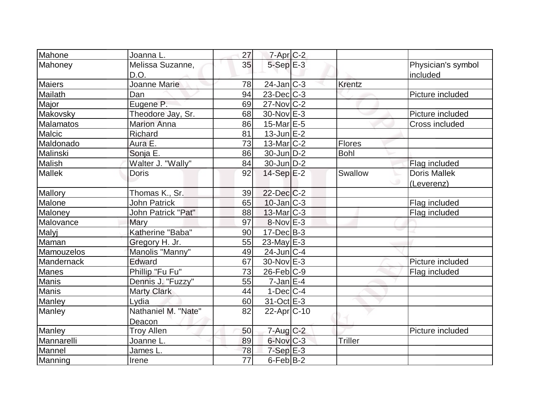| Mahone        | Joanna L.                | 27              | $7$ -Apr $C-2$    |               |                                |
|---------------|--------------------------|-----------------|-------------------|---------------|--------------------------------|
| Mahoney       | Melissa Suzanne,<br>D.O. | 35              | $5-Sep \E-3$      |               | Physician's symbol<br>included |
| <b>Maiers</b> | Joanne Marie             | 78              | $24$ -Jan $ C-3 $ | <b>Krentz</b> |                                |
| Mailath       | Dan                      | 94              | $23$ -Dec $C-3$   |               | Picture included               |
| Major         | Eugene P.                | 69              | $27$ -Nov $ C-2 $ |               |                                |
| Makovsky      | Theodore Jay, Sr.        | 68              | 30-Nov E-3        |               | Picture included               |
| Malamatos     | <b>Marion Anna</b>       | 86              | $15$ -Mar $E-5$   |               | Cross included                 |
| Malcic        | Richard                  | 81              | $13$ -Jun $E-2$   |               |                                |
| Maldonado     | Aura E.                  | 73              | $13$ -Mar $ C-2 $ | Flores        |                                |
| Malinski      | Sonja E.                 | 86              | $30$ -Jun $D-2$   | <b>Bohl</b>   |                                |
| Malish        | Walter J. "Wally"        | 84              | $30$ -Jun $D-2$   |               | Flag included                  |
| <b>Mallek</b> | <b>Doris</b>             | 92              | $14-Sep$ $E-2$    | Swallow       | <b>Doris Mallek</b>            |
|               |                          |                 |                   |               | (Leverenz)                     |
| Mallory       | Thomas K., Sr.           | 39              | $22$ -Dec $C-2$   |               |                                |
| Malone        | <b>John Patrick</b>      | 65              | $10$ -Jan $ C-3 $ |               | Flag included                  |
| Maloney       | John Patrick "Pat"       | 88              | $13$ -Mar $ C-3 $ |               | Flag included                  |
| Malovance     | Mary                     | 97              | $8-Nov$ E-3       |               |                                |
| Malyj         | Katherine "Baba"         | 90              | $17 - Dec$ B-3    |               |                                |
| Maman         | Gregory H. Jr.           | 55              | 23-May $E-3$      |               |                                |
| Mamouzelos    | Manolis "Manny"          | 49              | $24$ -Jun $ C-4 $ |               |                                |
| Mandernack    | <b>Edward</b>            | 67              | 30-Nov E-3        |               | Picture included               |
| <b>Manes</b>  | Phillip "Fu Fu"          | 73              | $26$ -Feb $ C-9 $ |               | Flag included                  |
| <b>Manis</b>  | Dennis J. "Fuzzy"        | 55              | $7$ -Jan $E-4$    |               |                                |
| Manis         | <b>Marty Clark</b>       | 44              | $1-Dec$ $C-4$     |               |                                |
| Manley        | Lydia                    | 60              | $31-Oct$ $E-3$    |               |                                |
| Manley        | Nathaniel M. "Nate"      | 82              | $22$ -Apr $ C-10$ |               |                                |
|               | Deacon                   |                 |                   |               |                                |
| Manley        | <b>Troy Allen</b>        | 50              | $7$ -Aug $C-2$    |               | Picture included               |
| Mannarelli    | Joanne L.                | 89              | $6$ -Nov $C-3$    | Triller       |                                |
| Mannel        | James L.                 | 78              | $7-Sep$ $E-3$     |               |                                |
| Manning       | Irene                    | $\overline{77}$ | $6$ -Feb $B$ -2   |               |                                |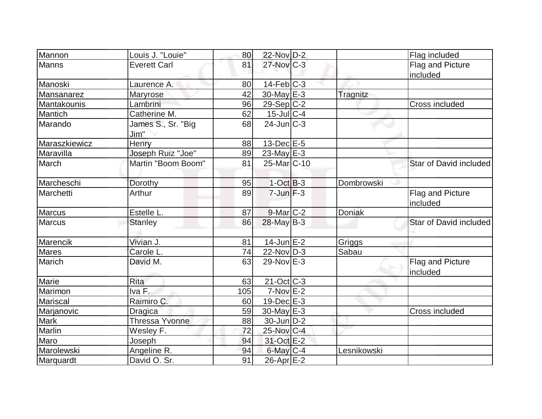| Mannon        | Louis J. "Louie"           | 80  | 22-Nov D-2              |               | Flag included                |
|---------------|----------------------------|-----|-------------------------|---------------|------------------------------|
| Manns         | <b>Everett Carl</b>        | 81  | $27$ -Nov $C-3$         |               | Flag and Picture             |
|               |                            |     |                         |               | included                     |
| Manoski       | Laurence A.                | 80  | $14$ -Feb $ C-3$        |               |                              |
| Mansanarez    | Maryrose                   | 42  | 30-May E-3              | Tragnitz      |                              |
| Mantakounis   | Lambrini                   | 96  | $29-Sep C-2$            |               | Cross included               |
| Mantich       | Catherine M.               | 62  | $15$ -Jul $C-4$         |               |                              |
| Marando       | James S., Sr. "Big<br>Jim" | 68  | $24$ -Jun $C-3$         |               |                              |
| Maraszkiewicz | Henry                      | 88  | $13$ -Dec $E$ -5        |               |                              |
| Maravilla     | Joseph Ruiz "Joe"          | 89  | 23-May $E-3$            |               |                              |
| March         | Martin "Boom Boom"         | 81  | 25-Mar <sub>IC-10</sub> |               | Star of David included       |
| Marcheschi    | Dorothy                    | 95  | $1$ -Oct $B-3$          | Dombrowski    |                              |
| Marchetti     | Arthur                     | 89  | $7$ -Jun $F-3$          |               | Flag and Picture<br>included |
| <b>Marcus</b> | Estelle L.                 | 87  | $9$ -Mar $ C-2 $        | <b>Doniak</b> |                              |
| <b>Marcus</b> | <b>Stanley</b>             | 86  | $28$ -May B-3           |               | Star of David included       |
| Marencik      | Vivian J.                  | 81  | $14$ -Jun $E-2$         | Griggs        |                              |
| <b>Mares</b>  | Carole L.                  | 74  | $22$ -Nov $ D-3 $       | Sabau         |                              |
| Marich        | David M.                   | 63  | 29-Nov E-3              |               | Flag and Picture<br>included |
| Marie         | <b>Rita</b>                | 63  | $21$ -Oct $ C-3 $       |               |                              |
| Marimon       | Iva F.                     | 105 | $7-Nov$ E-2             |               |                              |
| Mariscal      | Raimiro C.                 | 60  | $19$ -Dec $E-3$         |               |                              |
| Marjanovic    | <b>Dragica</b>             | 59  | 30-May E-3              |               | Cross included               |
| <b>Mark</b>   | <b>Thressa Yvonne</b>      | 88  | $30$ -Jun $D-2$         |               |                              |
| Marlin        | Wesley F.                  | 72  | 25-Nov C-4              |               |                              |
| Maro          | Joseph                     | 94  | 31-Oct E-2              |               |                              |
| Marolewski    | Angeline R.                | 94  | $6$ -May $C-4$          | Lesnikowski   |                              |
| Marquardt     | David O. Sr.               | 91  | $26$ -Apr $E-2$         |               |                              |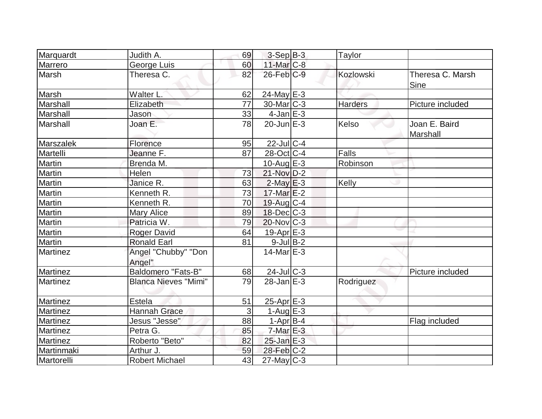| Marquardt       | Judith A.                     | 69 | $3-Sep B-3$           | Taylor         |                           |
|-----------------|-------------------------------|----|-----------------------|----------------|---------------------------|
| Marrero         | George Luis                   | 60 | $11$ -Mar $ C-8 $     |                |                           |
| Marsh           | Theresa C.                    | 82 | $26$ -Feb $C-9$       | Kozlowski      | Theresa C. Marsh<br>Sine  |
| Marsh           | Walter L.                     | 62 | $24$ -May E-3         |                |                           |
| Marshall        | Elizabeth                     | 77 | $30$ -Mar $C-3$       | <b>Harders</b> | Picture included          |
| Marshall        | Jason                         | 33 | $4$ -Jan $E-3$        |                |                           |
| Marshall        | Joan E.                       | 78 | $20$ -Jun $E-3$       | Kelso          | Joan E. Baird<br>Marshall |
| Marszalek       | Florence                      | 95 | $22$ -Jul $C-4$       |                |                           |
| Martelli        | Jeanne F.                     | 87 | 28-Oct C-4            | Falls          |                           |
| Martin          | Brenda M.                     |    | 10-Aug $E-3$          | Robinson       |                           |
| Martin          | Helen                         | 73 | 21-Nov D-2            |                |                           |
| Martin          | Janice R.                     | 63 | $2$ -May $E-3$        | Kelly          |                           |
| Martin          | Kenneth R.                    | 73 | $17$ -Mar $E-2$       |                |                           |
| Martin          | Kenneth R.                    | 70 | $19$ -Aug C-4         |                |                           |
| Martin          | <b>Mary Alice</b>             | 89 | $18$ -Dec $C-3$       |                |                           |
| Martin          | Patricia W.                   | 79 | $20$ -Nov $ C-3 $     |                |                           |
| Martin          | <b>Roger David</b>            | 64 | 19-Apr <sub>E-3</sub> |                |                           |
| Martin          | <b>Ronald Earl</b>            | 81 | $9$ -Jul B-2          |                |                           |
| Martinez        | Angel "Chubby" "Don<br>Angel" |    | $14$ -Mar $E-3$       |                |                           |
| Martinez        | <b>Baldomero "Fats-B"</b>     | 68 | $24$ -Jul C-3         |                | Picture included          |
| Martinez        | <b>Blanca Nieves "Mimi"</b>   | 79 | $28$ -Jan $E-3$       | Rodriguez      |                           |
| Martinez        | Estela                        | 51 | 25-Apr E-3            |                |                           |
| Martinez        | <b>Hannah Grace</b>           | 3  | $1-Auq$ $E-3$         |                |                           |
| <b>Martinez</b> | Jesus "Jesse"                 | 88 | $1-Apr B-4$           |                | Flag included             |
| Martinez        | Petra G.                      | 85 | $7-MarE-3$            |                |                           |
| Martinez        | Roberto "Beto"                | 82 | $25$ -Jan $E-3$       |                |                           |
| Martinmaki      | Arthur J.                     | 59 | $28$ -Feb $ C-2 $     |                |                           |
| Martorelli      | <b>Robert Michael</b>         | 43 | $27$ -May C-3         |                |                           |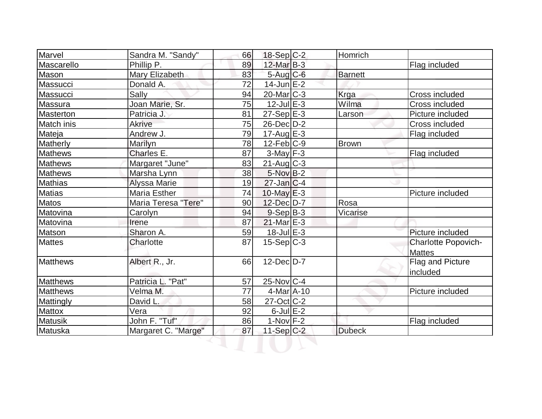| Marvel           | Sandra M. "Sandy"   | 66 | $18-Sep C-2$      | Homrich        |                                             |
|------------------|---------------------|----|-------------------|----------------|---------------------------------------------|
| Mascarello       | Phillip P.          | 89 | $12$ -Mar $B-3$   |                | Flag included                               |
| Mason            | Mary Elizabeth      | 83 | $5$ -Aug C-6      | <b>Barnett</b> |                                             |
| Massucci         | Donald A.           | 72 | $14$ -Jun $E-2$   |                |                                             |
| Massucci         | Sally               | 94 | $20$ -Mar $C-3$   | Krga           | Cross included                              |
| Massura          | Joan Marie, Sr.     | 75 | $12$ -Jul $E-3$   | Wilma          | Cross included                              |
| Masterton        | Patricia J.         | 81 | $27-Sep$ $E-3$    | Larson         | Picture included                            |
| Match inis       | <b>Akrive</b>       | 75 | $26$ -Dec $D-2$   |                | Cross included                              |
| Mateja           | Andrew J.           | 79 | $17$ -Aug E-3     |                | Flag included                               |
| Matherly         | Marilyn             | 78 | $12$ -Feb $ C-9 $ | <b>Brown</b>   |                                             |
| <b>Mathews</b>   | Charles E.          | 87 | $3$ -May $F - 3$  |                | Flag included                               |
| <b>Mathews</b>   | Margaret "June"     | 83 | $21$ -Aug $C-3$   |                |                                             |
| <b>Mathews</b>   | Marsha Lynn         | 38 | $5$ -Nov $B-2$    |                |                                             |
| <b>Mathias</b>   | <b>Alyssa Marie</b> | 19 | $27$ -Jan $ C-4 $ |                |                                             |
| <b>Matias</b>    | Maria Esther        | 74 | $10$ -May $E-3$   |                | Picture included                            |
| Matos            | Maria Teresa "Tere" | 90 | 12-Dec D-7        | Rosa           |                                             |
| Matovina         | Carolyn             | 94 | $9-Sep B-3$       | Vicarise       |                                             |
| Matovina         | Irene               | 87 | $21$ -Mar $E-3$   |                |                                             |
| Matson           | Sharon A.           | 59 | $18$ -Jul $E-3$   |                | Picture included                            |
| <b>Mattes</b>    | Charlotte           | 87 | $15-Sep C-3$      |                | <b>Charlotte Popovich-</b><br><b>Mattes</b> |
| <b>Matthews</b>  | Albert R., Jr.      | 66 | $12$ -Dec $D-7$   |                | Flag and Picture<br>included                |
| <b>Matthews</b>  | Patricia L. "Pat"   | 57 | $25$ -Nov $ C-4 $ |                |                                             |
| <b>Matthews</b>  | Velma M.            | 77 | $4$ -Mar $A$ -10  |                | Picture included                            |
| <b>Mattingly</b> | David L.            | 58 | $27$ -Oct C-2     |                |                                             |
| Mattox           | Vera                | 92 | $6$ -Jul $E-2$    |                |                                             |
| <b>Matusik</b>   | John F. "Tuf"       | 86 | $1-Nov$ F-2       |                | Flag included                               |
| Matuska          | Margaret C. "Marge" | 87 | $11-Sep$ C-2      | <b>Dubeck</b>  |                                             |
|                  |                     |    |                   |                |                                             |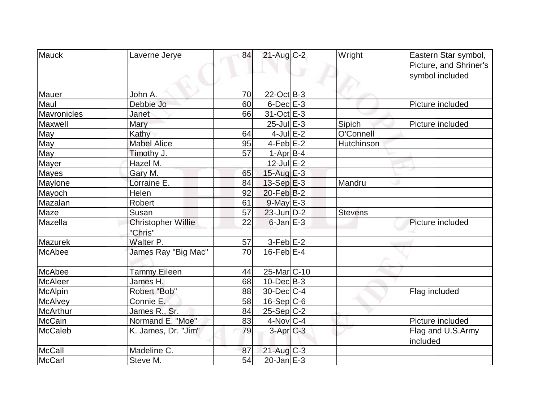| <b>Mauck</b>    | Laverne Jerye             | 84 | $21$ -Aug C-2          | Wright         | Eastern Star symbol,   |
|-----------------|---------------------------|----|------------------------|----------------|------------------------|
|                 |                           |    |                        |                | Picture, and Shriner's |
|                 |                           |    |                        |                | symbol included        |
|                 |                           |    |                        |                |                        |
| Mauer           | John A.                   | 70 | $22$ -Oct B-3          |                |                        |
| Maul            | Debbie Jo                 | 60 | $6$ -Dec $E$ -3        |                | Picture included       |
| Mavronicles     | Janet                     | 66 | 31-Oct E-3             |                |                        |
| Maxwell         | Mary                      |    | $25$ -Jul $E-3$        | Sipich         | Picture included       |
| May             | Kathy                     | 64 | $4$ -Jul $E-2$         | O'Connell      |                        |
| May             | <b>Mabel Alice</b>        | 95 | $4$ -Feb $E-2$         | Hutchinson     |                        |
| <b>May</b>      | Timothy J.                | 57 | $1-Apr B-4$            |                |                        |
| Mayer           | Hazel M.                  |    | $12$ -Jul $E-2$        |                |                        |
| <b>Mayes</b>    | Gary M.                   | 65 | 15-Aug E-3             |                |                        |
| Maylone         | Lorraine E.               | 84 | $13-Sep$ $E-3$         | Mandru         |                        |
| Mayoch          | Helen                     | 92 | $20$ -Feb $ B-2 $      |                |                        |
| Mazalan         | Robert                    | 61 | $9$ -May $E-3$         |                |                        |
| Maze            | Susan                     | 57 | $23$ -Jun $D-2$        | <b>Stevens</b> |                        |
| Mazella         | <b>Christopher Willie</b> | 22 | $6$ -Jan $E-3$         |                | Picture included       |
|                 | "Chris"                   |    |                        |                |                        |
| <b>Mazurek</b>  | Walter P.                 | 57 | $3-Feb$ E-2            |                |                        |
| McAbee          | James Ray "Big Mac"       | 70 | $16$ -Feb $E-4$        |                |                        |
|                 |                           |    |                        |                |                        |
| McAbee          | <b>Tammy Eileen</b>       | 44 | 25-Mar <sub>C-10</sub> |                |                        |
| <b>McAleer</b>  | James H.                  | 68 | $10$ -Dec $B - 3$      |                |                        |
| <b>McAlpin</b>  | Robert "Bob"              | 88 | 30-Dec C-4             |                | Flag included          |
| <b>McAlvey</b>  | Connie E.                 | 58 | 16-Sep C-6             |                |                        |
| <b>McArthur</b> | James R., Sr.             | 84 | $25-Sep C-2$           |                |                        |
| <b>McCain</b>   | Normand E. "Moe"          | 83 | $4$ -Nov $ C-4$        |                | Picture included       |
| <b>McCaleb</b>  | K. James, Dr. "Jim"       | 79 | $3-Apr$ C-3            |                | Flag and U.S.Army      |
|                 |                           |    |                        |                | included               |
| <b>McCall</b>   | Madeline C.               | 87 | $21$ -Aug $C-3$        |                |                        |
| McCarl          | Steve M.                  | 54 | $20$ -Jan $E-3$        |                |                        |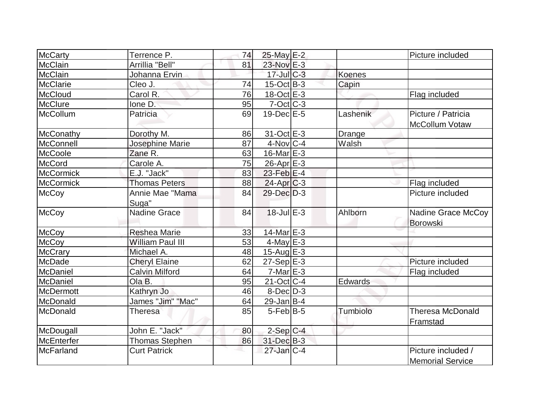| <b>McCarty</b>    | Terrence P.              | 74 | 25-May E-2              |          | Picture included                              |
|-------------------|--------------------------|----|-------------------------|----------|-----------------------------------------------|
| <b>McClain</b>    | Arrillia "Bell"          | 81 | 23-Nov E-3              |          |                                               |
| <b>McClain</b>    | Johanna Ervin            |    | $17$ -Jul $C-3$         | Koenes   |                                               |
| McClarie          | Cleo J.                  | 74 | $15$ -Oct B-3           | Capin    |                                               |
| McCloud           | Carol R.                 | 76 | $18-Oct \tE-3$          |          | Flag included                                 |
| <b>McClure</b>    | lone D.                  | 95 | $7-Oct$ $C-3$           |          |                                               |
| McCollum          | Patricia                 | 69 | $19$ -Dec $E - 5$       | Lashenik | Picture / Patricia<br>McCollum Votaw          |
| McConathy         | Dorothy M.               | 86 | $31-Oct$ $E-3$          | Drange   |                                               |
| <b>McConnell</b>  | Josephine Marie          | 87 | $4$ -Nov $ C-4$         | Walsh    |                                               |
| McCoole           | Zane R.                  | 63 | $16$ -Mar $E-3$         |          |                                               |
| <b>McCord</b>     | Carole A.                | 75 | $26$ -Apr $E-3$         |          |                                               |
| <b>McCormick</b>  | E.J. "Jack"              | 83 | 23-Feb E-4              |          |                                               |
| <b>McCormick</b>  | <b>Thomas Peters</b>     | 88 | $24-Apr$ $C-3$          |          | Flag included                                 |
| <b>McCoy</b>      | Annie Mae "Mama<br>Suga" | 84 | $29$ -Dec $D-3$         |          | Picture included                              |
| <b>McCoy</b>      | <b>Nadine Grace</b>      | 84 | $18$ -Jul $E-3$         | Ahlborn  | Nadine Grace McCoy<br><b>Borowski</b>         |
| <b>McCoy</b>      | <b>Reshea Marie</b>      | 33 | 14-Mar E-3              |          |                                               |
| <b>McCoy</b>      | <b>William Paul III</b>  | 53 | $4$ -May $E-3$          |          |                                               |
| <b>McCrary</b>    | Michael A.               | 48 | $15$ -Aug $E-3$         |          |                                               |
| McDade            | <b>Cheryl Elaine</b>     | 62 | $27-Sep$ $E-3$          |          | Picture included                              |
| <b>McDaniel</b>   | <b>Calvin Milford</b>    | 64 | $7-Mar \, E-3$          |          | Flag included                                 |
| McDaniel          | Ola B.                   | 95 | $21-Oct$ <sub>C-4</sub> | Edwards  |                                               |
| <b>McDermott</b>  | Kathryn Jo               | 46 | $8$ -Dec $D-3$          |          |                                               |
| McDonald          | James "Jim" "Mac"        | 64 | $29$ -Jan B-4           |          |                                               |
| McDonald          | <b>Theresa</b>           | 85 | $5$ -Feb $ B-5 $        | Tumbiolo | <b>Theresa McDonald</b><br>Framstad           |
| McDougall         | John E. "Jack"           | 80 | $2-Sep C-4$             |          |                                               |
| <b>McEnterfer</b> | <b>Thomas Stephen</b>    | 86 | 31-Dec B-3              |          |                                               |
| <b>McFarland</b>  | <b>Curt Patrick</b>      |    | $27$ -Jan $C-4$         |          | Picture included /<br><b>Memorial Service</b> |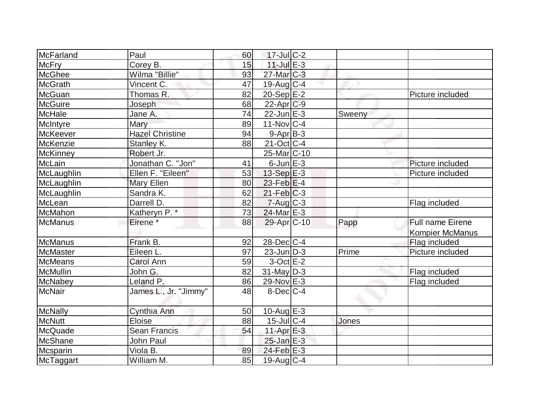| McFarland       | Paul                   | 60 | $17$ -Jul C-2              |        |                         |
|-----------------|------------------------|----|----------------------------|--------|-------------------------|
| <b>McFry</b>    | Corey B.               | 15 | $11$ -Jul $E-3$            |        |                         |
| <b>McGhee</b>   | Wilma "Billie"         | 93 | $27$ -Mar $ C-3 $          |        |                         |
| <b>McGrath</b>  | Vincent C.             | 47 | $19$ -Aug C-4              |        |                         |
| McGuan          | Thomas R.              | 82 | 20-Sep E-2                 |        | Picture included        |
| <b>McGuire</b>  | Joseph                 | 68 | $22$ -Apr $ C-9 $          |        |                         |
| <b>McHale</b>   | Jane A.                | 74 | $22$ -Jun $E-3$            | Sweeny |                         |
| McIntyre        | Mary                   | 89 | $11$ -Nov $ C-4 $          |        |                         |
| <b>McKeever</b> | <b>Hazel Christine</b> | 94 | $9-Apr$ B-3                |        |                         |
| McKenzie        | Stanley K.             | 88 | $21$ -Oct C-4              |        |                         |
| <b>McKinney</b> | Robert Jr.             |    | 25-Mar <sub>IC</sub> -10   |        |                         |
| McLain          | Jonathan C. "Jon"      | 41 | $6$ -Jun $E-3$             |        | Picture included        |
| McLaughlin      | Ellen F. "Eileen"      | 53 | 13-Sep $E-3$               |        | Picture included        |
| McLaughlin      | Mary Ellen             | 80 | $23$ -Feb $ E-4$           |        |                         |
| McLaughlin      | Sandra K.              | 62 | $21$ -Feb $ C-3 $          |        |                         |
| McLean          | Darrell D.             | 82 | $7 - Aug$ $C-3$            |        | Flag included           |
| McMahon         | Katheryn P. *          | 73 | $24$ -Mar $E-3$            |        |                         |
| McManus         | Eirene <sup>*</sup>    | 88 | $29$ -Apr $ C-10 $         | Papp   | <b>Full name Eirene</b> |
|                 |                        |    |                            |        | <b>Kompier McManus</b>  |
| McManus         | Frank B.               | 92 | $28$ -Dec $C-4$            |        | Flag included           |
| McMaster        | Eileen L.              | 97 | $23$ -Jun $D-3$            | Prime  | Picture included        |
| McMeans         | <b>Carol Ann</b>       | 59 | $3-Oct$ $E-2$              |        |                         |
| <b>McMullin</b> | John G.                | 82 | $31$ -May D-3              |        | Flag included           |
| McNabey         | Leland P.              | 86 | 29-Nov E-3                 |        | Flag included           |
| McNair          | James L., Jr. "Jimmy"  | 48 | $8$ -Dec $C-4$             |        |                         |
| McNally         | Cynthia Ann            | 50 | $10$ -Aug $E-3$            |        |                         |
| <b>McNutt</b>   | Eloise                 | 88 | $15$ -Jul $C-4$            | Jones  |                         |
| McQuade         | <b>Sean Francis</b>    | 54 | $11-Apr \nightharpoonup 3$ |        |                         |
| <b>McShane</b>  | John Paul              |    | $25$ -Jan $E-3$            |        |                         |
| Mcsparin        | Viola B.               | 89 | $24$ -Feb $E-3$            |        |                         |
| McTaggart       | William M.             | 85 | $19$ -Aug C-4              |        |                         |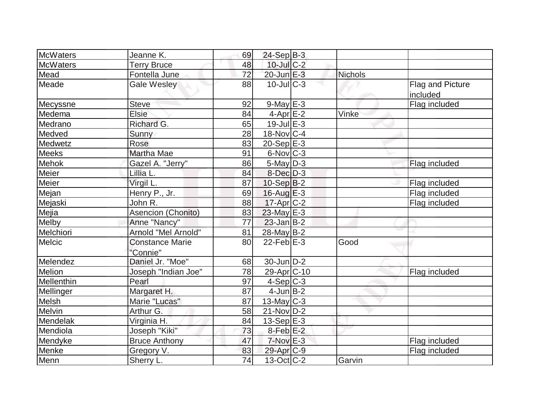| McWaters        | Jeanne K.                          | 69 | $24-Sep$ B-3           |         |                              |
|-----------------|------------------------------------|----|------------------------|---------|------------------------------|
| <b>McWaters</b> | <b>Terry Bruce</b>                 | 48 | 10-Jul C-2             |         |                              |
| Mead            | Fontella June                      | 72 | 20-Jun E-3             | Nichols |                              |
| Meade           | <b>Gale Wesley</b>                 | 88 | $10$ -Jul $C-3$        |         | Flag and Picture<br>included |
| Mecyssne        | <b>Steve</b>                       | 92 | $9$ -May $E-3$         |         | Flag included                |
| Medema          | <b>Elsie</b>                       | 84 | $4$ -Apr $E-2$         | Vinke   |                              |
| Medrano         | Richard G.                         | 65 | $19$ -Jul $E-3$        |         |                              |
| Medved          | Sunny                              | 28 | $18-Nov$ C-4           |         |                              |
| Medwetz         | Rose                               | 83 | $20-Sep$ $E-3$         |         |                              |
| <b>Meeks</b>    | Martha Mae                         | 91 | $6$ -Nov $ C-3 $       |         |                              |
| <b>Mehok</b>    | Gazel A. "Jerry"                   | 86 | $5$ -May $D-3$         |         | Flag included                |
| Meier           | Lillia L.                          | 84 | $8$ -Dec $D-3$         |         |                              |
| Meier           | Virgil L.                          | 87 | $10-Sep B-2$           |         | Flag included                |
| Mejan           | Henry P., Jr.                      | 69 | $16$ -Aug $E-3$        |         | Flag included                |
| Mejaski         | John R.                            | 88 | $17$ -Apr $C-2$        |         | Flag included                |
| Mejia           | Asencion (Chonito)                 | 83 | $23$ -May E-3          |         |                              |
| Melby           | Anne "Nancy"                       | 77 | $23$ -Jan B-2          |         |                              |
| Melchiori       | Arnold "Mel Arnold"                | 81 | 28-May B-2             |         |                              |
| <b>Melcic</b>   | <b>Constance Marie</b><br>"Connie" | 80 | $22$ -Feb $E-3$        | Good    |                              |
| Melendez        | Daniel Jr. "Moe"                   | 68 | 30-Jun D-2             |         |                              |
| Melion          | Joseph "Indian Joe"                | 78 | 29-Apr <sub>C-10</sub> |         | Flag included                |
| Mellenthin      | Pearl                              | 97 | $4-Sep C-3$            |         |                              |
| Mellinger       | Margaret H.                        | 87 | $4$ -Jun $B-2$         |         |                              |
| Melsh           | Marie "Lucas"                      | 87 | $13$ -May C-3          |         |                              |
| Melvin          | Arthur G.                          | 58 | $21-Nov D-2$           |         |                              |
| Mendelak        | Virginia H.                        | 84 | $13-Sep$ $E-3$         |         |                              |
| Mendiola        | Joseph "Kiki"                      | 73 | $8-Feb$ $E-2$          |         |                              |
| Mendyke         | <b>Bruce Anthony</b>               | 47 | $7-Nov$ E-3            |         | Flag included                |
| Menke           | Gregory V.                         | 83 | 29-Apr C-9             |         | Flag included                |
| Menn            | Sherry L.                          | 74 | $13-Oct$ $C-2$         | Garvin  |                              |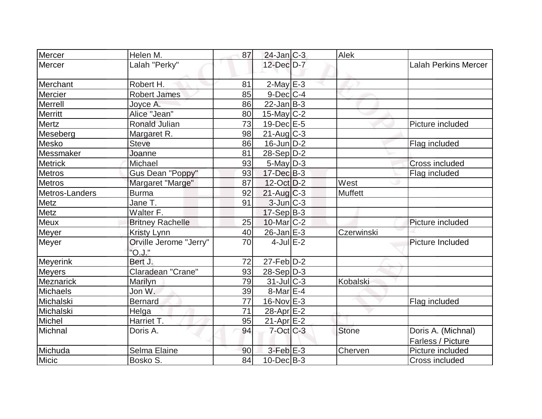| Mercer         | Helen M.                         | 87 | $24$ -Jan $ C-3 $ | Alek         |                                         |
|----------------|----------------------------------|----|-------------------|--------------|-----------------------------------------|
| Mercer         | Lalah "Perky"                    |    | 12-Dec D-7        |              | <b>Lalah Perkins Mercer</b>             |
| Merchant       | Robert H.                        | 81 | $2$ -May E-3      |              |                                         |
| Mercier        | <b>Robert James</b>              | 85 | $9$ -Dec $ C-4 $  |              |                                         |
| Merrell        | Joyce A.                         | 86 | $22$ -Jan $ B-3 $ |              |                                         |
| Merritt        | Alice "Jean"                     | 80 | $15$ -May C-2     |              |                                         |
| Mertz          | Ronald Julian                    | 73 | $19$ -Dec $E-5$   |              | Picture included                        |
| Meseberg       | Margaret R.                      | 98 | $21$ -Aug C-3     |              |                                         |
| Mesko          | <b>Steve</b>                     | 86 | $16$ -Jun $D-2$   |              | Flag included                           |
| Messmaker      | Joanne                           | 81 | $28-Sep D-2$      |              |                                         |
| <b>Metrick</b> | Michael                          | 93 | $5$ -May $ D-3 $  |              | <b>Cross included</b>                   |
| <b>Metros</b>  | <b>Gus Dean "Poppy"</b>          | 93 | $17 - Dec$ B-3    |              | Flag included                           |
| <b>Metros</b>  | Margaret "Marge"                 | 87 | 12-Oct D-2        | West         |                                         |
| Metros-Landers | <b>Burma</b>                     | 92 | $21$ -Aug C-3     | Muffett      |                                         |
| Metz           | Jane T.                          | 91 | $3$ -Jun $C-3$    |              |                                         |
| Metz           | Walter $\overline{F}$ .          |    | $17-Sep B-3$      |              |                                         |
| <b>Meux</b>    | <b>Britney Rachelle</b>          | 25 | $10$ -Mar $C-2$   |              | Picture included                        |
| Meyer          | <b>Kristy Lynn</b>               | 40 | 26-Jan E-3        | Czerwinski   |                                         |
| Meyer          | Orville Jerome "Jerry"<br>"O.J." | 70 | 4-Jul $E-2$       |              | Picture Included                        |
| Meyerink       | Bert J.                          | 72 | $27$ -Feb $D-2$   |              |                                         |
| <b>Meyers</b>  | Claradean "Crane"                | 93 | $28-Sep D-3$      |              |                                         |
| Meznarick      | Marilyn                          | 79 | $31$ -JulC-3      | Kobalski     |                                         |
| Michaels       | Jon W.                           | 39 | $8$ -Mar $E - 4$  |              |                                         |
| Michalski      | <b>Bernard</b>                   | 77 | $16$ -Nov $E-3$   |              | Flag included                           |
| Michalski      | Helga                            | 71 | 28-Apr $E-2$      |              |                                         |
| Michel         | Harriet T.                       | 95 | $21-Apr \, E-2$   |              |                                         |
| Michnal        | Doris A.                         | 94 | $7$ -Oct $ C-3 $  | <b>Stone</b> | Doris A. (Michnal)<br>Farless / Picture |
| Michuda        | Selma Elaine                     | 90 | $3-Feb$ $E-3$     | Cherven      | Picture included                        |
| Micic          | Bosko S.                         | 84 | $10$ -Dec $B-3$   |              | Cross included                          |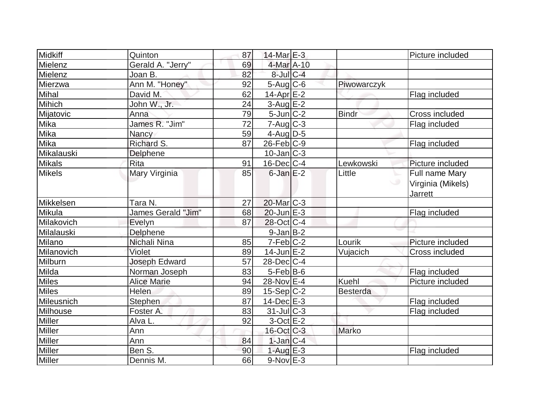| <b>Midkiff</b> | Quinton              | 87              | $14$ -Mar $E-3$        |                 | Picture included  |
|----------------|----------------------|-----------------|------------------------|-----------------|-------------------|
| Mielenz        | Gerald A. "Jerry"    | 69              | 4-Mar A-10             |                 |                   |
| Mielenz        | Joan B.              | 82              | $8$ -Jul $C$ -4        |                 |                   |
| Mierzwa        | Ann M. "Honey"       | 92              | $5$ -Aug $C$ -6        | Piwowarczyk     |                   |
| Mihal          | David M.             | 62              | $14$ -Apr $E-2$        |                 | Flag included     |
| Mihich         | John W., Jr.         | 24              | $3-Aug$ $E-2$          |                 |                   |
| Mijatovic      | Anna                 | 79              | $5$ -Jun $C-2$         | <b>Bindr</b>    | Cross included    |
| Mika           | James R. "Jim"       | $\overline{72}$ | $7 - Aug   C-3$        |                 | Flag included     |
| Mika           | Nancy                | 59              | 4-Aug $D-5$            |                 |                   |
| Mika           | Richard S.           | 87              | $26$ -Feb $C-9$        |                 | Flag included     |
| Mikalauski     | Delphene             |                 | $10$ -Jan $ C-3 $      |                 |                   |
| <b>Mikals</b>  | Rita                 | 91              | $16$ -Dec $ C-4 $      | Lewkowski       | Picture included  |
| <b>Mikels</b>  | Mary Virginia        | 85              | $6$ -Jan $E-2$         | Little          | Full name Mary    |
|                |                      |                 |                        |                 | Virginia (Mikels) |
|                |                      |                 |                        |                 | <b>Jarrett</b>    |
| Mikkelsen      | Tara N.              | 27              | $20$ -Mar $ C-3 $      |                 |                   |
| Mikula         | James Gerald "Jim"   | 68              | $20$ -Jun $E-3$        |                 | Flag included     |
| Milakovich     | Evelyn               | 87              | 28-Oct C-4             |                 |                   |
| Milalauski     | Delphene             |                 | $9$ -Jan $B$ -2        |                 |                   |
| Milano         | Nichali Nina         | 85              | $7-Feb$ <sub>C-2</sub> | Lourik          | Picture included  |
| Milanovich     | Violet               | 89              | $14$ -Jun $E-2$        | Vujacich        | Cross included    |
| Milburn        | <b>Joseph Edward</b> | 57              | $28$ -Dec $C-4$        |                 |                   |
| Milda          | Norman Joseph        | 83              | $5-Feb$ B-6            |                 | Flag included     |
| <b>Miles</b>   | <b>Alice Marie</b>   | 94              | 28-Nov E-4             | <b>Kuehl</b>    | Picture included  |
| <b>Miles</b>   | Helen                | 89              | $15-Sep C-2$           | <b>Besterda</b> |                   |
| Mileusnich     | Stephen              | 87              | $14$ -Dec $E-3$        |                 | Flag included     |
| Milhouse       | Foster A.            | 83              | $31$ -JulC-3           |                 | Flag included     |
| <b>Miller</b>  | Alva L.              | 92              | $3$ -Oct $E-2$         |                 |                   |
| <b>Miller</b>  | Ann                  |                 | $16$ -Oct $ C-3 $      | Marko           |                   |
| Miller         | Ann                  | 84              | $1$ -Jan $C-4$         |                 |                   |
| Miller         | Ben S.               | 90              | 1-Aug $E-3$            |                 | Flag included     |
| Miller         | Dennis M.            | 66              | $9-Nov$ E-3            |                 |                   |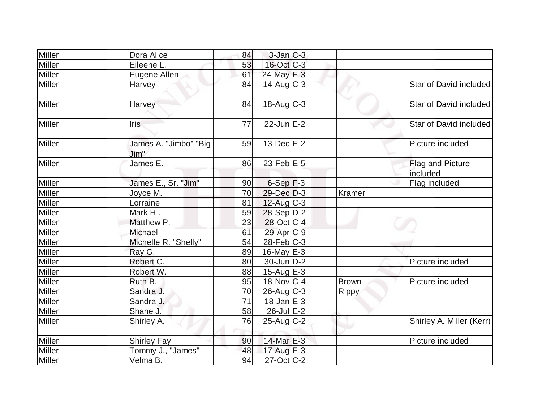| Miller        | Dora Alice                    | 84 | $3$ -Jan $C-3$    |              |                              |
|---------------|-------------------------------|----|-------------------|--------------|------------------------------|
| Miller        | Eileene L.                    | 53 | 16-Oct C-3        |              |                              |
| Miller        | Eugene Allen                  | 61 | 24-May E-3        |              |                              |
| <b>Miller</b> | Harvey                        | 84 | $14$ -Aug $C-3$   |              | Star of David included       |
| <b>Miller</b> | Harvey                        | 84 | $18$ -Aug C-3     |              | Star of David included       |
| <b>Miller</b> | Iris                          | 77 | $22$ -Jun $E-2$   |              | Star of David included       |
| <b>Miller</b> | James A. "Jimbo" "Big<br>Jim" | 59 | $13$ -Dec $E-2$   |              | Picture included             |
| <b>Miller</b> | James E.                      | 86 | 23-Feb $E-5$      |              | Flag and Picture<br>included |
| Miller        | James E., Sr. "Jim"           | 90 | $6-Sep$ $F-3$     |              | Flag included                |
| Miller        | Joyce M.                      | 70 | $29$ -Dec $D-3$   | Kramer       |                              |
| Miller        | Lorraine                      | 81 | $12$ -Aug C-3     |              |                              |
| Miller        | Mark H.                       | 59 | $28-Sep D-2$      |              |                              |
| <b>Miller</b> | Matthew P.                    | 23 | $28$ -Oct C-4     |              |                              |
| Miller        | Michael                       | 61 | $29$ -Apr $ C-9 $ |              |                              |
| <b>Miller</b> | Michelle R. "Shelly"          | 54 | $28$ -Feb $ C-3 $ |              |                              |
| Miller        | Ray G.                        | 89 | 16-May $E-3$      |              |                              |
| <b>Miller</b> | Robert C.                     | 80 | $30$ -Jun $D-2$   |              | Picture included             |
| Miller        | Robert W.                     | 88 | 15-Aug $E-3$      |              |                              |
| Miller        | Ruth B.                       | 95 | $18-Nov$ C-4      | <b>Brown</b> | Picture included             |
| <b>Miller</b> | Sandra J.                     | 70 | $26$ -Aug C-3     | Rippy        |                              |
| Miller        | Sandra J.                     | 71 | $18$ -Jan $E-3$   |              |                              |
| Miller        | Shane J.                      | 58 | $26$ -Jul $E-2$   |              |                              |
| Miller        | Shirley A.                    | 76 | $25$ -Aug $C-2$   |              | Shirley A. Miller (Kerr)     |
| <b>Miller</b> | <b>Shirley Fay</b>            | 90 | $14$ -Mar $E-3$   |              | Picture included             |
| <b>Miller</b> | Tommy J., "James"             | 48 | $17$ -Aug E-3     |              |                              |
| Miller        | Velma B.                      | 94 | $27$ -Oct $ C-2 $ |              |                              |
|               |                               |    |                   |              |                              |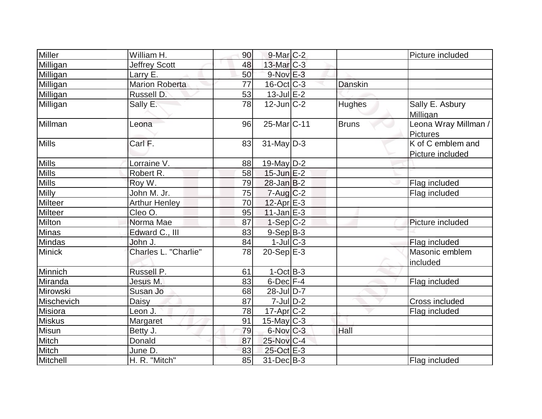| Miller         | William H.            | 90 | $9$ -Mar $C-2$         |                | Picture included                        |
|----------------|-----------------------|----|------------------------|----------------|-----------------------------------------|
| Milligan       | <b>Jeffrey Scott</b>  | 48 | $13$ -Mar $ C-3 $      |                |                                         |
| Milligan       | Larry E.              | 50 | $9-Nov$ E-3            |                |                                         |
| Milligan       | <b>Marion Roberta</b> | 77 | $16$ -Oct $ C-3 $      | <b>Danskin</b> |                                         |
| Milligan       | Russell D.            | 53 | $13 - \text{Jul}E - 2$ |                |                                         |
| Milligan       | Sally E.              | 78 | $12$ -Jun $C-2$        | <b>Hughes</b>  | Sally E. Asbury<br>Milligan             |
| Millman        | Leona                 | 96 | 25-Mar C-11            | <b>Bruns</b>   | Leona Wray Millman /<br><b>Pictures</b> |
| Mills          | Carl F.               | 83 | $31$ -May D-3          |                | K of C emblem and<br>Picture included   |
| <b>Mills</b>   | Lorraine V.           | 88 | 19-May $D-2$           |                |                                         |
| <b>Mills</b>   | Robert R.             | 58 | $15$ -Jun $E-2$        |                |                                         |
| <b>Mills</b>   | Roy W.                | 79 | $28$ -Jan $B-2$        |                | Flag included                           |
| <b>Milly</b>   | John M. Jr.           | 75 | $7 - Aug   C-2$        |                | Flag included                           |
| Milteer        | Arthur Henley         | 70 | $12$ -Apr $E-3$        |                |                                         |
| <b>Milteer</b> | Cleo O.               | 95 | $11$ -Jan $E-3$        |                |                                         |
| Milton         | Norma Mae             | 87 | $1-Sep C-2$            |                | Picture included                        |
| Minas          | Edward C., III        | 83 | $9-Sep B-3$            |                |                                         |
| Mindas         | John J.               | 84 | $1$ -Jul $C$ -3        |                | Flag included                           |
| Minick         | Charles L. "Charlie"  | 78 | $20-Sep$ $E-3$         |                | Masonic emblem<br>included              |
| Minnich        | Russell P.            | 61 | $1-OctB-3$             |                |                                         |
| Miranda        | Jesus M.              | 83 | $6$ -Dec $F-4$         |                | Flag included                           |
| Mirowski       | Susan Jo              | 68 | $28$ -JulD-7           |                |                                         |
| Mischevich     | Daisy                 | 87 | $7$ -Jul $ D-2 $       |                | Cross included                          |
| Misiora        | Leon J.               | 78 | $17$ -Apr $ C-2 $      |                | Flag included                           |
| <b>Miskus</b>  | <b>Margaret</b>       | 91 | $15$ -May C-3          |                |                                         |
| <b>Misun</b>   | Betty J.              | 79 | $6$ -Nov $C-3$         | Hall           |                                         |
| Mitch          | Donald                | 87 | 25-Nov C-4             |                |                                         |
| Mitch          | June D.               | 83 | 25-Oct E-3             |                |                                         |
| Mitchell       | H. R. "Mitch"         | 85 | $31$ -Dec $B-3$        |                | Flag included                           |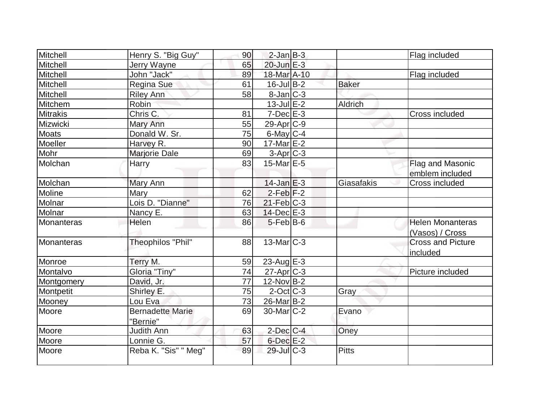| Mitchell        | Henry S. "Big Guy"      | 90 | $2$ -Jan $B-3$        |              | Flag included            |
|-----------------|-------------------------|----|-----------------------|--------------|--------------------------|
| Mitchell        | Jerry Wayne             | 65 | 20-Jun E-3            |              |                          |
| Mitchell        | John "Jack"             | 89 | 18-Mar A-10           |              | Flag included            |
| Mitchell        | Regina Sue              | 61 | $16$ -Jul B-2         | <b>Baker</b> |                          |
| Mitchell        | <b>Riley Ann</b>        | 58 | $8$ -Jan $ C-3 $      |              |                          |
| Mitchem         | Robin                   |    | $13$ -Jul $E-2$       | Aldrich      |                          |
| <b>Mitrakis</b> | Chris C.                | 81 | $7-Dec$ $E-3$         |              | Cross included           |
| Mizwicki        | Mary Ann                | 55 | $29$ -Apr $ C-9$      |              |                          |
| <b>Moats</b>    | Donald W. Sr.           | 75 | $6$ -May $C$ -4       |              |                          |
| Moeller         | Harvey R.               | 90 | $17$ -Mar $E-2$       |              |                          |
| Mohr            | Marjorie Dale           | 69 | $3-Apr$ $C-3$         |              |                          |
| Molchan         | Harry                   | 83 | 15-Mar $E-5$          |              | Flag and Masonic         |
|                 |                         |    |                       |              | emblem included          |
| Molchan         | Mary Ann                |    | $14$ -Jan $E-3$       | Giasafakis   | Cross included           |
| Moline          | Mary                    | 62 | $2$ -Feb $ F-2 $      |              |                          |
| Molnar          | Lois D. "Dianne"        | 76 | $21$ -Feb $ C-3$      |              |                          |
| Molnar          | Nancy E.                | 63 | $14$ -Dec $E-3$       |              |                          |
| Monanteras      | Helen                   | 86 | $5$ -Feb $ B$ -6      |              | <b>Helen Monanteras</b>  |
|                 |                         |    |                       |              | (Vasos) / Cross          |
| Monanteras      | Theophilos "Phil"       | 88 | 13-Mar C-3            |              | <b>Cross and Picture</b> |
|                 |                         |    |                       |              | included                 |
| Monroe          | Terry M.                | 59 | $23$ -Aug E-3         |              |                          |
| Montalvo        | Gloria "Tiny"           | 74 | $27$ -Apr $C-3$       |              | Picture included         |
| Montgomery      | David, Jr.              | 77 | $12$ -Nov $ B-2 $     |              |                          |
| Montpetit       | Shirley E.              | 75 | $2$ -Oct C-3          | Gray         |                          |
| Mooney          | Lou Eva                 | 73 | 26-Mar <sub>B-2</sub> |              |                          |
| Moore           | <b>Bernadette Marie</b> | 69 | $30$ -Mar $C-2$       | Evano        |                          |
|                 | "Bernie"                |    |                       |              |                          |
| Moore           | Judith Ann              | 63 | $2$ -Dec $C$ -4       | Oney         |                          |
| Moore           | Lonnie G.               | 57 | $6$ -Dec $E-2$        |              |                          |
| Moore           | Reba K. "Sis" " Meg"    | 89 | 29-Jul C-3            | <b>Pitts</b> |                          |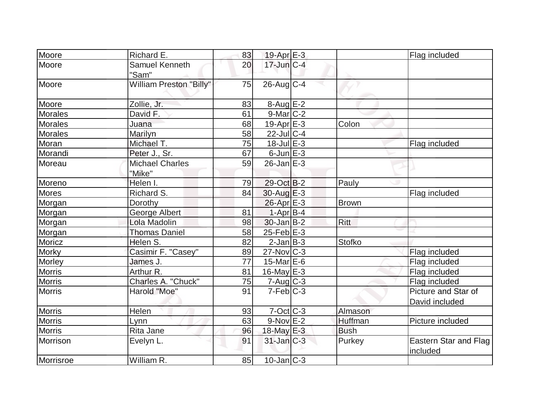| Moore          | Richard E.                       | 83 | $19-Apr \, E-3$   |              | Flag included                         |
|----------------|----------------------------------|----|-------------------|--------------|---------------------------------------|
| Moore          | Samuel Kenneth<br>"Sam"          | 20 | $17$ -Jun $C-4$   |              |                                       |
| Moore          | <b>William Preston "Billy"</b>   | 75 | $26$ -Aug C-4     |              |                                       |
| Moore          | Zollie, Jr.                      | 83 | $8-Aug$ $E-2$     |              |                                       |
| Morales        | David F.                         | 61 | $9$ -Mar $ C-2 $  |              |                                       |
| <b>Morales</b> | Juana                            | 68 | $19-Apr$ $E-3$    | Colon        |                                       |
| <b>Morales</b> | Marilyn                          | 58 | $22$ -Jul C-4     |              |                                       |
| Moran          | Michael T.                       | 75 | $18$ -Jul $E-3$   |              | Flag included                         |
| Morandi        | Peter J., Sr.                    | 67 | $6$ -Jun $E-3$    |              |                                       |
| Moreau         | <b>Michael Charles</b><br>"Mike" | 59 | $26$ -Jan $E-3$   |              |                                       |
| Moreno         | Helen I.                         | 79 | 29-Oct B-2        | Pauly        |                                       |
| Mores          | Richard S.                       | 84 | $30$ -Aug $E-3$   |              | Flag included                         |
| Morgan         | Dorothy                          |    | $26$ -Apr $E-3$   | <b>Brown</b> |                                       |
| Morgan         | George Albert                    | 81 | $1-Apr B-4$       |              |                                       |
| Morgan         | Lola Madolin                     | 98 | $30$ -Jan B-2     | <b>Ritt</b>  |                                       |
| Morgan         | <b>Thomas Daniel</b>             | 58 | $25$ -Feb $E$ -3  |              |                                       |
| Moricz         | Helen S.                         | 82 | $2$ -Jan $B-3$    | Stofko       |                                       |
| Morky          | Casimir F. "Casey"               | 89 | $27$ -Nov $ C-3 $ |              | Flag included                         |
| <b>Morley</b>  | James J.                         | 77 | $15$ -Mar $E$ -6  |              | Flag included                         |
| <b>Morris</b>  | Arthur R.                        | 81 | 16-May $E-3$      |              | Flag included                         |
| <b>Morris</b>  | Charles A. "Chuck"               | 75 | $7 - Aug   C-3$   |              | Flag included                         |
| <b>Morris</b>  | Harold "Moe"                     | 91 | $7-Feb$ C-3       |              | Picture and Star of<br>David included |
| <b>Morris</b>  | Helen                            | 93 | $7-Oct$ $C-3$     | Almason      |                                       |
| <b>Morris</b>  | Lynn                             | 63 | $9-Nov$ $E-2$     | Huffman      | Picture included                      |
| <b>Morris</b>  | Rita Jane                        | 96 | 18-May E-3        | <b>Bush</b>  |                                       |
| Morrison       | Evelyn L.                        | 91 | $31$ -Jan $ C-3 $ | Purkey       | Eastern Star and Flag<br>included     |
| Morrisroe      | William R.                       | 85 | $10$ -Jan $ C-3 $ |              |                                       |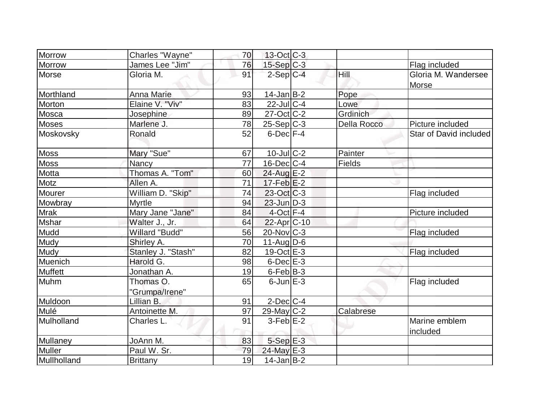| Morrow         | Charles "Wayne"             | 70 | 13-Oct C-3              |                    |                              |
|----------------|-----------------------------|----|-------------------------|--------------------|------------------------------|
| <b>Morrow</b>  | James Lee "Jim"             | 76 | $15-Sep$ C-3            |                    | Flag included                |
| Morse          | Gloria M.                   | 91 | $2-Sep C-4$             | Hill               | Gloria M. Wandersee<br>Morse |
| Morthland      | <b>Anna Marie</b>           | 93 | $14$ -Jan $B$ -2        | Pope               |                              |
| Morton         | Elaine V. "Viv"             | 83 | $22$ -Jul C-4           | Lowe               |                              |
| Mosca          | Josephine                   | 89 | $27$ -Oct C-2           | Grdinich           |                              |
| <b>Moses</b>   | Marlene J.                  | 78 | $25-Sep C-3$            | <b>Della Rocco</b> | Picture included             |
| Moskovsky      | Ronald                      | 52 | $6$ -Dec $F-4$          |                    | Star of David included       |
| <b>Moss</b>    | Mary "Sue"                  | 67 | $10$ -Jul $C-2$         | Painter            |                              |
| <b>Moss</b>    | Nancy                       | 77 | $16$ -Dec $ C-4 $       | Fields             |                              |
| Motta          | Thomas A. "Tom"             | 60 | $24$ -Aug $E-2$         |                    |                              |
| Motz           | Allen A.                    | 71 | $17$ -Feb $E-2$         |                    |                              |
| Mourer         | William D. "Skip"           | 74 | $23-Oct$ $C-3$          |                    | Flag included                |
| Mowbray        | <b>Myrtle</b>               | 94 | $23$ -Jun $D-3$         |                    |                              |
| <b>Mrak</b>    | Mary Jane "Jane"            | 84 | $4$ -Oct $F-4$          |                    | Picture included             |
| <b>Mshar</b>   | Walter J., Jr.              | 64 | 22-Apr <sub>IC-10</sub> |                    |                              |
| Mudd           | <b>Willard "Budd"</b>       | 56 | $20$ -Nov $ C-3 $       |                    | Flag included                |
| Mudy           | Shirley A.                  | 70 | $11-Auq$ D-6            |                    |                              |
| Mudy           | Stanley J. "Stash"          | 82 | $19-Oct$ $E-3$          |                    | Flag included                |
| Muenich        | Harold G.                   | 98 | $6$ -Dec $E-3$          |                    |                              |
| <b>Muffett</b> | Jonathan A.                 | 19 | $6$ -Feb $ B-3 $        |                    |                              |
| Muhm           | Thomas O.<br>"Grumpa/Irene" | 65 | $6$ -Jun $E-3$          |                    | Flag included                |
| Muldoon        | Lillian B.                  | 91 | $2$ -Dec $ C-4 $        |                    |                              |
| Mulé           | Antoinette M.               | 97 | $29$ -May C-2           | Calabrese          |                              |
| Mulholland     | Charles L.                  | 91 | $3-Feb$ $E-2$           |                    | Marine emblem<br>included    |
| Mullaney       | JoAnn M.                    | 83 | $5-Sep$ E-3             |                    |                              |
| Muller         | Paul W. Sr.                 | 79 | 24-May E-3              |                    |                              |
| Mullholland    | <b>Brittany</b>             | 19 | $14$ -Jan $ B-2 $       |                    |                              |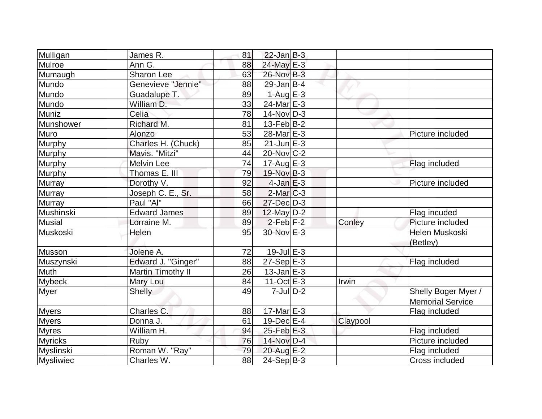| Mulligan       | James R.            | 81              | $22$ -Jan B-3     |          |                         |
|----------------|---------------------|-----------------|-------------------|----------|-------------------------|
| Mulroe         | Ann G.              | 88              | 24-May E-3        |          |                         |
| Mumaugh        | Sharon Lee          | 63              | 26-Nov B-3        |          |                         |
| Mundo          | Genevieve "Jennie"  | 88              | $29$ -Jan B-4     |          |                         |
| Mundo          | Guadalupe T.        | 89              | $1-AugE-3$        |          |                         |
| Mundo          | William D.          | 33              | $24$ -Mar $E-3$   |          |                         |
| Muniz          | Celia               | 78              | $14$ -Nov $ D-3 $ |          |                         |
| Munshower      | Richard M.          | 81              | $13$ -Feb $ B-2 $ |          |                         |
| Muro           | Alonzo              | 53              | 28-Mar E-3        |          | Picture included        |
| Murphy         | Charles H. (Chuck)  | 85              | $21$ -Jun $E-3$   |          |                         |
| Murphy         | Mavis. "Mitzi"      | 44              | $20$ -Nov $ C-2 $ |          |                         |
| Murphy         | <b>Melvin Lee</b>   | 74              | $17$ -Aug $E-3$   |          | Flag included           |
| Murphy         | Thomas E. III       | 79              | 19-Nov B-3        |          |                         |
| Murray         | Dorothy V.          | 92              | $4$ -Jan $E-3$    |          | Picture included        |
| Murray         | Joseph C. E., Sr.   | 58              | $2$ -Mar $ C-3 $  |          |                         |
| Murray         | Paul "Al"           | 66              | $27$ -Dec $D-3$   |          |                         |
| Mushinski      | <b>Edward James</b> | 89              | $12$ -May D-2     |          | Flag incuded            |
| <b>Musial</b>  | Lorraine M.         | 89              | $2$ -Feb $ F-2 $  | Conley   | Picture included        |
| Muskoski       | Helen               | 95              | 30-Nov E-3        |          | Helen Muskoski          |
|                |                     |                 |                   |          | (Betley)                |
| Musson         | Jolene A.           | 72              | $19$ -Jul $E-3$   |          |                         |
| Muszynski      | Edward J. "Ginger"  | 88              | $27-Sep$ $E-3$    |          | Flag included           |
| Muth           | Martin Timothy II   | 26              | $13$ -Jan $E-3$   |          |                         |
| <b>Mybeck</b>  | Mary Lou            | 84              | $11-Oct$ $E-3$    | Irwin    |                         |
| <b>Myer</b>    | <b>Shelly</b>       | 49              | $7$ -Jul $D-2$    |          | Shelly Boger Myer /     |
|                |                     |                 |                   |          | <b>Memorial Service</b> |
| <b>Myers</b>   | Charles C.          | 88              | $17$ -Mar $E-3$   |          | Flag included           |
| <b>Myers</b>   | Donna J.            | 61              | $19$ -Dec $E-4$   | Claypool |                         |
| <b>Myres</b>   | William H.          | 94              | $25$ -Feb $E-3$   |          | Flag included           |
| <b>Myricks</b> | Ruby                | 76              | 14-Nov D-4        |          | Picture included        |
| Myslinski      | Roman W. "Ray"      | 79              | 20-Aug E-2        |          | Flag included           |
| Mysliwiec      | Charles W.          | $\overline{88}$ | $24-SepB-3$       |          | Cross included          |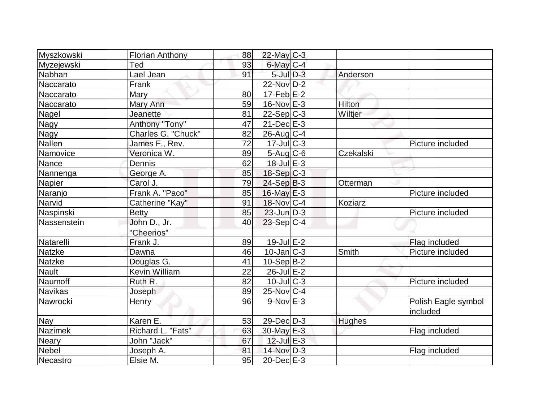| Myszkowski     | <b>Florian Anthony</b> | 88 | $22$ -May C-3     |               |                                 |
|----------------|------------------------|----|-------------------|---------------|---------------------------------|
| Myzejewski     | Ted                    | 93 | 6-May C-4         |               |                                 |
| Nabhan         | Lael Jean              | 91 | $5$ -Jul $D-3$    | Anderson      |                                 |
| Naccarato      | Frank                  |    | 22-Nov D-2        |               |                                 |
| Naccarato      | Mary                   | 80 | $17-Feb$ $E-2$    |               |                                 |
| Naccarato      | Mary Ann               | 59 | $16$ -Nov $E-3$   | Hilton        |                                 |
| Nagel          | Jeanette               | 81 | $22-Sep C-3$      | Wiltjer       |                                 |
| Nagy           | Anthony "Tony"         | 47 | $21$ -Dec $E-3$   |               |                                 |
| Nagy           | Charles G. "Chuck"     | 82 | $26$ -Aug $C-4$   |               |                                 |
| Nallen         | James F., Rev.         | 72 | $17$ -Jul $C-3$   |               | Picture included                |
| Namovice       | Veronica W.            | 89 | $5-Aug$ $C-6$     | Czekalski     |                                 |
| Nance          | Dennis                 | 62 | $18$ -Jul $E-3$   |               |                                 |
| Nannenga       | George A.              | 85 | $18-Sep C-3$      |               |                                 |
| Napier         | Carol J.               | 79 | $24-Sep B-3$      | Otterman      |                                 |
| Naranjo        | Frank A. "Paco"        | 85 | $16$ -May $E-3$   |               | Picture included                |
| Narvid         | Catherine "Kay"        | 91 | 18-Nov C-4        | Koziarz       |                                 |
| Naspinski      | <b>Betty</b>           | 85 | $23$ -Jun $D-3$   |               | Picture included                |
| Nassenstein    | John D., Jr.           | 40 | $23-Sep C-4$      |               |                                 |
|                | "Cheerios"             |    |                   |               |                                 |
| Natarelli      | Frank J.               | 89 | $19$ -Jul $E-2$   |               | Flag included                   |
| <b>Natzke</b>  | Dawna                  | 46 | $10$ -Jan $ C-3 $ | Smith         | Picture included                |
| <b>Natzke</b>  | Douglas G.             | 41 | $10-Sep B-2$      |               |                                 |
| <b>Nault</b>   | <b>Kevin William</b>   | 22 | $26$ -Jul $E-2$   |               |                                 |
| Naumoff        | Ruth R.                | 82 | $10$ -JulC-3      |               | Picture included                |
| <b>Navikas</b> | Joseph                 | 89 | $25$ -Nov $ C-4 $ |               |                                 |
| Nawrocki       | Henry                  | 96 | $9-Nov$ $E-3$     |               | Polish Eagle symbol<br>included |
| Nay            | Karen E.               | 53 | $29$ -Dec $D-3$   | <b>Hughes</b> |                                 |
| <b>Nazimek</b> | Richard L. "Fats"      | 63 | 30-May E-3        |               | Flag included                   |
| <b>Neary</b>   | John "Jack"            | 67 | $12$ -Jul $E-3$   |               |                                 |
| Nebel          | Joseph A.              | 81 | 14-Nov D-3        |               | Flag included                   |
| Necastro       | Elsie M.               | 95 | $20$ -Dec $E-3$   |               |                                 |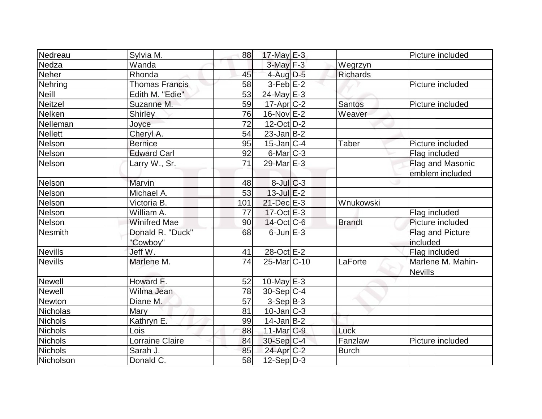| Nedreau        | Sylvia M.             | 88              | $17$ -May $E-3$         |                 | Picture included  |
|----------------|-----------------------|-----------------|-------------------------|-----------------|-------------------|
| Nedza          | Wanda                 |                 | $3$ -May $F-3$          | Wegrzyn         |                   |
| <b>Neher</b>   | Rhonda                | 45              | $4$ -Aug D-5            | <b>Richards</b> |                   |
| Nehring        | <b>Thomas Francis</b> | 58              | $3-Feb$ $E-2$           |                 | Picture included  |
| <b>Neill</b>   | Edith M. "Edie"       | 53              | $24$ -May E-3           |                 |                   |
| Neitzel        | Suzanne M.            | 59              | $17$ -Apr $ C-2 $       | <b>Santos</b>   | Picture included  |
| Nelken         | <b>Shirley</b>        | 76              | 16-Nov E-2              | Weaver          |                   |
| Nelleman       | Joyce                 | $\overline{72}$ | $12$ -Oct $D-2$         |                 |                   |
| <b>Nellett</b> | Cheryl A.             | 54              | $23$ -Jan $ B-2 $       |                 |                   |
| Nelson         | <b>Bernice</b>        | 95              | $15$ -Jan $ C-4 $       | <b>Taber</b>    | Picture included  |
| Nelson         | <b>Edward Carl</b>    | 92              | $6$ -Mar $ C-3 $        |                 | Flag included     |
| Nelson         | Larry W., Sr.         | 71              | $29$ -Mar $E-3$         |                 | Flag and Masonic  |
|                |                       |                 |                         |                 | emblem included   |
| Nelson         | Marvin                | 48              | $8$ -Jul $C-3$          |                 |                   |
| <b>Nelson</b>  | Michael A.            | 53              | $13$ -Jul $E-2$         |                 |                   |
| Nelson         | Victoria B.           | 101             | 21-Dec E-3              | Wnukowski       |                   |
| Nelson         | William A.            | 77              | $17-Oct$ $E-3$          |                 | Flag included     |
| Nelson         | <b>Winifred Mae</b>   | 90              | $14$ -Oct C-6           | <b>Brandt</b>   | Picture included  |
| Nesmith        | Donald R. "Duck"      | 68              | $6$ -Jun $E-3$          |                 | Flag and Picture  |
|                | "Cowboy"              |                 |                         |                 | included          |
| Nevills        | Jeff W.               | 41              | 28-Oct E-2              |                 | Flag included     |
| <b>Nevills</b> | Marlene M.            | 74              | 25-Mar <sub>IC-10</sub> | LaForte         | Marlene M. Mahin- |
|                |                       |                 |                         |                 | <b>Nevills</b>    |
| <b>Newell</b>  | Howard F.             | 52              | $10$ -May $E-3$         |                 |                   |
| <b>Newell</b>  | Wilma Jean            | 78              | $30-Sep C-4$            |                 |                   |
| Newton         | Diane M.              | 57              | 3-Sep B-3               |                 |                   |
| Nicholas       | Mary                  | 81              | $10$ -Jan $ C-3 $       |                 |                   |
| <b>Nichols</b> | Kathryn E.            | 99              | $14$ -Jan $ B-2 $       |                 |                   |
| <b>Nichols</b> | Lois                  | 88              | $11$ -Mar $C-9$         | Luck            |                   |
| <b>Nichols</b> | Lorraine Claire       | 84              | $30-Sep C-4$            | Fanzlaw         | Picture included  |
| <b>Nichols</b> | Sarah J.              | 85              | $24$ -Apr $C-2$         | <b>Burch</b>    |                   |
| Nicholson      | Donald C.             | 58              | $12-Sep D-3$            |                 |                   |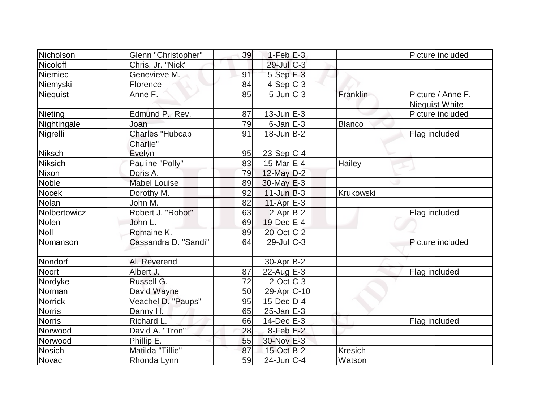| Nicholson      | Glenn "Christopher"                | 39 | $1-Feb$ $E-3$      |           | Picture included                           |
|----------------|------------------------------------|----|--------------------|-----------|--------------------------------------------|
| Nicoloff       | Chris, Jr. "Nick"                  |    | 29-Jul C-3         |           |                                            |
| Niemiec        | Genevieve M.                       | 91 | $5-Sep$ $E-3$      |           |                                            |
| Niemyski       | Florence                           | 84 | $4-Sep$ $C-3$      |           |                                            |
| Niequist       | Anne F.                            | 85 | $5 - Jun$ $C - 3$  | Franklin  | Picture / Anne F.<br><b>Niequist White</b> |
| Nieting        | Edmund P., Rev.                    | 87 | $13$ -Jun $E-3$    |           | Picture included                           |
| Nightingale    | Joan                               | 79 | $6$ -Jan $E-3$     | Blanco    |                                            |
| Nigrelli       | <b>Charles "Hubcap</b><br>Charlie" | 91 | $18$ -Jun $B - 2$  |           | Flag included                              |
| Niksch         | Evelyn                             | 95 | $23-Sep C-4$       |           |                                            |
| <b>Niksich</b> | Pauline "Polly"                    | 83 | 15-Mar $E-4$       | Hailey    |                                            |
| Nixon          | Doris A.                           | 79 | 12-May $D-2$       |           |                                            |
| <b>Noble</b>   | <b>Mabel Louise</b>                | 89 | $30$ -May $E-3$    |           |                                            |
| <b>Nocek</b>   | Dorothy M.                         | 92 | $11$ -Jun $B-3$    | Krukowski |                                            |
| <b>Nolan</b>   | John M.                            | 82 | $11-Apr$ $E-3$     |           |                                            |
| Nolbertowicz   | Robert J. "Robot"                  | 63 | $2-Apr B-2$        |           | Flag included                              |
| Nolen          | John L.                            | 69 | $19$ -Dec $E-4$    |           |                                            |
| <b>Noll</b>    | Romaine K.                         | 89 | 20-Oct C-2         |           |                                            |
| Nomanson       | Cassandra D. "Sandi"               | 64 | $29$ -JulC-3       |           | Picture included                           |
| Nondorf        | Al, Reverend                       |    | $30$ -Apr $ B-2 $  |           |                                            |
| <b>Noort</b>   | Albert J.                          | 87 | 22-Aug $E-3$       |           | Flag included                              |
| Nordyke        | Russell G.                         | 72 | $2$ -Oct $ C-3 $   |           |                                            |
| Norman         | David Wayne                        | 50 | $29$ -Apr $ C$ -10 |           |                                            |
| <b>Norrick</b> | Veachel D. "Paups"                 | 95 | $15$ -Dec $ D-4 $  |           |                                            |
| <b>Norris</b>  | Danny H.                           | 65 | $25$ -Jan $E-3$    |           |                                            |
| <b>Norris</b>  | Richard L.                         | 66 | $14$ -Dec $E-3$    |           | Flag included                              |
| Norwood        | David A. "Tron"                    | 28 | $8-Feb$ $E-2$      |           |                                            |
| Norwood        | Phillip E.                         | 55 | 30-Nov E-3         |           |                                            |
| <b>Nosich</b>  | Matilda "Tillie"                   | 87 | $15$ -Oct B-2      | Kresich   |                                            |
| Novac          | Rhonda Lynn                        | 59 | $24$ -Jun $ C-4$   | Watson    |                                            |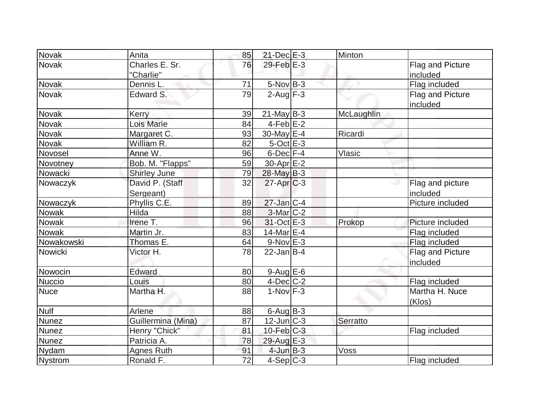| Novak        | Anita               | 85              | $21$ -Dec $E-3$   | Minton     |                  |
|--------------|---------------------|-----------------|-------------------|------------|------------------|
| Novak        | Charles E. Sr.      | 76              | $29$ -Feb $E-3$   |            | Flag and Picture |
|              | "Charlie"           |                 |                   |            | included         |
| Novak        | Dennis L.           | 71              | $5$ -Nov $B$ -3   |            | Flag included    |
| <b>Novak</b> | Edward S.           | 79              | $2$ -Aug $F-3$    |            | Flag and Picture |
|              |                     |                 |                   |            | included         |
| Novak        | Kerry               | 39              | $21$ -May B-3     | McLaughlin |                  |
| Novak        | Lois Marie          | 84              | $4-Feb$ $E-2$     |            |                  |
| Novak        | Margaret C.         | 93              | 30-May $E-4$      | Ricardi    |                  |
| Novak        | William R.          | 82              | $5$ -Oct $E-3$    |            |                  |
| Novosel      | Anne W.             | 96              | $6$ -Dec $F-4$    | Vlasic     |                  |
| Novotney     | Bob. M. "Flapps"    | 59              | $30$ -Apr $E-2$   |            |                  |
| Nowacki      | <b>Shirley June</b> | 79              | 28-May B-3        |            |                  |
| Nowaczyk     | David P. (Staff     | 32              | $27$ -Apr $C-3$   |            | Flag and picture |
|              | Sergeant)           |                 |                   |            | included         |
| Nowaczyk     | Phyllis C.E.        | 89              | $27$ -Jan $ C-4 $ |            | Picture included |
| Nowak        | Hilda               | 88              | $3-Mar$ $C-2$     |            |                  |
| Nowak        | Irene T.            | 96              | $31-Oct$ $E-3$    | Prokop     | Picture included |
| Nowak        | Martin Jr.          | 83              | 14-Mar E-4        |            | Flag included    |
| Nowakowski   | Thomas E.           | 64              | $9-Nov$ $E-3$     |            | Flag included    |
| Nowicki      | Victor H.           | 78              | $22$ -Jan B-4     |            | Flag and Picture |
|              |                     |                 |                   |            | included         |
| Nowocin      | Edward              | 80              | $9$ -Aug E-6      |            |                  |
| Nuccio       | Louis               | 80              | $4$ -Dec $ C-2 $  |            | Flag included    |
| <b>Nuce</b>  | Martha H.           | 88              | $1-Nov$ F-3       |            | Martha H. Nuce   |
|              |                     |                 |                   |            | (Klos)           |
| <b>Nulf</b>  | Arlene              | 88              | $6$ -Aug $B$ -3   |            |                  |
| <b>Nunez</b> | Guillermina (Mina)  | 87              | $12$ -Jun $ C-3 $ | Serratto   |                  |
| <b>Nunez</b> | Henry "Chick"       | 81              | $10$ -Feb $C-3$   |            | Flag included    |
| Nunez        | Patricia A.         | 78              | 29-Aug E-3        |            |                  |
| <b>Nydam</b> | <b>Agnes Ruth</b>   | 91              | $4$ -Jun $B-3$    | Voss       |                  |
| Nystrom      | Ronald F.           | $\overline{72}$ | $4-Sep$ $C-3$     |            | Flag included    |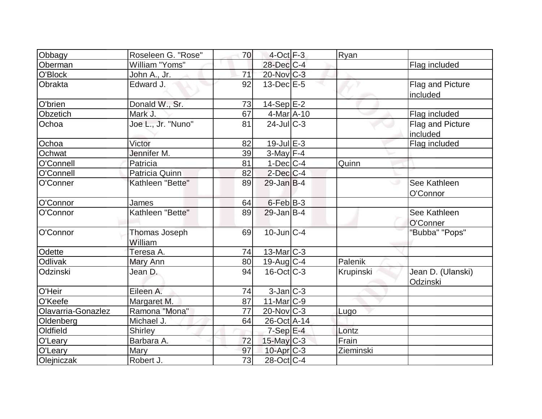| Obbagy             | Roseleen G. "Rose"       | 70              | $4$ -Oct $F-3$          | Ryan      |                               |
|--------------------|--------------------------|-----------------|-------------------------|-----------|-------------------------------|
| Oberman            | William "Yoms"           |                 | 28-Dec C-4              |           | Flag included                 |
| O'Block            | John A., Jr.             | 71              | $20$ -Nov $C-3$         |           |                               |
| Obrakta            | Edward J.                | 92              | $13$ -Dec $E-5$         |           | Flag and Picture<br>included  |
| O'brien            | Donald W., Sr.           | 73              | $14-Sep$ $E-2$          |           |                               |
| Obzetich           | Mark J.                  | 67              | 4-Mar A-10              |           | Flag included                 |
| Ochoa              | Joe L., Jr. "Nuno"       | 81              | $24$ -JulC-3            |           | Flag and Picture<br>included  |
| Ochoa              | Victor                   | 82              | $19$ -Jul $E-3$         |           | Flag included                 |
| Ochwat             | Jennifer M.              | 39              | $3-May$ F-4             |           |                               |
| O'Connell          | Patricia                 | 81              | $1-Dec$ $C-4$           | Quinn     |                               |
| O'Connell          | Patricia Quinn           | 82              | $2$ -Dec $ C-4 $        |           |                               |
| O'Conner           | Kathleen "Bette"         | 89              | $29$ -Jan B-4           |           | See Kathleen<br>O'Connor      |
| O'Connor           | James                    | 64              | $6$ -Feb $B$ -3         |           |                               |
| O'Connor           | Kathleen "Bette"         | 89              | $29$ -Jan B-4           |           | See Kathleen<br>O'Conner      |
| O'Connor           | Thomas Joseph<br>William | 69              | $10$ -Jun $C-4$         |           | "Bubba" "Pops"                |
| Odette             | Teresa A.                | 74              | $13$ -Mar $C-3$         |           |                               |
| <b>Odlivak</b>     | Mary Ann                 | 80              | $19-Auq$ $C-4$          | Palenik   |                               |
| Odzinski           | Jean D.                  | 94              | $16$ -Oct $ C-3 $       | Krupinski | Jean D. (Ulanski)<br>Odzinski |
| O'Heir             | Eileen A.                | 74              | $3$ -Jan $ C-3 $        |           |                               |
| O'Keefe            | Margaret M.              | 87              | $11$ -Mar $ C-9 $       |           |                               |
| Olavarria-Gonazlez | Ramona "Mona"            | 77              | $20$ -Nov $ C-3 $       | Lugo      |                               |
| Oldenberg          | Michael J.               | 64              | 26-Oct A-14             |           |                               |
| Oldfield           | Shirley                  |                 | $7-Sep$ E-4             | Lontz     |                               |
| O'Leary            | Barbara A.               | 72              | $15$ -May $C-3$         | Frain     |                               |
| O'Leary            | Mary                     | 97              | $10$ -Apr $C-3$         | Zieminski |                               |
| Olejniczak         | Robert J.                | $\overline{73}$ | $28-Oct$ <sub>C-4</sub> |           |                               |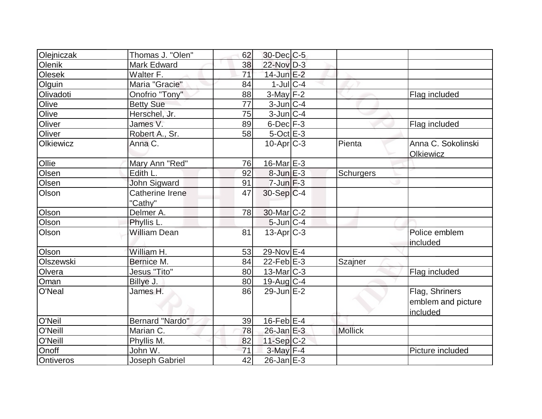| Olejniczak | Thomas J. "Olen"       | 62              | 30-Dec C-5        |                |                    |
|------------|------------------------|-----------------|-------------------|----------------|--------------------|
| Olenik     | <b>Mark Edward</b>     | 38              | 22-Nov D-3        |                |                    |
| Olesek     | Walter F.              | $\overline{71}$ | $14$ -Jun $E-2$   |                |                    |
| Olguin     | Maria "Gracie"         | 84              | $1$ -Jul $ C-4$   |                |                    |
| Olivadoti  | Onofrio "Tony"         | 88              | $3-May$ F-2       |                | Flag included      |
| Olive      | <b>Betty Sue</b>       | 77              | $3$ -Jun $ C-4 $  |                |                    |
| Olive      | Herschel, Jr.          | 75              | $3$ -Jun $ C-4 $  |                |                    |
| Oliver     | James V.               | 89              | $6$ -Dec $F-3$    |                | Flag included      |
| Oliver     | Robert A., Sr.         | 58              | $5$ -Oct $E-3$    |                |                    |
| Olkiewicz  | Anna C.                |                 | $10$ -Apr $C-3$   | Pienta         | Anna C. Sokolinski |
|            |                        |                 |                   |                | Olkiewicz          |
| Ollie      | Mary Ann "Red"         | 76              | 16-Mar $E-3$      |                |                    |
| Olsen      | Edith L.               | 92              | $8$ -Jun $E-3$    | Schurgers      |                    |
| Olsen      | John Sigward           | 91              | $7$ -Jun $F-3$    |                |                    |
| Olson      | <b>Catherine Irene</b> | 47              | $30-Sep C-4$      |                |                    |
|            | "Cathy"                |                 |                   |                |                    |
| Olson      | Delmer A.              | 78              | $30$ -Mar $C-2$   |                |                    |
| Olson      | Phyllis L.             |                 | $5$ -Jun $C-4$    |                |                    |
| Olson      | <b>William Dean</b>    | 81              | $13$ -Apr $ C-3 $ |                | Police emblem      |
|            |                        |                 |                   |                | included           |
| Olson      | William H.             | 53              | 29-Nov E-4        |                |                    |
| Olszewski  | Bernice M.             | 84              | $22$ -Feb $E-3$   | Szajner        |                    |
| Olvera     | Jesus "Tito"           | 80              | $13$ -Mar $ C-3 $ |                | Flag included      |
| Oman       | Billye J.              | 80              | 19-Aug $C-4$      |                |                    |
| O'Neal     | James H.               | 86              | $29$ -Jun $E-2$   |                | Flag, Shriners     |
|            |                        |                 |                   |                | emblem and picture |
|            |                        |                 |                   |                | included           |
| O'Neil     | <b>Bernard "Nardo"</b> | 39              | $16$ -Feb $E-4$   |                |                    |
| O'Neill    | Marian C.              | 78              | $26$ -Jan $E-3$   | <b>Mollick</b> |                    |
| O'Neill    | Phyllis M.             | 82              | $11-Sep C-2$      |                |                    |
| Onoff      | John W.                | 71              | $3$ -May $F-4$    |                | Picture included   |
| Ontiveros  | Joseph Gabriel         | 42              | $26$ -Jan $E-3$   |                |                    |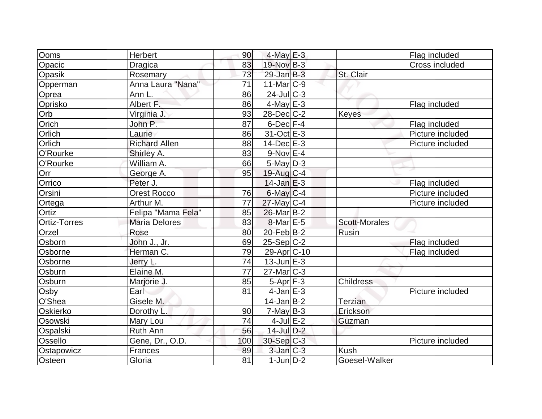| Ooms                | <b>Herbert</b>       | 90  | $4$ -May $E-3$          |                      | Flag included    |
|---------------------|----------------------|-----|-------------------------|----------------------|------------------|
| Opacic              | <b>Dragica</b>       | 83  | 19-Nov B-3              |                      | Cross included   |
| Opasik              | Rosemary             | 73  | $29$ -Jan B-3           | St. Clair            |                  |
| Opperman            | Anna Laura "Nana"    | 71  | $11$ -Mar $ C-9 $       |                      |                  |
| Oprea               | Ann L.               | 86  | $24$ -Jul $C-3$         |                      |                  |
| Oprisko             | Albert F.            | 86  | $4$ -May $E-3$          |                      | Flag included    |
| Orb                 | Virginia J.          | 93  | $28$ -Dec $C-2$         | <b>Keyes</b>         |                  |
| Orich               | John P.              | 87  | $6$ -Dec $F-4$          |                      | Flag included    |
| Orlich              | Laurie               | 86  | 31-Oct E-3              |                      | Picture included |
| Orlich              | <b>Richard Allen</b> | 88  | $14$ -Dec $E-3$         |                      | Picture included |
| O'Rourke            | Shirley A.           | 83  | $9-Nov$ $E-4$           |                      |                  |
| O'Rourke            | William A.           | 66  | $5$ -May $D-3$          |                      |                  |
| Orr                 | George A.            | 95  | $19$ -Aug $C - 4$       |                      |                  |
| Orrico              | Peter J.             |     | $14$ -Jan $E-3$         |                      | Flag included    |
| Orsini              | <b>Orest Rocco</b>   | 76  | $6$ -May $C$ -4         |                      | Picture included |
| Ortega              | Arthur M.            | 77  | $27$ -May C-4           |                      | Picture included |
| Ortiz               | Felipa "Mama Fela"   | 85  | 26-Mar B-2              |                      |                  |
| <b>Ortiz-Torres</b> | <b>Maria Delores</b> | 83  | $8$ -Mar $E$ -5         | <b>Scott-Morales</b> |                  |
| Orzel               | Rose                 | 80  | $20$ -Feb $ B-2 $       | Rusin                |                  |
| Osborn              | John J., Jr.         | 69  | $25-Sep C-2$            |                      | Flag included    |
| Osborne             | Herman C.            | 79  | 29-Apr <sub>C</sub> -10 |                      | Flag included    |
| Osborne             | Jerry L.             | 74  | $13$ -Jun $E-3$         |                      |                  |
| Osburn              | Elaine M.            | 77  | $27$ -Mar $ C-3 $       |                      |                  |
| Osburn              | Marjorie J.          | 85  | $5-Apr$ F-3             | Childress            |                  |
| Osby                | Earl                 | 81  | $4$ -Jan $E-3$          |                      | Picture included |
| O'Shea              | Gisele M.            |     | $14$ -Jan B-2           | <b>Terzian</b>       |                  |
| Oskierko            | Dorothy L.           | 90  | $7$ -May B-3            | Erickson             |                  |
| Osowski             | Mary Lou             | 74  | $4$ -Jul $E-2$          | Guzman               |                  |
| Ospalski            | Ruth Ann             | 56  | $14$ -Jul $D-2$         |                      |                  |
| Ossello             | Gene, Dr., O.D.      | 100 | 30-Sep C-3              |                      | Picture included |
| Ostapowicz          | Frances              | 89  | $3$ -Jan $C-3$          | <b>Kush</b>          |                  |
| Osteen              | Gloria               | 81  | $1$ -Jun $D-2$          | Goesel-Walker        |                  |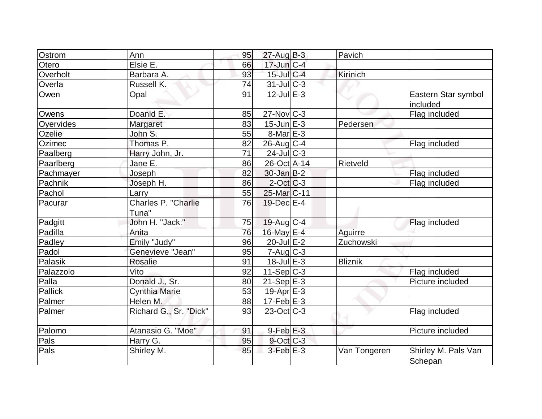| Ostrom    | Ann                          | 95 | $27$ -Aug B-3          | Pavich         |                                 |
|-----------|------------------------------|----|------------------------|----------------|---------------------------------|
| Otero     | Elsie E.                     | 66 | $17$ -Jun $C-4$        |                |                                 |
| Overholt  | Barbara A.                   | 93 | 15-Jul C-4             | Kirinich       |                                 |
| Overla    | Russell K.                   | 74 | $31$ -Jul C-3          |                |                                 |
| Owen      | Opal                         | 91 | $12$ -Jul $E-3$        |                | Eastern Star symbol<br>included |
| Owens     | Doanld E.                    | 85 | 27-Nov C-3             |                | Flag included                   |
| Oyervides | Margaret                     | 83 | $15$ -Jun $E-3$        | Pedersen       |                                 |
| Ozelie    | John S.                      | 55 | $8$ -Mar $E-3$         |                |                                 |
| Ozimec    | Thomas P.                    | 82 | $26$ -Aug $C$ -4       |                | Flag included                   |
| Paalberg  | Harry John, Jr.              | 71 | $24$ -Jul $C-3$        |                |                                 |
| Paarlberg | Jane E.                      | 86 | 26-Oct A-14            | Rietveld       |                                 |
| Pachmayer | Joseph                       | 82 | $30$ -Jan B-2          |                | Flag included                   |
| Pachnik   | Joseph H.                    | 86 | $2$ -Oct $ C-3 $       |                | Flag included                   |
| Pachol    | Larry                        | 55 | 25-Mar <sub>C-11</sub> |                |                                 |
| Pacurar   | Charles P. "Charlie<br>Tuna" | 76 | 19-Dec E-4             |                |                                 |
| Padgitt   | John H. "Jack:"              | 75 | $19$ -Aug C-4          |                | Flag included                   |
| Padilla   | Anita                        | 76 | 16-May E-4             | Aguirre        |                                 |
| Padley    | Emily "Judy"                 | 96 | $20$ -Jul $E-2$        | Zuchowski      |                                 |
| Padol     | Genevieve "Jean"             | 95 | $7 - Aug   C-3$        |                |                                 |
| Palasik   | Rosalie                      | 91 | 18-Jul E-3             | <b>Bliznik</b> |                                 |
| Palazzolo | Vito                         | 92 | $11-Sep C-3$           |                | Flag included                   |
| Palla     | Donald J., Sr.               | 80 | $21-Sep$ $E-3$         |                | Picture included                |
| Pallick   | <b>Cynthia Marie</b>         | 53 | 19-Apr $E-3$           |                |                                 |
| Palmer    | Helen M.                     | 88 | $17-Feb$ $E-3$         |                |                                 |
| Palmer    | Richard G., Sr. "Dick"       | 93 | $23$ -Oct $ C-3 $      |                | Flag included                   |
| Palomo    | Atanasio G. "Moe"            | 91 | $9$ -Feb $E-3$         |                | Picture included                |
| Pals      | Harry G.                     | 95 | $9$ -Oct $C-3$         |                |                                 |
| Pals      | Shirley M.                   | 85 | $3$ -Feb $E-3$         | Van Tongeren   | Shirley M. Pals Van<br>Schepan  |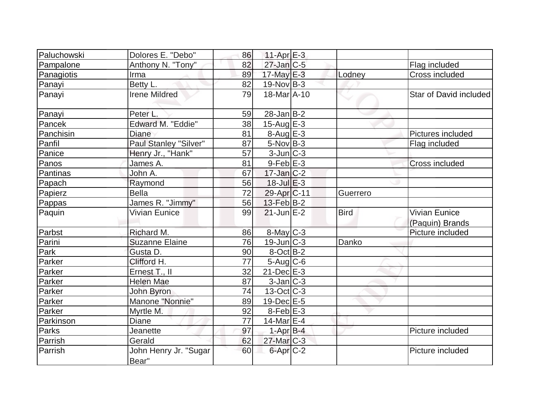| Paluchowski | Dolores E. "Debo"              | 86 | $11-Apr$ $E-3$           |             |                                  |
|-------------|--------------------------------|----|--------------------------|-------------|----------------------------------|
| Pampalone   | Anthony N. "Tony"              | 82 | $27$ -Jan $C-5$          |             | Flag included                    |
| Panagiotis  | Irma                           | 89 | 17-May E-3               | Lodney      | Cross included                   |
| Panayi      | Betty L.                       | 82 | $19-Nov B-3$             |             |                                  |
| Panayi      | <b>Irene Mildred</b>           | 79 | 18-Mar A-10              |             | Star of David included           |
| Panayi      | Peter L.                       | 59 | $28$ -Jan $ B-2 $        |             |                                  |
| Pancek      | Edward M. "Eddie"              | 38 | $15$ -Aug $E-3$          |             |                                  |
| Panchisin   | <b>Diane</b>                   | 81 | 8-Aug E-3                |             | Pictures included                |
| Panfil      | Paul Stanley "Silver"          | 87 | $5$ -Nov $B$ -3          |             | Flag included                    |
| Panice      | Henry Jr., "Hank"              | 57 | $3$ -Jun $ C-3 $         |             |                                  |
| Panos       | James A.                       | 81 | $9$ -Feb $E-3$           |             | <b>Cross included</b>            |
| Pantinas    | John A.                        | 67 | $17$ -Jan $ C-2 $        |             |                                  |
| Papach      | Raymond                        | 56 | $18$ -Jul $E-3$          |             |                                  |
| Papierz     | <b>Bella</b>                   | 72 | 29-Apr <sub>C-11</sub>   | Guerrero    |                                  |
| Pappas      | James R. "Jimmy"               | 56 | $13$ -Feb $ B-2 $        |             |                                  |
| Paquin      | Vivian Eunice                  | 99 | $21$ -Jun $E-2$          | <b>Bird</b> | Vivian Eunice<br>(Paquin) Brands |
| Parbst      | Richard M.                     | 86 | $8$ -May $C$ -3          |             | Picture included                 |
| Parini      | <b>Suzanne Elaine</b>          | 76 | $19$ -Jun $ C-3 $        | Danko       |                                  |
| Park        | Gusta D.                       | 90 | $8$ -Oct B-2             |             |                                  |
| Parker      | Clifford H.                    | 77 | $5$ -Aug $C$ -6          |             |                                  |
| Parker      | Ernest T., II                  | 32 | $21$ -Dec $E-3$          |             |                                  |
| Parker      | <b>Helen Mae</b>               | 87 | $3$ -Jan $ C-3 $         |             |                                  |
| Parker      | John Byron                     | 74 | $13-Oct$ <sub>C</sub> -3 |             |                                  |
| Parker      | Manone "Nonnie"                | 89 | $19$ -Dec $E-5$          |             |                                  |
| Parker      | Myrtle M.                      | 92 | $8$ -Feb $E-3$           |             |                                  |
| Parkinson   | <b>Diane</b>                   | 77 | 14-Mar $E-4$             |             |                                  |
| Parks       | Jeanette                       | 97 | $1-Apr$ B-4              |             | Picture included                 |
| Parrish     | Gerald                         | 62 | $27$ -Mar $C-3$          |             |                                  |
| Parrish     | John Henry Jr. "Sugar<br>Bear" | 60 | 6-Apr C-2                |             | Picture included                 |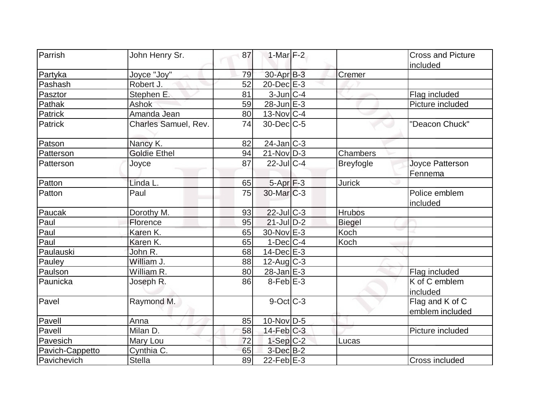| Parrish         | John Henry Sr.       | 87 | 1-Mar $F-2$       |                  | <b>Cross and Picture</b> |
|-----------------|----------------------|----|-------------------|------------------|--------------------------|
|                 |                      | 79 | $30-Apr$ B-3      |                  | included                 |
| Partyka         | Joyce "Joy"          |    |                   | Cremer           |                          |
| Pashash         | Robert J.            | 52 | 20-Dec E-3        |                  |                          |
| Pasztor         | Stephen E.           | 81 | $3$ -Jun $C-4$    |                  | Flag included            |
| Pathak          | <b>Ashok</b>         | 59 | $28$ -Jun $E-3$   |                  | Picture included         |
| Patrick         | Amanda Jean          | 80 | $13$ -Nov $ C-4 $ |                  |                          |
| Patrick         | Charles Samuel, Rev. | 74 | $30$ -Dec $C$ -5  |                  | "Deacon Chuck"           |
| Patson          | Nancy K.             | 82 | $24$ -Jan $ C-3 $ |                  |                          |
| Patterson       | <b>Goldie Ethel</b>  | 94 | $21-Nov D-3$      | Chambers         |                          |
| Patterson       | Joyce                | 87 | $22$ -JulC-4      | <b>Breyfogle</b> | Joyce Patterson          |
|                 |                      |    |                   |                  | Fennema                  |
| Patton          | Linda L.             | 65 | $5-Apr$ $F-3$     | <b>Jurick</b>    |                          |
| Patton          | Paul                 | 75 | $30$ -Mar $ C-3 $ |                  | Police emblem            |
|                 |                      |    |                   |                  | included                 |
| Paucak          | Dorothy M.           | 93 | $22$ -JulC-3      | <b>Hrubos</b>    |                          |
| Paul            | Florence             | 95 | $21$ -Jul D-2     | <b>Biegel</b>    |                          |
| Paul            | Karen K.             | 65 | 30-Nov E-3        | Koch             |                          |
| Paul            | Karen K.             | 65 | $1-Dec$ $C-4$     | Koch             |                          |
| Paulauski       | John R.              | 68 | $14$ -Dec $E-3$   |                  |                          |
| Pauley          | William J.           | 88 | $12$ -Aug C-3     |                  |                          |
| Paulson         | William R.           | 80 | $28$ -Jan $E-3$   |                  | Flag included            |
| Paunicka        | Joseph R.            | 86 | $8$ -Feb $E-3$    |                  | K of C emblem            |
|                 |                      |    |                   |                  | included                 |
| Pavel           | Raymond M.           |    | 9-Oct C-3         |                  | Flag and K of C          |
|                 |                      |    |                   |                  | emblem included          |
| Pavell          | Anna                 | 85 | $10$ -Nov $ D-5$  |                  |                          |
| Pavell          | Milan D.             | 58 | $14$ -Feb $C-3$   |                  | Picture included         |
| Pavesich        | Mary Lou             | 72 | $1-Sep C-2$       | Lucas            |                          |
| Pavich-Cappetto | Cynthia C.           | 65 | $3$ -Dec $B-2$    |                  |                          |
| Pavichevich     | Stella               | 89 | $22-FebE-3$       |                  | Cross included           |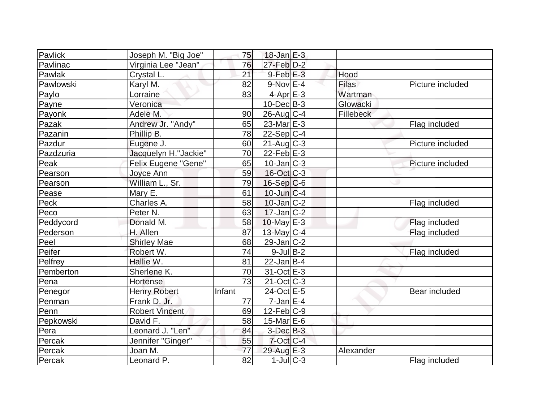| Pavlick                  | Joseph M. "Big Joe"   | 75              | $18$ -Jan $E-3$   |              |                  |
|--------------------------|-----------------------|-----------------|-------------------|--------------|------------------|
| Pavlinac                 | Virginia Lee "Jean"   | 76              | $27$ -Feb $D-2$   |              |                  |
| Pawlak                   | Crystal L.            | 21              | $9$ -Feb $E-3$    | Hood         |                  |
| Pawlowski                | Karyl M.              | 82              | $9-Nov$ E-4       | <b>Filas</b> | Picture included |
| Paylo                    | Lorraine              | 83              | $4-Apr$ $E-3$     | Wartman      |                  |
| Payne                    | Veronica              |                 | $10$ -Dec $B - 3$ | Glowacki     |                  |
| Payonk                   | Adele M.              | 90              | $26$ -Aug $C$ -4  | Fillebeck    |                  |
| Pazak                    | Andrew Jr. "Andy"     | 65              | $23$ -Mar $E-3$   |              | Flag included    |
| Pazanin                  | Phillip B.            | 78              | $22-Sep C-4$      |              |                  |
| Pazdur                   | Eugene J.             | 60              | $21$ -Aug $C-3$   |              | Picture included |
| Pazdzuria                | Jacquelyn H."Jackie"  | 70              | $22$ -Feb $ E-3 $ |              |                  |
| Peak                     | Felix Eugene "Gene"   | 65              | $10$ -Jan $ C-3 $ |              | Picture included |
| Pearson                  | Joyce Ann             | 59              | $16$ -Oct $ C-3 $ |              |                  |
| Pearson                  | William L., Sr.       | 79              | $16-Sep C-6$      |              |                  |
| Pease                    | Mary E.               | 61              | $10$ -Jun $ C-4$  |              |                  |
| Peck                     | Charles A.            | 58              | $10$ -Jan $ C-2 $ |              | Flag included    |
| Peco                     | Peter <sub>N.</sub>   | 63              | $17$ -Jan $ C-2 $ |              |                  |
| Peddycord                | Donald M.             | 58              | $10$ -May $E-3$   |              | Flag included    |
| Pederson                 | H. Allen              | 87              | 13-May $C-4$      |              | Flag included    |
| $\overline{\text{Peel}}$ | <b>Shirley Mae</b>    | 68              | $29$ -Jan $ C-2 $ |              |                  |
| Peifer                   | Robert W.             | 74              | $9$ -Jul B-2      |              | Flag included    |
| Pelfrey                  | Hallie W.             | 81              | $22$ -Jan B-4     |              |                  |
| Pemberton                | Sherlene K.           | 70              | $31-Oct$ $E-3$    |              |                  |
| Pena                     | <b>Hortense</b>       | 73              | $21$ -Oct $ C-3 $ |              |                  |
| Penegor                  | <b>Henry Robert</b>   | Infant          | 24-Oct E-5        |              | Bear included    |
| Penman                   | Frank D. Jr.          | 77              | $7$ -Jan $ E-4 $  |              |                  |
| Penn                     | <b>Robert Vincent</b> | 69              | $12$ -Feb $ C-9$  |              |                  |
| Pepkowski                | David F.              | 58              | 15-Mar $E-6$      |              |                  |
| Pera                     | Leonard J. "Len"      | 84              | $3$ -Dec $B-3$    |              |                  |
| Percak                   | Jennifer "Ginger"     | 55              | $7$ -Oct C-4      |              |                  |
| Percak                   | Joan M.               | 77              | 29-Aug E-3        | Alexander    |                  |
| Percak                   | Leonard P.            | $\overline{82}$ | $1$ -Jul $ C-3 $  |              | Flag included    |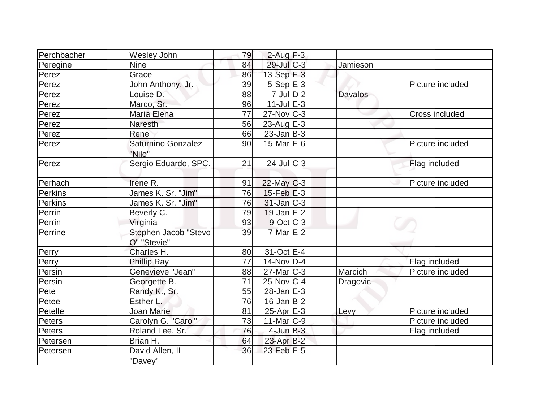| Perchbacher    | Wesley John                          | 79 | $2$ -Aug $F-3$    |                |                  |
|----------------|--------------------------------------|----|-------------------|----------------|------------------|
| Peregine       | <b>Nine</b>                          | 84 | 29-Jul C-3        | Jamieson       |                  |
| Perez          | Grace                                | 86 | $13-Sep$ $E-3$    |                |                  |
| Perez          | John Anthony, Jr.                    | 39 | $5-Sep$ E-3       |                | Picture included |
| Perez          | Louise D.                            | 88 | $7$ -Jul $D-2$    | <b>Davalos</b> |                  |
| Perez          | Marco, Sr.                           | 96 | $11$ -Jul $E-3$   |                |                  |
| Perez          | Maria Elena                          | 77 | $27$ -Nov $ C-3 $ |                | Cross included   |
| Perez          | <b>Naresth</b>                       | 56 | 23-Aug $E$ -3     |                |                  |
| Perez          | Rene                                 | 66 | $23$ -Jan B-3     |                |                  |
| Perez          | Saturnino Gonzalez<br>"Nilo"         | 90 | $15$ -Mar $E$ -6  |                | Picture included |
| Perez          | Sergio Eduardo, SPC.                 | 21 | $24$ -JulC-3      |                | Flag included    |
| Perhach        | Irene R.                             | 91 | $22$ -May C-3     |                | Picture included |
| Perkins        | James K. Sr. "Jim"                   | 76 | $15$ -Feb $E-3$   |                |                  |
| <b>Perkins</b> | James K. Sr. "Jim"                   | 76 | $31$ -Jan C-3     |                |                  |
| Perrin         | Beverly C.                           | 79 | $19$ -Jan E-2     |                |                  |
| Perrin         | Virginia                             | 93 | $9$ -Oct $ C$ -3  |                |                  |
| Perrine        | Stephen Jacob "Stevo-<br>O" "Stevie" | 39 | $7$ -Mar $E-2$    |                |                  |
| Perry          | Charles H.                           | 80 | 31-Oct E-4        |                |                  |
| Perry          | <b>Phillip Ray</b>                   | 77 | $14$ -Nov $ D-4$  |                | Flag included    |
| Persin         | Genevieve "Jean"                     | 88 | $27$ -Mar $ C-3 $ | Marcich        | Picture included |
| Persin         | Georgette B.                         | 71 | 25-Nov C-4        | Dragovic       |                  |
| Pete           | Randy K., Sr.                        | 55 | $28$ -Jan $E-3$   |                |                  |
| Petee          | Esther L.                            | 76 | $16$ -Jan B-2     |                |                  |
| Petelle        | Joan Marie                           | 81 | $25-Apr$ $E-3$    | Levy           | Picture included |
| Peters         | Carolyn G. "Carol"                   | 73 | $11$ -Mar $ C-9 $ |                | Picture included |
| Peters         | Roland Lee, Sr.                      | 76 | $4$ -Jun $B-3$    |                | Flag included    |
| Petersen       | Brian H.                             | 64 | 23-Apr B-2        |                |                  |
| Petersen       | David Allen, II<br>"Davey"           | 36 | $23$ -Feb $E-5$   |                |                  |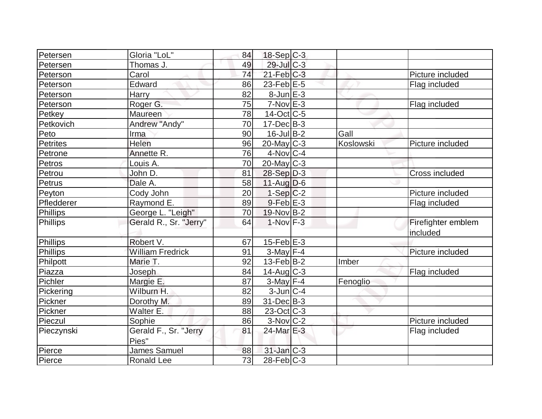| Petersen        | Gloria "LoL"            | 84 | $18-Sep C-3$             |           |                       |
|-----------------|-------------------------|----|--------------------------|-----------|-----------------------|
| Petersen        | Thomas J.               | 49 | 29-Jul C-3               |           |                       |
| Peterson        | Carol                   | 74 | $21$ -Feb $C-3$          |           | Picture included      |
| Peterson        | Edward                  | 86 | $23$ -Feb $E-5$          |           | Flag included         |
| Peterson        | <b>Harry</b>            | 82 | $8$ -Jun $E-3$           |           |                       |
| Peterson        | Roger G.                | 75 | $7-Nov$ $E-3$            |           | Flag included         |
| Petkey          | Maureen                 | 78 | 14-Oct C-5               |           |                       |
| Petkovich       | Andrew "Andy"           | 70 | $17 - Dec$ B-3           |           |                       |
| Peto            | Irma                    | 90 | $16$ -Jul B-2            | Gall      |                       |
| <b>Petrites</b> | Helen                   | 96 | $20$ -May C-3            | Koslowski | Picture included      |
| Petrone         | Annette R.              | 76 | $4$ -Nov $ C-4$          |           |                       |
| Petros          | Louis A.                | 70 | $20$ -May C-3            |           |                       |
| Petrou          | John D.                 | 81 | $28-Sep D-3$             |           | <b>Cross included</b> |
| Petrus          | Dale A.                 | 58 | $11-Auq$ D-6             |           |                       |
| Peyton          | Cody John               | 20 | $1-Sep C-2$              |           | Picture included      |
| Pfledderer      | Raymond E.              | 89 | $9$ -Feb $E-3$           |           | Flag included         |
| Phillips        | George L. "Leigh"       | 70 | $19-Nov B-2$             |           |                       |
| Phillips        | Gerald R., Sr. "Jerry"  | 64 | $1-Nov$ F-3              |           | Firefighter emblem    |
|                 |                         |    |                          |           | included              |
| Phillips        | Robert V.               | 67 | $15$ -Feb $E-3$          |           |                       |
| Phillips        | <b>William Fredrick</b> | 91 | $3$ -May F-4             |           | Picture included      |
| Philpott        | Marie T.                | 92 | $13$ -Feb $ B-2 $        | Imber     |                       |
| Piazza          | Joseph                  | 84 | $14$ -Aug C-3            |           | Flag included         |
| Pichler         | Margie E.               | 87 | $3$ -May F-4             | Fenoglio  |                       |
| Pickering       | Wilburn H.              | 82 | $3$ -Jun $ C-4 $         |           |                       |
| Pickner         | Dorothy M.              | 89 | 31-Dec B-3               |           |                       |
| Pickner         | Walter E.               | 88 | $23-Oct$ <sub>C</sub> -3 |           |                       |
| Pieczul         | Sophie                  | 86 | $3-Nov$ $C-2$            |           | Picture included      |
| Pieczynski      | Gerald F., Sr. "Jerry   | 81 | 24-Mar E-3               |           | Flag included         |
|                 | Pies"                   |    |                          |           |                       |
| Pierce          | James Samuel            | 88 | $31$ -Jan $ C-3 $        |           |                       |
| Pierce          | <b>Ronald Lee</b>       | 73 | $28$ -Feb $ C-3 $        |           |                       |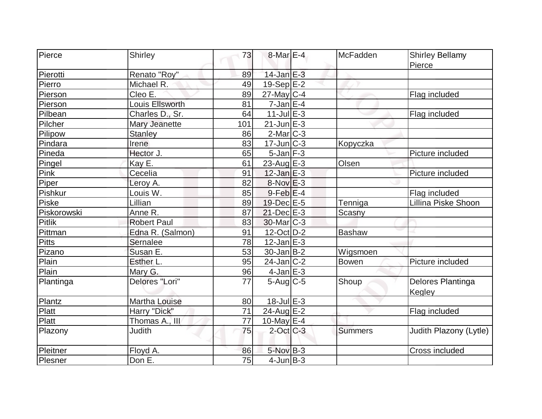| Pierce        | <b>Shirley</b>       | 73  | 8-Mar E-4         | <b>McFadden</b> | <b>Shirley Bellamy</b> |
|---------------|----------------------|-----|-------------------|-----------------|------------------------|
|               |                      |     |                   |                 | Pierce                 |
| Pierotti      | Renato "Roy"         | 89  | $14$ -Jan $E-3$   |                 |                        |
| Pierro        | Michael R.           | 49  | 19-Sep E-2        |                 |                        |
| Pierson       | Cleo E.              | 89  | $27$ -May C-4     |                 | Flag included          |
| Pierson       | Louis Ellsworth      | 81  | $7$ -Jan $E-4$    |                 |                        |
| Pilbean       | Charles D., Sr.      | 64  | $11$ -Jul $E-3$   |                 | Flag included          |
| Pilcher       | <b>Mary Jeanette</b> | 101 | $21$ -Jun $E-3$   |                 |                        |
| Pilipow       | <b>Stanley</b>       | 86  | 2-Mar C-3         |                 |                        |
| Pindara       | Irene                | 83  | $17$ -Jun $ C-3 $ | Kopyczka        |                        |
| Pineda        | Hector J.            | 65  | $5$ -Jan $F-3$    |                 | Picture included       |
| Pingel        | Kay E.               | 61  | 23-Aug $E-3$      | Olsen           |                        |
| Pink          | Cecelia              | 91  | $12$ -Jan $E-3$   |                 | Picture included       |
| Piper         | Leroy A.             | 82  | 8-Nov E-3         |                 |                        |
| Pishkur       | Louis W.             | 85  | $9$ -Feb $E-4$    |                 | Flag included          |
| Piske         | Lillian              | 89  | 19-Dec E-5        | Tenniga         | Lillina Piske Shoon    |
| Piskorowski   | Anne R.              | 87  | $21$ -Dec $E-3$   | Scasny          |                        |
| <b>Pitlik</b> | <b>Robert Paul</b>   | 83  | $30$ -Mar $ C-3 $ |                 |                        |
| Pittman       | Edna R. (Salmon)     | 91  | 12-Oct D-2        | <b>Bashaw</b>   |                        |
| <b>Pitts</b>  | Sernalee             | 78  | $12$ -Jan $E-3$   |                 |                        |
| Pizano        | Susan E.             | 53  | $30 - Jan$ B-2    | Wigsmoen        |                        |
| Plain         | Esther L.            | 95  | 24-Jan C-2        | Bowen           | Picture included       |
| Plain         | Mary G.              | 96  | $4$ -Jan $E-3$    |                 |                        |
| Plantinga     | Delores "Lori"       | 77  | $5-Aug$ $C-5$     | Shoup           | Delores Plantinga      |
|               |                      |     |                   |                 | Kegley                 |
| Plantz        | Martha Louise        | 80  | $18$ -Jul $E-3$   |                 |                        |
| Platt         | Harry "Dick"         | 71  | 24-Aug $E-2$      |                 | Flag included          |
| Platt         | Thomas A., III       | 77  | 10-May $E-4$      |                 |                        |
| Plazony       | <b>Judith</b>        | 75  | $2$ -Oct $ C-3 $  | <b>Summers</b>  | Judith Plazony (Lytle) |
| Pleitner      | Floyd A.             | 86  | $5-Nov$ B-3       |                 | Cross included         |
| Plesner       | Don E.               | 75  | $4$ -Jun $B-3$    |                 |                        |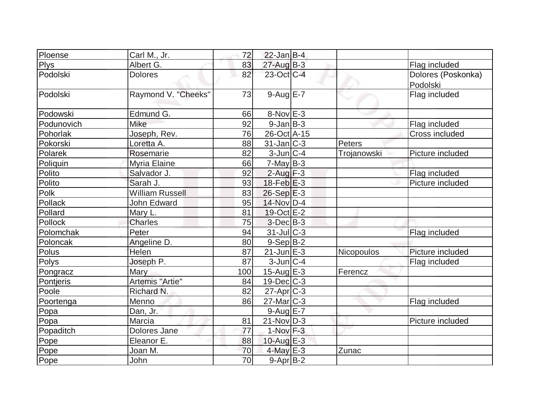| Ploense     | Carl M., Jr.           | 72              | $22$ -Jan B-4     |             |                                |
|-------------|------------------------|-----------------|-------------------|-------------|--------------------------------|
| <b>Plys</b> | Albert G.              | 83              | $27$ -Aug $B-3$   |             | Flag included                  |
| Podolski    | <b>Dolores</b>         | 82              | $23$ -Oct C-4     |             | Dolores (Poskonka)<br>Podolski |
| Podolski    | Raymond V. "Cheeks"    | 73              | $9-AugE-7$        |             | Flag included                  |
| Podowski    | Edmund G.              | 66              | $8-Nov$ $E-3$     |             |                                |
| Podunovich  | Mike                   | 92              | $9$ -Jan $B$ -3   |             | Flag included                  |
| Pohorlak    | Joseph, Rev.           | 76              | 26-Oct A-15       |             | Cross included                 |
| Pokorski    | Loretta A.             | 88              | $31$ -Jan $ C-3 $ | Peters      |                                |
| Polarek     | Rosemarie              | 82              | $3$ -Jun $ C-4 $  | Trojanowski | Picture included               |
| Poliquin    | Myria Elaine           | 66              | $7$ -May B-3      |             |                                |
| Polito      | Salvador J.            | 92              | $2$ -Aug $F-3$    |             | Flag included                  |
| Polito      | Sarah J.               | 93              | $18$ -Feb $E-3$   |             | Picture included               |
| Polk        | <b>William Russell</b> | 83              | $26-Sep \tE-3$    |             |                                |
| Pollack     | <b>John Edward</b>     | 95              | 14-Nov D-4        |             |                                |
| Pollard     | Mary L.                | 81              | 19-Oct E-2        |             |                                |
| Pollock     | <b>Charles</b>         | 75              | $3$ -Dec $B-3$    |             |                                |
| Polomchak   | Peter                  | 94              | $31$ -JulC-3      |             | Flag included                  |
| Poloncak    | Angeline D.            | 80              | $9-Sep B-2$       |             |                                |
| Polus       | Helen                  | 87              | $21$ -Jun $E-3$   | Nicopoulos  | Picture included               |
| Polys       | Joseph P.              | 87              | $3$ -Jun $ C-4 $  |             | Flag included                  |
| Pongracz    | Mary                   | 100             | $15$ -Aug E-3     | Ferencz     |                                |
| Pontjeris   | Artemis "Artie"        | 84              | $19$ -Dec $ C-3 $ |             |                                |
| Poole       | Richard N.             | 82              | $27$ -Apr $ C-3 $ |             |                                |
| Poortenga   | Menno                  | 86              | $27$ -Mar $C-3$   |             | Flag included                  |
| Popa        | Dan, Jr.               |                 | $9$ -Aug E-7      |             |                                |
| Popa        | Marcia                 | 81              | $21-Nov D-3$      |             | Picture included               |
| Popaditch   | Dolores Jane           | 77              | $1-Nov$ F-3       |             |                                |
| Pope        | Eleanor E.             | 88              | 10-Aug $E-3$      |             |                                |
| Pope        | Joan M.                | 70              | 4-May $E-3$       | Zunac       |                                |
| Pope        | John                   | $\overline{70}$ | $9-Apr$ B-2       |             |                                |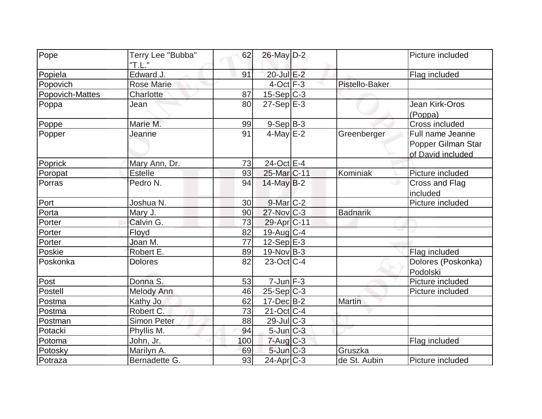| Pope            | Terry Lee "Bubba"<br>"T.L." | 62  | 26-May D-2                |                 | Picture included                                            |
|-----------------|-----------------------------|-----|---------------------------|-----------------|-------------------------------------------------------------|
| Popiela         | Edward J.                   | 91  | 20-Jul E-2                |                 | Flag included                                               |
| Popovich        | <b>Rose Marie</b>           |     | $4$ -Oct $F-3$            | Pistello-Baker  |                                                             |
| Popovich-Mattes | Charlotte                   | 87  | $15-Sep C-3$              |                 |                                                             |
| Poppa           | Jean                        | 80  | $27-Sep$ <sup>E-3</sup>   |                 | Jean Kirk-Oros<br>(Poppa)                                   |
| Poppe           | Marie M.                    | 99  | $9-Sep$ B-3               |                 | Cross included                                              |
| Popper          | Jeanne                      | 91  | $4$ -May $E-2$            | Greenberger     | Full name Jeanne<br>Popper Gilman Star<br>of David included |
| Poprick         | Mary Ann, Dr.               | 73  | 24-Oct E-4                |                 |                                                             |
| Poropat         | <b>Estelle</b>              | 93  | 25-Mar <sub>C-11</sub>    | Kominiak        | Picture included                                            |
| Porras          | Pedro N.                    | 94  | $14$ -May B-2             |                 | Cross and Flag<br>included                                  |
| Port            | Joshua N.                   | 30  | $9$ -Mar $C-2$            |                 | Picture included                                            |
| Porta           | Mary J.                     | 90  | $27$ -Nov $ C-3 $         | <b>Badnarik</b> |                                                             |
| Porter          | Calvin G.                   | 73  | 29-Apr <sub>IC-11</sub>   |                 |                                                             |
| Porter          | Floyd                       | 82  | 19-Aug C-4                |                 |                                                             |
| Porter          | Joan M.                     | 77  | $12-Sep$ E-3              |                 |                                                             |
| Poskie          | Robert E.                   | 89  | $19-Nov B-3$              |                 | Flag included                                               |
| Poskonka        | <b>Dolores</b>              | 82  | $23$ -Oct C-4             |                 | Dolores (Poskonka)<br>Podolski                              |
| Post            | Donna S.                    | 53  | $7$ -Jun $F-3$            |                 | Picture included                                            |
| Postell         | Melody Ann                  | 46  | $25-Sep C-3$              |                 | Picture included                                            |
| Postma          | Kathy Jo                    | 62  | $17 - Dec$ B-2            | <b>Martin</b>   |                                                             |
| Postma          | Robert C.                   | 73  | $21-Oct$ <sub>C-4</sub>   |                 |                                                             |
| Postman         | Simon Peter                 | 88  | $29$ -Jul $C-3$           |                 |                                                             |
| Potacki         | Phyllis M.                  | 94  | $5$ -Jun $C-3$            |                 |                                                             |
| Potoma          | John, Jr.                   | 100 | $7 - Aug$ <sub>C</sub> -3 |                 | Flag included                                               |
| Potosky         | Marilyn A.                  | 69  | $5$ -Jun $C-3$            | Gruszka         |                                                             |
| Potraza         | Bernadette G.               | 93  | $24$ -Apr $ C-3 $         | de St. Aubin    | Picture included                                            |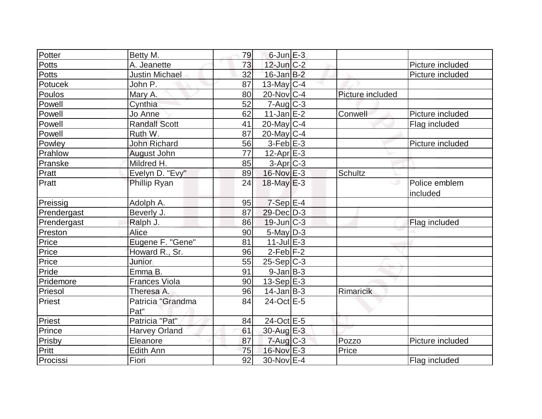| Potter       | Betty M.                  | 79              | $6$ -Jun $E-3$            |                  |                           |
|--------------|---------------------------|-----------------|---------------------------|------------------|---------------------------|
| <b>Potts</b> | A. Jeanette               | 73              | $12$ -Jun $C-2$           |                  | Picture included          |
| Potts        | Justin Michael            | 32              | $16$ -Jan $B-2$           |                  | Picture included          |
| Potucek      | John P.                   | 87              | $13$ -May C-4             |                  |                           |
| Poulos       | Mary A.                   | 80              | $20$ -Nov $C-4$           | Picture included |                           |
| Powell       | Cynthia                   | 52              | $7 - Aug$ <sub>C</sub> -3 |                  |                           |
| Powell       | Jo Anne                   | 62              | $11$ -Jan $E-2$           | Conwell          | Picture included          |
| Powell       | <b>Randall Scott</b>      | 41              | $20$ -May C-4             |                  | Flag included             |
| Powell       | Ruth W.                   | 87              | $20$ -May C-4             |                  |                           |
| Powley       | <b>John Richard</b>       | 56              | $3-Feb$ $E-3$             |                  | Picture included          |
| Prahlow      | August John               | 77              | $12$ -Apr $E-3$           |                  |                           |
| Pranske      | Mildred H.                | 85              | $3-Apr$ $C-3$             |                  |                           |
| Pratt        | Evelyn D. "Evy"           | 89              | 16-Nov E-3                | Schultz          |                           |
| Pratt        | Phillip Ryan              | 24              | $18$ -May $E-3$           |                  | Police emblem<br>included |
| Preissig     | Adolph A.                 | 95              | $7-Sep$ E-4               |                  |                           |
| Prendergast  | Beverly J.                | 87              | $29$ -Dec $D-3$           |                  |                           |
| Prendergast  | Ralph J.                  | 86              | $19$ -Jun $ C-3$          |                  | Flag included             |
| Preston      | Alice                     | 90              | 5-May D-3                 |                  |                           |
| Price        | Eugene F. "Gene"          | 81              | $11$ -Jul $E-3$           |                  |                           |
| Price        | Howard R., Sr.            | 96              | $2$ -Feb $ F-2 $          |                  |                           |
| Price        | Junior                    | 55              | $25-Sep C-3$              |                  |                           |
| Pride        | Emma B.                   | 91              | $9$ -Jan $B$ -3           |                  |                           |
| Pridemore    | <b>Frances Viola</b>      | 90              | $13-Sep$ $E-3$            |                  |                           |
| Priesol      | Theresa A.                | 96              | $14$ -Jan B-3             | Rimaricik        |                           |
| Priest       | Patricia "Grandma<br>Pat" | 84              | 24-Oct E-5                |                  |                           |
| Priest       | Patricia "Pat"            | 84              | 24-Oct E-5                |                  |                           |
| Prince       | <b>Harvey Orland</b>      | 61              | 30-Aug E-3                |                  |                           |
| Prisby       | Eleanore                  | 87              | $7 - Aug$ $C - 3$         | Pozzo            | Picture included          |
| Pritt        | Edith Ann                 | 75              | 16-Nov E-3                | Price            |                           |
| Procissi     | Fiori                     | $\overline{92}$ | 30-Nov E-4                |                  | Flag included             |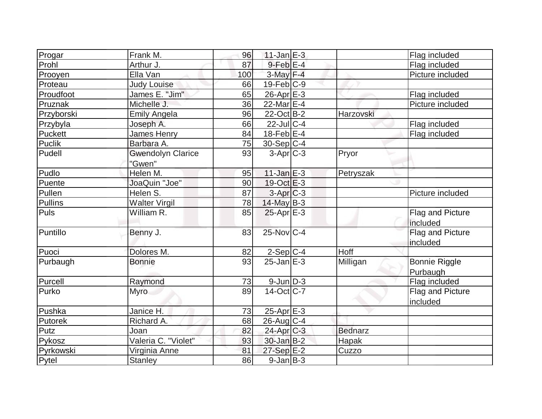| Progar     | Frank M.                 | 96  | $11$ -Jan $E-3$          |                | Flag included        |
|------------|--------------------------|-----|--------------------------|----------------|----------------------|
| Prohl      | Arthur J.                | 87  | $9$ -Feb $E-4$           |                | Flag included        |
| Prooyen    | Ella Van                 | 100 | $3-May$ F-4              |                | Picture included     |
| Proteau    | <b>Judy Louise</b>       | 66  | $19$ -Feb $ C-9$         |                |                      |
| Proudfoot  | James E. "Jim"           | 65  | $26$ -Apr $E-3$          |                | Flag included        |
| Pruznak    | Michelle J.              | 36  | 22-Mar $E-4$             |                | Picture included     |
| Przyborski | <b>Emily Angela</b>      | 96  | $22$ -Oct B-2            | Harzovski      |                      |
| Przybyla   | Joseph A.                | 66  | $22$ -Jul C-4            |                | Flag included        |
| Puckett    | James Henry              | 84  | 18-Feb $E-4$             |                | Flag included        |
| Puclik     | Barbara A.               | 75  | $30-Sep C-4$             |                |                      |
| Pudell     | <b>Gwendolyn Clarice</b> | 93  | $3-Apr$ $C-3$            | Pryor          |                      |
|            | "Gwen"                   |     |                          |                |                      |
| Pudlo      | Helen M.                 | 95  | $11$ -Jan $E-3$          | Petryszak      |                      |
| Puente     | JoaQuin "Joe"            | 90  | $19-Oct$ $E-3$           |                |                      |
| Pullen     | Helen S.                 | 87  | $3-Apr$ <sub>C-3</sub>   |                | Picture included     |
| Pullins    | <b>Walter Virgil</b>     | 78  | $14$ -May B-3            |                |                      |
| Puls       | William R.               | 85  | $25$ -Apr $E-3$          |                | Flag and Picture     |
|            |                          |     |                          |                | included             |
| Puntillo   | Benny J.                 | 83  | $25$ -Nov $ C-4 $        |                | Flag and Picture     |
|            |                          |     |                          |                | included             |
| Puoci      | Dolores M.               | 82  | $2-Sep C-4$              | Hoff           |                      |
| Purbaugh   | <b>Bonnie</b>            | 93  | $25$ -Jan $E-3$          | Milligan       | <b>Bonnie Riggle</b> |
|            |                          |     |                          |                | Purbaugh             |
| Purcell    | Raymond                  | 73  | $9$ -Jun $D-3$           |                | Flag included        |
| Purko      | <b>Myro</b>              | 89  | $\overline{14}$ -Oct C-7 |                | Flag and Picture     |
|            |                          |     |                          |                | included             |
| Pushka     | Janice H.                | 73  | $25-Apr \, E-3$          |                |                      |
| Putorek    | Richard A.               | 68  | $26$ -Aug C-4            |                |                      |
| Putz       | Joan                     | 82  | 24-Apr C-3               | <b>Bednarz</b> |                      |
| Pykosz     | Valeria C. "Violet"      | 93  | 30-Jan B-2               | Hapak          |                      |
| Pyrkowski  | Virginia Anne            | 81  | 27-Sep E-2               | Cuzzo          |                      |
| Pytel      | <b>Stanley</b>           | 86  | $9$ -Jan $B$ -3          |                |                      |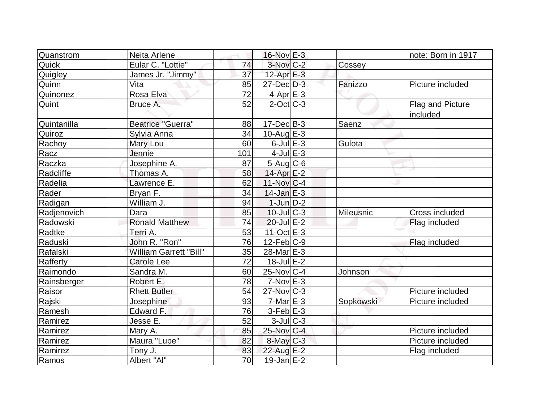| Quanstrom          | Neita Arlene                  |     | $16$ -Nov $E-3$        |                  | note: Born in 1917           |
|--------------------|-------------------------------|-----|------------------------|------------------|------------------------------|
| Quick              | Eular C. "Lottie"             | 74  | $3-Nov$ <sub>C-2</sub> | Cossey           |                              |
| Quigley            | James Jr. "Jimmy"             | 37  | $12$ -Apr $E-3$        |                  |                              |
| Quinn              | Vita                          | 85  | $27 - Dec$ $D-3$       | Fanizzo          | Picture included             |
| Quinonez           | Rosa Elva                     | 72  | $4$ -Apr $E-3$         |                  |                              |
| Quint              | Bruce A.                      | 52  | $2$ -Oct $ C-3 $       |                  | Flag and Picture<br>included |
| <b>Quintanilla</b> | <b>Beatrice "Guerra"</b>      | 88  | $17 - Dec$ B-3         | Saenz            |                              |
| Quiroz             | Sylvia Anna                   | 34  | 10-Aug $E-3$           |                  |                              |
| Rachoy             | Mary Lou                      | 60  | $6$ -Jul $E-3$         | Gulota           |                              |
| Racz               | Jennie                        | 101 | $4$ -Jul $E-3$         |                  |                              |
| Raczka             | Josephine A.                  | 87  | $5$ -Aug $C$ -6        |                  |                              |
| Radcliffe          | Thomas A.                     | 58  | $14$ -Apr $E-2$        |                  |                              |
| Radelia            | Lawrence E.                   | 62  | $11-Nov C-4$           |                  |                              |
| Rader              | Bryan F.                      | 34  | $14$ -Jan $E-3$        |                  |                              |
| Radigan            | William J.                    | 94  | $1$ -Jun $D-2$         |                  |                              |
| Radjenovich        | Dara                          | 85  | $10$ -Jul $C-3$        | <b>Mileusnic</b> | Cross included               |
| Radowski           | <b>Ronald Matthew</b>         | 74  | $20$ -Jul $E-2$        |                  | Flag included                |
| Radtke             | Terri A.                      | 53  | 11-Oct $E-3$           |                  |                              |
| Raduski            | John R. "Ron"                 | 76  | $12$ -Feb $C-9$        |                  | Flag included                |
| Rafalski           | <b>William Garrett "Bill"</b> | 35  | 28-Mar E-3             |                  |                              |
| Rafferty           | <b>Carole Lee</b>             | 72  | $18$ -Jul $E-2$        |                  |                              |
| Raimondo           | Sandra M.                     | 60  | 25-Nov C-4             | Johnson          |                              |
| Rainsberger        | Robert E.                     | 78  | $7-Nov$ E-3            |                  |                              |
| Raisor             | <b>Rhett Butler</b>           | 54  | $27$ -Nov $ C-3 $      |                  | Picture included             |
| Rajski             | Josephine                     | 93  | $7-Mar$ E-3            | Sopkowski        | Picture included             |
| Ramesh             | Edward F.                     | 76  | $3-Feb$ $E-3$          |                  |                              |
| Ramirez            | Jesse E.                      | 52  | $3$ -JulC-3            |                  |                              |
| Ramirez            | Mary A.                       | 85  | 25-Nov C-4             |                  | Picture included             |
| Ramirez            | Maura "Lupe"                  | 82  | 8-May C-3              |                  | Picture included             |
| Ramirez            | Tony J.                       | 83  | 22-Aug E-2             |                  | Flag included                |
| Ramos              | Albert "Al"                   | 70  | $19$ -Jan $E-2$        |                  |                              |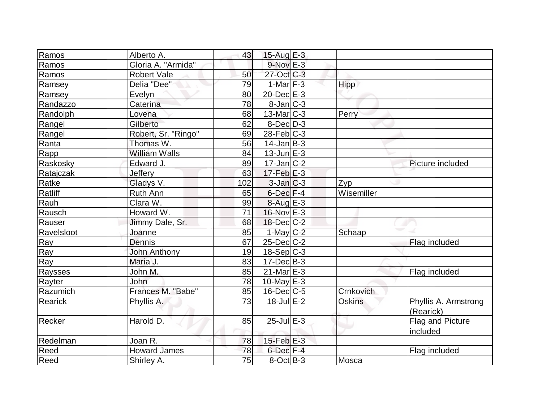| Ramos      | Alberto A.           | 43  | $15$ -Aug E-3     |            |                                   |
|------------|----------------------|-----|-------------------|------------|-----------------------------------|
| Ramos      | Gloria A. "Armida"   |     | $9-Nov$ $E-3$     |            |                                   |
| Ramos      | <b>Robert Vale</b>   | 50  | 27-Oct C-3        |            |                                   |
| Ramsey     | Delia "Dee"          | 79  | $1-Mar$ F-3       | Hipp       |                                   |
| Ramsey     | Evelyn               | 80  | $20$ -Dec $E-3$   |            |                                   |
| Randazzo   | Caterina             | 78  | $8$ -Jan $ C-3 $  |            |                                   |
| Randolph   | Lovena               | 68  | $13$ -Mar $ C-3 $ | Perry      |                                   |
| Rangel     | Gilberto             | 62  | $8-Dec$ D-3       |            |                                   |
| Rangel     | Robert, Sr. "Ringo"  | 69  | $28$ -Feb $ C-3 $ |            |                                   |
| Ranta      | Thomas W.            | 56  | $14$ -Jan $ B-3 $ |            |                                   |
| Rapp       | <b>William Walls</b> | 84  | $13$ -Jun $E-3$   |            |                                   |
| Raskosky   | Edward J.            | 89  | $17 - Jan$ $C-2$  |            | Picture included                  |
| Ratajczak  | Jeffery              | 63  | $17 - Feb$ $E-3$  |            |                                   |
| Ratke      | Gladys V.            | 102 | $3$ -Jan $ C-3 $  | Zyp        |                                   |
| Ratliff    | Ruth Ann             | 65  | 6-Dec F-4         | Wisemiller |                                   |
| Rauh       | Clara W.             | 99  | $8-Aug$ E-3       |            |                                   |
| Rausch     | Howard W.            | 71  | $16$ -Nov $E-3$   |            |                                   |
| Rauser     | Jimmy Dale, Sr.      | 68  | $18$ -Dec $C-2$   |            |                                   |
| Ravelsloot | Joanne               | 85  | $1$ -May $C-2$    | Schaap     |                                   |
| Ray        | Dennis               | 67  | $25$ -Dec $C$ -2  |            | Flag included                     |
| Ray        | <b>John Anthony</b>  | 19  | $18-Sep C-3$      |            |                                   |
| Ray        | Maria J.             | 83  | $17 - Dec$ B-3    |            |                                   |
| Raysses    | John M.              | 85  | $21$ -Mar $E-3$   |            | Flag included                     |
| Rayter     | John                 | 78  | $10$ -May $E-3$   |            |                                   |
| Razumich   | Frances M. "Babe"    | 85  | $16$ -Dec $ C$ -5 | Crnkovich  |                                   |
| Rearick    | Phyllis A.           | 73  | $18$ -Jul $E-2$   | Oskins     | Phyllis A. Armstrong<br>(Rearick) |
| Recker     | Harold D.            | 85  | $25$ -Jul $E-3$   |            | Flag and Picture<br>included      |
| Redelman   | Joan R.              | 78  | $15$ -Feb $E-3$   |            |                                   |
| Reed       | <b>Howard James</b>  | 78  | 6-Dec F-4         |            | Flag included                     |
| Reed       | Shirley A.           | 75  | $8-Oct$ B-3       | Mosca      |                                   |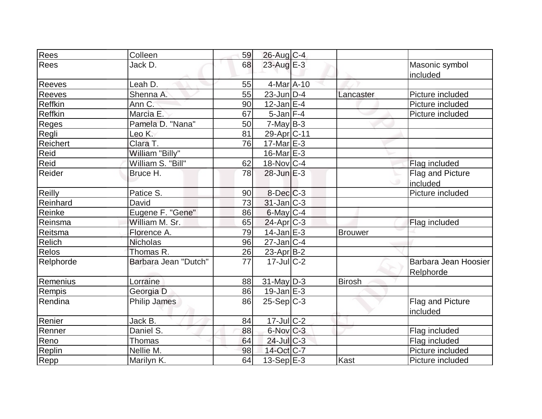| Rees         | Colleen              | 59 | 26-Aug C-4        |                |                                   |
|--------------|----------------------|----|-------------------|----------------|-----------------------------------|
| Rees         | Jack D.              | 68 | 23-Aug $E-3$      |                | Masonic symbol<br>included        |
| Reeves       | Leah D.              | 55 | $4$ -Mar $A$ -10  |                |                                   |
| Reeves       | Shenna A.            | 55 | $23$ -Jun $ D-4 $ | Lancaster      | Picture included                  |
| Reffkin      | Ann C.               | 90 | $12$ -Jan $E-4$   |                | Picture included                  |
| Reffkin      | Marcia E.            | 67 | $5$ -Jan F-4      |                | Picture included                  |
| <b>Reges</b> | Pamela D. "Nana"     | 50 | $7$ -May B-3      |                |                                   |
| Regli        | Leo K.               | 81 | 29-Apr C-11       |                |                                   |
| Reichert     | Clara T.             | 76 | $17$ -Mar $E-3$   |                |                                   |
| Reid         | William "Billy"      |    | $16$ -Mar $E-3$   |                |                                   |
| Reid         | William S. "Bill"    | 62 | 18-Nov C-4        |                | Flag included                     |
| Reider       | Bruce H.             | 78 | $28$ -Jun $E-3$   |                | Flag and Picture                  |
|              |                      |    |                   |                | included                          |
| Reilly       | Patice S.            | 90 | $8$ -Dec $C$ -3   |                | Picture included                  |
| Reinhard     | David                | 73 | $31$ -Jan $ C-3 $ |                |                                   |
| Reinke       | Eugene F. "Gene"     | 86 | 6-May C-4         |                |                                   |
| Reinsma      | William M. Sr.       | 65 | $24$ -Apr $C-3$   |                | Flag included                     |
| Reitsma      | Florence A.          | 79 | $14$ -Jan $E-3$   | <b>Brouwer</b> |                                   |
| Relich       | <b>Nicholas</b>      | 96 | $27$ -Jan C-4     |                |                                   |
| Relos        | Thomas R.            | 26 | $23$ -Apr $B-2$   |                |                                   |
| Relphorde    | Barbara Jean "Dutch" | 77 | $17$ -Jul $C-2$   |                | Barbara Jean Hoosier<br>Relphorde |
| Remenius     | Lorraine             | 88 | $31$ -May $D-3$   | <b>Birosh</b>  |                                   |
| Rempis       | Georgia D            | 86 | $19$ -Jan $E-3$   |                |                                   |
| Rendina      | <b>Philip James</b>  | 86 | $25-Sep C-3$      |                | Flag and Picture<br>included      |
| Renier       | Jack B.              | 84 | $17 -$ Jul C-2    |                |                                   |
| Renner       | Daniel S.            | 88 | 6-Nov C-3         |                | Flag included                     |
| Reno         | Thomas               | 64 | 24-Jul C-3        |                | Flag included                     |
| Replin       | Nellie M.            | 98 | 14-Oct C-7        |                | Picture included                  |
| Repp         | Marilyn K.           | 64 | 13-Sep E-3        | Kast           | Picture included                  |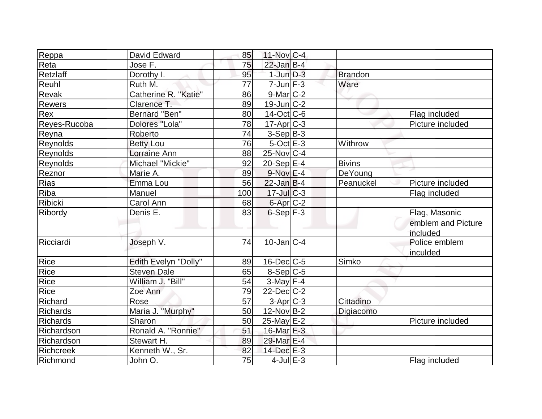| Reppa            | David Edward         | 85  | $11$ -Nov $ C-4$     |                |                    |
|------------------|----------------------|-----|----------------------|----------------|--------------------|
| Reta             | Jose F.              | 75  | $22$ -Jan B-4        |                |                    |
| Retzlaff         | Dorothy I.           | 95  | $1$ -Jun $D-3$       | <b>Brandon</b> |                    |
| Reuhl            | Ruth M.              | 77  | $7$ -Jun $F-3$       | Ware           |                    |
| <b>Revak</b>     | Catherine R. "Katie" | 86  | $9$ -Mar $ C-2 $     |                |                    |
| Rewers           | Clarence T.          | 89  | $19$ -Jun $C-2$      |                |                    |
| Rex              | Bernard "Ben"        | 80  | $14$ -Oct $ C$ -6    |                | Flag included      |
| Reyes-Rucoba     | Dolores "Lola"       | 78  | $17$ -Apr $C-3$      |                | Picture included   |
| Reyna            | Roberto              | 74  | $3-Sep$ B-3          |                |                    |
| Reynolds         | <b>Betty Lou</b>     | 76  | $5$ -Oct $E-3$       | Withrow        |                    |
| Reynolds         | Lorraine Ann         | 88  | $25$ -Nov $ C-4$     |                |                    |
| <b>Reynolds</b>  | Michael "Mickie"     | 92  | $20-Sep$ E-4         | <b>Bivins</b>  |                    |
| Reznor           | Marie A.             | 89  | $9-Nov$ E-4          | DeYoung        |                    |
| Rias             | Emma Lou             | 56  | $22$ -Jan B-4        | Peanuckel      | Picture included   |
| Riba             | Manuel               | 100 | $17 -$ Jul $C - 3$   |                | Flag included      |
| Ribicki          | Carol Ann            | 68  | 6-Apr C-2            |                |                    |
| Ribordy          | Denis E.             | 83  | $6-Sep$ $F-3$        |                | Flag, Masonic      |
|                  |                      |     |                      |                | emblem and Picture |
|                  |                      |     |                      |                | included           |
| Ricciardi        | Joseph V.            | 74  | $10$ -Jan $ C-4 $    |                | Police emblem      |
|                  |                      |     |                      |                | inculded           |
| Rice             | Edith Evelyn "Dolly" | 89  | $16$ -Dec $C$ -5     | Simko          |                    |
| Rice             | <b>Steven Dale</b>   | 65  | $8-Sep C-5$          |                |                    |
| Rice             | William J. "Bill"    | 54  | $3-May$ F-4          |                |                    |
| Rice             | Zoe Ann              | 79  | $22$ -Dec $C$ -2     |                |                    |
| Richard          | Rose                 | 57  | 3-Apr <sub>C-3</sub> | Cittadino      |                    |
| <b>Richards</b>  | Maria J. "Murphy"    | 50  | $12$ -Nov $ B-2 $    | Digiacomo      |                    |
| <b>Richards</b>  | Sharon               | 50  | $25$ -May $E-2$      |                | Picture included   |
| Richardson       | Ronald A. "Ronnie"   | 51  | 16-Mar $E-3$         |                |                    |
| Richardson       | Stewart H.           | 89  | 29-Mar E-4           |                |                    |
| <b>Richcreek</b> | Kenneth W., Sr.      | 82  | 14-Dec E-3           |                |                    |
| Richmond         | John O.              | 75  | $4$ -Jul $E-3$       |                | Flag included      |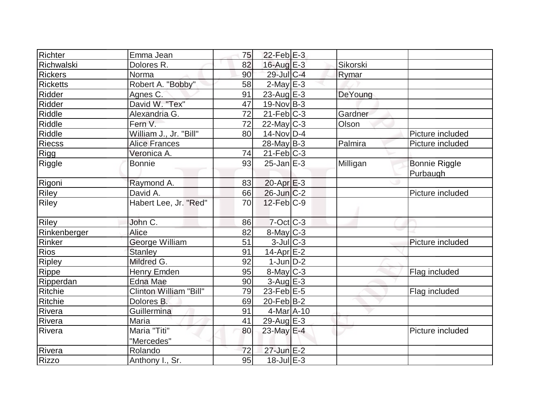| Richter         | Emma Jean              | 75 | $22$ -Feb $ E-3 $ |          |                      |
|-----------------|------------------------|----|-------------------|----------|----------------------|
| Richwalski      | Dolores R.             | 82 | 16-Aug $E-3$      | Sikorski |                      |
| <b>Rickers</b>  | Norma                  | 90 | 29-Jul C-4        | Rymar    |                      |
| <b>Ricketts</b> | Robert A. "Bobby"      | 58 | $2$ -May $E-3$    |          |                      |
| Ridder          | Agnes C.               | 91 | $23$ -Aug E-3     | DeYoung  |                      |
| Ridder          | David W. "Tex"         | 47 | $19-Nov B-3$      |          |                      |
| Riddle          | Alexandria G.          | 72 | $21$ -Feb $ C-3 $ | Gardner  |                      |
| Riddle          | Fern V.                | 72 | $22$ -May C-3     | Olson    |                      |
| <b>Riddle</b>   | William J., Jr. "Bill" | 80 | $14$ -Nov $ D-4 $ |          | Picture included     |
| <b>Riecss</b>   | <b>Alice Frances</b>   |    | $28$ -May B-3     | Palmira  | Picture included     |
| <b>Rigg</b>     | Veronica A.            | 74 | $21$ -Feb $ C-3 $ |          |                      |
| Riggle          | <b>Bonnie</b>          | 93 | $25$ -Jan $E-3$   | Milligan | <b>Bonnie Riggle</b> |
|                 |                        |    |                   |          | Purbaugh             |
| Rigoni          | Raymond A.             | 83 | $20$ -Apr $E-3$   |          |                      |
| Riley           | David A.               | 66 | $26$ -Jun $C-2$   |          | Picture included     |
| Riley           | Habert Lee, Jr. "Red"  | 70 | $12$ -Feb $C-9$   |          |                      |
| <b>Riley</b>    | John C.                | 86 | $7$ -Oct C-3      |          |                      |
| Rinkenberger    | Alice                  | 82 | 8-May C-3         |          |                      |
| Rinker          | George William         | 51 | $3$ -Jul $ C-3 $  |          | Picture included     |
| <b>Rios</b>     | <b>Stanley</b>         | 91 | 14-Apr E-2        |          |                      |
| Ripley          | Mildred G.             | 92 | $1$ -Jun $D-2$    |          |                      |
| Rippe           | <b>Henry Emden</b>     | 95 | $8$ -May $C$ -3   |          | Flag included        |
| Ripperdan       | <b>Edna Mae</b>        | 90 | $3$ -Aug $E-3$    |          |                      |
| Ritchie         | Clinton William "Bill" | 79 | $23$ -Feb $E-5$   |          | Flag included        |
| Ritchie         | Dolores B.             | 69 | $20$ -Feb $B$ -2  |          |                      |
| Rivera          | Guillermina            | 91 | $4$ -Mar $A$ -10  |          |                      |
| Rivera          | Maria                  | 41 | $29$ -Aug E-3     |          |                      |
| Rivera          | Maria "Titi"           | 80 | 23-May E-4        |          | Picture included     |
|                 | "Mercedes"             |    |                   |          |                      |
| Rivera          | Rolando                | 72 | 27-Jun E-2        |          |                      |
| <b>Rizzo</b>    | Anthony I., Sr.        | 95 | $18$ -Jul $E-3$   |          |                      |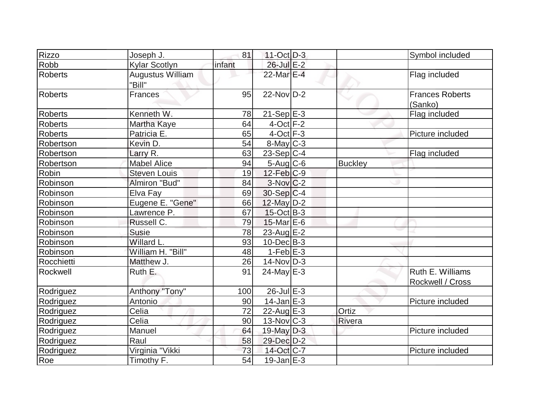| <b>Rizzo</b>   | Joseph J.                         | 81     | $11-Oct$ D-3                |                | Symbol included                   |
|----------------|-----------------------------------|--------|-----------------------------|----------------|-----------------------------------|
| Robb           | <b>Kylar Scotlyn</b>              | infant | 26-Jul E-2                  |                |                                   |
| <b>Roberts</b> | <b>Augustus William</b><br>"Bill" |        | 22-Mar E-4                  |                | Flag included                     |
| <b>Roberts</b> | Frances                           | 95     | $22$ -Nov $\overline{D}$ -2 |                | <b>Frances Roberts</b><br>(Sanko) |
| <b>Roberts</b> | Kenneth W.                        | 78     | $21-Sep$ <sup>E-3</sup>     |                | Flag included                     |
| <b>Roberts</b> | Martha Kaye                       | 64     | $4$ -Oct $F-2$              |                |                                   |
| Roberts        | Patricia E.                       | 65     | $4$ -Oct $F-3$              |                | Picture included                  |
| Robertson      | Kevin D.                          | 54     | $8$ -May $C-3$              |                |                                   |
| Robertson      | Larry R.                          | 63     | $23-Sep C-4$                |                | Flag included                     |
| Robertson      | <b>Mabel Alice</b>                | 94     | $5-Aug$ $C-6$               | <b>Buckley</b> |                                   |
| Robin          | <b>Steven Louis</b>               | 19     | $12$ -Feb $ C-9 $           |                |                                   |
| Robinson       | Almiron "Bud"                     | 84     | $3-Nov$ <sub>C</sub> -2     |                |                                   |
| Robinson       | Elva Fay                          | 69     | $30-Sep C-4$                |                |                                   |
| Robinson       | Eugene E. "Gene"                  | 66     | 12-May D-2                  |                |                                   |
| Robinson       | Lawrence P.                       | 67     | $15$ -Oct B-3               |                |                                   |
| Robinson       | Russell C.                        | 79     | $15$ -Mar $E$ -6            |                |                                   |
| Robinson       | <b>Susie</b>                      | 78     | 23-Aug E-2                  |                |                                   |
| Robinson       | Willard L.                        | 93     | $10$ -Dec $ B-3 $           |                |                                   |
| Robinson       | William H. "Bill"                 | 48     | $1-Feb$ $E-3$               |                |                                   |
| Rocchietti     | Matthew J.                        | 26     | $14$ -Nov $D-3$             |                |                                   |
| Rockwell       | Ruth E.                           | 91     | $24$ -May E-3               |                | Ruth E. Williams                  |
|                |                                   |        |                             |                | Rockwell / Cross                  |
| Rodriguez      | Anthony "Tony"                    | 100    | $26$ -Jul $E-3$             |                |                                   |
| Rodriguez      | Antonio                           | 90     | $14$ -Jan $E-3$             |                | Picture included                  |
| Rodriguez      | Celia                             | 72     | $22$ -Aug $E-3$             | Ortiz          |                                   |
| Rodriguez      | Celia                             | 90     | $13-Nov$ C-3                | Rivera         |                                   |
| Rodriguez      | Manuel                            | 64     | 19-May $D-3$                |                | Picture included                  |
| Rodriguez      | Raul                              | 58     | 29-Dec D-2                  |                |                                   |
| Rodriguez      | Virginia "Vikki                   | 73     | 14-Oct C-7                  |                | Picture included                  |
| Roe            | Timothy F.                        | 54     | $19$ -Jan $E-3$             |                |                                   |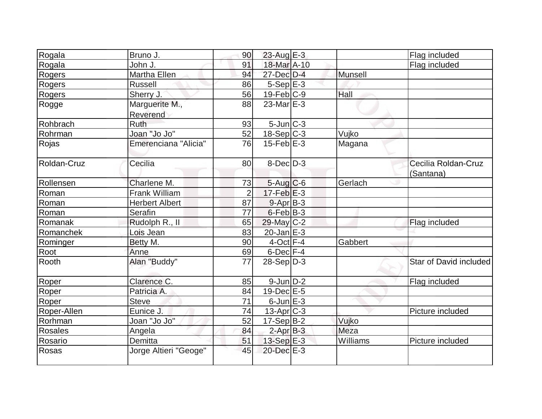| Rogala         | Bruno J.                   | 90             | $23$ -Aug E-3             |          | Flag included                    |
|----------------|----------------------------|----------------|---------------------------|----------|----------------------------------|
| Rogala         | John J.                    | 91             | 18-Mar A-10               |          | Flag included                    |
| Rogers         | Martha Ellen               | 94             | 27-Dec D-4                | Munsell  |                                  |
| Rogers         | Russell                    | 86             | $5-Sep$ $E-3$             |          |                                  |
| Rogers         | Sherry J.                  | 56             | $19$ -Feb $ C-9 $         | Hall     |                                  |
| Rogge          | Marguerite M.,<br>Reverend | 88             | $23$ -Mar $E-3$           |          |                                  |
| Rohbrach       | Ruth                       | 93             | $5$ -Jun $ C-3 $          |          |                                  |
| Rohrman        | Joan "Jo Jo"               | 52             | 18-Sep C-3                | Vujko    |                                  |
| Rojas          | Emerenciana "Alicia"       | 76             | $15$ -Feb $E-3$           | Magana   |                                  |
| Roldan-Cruz    | Cecilia                    | 80             | $8-Dec$ D-3               |          | Cecilia Roldan-Cruz<br>(Santana) |
| Rollensen      | Charlene M.                | 73             | 5-Aug C-6                 | Gerlach  |                                  |
| Roman          | <b>Frank William</b>       | $\overline{2}$ | $17 - Feb$ $E-3$          |          |                                  |
| Roman          | <b>Herbert Albert</b>      | 87             | $9 - Apr$ B-3             |          |                                  |
| Roman          | Serafin                    | 77             | $6$ -Feb $ B-3 $          |          |                                  |
| Romanak        | Rudolph R., II             | 65             | $29$ -May C-2             |          | Flag included                    |
| Romanchek      | Lois Jean                  | 83             | $20$ -Jan $E-3$           |          |                                  |
| Rominger       | Betty M.                   | 90             | $4$ -Oct $\overline{F-4}$ | Gabbert  |                                  |
| Root           | Anne                       | 69             | $6$ -Dec $F-4$            |          |                                  |
| Rooth          | Alan "Buddy"               | 77             | $28-Sep D-3$              |          | Star of David included           |
| Roper          | Clarence C.                | 85             | $9$ -Jun $D-2$            |          | Flag included                    |
| Roper          | Patricia A.                | 84             | $19$ -Dec $E - 5$         |          |                                  |
| Roper          | <b>Steve</b>               | 71             | $6$ -Jun $E-3$            |          |                                  |
| Roper-Allen    | Eunice J.                  | 74             | $13$ -Apr $C-3$           |          | Picture included                 |
| Rorhman        | Joan "Jo Jo"               | 52             | 17-Sep B-2                | Vujko    |                                  |
| <b>Rosales</b> | Angela                     | 84             | $2$ -Apr $B-3$            | Meza     |                                  |
| Rosario        | Demitta                    | 51             | $13-Sep$ $E-3$            | Williams | Picture included                 |
| Rosas          | Jorge Altieri "Geoge"      | 45             | 20-Dec E-3                |          |                                  |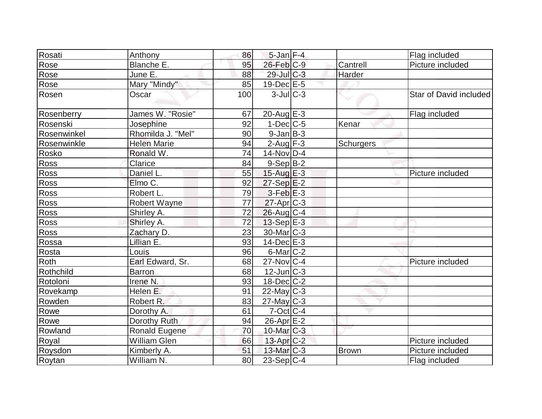| Rosati      | Anthony              | 86  | $5$ -Jan $F-4$    |              | Flag included          |
|-------------|----------------------|-----|-------------------|--------------|------------------------|
| Rose        | Blanche E.           | 95  | $26$ -Feb $ C-9 $ | Cantrell     | Picture included       |
| Rose        | June E.              | 88  | $29$ -Jul C-3     | Harder       |                        |
| Rose        | Mary "Mindy"         | 85  | 19-Dec E-5        |              |                        |
| Rosen       | Oscar                | 100 | $3$ -JulC-3       |              | Star of David included |
| Rosenberry  | James W. "Rosie"     | 67  | $20$ -Aug $E-3$   |              | Flag included          |
| Rosenski    | Josephine            | 92  | $1-Dec$ $C-5$     | Kenar        |                        |
| Rosenwinkel | Rhomilda J. "Mel"    | 90  | $9$ -Jan $B$ -3   |              |                        |
| Rosenwinkle | <b>Helen Marie</b>   | 94  | $2$ -Aug $F-3$    | Schurgers    |                        |
| Rosko       | Ronald W.            | 74  | $14$ -Nov $ D-4$  |              |                        |
| <b>Ross</b> | Clarice              | 84  | $9-Sep B-2$       |              |                        |
| Ross        | Daniel L.            | 55  | 15-Aug $E-3$      |              | Picture included       |
| Ross        | Elmo C.              | 92  | $27-Sep$ $E-2$    |              |                        |
| Ross        | Robert L.            | 79  | $3-Feb$ $E-3$     |              |                        |
| Ross        | <b>Robert Wayne</b>  | 77  | $27$ -Apr $ C-3 $ |              |                        |
| Ross        | Shirley A.           | 72  | $26$ -Aug $C-4$   |              |                        |
| Ross        | Shirley A.           | 72  | $13-Sep$ $E-3$    |              |                        |
| Ross        | Zachary D.           | 23  | 30-Mar C-3        |              |                        |
| Rossa       | Lillian E.           | 93  | $14$ -Dec $E-3$   |              |                        |
| Rosta       | Louis                | 96  | $6$ -Mar $ C-2 $  |              |                        |
| Roth        | Earl Edward, Sr.     | 68  | $27$ -Nov $ C-4$  |              | Picture included       |
| Rothchild   | <b>Barron</b>        | 68  | $12$ -Jun $ C-3 $ |              |                        |
| Rotoloni    | Irene <sub>N.</sub>  | 93  | $18$ -Dec $C-2$   |              |                        |
| Rovekamp    | Helen E.             | 91  | $22$ -May C-3     |              |                        |
| Rowden      | Robert R.            | 83  | $27$ -May C-3     |              |                        |
| Rowe        | Dorothy A.           | 61  | $7$ -Oct $ C-4 $  |              |                        |
| Rowe        | Dorothy Ruth         | 94  | $26$ -Apr $E-2$   |              |                        |
| Rowland     | <b>Ronald Eugene</b> | 70  | $10$ -Mar $C-3$   |              |                        |
| Royal       | <b>William Glen</b>  | 66  | $13$ -Apr $C-2$   |              | Picture included       |
| Roysdon     | Kimberly A.          | 51  | $13$ -Mar $C-3$   | <b>Brown</b> | Picture included       |
| Roytan      | William N.           | 80  | $23-Sep C-4$      |              | Flag included          |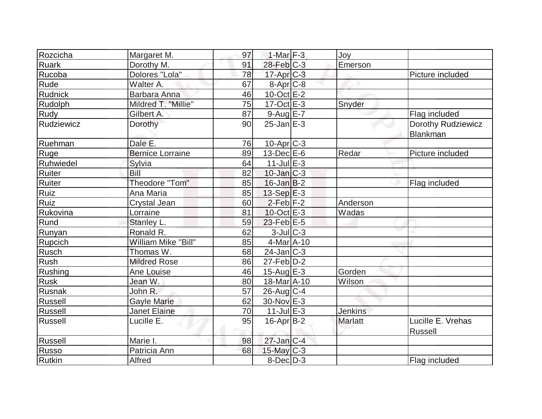| Rozcicha       | Margaret M.             | 97 | 1-Mar $F-3$       | Joy            |                    |
|----------------|-------------------------|----|-------------------|----------------|--------------------|
| <b>Ruark</b>   | Dorothy M.              | 91 | $28$ -Feb $C-3$   | Emerson        |                    |
| Rucoba         | Dolores "Lola"          | 78 | $17$ -Apr $C-3$   |                | Picture included   |
| Rude           | Walter A.               | 67 | 8-Apr C-8         |                |                    |
| <b>Rudnick</b> | Barbara Anna            | 46 | $10$ -Oct $E-2$   |                |                    |
| Rudolph        | Mildred T. "Millie"     | 75 | 17-Oct E-3        | Snyder         |                    |
| Rudy           | Gilbert A.              | 87 | $9-Aug$ $E-7$     |                | Flag included      |
| Rudziewicz     | Dorothy                 | 90 | $25$ -Jan $E-3$   |                | Dorothy Rudziewicz |
|                |                         |    |                   |                | Blankman           |
| Ruehman        | Dale E.                 | 76 | $10$ -Apr $ C-3 $ |                |                    |
| Ruge           | <b>Bernice Lorraine</b> | 89 | $13$ -Dec $E$ -6  | Redar          | Picture included   |
| Ruhwiedel      | Sylvia                  | 64 | $11$ -Jul $E-3$   |                |                    |
| Ruiter         | Bill                    | 82 | $10$ -Jan $ C-3 $ |                |                    |
| Ruiter         | Theodore "Tom"          | 85 | $16$ -Jan $B-2$   |                | Flag included      |
| Ruiz           | Ana Maria               | 85 | $13-Sep$ $E-3$    |                |                    |
| Ruiz           | Crystal Jean            | 60 | $2-Feb$ $F-2$     | Anderson       |                    |
| Rukovina       | Lorraine                | 81 | $10$ -Oct $E - 3$ | Wadas          |                    |
| Rund           | Stanley L.              | 59 | $23$ -Feb $E-5$   |                |                    |
| Runyan         | Ronald R.               | 62 | $3$ -Jul $C-3$    |                |                    |
| Rupcich        | William Mike "Bill"     | 85 | $4$ -Mar $A$ -10  |                |                    |
| <b>Rusch</b>   | Thomas W.               | 68 | $24$ -Jan $ C-3 $ |                |                    |
| Rush           | <b>Mildred Rose</b>     | 86 | $27$ -Feb $ D-2 $ |                |                    |
| Rushing        | Ane Louise              | 46 | 15-Aug $E-3$      | Gorden         |                    |
| Rusk           | Jean W.                 | 80 | 18-Mar A-10       | Wilson         |                    |
| Rusnak         | John R.                 | 57 | $26$ -Aug $C-4$   |                |                    |
| Russell        | <b>Gayle Marie</b>      | 62 | 30-Nov E-3        |                |                    |
| Russell        | <b>Janet Elaine</b>     | 70 | $11$ -Jul $E-3$   | <b>Jenkins</b> |                    |
| Russell        | Lucille E.              | 95 | $16$ -Apr $ B-2 $ | <b>Marlatt</b> | Lucille E. Vrehas  |
|                |                         |    |                   |                | <b>Russell</b>     |
| Russell        | Marie I.                | 98 | $27$ -Jan $C-4$   |                |                    |
| Russo          | Patricia Ann            | 68 | $15$ -May C-3     |                |                    |
| Rutkin         | Alfred                  |    | $8$ -Dec $D-3$    |                | Flag included      |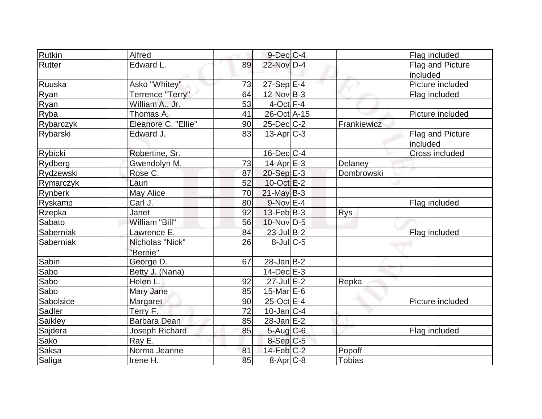| Rutkin         | Alfred              |    | $9$ -Dec $C$ -4   |               | Flag included    |
|----------------|---------------------|----|-------------------|---------------|------------------|
| Rutter         | Edward L.           | 89 | 22-Nov D-4        |               | Flag and Picture |
|                |                     |    |                   |               | included         |
| Ruuska         | Asko "Whitey"       | 73 | $27-Sep$ E-4      |               | Picture included |
| Ryan           | Terrence "Terry"    | 64 | $12$ -Nov B-3     |               | Flag included    |
| Ryan           | William A., Jr.     | 53 | $4$ -Oct $F-4$    |               |                  |
| Ryba           | Thomas A.           | 41 | 26-Oct A-15       |               | Picture included |
| Rybarczyk      | Eleanore C. "Ellie" | 90 | $25$ -Dec $C$ -2  | Frankiewicz   |                  |
| Rybarski       | Edward J.           | 83 | $13-Apr$ $C-3$    |               | Flag and Picture |
|                |                     |    |                   |               | included         |
| Rybicki        | Robertine, Sr.      |    | $16$ -Dec $ C-4 $ |               | Cross included   |
| Rydberg        | Gwendolyn M.        | 73 | $14$ -Apr $E-3$   | Delaney       |                  |
| Rydzewski      | Rose C.             | 87 | $20-Sep$ $E-3$    | Dombrowski    |                  |
| Rymarczyk      | Lauri               | 52 | $10$ -Oct $E-2$   |               |                  |
| <b>Rynberk</b> | May Alice           | 70 | $21$ -May B-3     |               |                  |
| <b>Ryskamp</b> | Carl J.             | 80 | $9-Nov$ $E-4$     |               | Flag included    |
| Rzepka         | Janet               | 92 | $13$ -Feb $ B-3 $ | <b>Rys</b>    |                  |
| Sabato         | William "Bill"      | 56 | $10$ -Nov $ D-5 $ |               |                  |
| Saberniak      | Lawrence E.         | 84 | $23$ -Jul B-2     |               | Flag included    |
| Saberniak      | Nicholas "Nick"     | 26 | $8$ -Jul $C$ -5   |               |                  |
|                | "Bernie"            |    |                   |               |                  |
| Sabin          | George D.           | 67 | $28$ -Jan B-2     |               |                  |
| Sabo           | Betty J. (Nana)     |    | $14$ -Dec $E-3$   |               |                  |
| Sabo           | Helen L.            | 92 | $27$ -Jul $E-2$   | Repka         |                  |
| Sabo           | Mary Jane           | 85 | 15-Mar $E-6$      |               |                  |
| Sabolsice      | Margaret            | 90 | $25$ -Oct $E-4$   |               | Picture included |
| Sadler         | Terry F.            | 72 | $10$ -Jan $ C-4 $ |               |                  |
| Saikley        | Barbara Dean        | 85 | $28$ -Jan $E-2$   |               |                  |
| Sajdera        | Joseph Richard      | 85 | $5-Aug$ $C-6$     |               | Flag included    |
| Sako           | Ray E.              |    | $8-Sep C-5$       |               |                  |
| Saksa          | Norma Jeanne        | 81 | $14$ -Feb $ C-2 $ | Popoff        |                  |
| Saliga         | Irene H.            | 85 | $8 - Apr$ $C-8$   | <b>Tobias</b> |                  |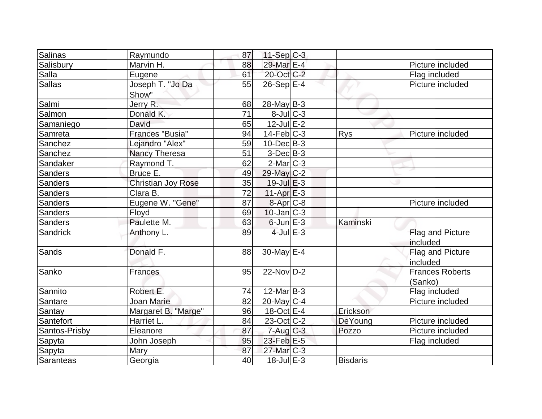| Salinas        | Raymundo                  | 87 | $11-Sep C-3$               |                 |                                   |
|----------------|---------------------------|----|----------------------------|-----------------|-----------------------------------|
| Salisbury      | Marvin H.                 | 88 | 29-Mar E-4                 |                 | Picture included                  |
| Salla          | Eugene                    | 61 | 20-Oct C-2                 |                 | Flag included                     |
| <b>Sallas</b>  | Joseph T. "Jo Da<br>Show" | 55 | $26-Sep$ $E-4$             |                 | Picture included                  |
| Salmi          | Jerry R.                  | 68 | $28$ -May B-3              |                 |                                   |
| Salmon         | Donald K.                 | 71 | $8$ -Jul $C-3$             |                 |                                   |
| Samaniego      | David                     | 65 | $12$ -Jul $E-2$            |                 |                                   |
| Samreta        | Frances "Busia"           | 94 | $14$ -Feb $ C-3 $          | <b>Rys</b>      | Picture included                  |
| Sanchez        | Lejandro "Alex"           | 59 | $10$ -Dec $ B-3 $          |                 |                                   |
| Sanchez        | Nancy Theresa             | 51 | $3-Dec B-3$                |                 |                                   |
| Sandaker       | Raymond T.                | 62 | $2$ -Mar $ C-3 $           |                 |                                   |
| <b>Sanders</b> | Bruce E.                  | 49 | 29-May C-2                 |                 |                                   |
| <b>Sanders</b> | <b>Christian Joy Rose</b> | 35 | $19$ -Jul $E-3$            |                 |                                   |
| Sanders        | $\overline{C}$ lara B.    | 72 | $11-Apr \nightharpoonup 3$ |                 |                                   |
| Sanders        | Eugene W. "Gene"          | 87 | 8-Apr <sub>C-8</sub>       |                 | Picture included                  |
| Sanders        | Floyd                     | 69 | $10$ -Jan $ C-3 $          |                 |                                   |
| Sanders        | Paulette M.               | 63 | $6$ -Jun $E-3$             | Kaminski        |                                   |
| Sandrick       | Anthony L.                | 89 | $4$ -Jul $E-3$             |                 | Flag and Picture<br>included      |
| Sands          | Donald F.                 | 88 | 30-May $E-4$               |                 | Flag and Picture<br>included      |
| Sanko          | <b>Frances</b>            | 95 | $22$ -Nov $D-2$            |                 | <b>Frances Roberts</b><br>(Sanko) |
| Sannito        | Robert E.                 | 74 | $12$ -Mar $ B-3 $          |                 | Flag included                     |
| Santare        | Joan Marie                | 82 | $20$ -May C-4              |                 | Picture included                  |
| Santay         | Margaret B. "Marge"       | 96 | $18-Oct$ $E-4$             | Erickson        |                                   |
| Santefort      | Harriet L.                | 84 | $23-Oct$ <sub>C</sub> -2   | DeYoung         | Picture included                  |
| Santos-Prisby  | Eleanore                  | 87 | $7 - Aug$ <sub>C</sub> -3  | Pozzo           | Picture included                  |
| Sapyta         | John Joseph               | 95 | 23-Feb E-5                 |                 | Flag included                     |
| Sapyta         | Mary                      | 87 | 27-Mar <sub>IC-3</sub>     |                 |                                   |
| Saranteas      | Georgia                   | 40 | $\overline{18}$ -Jul E-3   | <b>Bisdaris</b> |                                   |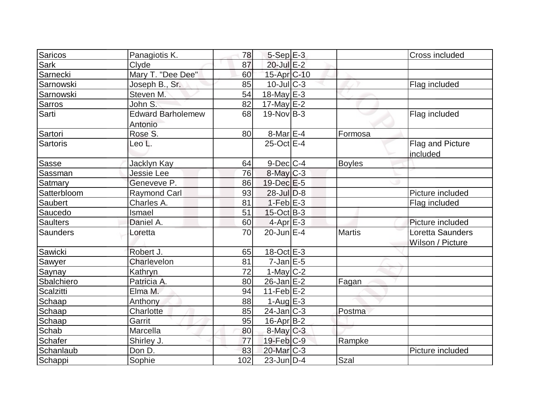| Saricos         | Panagiotis K.            | 78  | $5-Sep$ $E-3$           |               | Cross included   |
|-----------------|--------------------------|-----|-------------------------|---------------|------------------|
| Sark            | Clyde                    | 87  | 20-Jul E-2              |               |                  |
| Sarnecki        | Mary T. "Dee Dee"        | 60  | 15-Apr C-10             |               |                  |
| Sarnowski       | Joseph B., Sr.           | 85  | $10$ -JulC-3            |               | Flag included    |
| Sarnowski       | Steven M.                | 54  | 18-May E-3              |               |                  |
| Sarros          | John S.                  | 82  | $17$ -May E-2           |               |                  |
| Sarti           | <b>Edward Barholemew</b> | 68  | $19-Nov B-3$            |               | Flag included    |
|                 | Antonio                  |     |                         |               |                  |
| Sartori         | Rose S.                  | 80  | $8$ -Mar $E - 4$        | Formosa       |                  |
| <b>Sartoris</b> | Leo L.                   |     | 25-Oct E-4              |               | Flag and Picture |
|                 |                          |     |                         |               | included         |
| Sasse           | Jacklyn Kay              | 64  | $9$ -Dec $C$ -4         | <b>Boyles</b> |                  |
| <b>Sassman</b>  | <b>Jessie Lee</b>        | 76  | $8$ -May $C-3$          |               |                  |
| Satmary         | Geneveve P.              | 86  | $19$ -Dec $E - 5$       |               |                  |
| Satterbloom     | <b>Raymond Carl</b>      | 93  | $28$ -Jul $D-8$         |               | Picture included |
| Saubert         | Charles A.               | 81  | $1-Feb$ E-3             |               | Flag included    |
| Saucedo         | Ismael                   | 51  | $15$ -Oct B-3           |               |                  |
| <b>Saulters</b> | Daniel A.                | 60  | $4$ -Apr $E-3$          |               | Picture included |
| Saunders        | Loretta                  | 70  | $20$ -Jun $E-4$         | <b>Martis</b> | Loretta Saunders |
|                 |                          |     |                         |               | Wilson / Picture |
| Sawicki         | Robert J.                | 65  | 18-Oct E-3              |               |                  |
| Sawyer          | Charlevelon              | 81  | $7$ -Jan $E$ -5         |               |                  |
| Saynay          | Kathryn                  | 72  | $1$ -May $C-2$          |               |                  |
| Sbalchiero      | Patricia A.              | 80  | $26$ -Jan $E-2$         | Fagan         |                  |
| Scalzitti       | Elma M.                  | 94  | $11-Feb$ E-2            |               |                  |
| Schaap          | Anthony                  | 88  | $1-AugE-3$              |               |                  |
| Schaap          | Charlotte                | 85  | $24$ -Jan $ C-3 $       | Postma        |                  |
| Schaap          | Garrit                   | 95  | $16$ -Apr $ B-2 $       |               |                  |
| Schab           | Marcella                 | 80  | $8$ -May $C-3$          |               |                  |
| Schafer         | Shirley J.               | 77  | $19$ -Feb $ C-9 $       | Rampke        |                  |
| Schanlaub       | Don D.                   | 83  | 20-Mar <sub>IC</sub> -3 |               | Picture included |
| Schappi         | Sophie                   | 102 | $23$ -Jun $ D-4$        | Szal          |                  |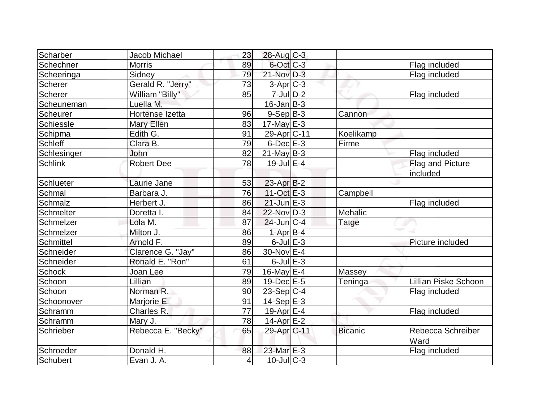| Scharber       | <b>Jacob Michael</b> | 23              | 28-Aug C-3        |                |                             |
|----------------|----------------------|-----------------|-------------------|----------------|-----------------------------|
| Schechner      | <b>Morris</b>        | 89              | $6$ -Oct $C$ -3   |                | Flag included               |
| Scheeringa     | Sidney               | 79              | 21-Nov D-3        |                | Flag included               |
| <b>Scherer</b> | Gerald R. "Jerry"    | 73              | 3-Apr C-3         |                |                             |
| Scherer        | William "Billy"      | 85              | $7 -$ Jul $D-2$   |                | Flag included               |
| Scheuneman     | Luella M.            |                 | $16$ -Jan $B-3$   |                |                             |
| Scheurer       | Hortense Izetta      | 96              | $9-Sep B-3$       | Cannon         |                             |
| Schiessle      | Mary Ellen           | 83              | 17-May $E-3$      |                |                             |
| Schipma        | Edith G.             | 91              | 29-Apr C-11       | Koelikamp      |                             |
| <b>Schleff</b> | Clara B.             | 79              | $6$ -Dec $E-3$    | Firme          |                             |
| Schlesinger    | <b>John</b>          | 82              | $21$ -May B-3     |                | Flag included               |
| Schlink        | Robert Dee           | 78              | $19$ -Jul $E-4$   |                | Flag and Picture            |
|                |                      |                 |                   |                | included                    |
| Schlueter      | Laurie Jane          | 53              | $23$ -Apr $ B-2 $ |                |                             |
| Schmal         | Barbara J.           | 76              | $11-Oct$ $E-3$    | Campbell       |                             |
| Schmalz        | Herbert J.           | 86              | $21$ -Jun $E-3$   |                | Flag included               |
| Schmelter      | Doretta I.           | 84              | $22$ -Nov $ D-3 $ | Mehalic        |                             |
| Schmelzer      | Lola M.              | 87              | $24$ -Jun $C-4$   | <b>Tatge</b>   |                             |
| Schmelzer      | Milton J.            | 86              | $1-Apr$ B-4       |                |                             |
| Schmittel      | Arnold F.            | 89              | $6$ -Jul $E-3$    |                | Picture included            |
| Schneider      | Clarence G. "Jay"    | 86              | 30-Nov E-4        |                |                             |
| Schneider      | Ronald E. "Ron"      | 61              | $6$ -Jul $E-3$    |                |                             |
| <b>Schock</b>  | Joan Lee             | 79              | 16-May $E-4$      | Massey         |                             |
| Schoon         | Lillian              | 89              | $19$ -Dec $E-5$   | Teninga        | <b>Lillian Piske Schoon</b> |
| Schoon         | Norman R.            | 90              | $23-Sep C-4$      |                | Flag included               |
| Schoonover     | Marjorie E.          | 91              | $14-Sep$ E-3      |                |                             |
| Schramm        | Charles R.           | $\overline{77}$ | $19$ -Apr $E-4$   |                | Flag included               |
| Schramm        | Mary J.              | 78              | 14-Apr $E-2$      |                |                             |
| Schrieber      | Rebecca E. "Becky"   | 65              | 29-Apr C-11       | <b>Bicanic</b> | Rebecca Schreiber<br>Ward   |
| Schroeder      | Donald H.            | 88              | 23-Mar E-3        |                | Flag included               |
| Schubert       | Evan J. A.           | $\vert 4 \vert$ | $10$ -JulC-3      |                |                             |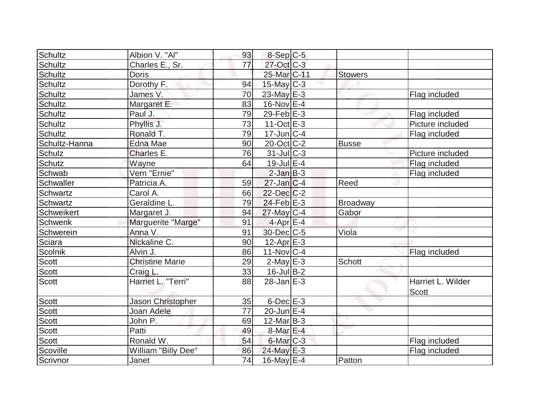| Schultz        | Albion V. "Al"         | 93 | $8-Sep C-5$                |                 |                   |
|----------------|------------------------|----|----------------------------|-----------------|-------------------|
| Schultz        | Charles E., Sr.        | 77 | 27-Oct C-3                 |                 |                   |
| Schultz        | <b>Doris</b>           |    | 25-Mar <sub>IC-11</sub>    | <b>Stowers</b>  |                   |
| Schultz        | Dorothy F.             | 94 | $15$ -May C-3              |                 |                   |
| Schultz        | James V.               | 70 | 23-May $E-3$               |                 | Flag included     |
| Schultz        | Margaret E.            | 83 | $16$ -Nov $E-4$            |                 |                   |
| <b>Schultz</b> | Paul J.                | 79 | $29$ -Feb $E-3$            |                 | Flag included     |
| Schultz        | Phyllis J.             | 73 | $11-Oct$ $E-3$             |                 | Picture included  |
| Schultz        | Ronald T.              | 79 | $17$ -Jun $ C-4 $          |                 | Flag included     |
| Schultz-Hanna  | <b>Edna Mae</b>        | 90 | $20$ -Oct $ C-2 $          | <b>Busse</b>    |                   |
| Schulz         | Charles E.             | 76 | $31$ -JulC-3               |                 | Picture included  |
| Schutz         | Wayne                  | 64 | $19$ -Jul $E-4$            |                 | Flag included     |
| Schwab         | Vern "Ernie"           |    | $2$ -Jan $B-3$             |                 | Flag included     |
| Schwaller      | Patricia A.            | 59 | $27$ -Jan $ C-4$           | Reed            |                   |
| Schwartz       | Carol A.               | 66 | $22$ -Dec $C-2$            |                 |                   |
| Schwartz       | Geraldine L.           | 79 | $24$ -Feb $E-3$            | <b>Broadway</b> |                   |
| Schweikert     | Margaret J.            | 94 | $27$ -May C-4              | Gabor           |                   |
| Schwenk        | Marguerite "Marge"     | 91 | $4$ -Apr $E$ -4            |                 |                   |
| Schwerein      | Anna V.                | 91 | 30-Dec C-5                 | Viola           |                   |
| Sciara         | Nickaline C.           | 90 | $12-Apr \nightharpoonup 3$ |                 |                   |
| Scolnik        | Alvin J.               | 86 | $11-Nov$ $C-4$             |                 | Flag included     |
| Scott          | <b>Christine Marie</b> | 29 | $2$ -May $E-3$             | Schott          |                   |
| Scott          | Craig L.               | 33 | $16$ -Jul B-2              |                 |                   |
| <b>Scott</b>   | Harriet L. "Terri"     | 88 | $28$ -Jan $E-3$            |                 | Harriet L. Wilder |
|                |                        |    |                            |                 | <b>Scott</b>      |
| Scott          | Jason Christopher      | 35 | $6$ -Dec $E-3$             |                 |                   |
| Scott          | Joan Adele             | 77 | $20$ -Jun $E-4$            |                 |                   |
| <b>Scott</b>   | John P.                | 69 | $12$ -Mar $ B-3 $          |                 |                   |
| Scott          | Patti                  | 49 | $8$ -Mar $E - 4$           |                 |                   |
| Scott          | Ronald W.              | 54 | $6$ -Mar $ C-3 $           |                 | Flag included     |
| Scoville       | William "Billy Dee"    | 86 | $24$ -May E-3              |                 | Flag included     |
| Scrivnor       | Janet                  | 74 | $16$ -May E-4              | Patton          |                   |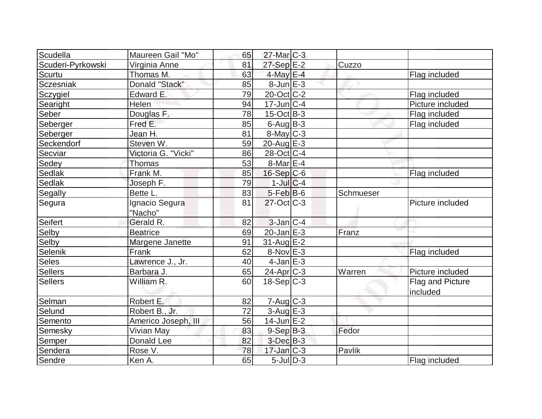| Scudella          | Maureen Gail "Mo"   | 65 | $27$ -Mar $C-3$         |           |                  |
|-------------------|---------------------|----|-------------------------|-----------|------------------|
| Scuderi-Pyrkowski | Virginia Anne       | 81 | $27-Sep$ $E-2$          | Cuzzo     |                  |
| Scurtu            | Thomas M.           | 63 | 4-May E-4               |           | Flag included    |
| Sczesniak         | Donald "Stack"      | 85 | $8$ -Jun $E-3$          |           |                  |
| Sczygiel          | Edward E.           | 79 | 20-Oct C-2              |           | Flag included    |
| Searight          | Helen               | 94 | $17$ -Jun $C-4$         |           | Picture included |
| Seber             | Douglas F.          | 78 | $15$ -Oct B-3           |           | Flag included    |
| Seberger          | Fred E.             | 85 | $6$ -Aug $B$ -3         |           | Flag included    |
| Seberger          | Jean H.             | 81 | 8-May C-3               |           |                  |
| Seckendorf        | Steven W.           | 59 | $20$ -Aug $E-3$         |           |                  |
| Secviar           | Victoria G. "Vicki" | 86 | $28-Oct$ <sub>C-4</sub> |           |                  |
| Sedey             | Thomas              | 53 | $8$ -Mar $E - 4$        |           |                  |
| Sedlak            | Frank M.            | 85 | $16-Sep C-6$            |           | Flag included    |
| Sedlak            | Joseph F.           | 79 | $1$ -Jul $C-4$          |           |                  |
| Segally           | Bette L.            | 83 | $5-Feb B-6$             | Schmueser |                  |
| Segura            | Ignacio Segura      | 81 | $27$ -Oct $C-3$         |           | Picture included |
|                   | "Nacho"             |    |                         |           |                  |
| Seifert           | Gerald R.           | 82 | $3$ -Jan $ C-4 $        |           |                  |
| Selby             | <b>Beatrice</b>     | 69 | $20$ -Jan $E-3$         | Franz     |                  |
| Selby             | Margene Janette     | 91 | $31$ -Aug $E-2$         |           |                  |
| <b>Selenik</b>    | Frank               | 62 | $8-Nov$ E-3             |           | Flag included    |
| Seles             | Lawrence J., Jr.    | 40 | $4$ -Jan $E-3$          |           |                  |
| Sellers           | Barbara J.          | 65 | $24$ -Apr $ C-3 $       | Warren    | Picture included |
| <b>Sellers</b>    | William R.          | 60 | $18-Sep C-3$            |           | Flag and Picture |
|                   |                     |    |                         |           | included         |
| Selman            | Robert E.           | 82 | 7-Aug C-3               |           |                  |
| Selund            | Robert B., Jr.      | 72 | $3$ -Aug E-3            |           |                  |
| Semento           | Americo Joseph, III | 56 | $14$ -Jun $E-2$         |           |                  |
| Semesky           | Vivian May          | 83 | $9-Sep$ $B-3$           | Fedor     |                  |
| Semper            | Donald Lee          | 82 | $3$ -Dec $B-3$          |           |                  |
| Sendera           | Rose V.             | 78 | $17$ -Jan $ C-3 $       | Pavlik    |                  |
| Sendre            | Ken A.              | 65 | $5$ -Jul $ D-3 $        |           | Flag included    |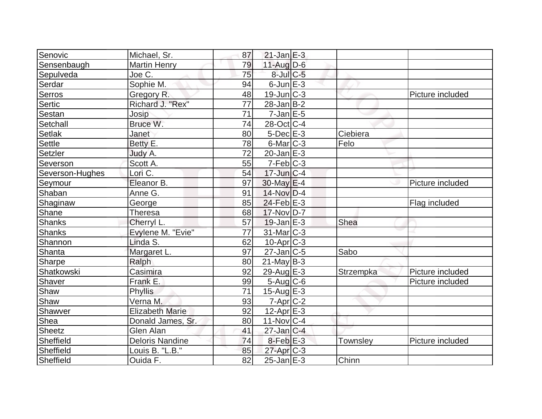| Senovic         | Michael, Sr.           | 87 | $21$ -Jan $E-3$   |           |                  |
|-----------------|------------------------|----|-------------------|-----------|------------------|
| Sensenbaugh     | <b>Martin Henry</b>    | 79 | $11$ -Aug $D-6$   |           |                  |
| Sepulveda       | Joe C.                 | 75 | $8$ -Jul $C$ -5   |           |                  |
| Serdar          | Sophie M.              | 94 | $6$ -Jun $E-3$    |           |                  |
| Serros          | Gregory R.             | 48 | $19$ -Jun $C-3$   |           | Picture included |
| Sertic          | Richard J. "Rex"       | 77 | $28$ -Jan $ B-2 $ |           |                  |
| Sestan          | Josip                  | 71 | $7$ -Jan $E-5$    |           |                  |
| Setchall        | Bruce W.               | 74 | 28-Oct C-4        |           |                  |
| <b>Setlak</b>   | Janet                  | 80 | $5$ -Dec $E-3$    | Ciebiera  |                  |
| Settle          | Betty E.               | 78 | $6$ -Mar $ C-3 $  | Felo      |                  |
| Setzler         | Judy A.                | 72 | $20$ -Jan $E-3$   |           |                  |
| Severson        | Scott A.               | 55 | $7-Feb$ $C-3$     |           |                  |
| Severson-Hughes | Lori C.                | 54 | $17$ -Jun $ C-4$  |           |                  |
| Seymour         | Eleanor B.             | 97 | $30$ -May $E-4$   |           | Picture included |
| Shaban          | Anne G.                | 91 | 14-Nov D-4        |           |                  |
| Shaginaw        | George                 | 85 | $24$ -Feb $E-3$   |           | Flag included    |
| Shane           | Theresa                | 68 | 17-Nov D-7        |           |                  |
| Shanks          | Cherryl L.             | 57 | $19$ -Jan $E-3$   | Shea      |                  |
| <b>Shanks</b>   | Evylene M. "Evie"      | 77 | 31-Mar C-3        |           |                  |
| Shannon         | Linda S.               | 62 | $10$ -Apr $C-3$   |           |                  |
| Shanta          | Margaret L.            | 97 | $27$ -Jan $ C-5 $ | Sabo      |                  |
| Sharpe          | Ralph                  | 80 | $21$ -May B-3     |           |                  |
| Shatkowski      | Casimira               | 92 | $29$ -Aug $E-3$   | Strzempka | Picture included |
| Shaver          | Frank E.               | 99 | $5$ -Aug $C$ -6   |           | Picture included |
| Shaw            | Phyllis                | 71 | 15-Aug $E-3$      |           |                  |
| Shaw            | Verna M.               | 93 | $7$ -Apr $C-2$    |           |                  |
| Shawver         | <b>Elizabeth Marie</b> | 92 | $12$ -Apr $E-3$   |           |                  |
| Shea            | Donald James, Sr.      | 80 | $11-Nov$ C-4      |           |                  |
| Sheetz          | Glen Alan              | 41 | $27$ -Jan $ C-4 $ |           |                  |
| Sheffield       | <b>Deloris Nandine</b> | 74 | $8$ -Feb $E-3$    | Townsley  | Picture included |
| Sheffield       | Louis B. "L.B."        | 85 | $27$ -Apr $C-3$   |           |                  |
| Sheffield       | Ouida F.               | 82 | $25$ -Jan $E-3$   | Chinn     |                  |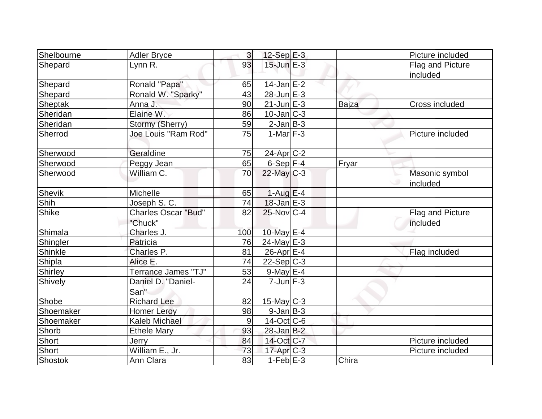| Shelbourne   | <b>Adler Bryce</b>         | 3   | $12$ -Sep $E-3$   |       | Picture included |
|--------------|----------------------------|-----|-------------------|-------|------------------|
| Shepard      | Lynn R.                    | 93  | $15$ -Jun $E-3$   |       | Flag and Picture |
|              |                            |     |                   |       | included         |
| Shepard      | Ronald "Papa"              | 65  | $14$ -Jan $E-2$   |       |                  |
| Shepard      | Ronald W. "Sparky"         | 43  | $28$ -Jun $E-3$   |       |                  |
| Sheptak      | Anna J.                    | 90  | $21$ -Jun $E-3$   | Bajza | Cross included   |
| Sheridan     | Elaine W.                  | 86  | $10$ -Jan $ C-3 $ |       |                  |
| Sheridan     | Stormy (Sherry)            | 59  | $2$ -Jan $B-3$    |       |                  |
| Sherrod      | Joe Louis "Ram Rod"        | 75  | $1-Mar$ F-3       |       | Picture included |
| Sherwood     | Geraldine                  | 75  | 24-Apr C-2        |       |                  |
| Sherwood     | Peggy Jean                 | 65  | 6-Sep F-4         | Fryar |                  |
| Sherwood     | William C.                 | 70  | $22$ -May C-3     |       | Masonic symbol   |
|              |                            |     |                   |       | included         |
| Shevik       | Michelle                   | 65  | $1-AugE-4$        |       |                  |
| Shih         | Joseph S. C.               | 74  | $18$ -Jan $E-3$   |       |                  |
| <b>Shike</b> | <b>Charles Oscar "Bud"</b> | 82  | $25$ -Nov $ C-4$  |       | Flag and Picture |
|              | "Chuck"                    |     |                   |       | included         |
| Shimala      | Charles J.                 | 100 | 10-May $E-4$      |       |                  |
| Shingler     | Patricia                   | 76  | $24$ -May E-3     |       |                  |
| Shinkle      | Charles P.                 | 81  | $26$ -Apr $E-4$   |       | Flag included    |
| Shipla       | Alice E.                   | 74  | $22-Sep C-3$      |       |                  |
| Shirley      | <b>Terrance James "TJ"</b> | 53  | $9$ -May $E-4$    |       |                  |
| Shively      | Daniel D. "Daniel-         | 24  | $7$ -Jun $F-3$    |       |                  |
|              | San"                       |     |                   |       |                  |
| Shobe        | <b>Richard Lee</b>         | 82  | $15$ -May C-3     |       |                  |
| Shoemaker    | <b>Homer Leroy</b>         | 98  | $9$ -Jan $B$ -3   |       |                  |
| Shoemaker    | Kaleb Michael              | 9   | $14$ -Oct $ C$ -6 |       |                  |
| Shorb        | <b>Ethele Mary</b>         | 93  | $28$ -Jan B-2     |       |                  |
| Short        | Jerry                      | 84  | 14-Oct C-7        |       | Picture included |
| Short        | William E., Jr.            | 73  | $17$ -Apr $C-3$   |       | Picture included |
| Shostok      | Ann Clara                  | 83  | $1-Feb$ $E-3$     | Chira |                  |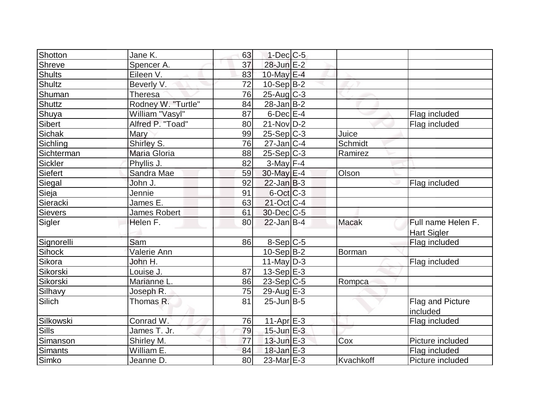| Shotton       | Jane K.            | 63 | $1-Dec$ $C-5$     |              |                    |
|---------------|--------------------|----|-------------------|--------------|--------------------|
| Shreve        | Spencer A.         | 37 | 28-Jun E-2        |              |                    |
| <b>Shults</b> | Eileen V.          | 83 | 10-May E-4        |              |                    |
| Shultz        | Beverly V.         | 72 | $10-Sep B-2$      |              |                    |
| Shuman        | Theresa            | 76 | $25$ -Aug $C-3$   |              |                    |
| <b>Shuttz</b> | Rodney W. "Turtle" | 84 | $28$ -Jan B-2     |              |                    |
| Shuya         | William "Vasyl"    | 87 | $6$ -Dec $E-4$    |              | Flag included      |
| Sibert        | Alfred P. "Toad"   | 80 | $21-Nov D-2$      |              | Flag included      |
| Sichak        | Mary               | 99 | $25-Sep C-3$      | Juice        |                    |
| Sichling      | Shirley S.         | 76 | $27$ -Jan $ C-4 $ | Schmidt      |                    |
| Sichterman    | Maria Gloria       | 88 | $25-Sep C-3$      | Ramirez      |                    |
| Sickler       | Phyllis J.         | 82 | $3-May$ F-4       |              |                    |
| Siefert       | Sandra Mae         | 59 | 30-May E-4        | Olson        |                    |
| Siegal        | John J.            | 92 | $22$ -Jan B-3     |              | Flag included      |
| Sieja         | Jennie             | 91 | $6$ -Oct $C$ -3   |              |                    |
| Sieracki      | James E.           | 63 | $21$ -Oct C-4     |              |                    |
| Sievers       | James Robert       | 61 | $30$ -Dec $C$ -5  |              |                    |
| Sigler        | Helen F.           | 80 | $22$ -Jan B-4     | <b>Macak</b> | Full name Helen F. |
|               |                    |    |                   |              | <b>Hart Sigler</b> |
| Signorelli    | Sam                | 86 | $8-Sep C-5$       |              | Flag included      |
| Sihock        | Valerie Ann        |    | $10-Sep B-2$      | Borman       |                    |
| Sikora        | John H.            |    | $11$ -May D-3     |              | Flag included      |
| Sikorski      | Louise J.          | 87 | $13-Sep$ $E-3$    |              |                    |
| Sikorski      | Marianne L.        | 86 | $23-Sep C-5$      | Rompca       |                    |
| Silhavy       | Joseph R.          | 75 | 29-Aug $E-3$      |              |                    |
| Silich        | Thomas R.          | 81 | $25$ -Jun $ B-5 $ |              | Flag and Picture   |
|               |                    |    |                   |              | included           |
| Silkowski     | Conrad W.          | 76 | $11-Apr$ $E-3$    |              | Flag included      |
| Sills         | James T. Jr.       | 79 | $15$ -Jun $E-3$   |              |                    |
| Simanson      | Shirley M.         | 77 | $13$ -Jun $E-3$   | Cox          | Picture included   |
| Simants       | William E.         | 84 | $18$ -Jan $E-3$   |              | Flag included      |
| Simko         | Jeanne D.          | 80 | $23$ -Mar $E-3$   | Kvachkoff    | Picture included   |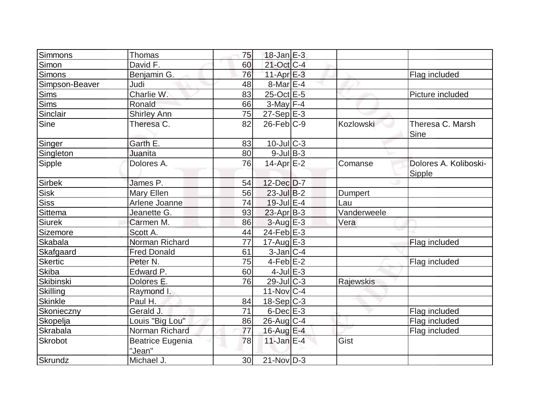| Simmons          | Thomas                            | 75              | $18$ -Jan $E-3$   |                |                                 |
|------------------|-----------------------------------|-----------------|-------------------|----------------|---------------------------------|
| Simon            | David F.                          | 60              | $21$ -Oct $C-4$   |                |                                 |
| <b>Simons</b>    | Benjamin G.                       | 76              | 11-Apr $E-3$      |                | Flag included                   |
| Simpson-Beaver   | Judi                              | 48              | $8$ -Mar $E-4$    |                |                                 |
| <b>Sims</b>      | Charlie W.                        | 83              | $25$ -Oct $E$ -5  |                | Picture included                |
| <b>Sims</b>      | Ronald                            | 66              | $3$ -May $F-4$    |                |                                 |
| Sinclair         | <b>Shirley Ann</b>                | 75              | $27-Sep$ E-3      |                |                                 |
| <b>Sine</b>      | Theresa C.                        | 82              | $26$ -Feb $C-9$   | Kozlowski      | Theresa C. Marsh<br>Sine        |
| Singer           | Garth E.                          | 83              | $10$ -JulC-3      |                |                                 |
| Singleton        | Juanita                           | 80              | $9$ -JulB-3       |                |                                 |
| Sipple           | Dolores A.                        | 76              | $14$ -Apr $E-2$   | Comanse        | Dolores A. Koliboski-<br>Sipple |
| <b>Sirbek</b>    | James P.                          | 54              | 12-Dec D-7        |                |                                 |
| <b>Sisk</b>      | Mary Ellen                        | 56              | 23-Jul B-2        | <b>Dumpert</b> |                                 |
| <b>Siss</b>      | Arlene Joanne                     | 74              | $19$ -Jul $E-4$   | Lau            |                                 |
| <b>Sittema</b>   | Jeanette G.                       | 93              | $23$ -Apr $B-3$   | Vanderweele    |                                 |
| <b>Siurek</b>    | Carmen M.                         | 86              | $3-Aug$ $E-3$     | Vera           |                                 |
| Sizemore         | Scott A.                          | 44              | $24$ -Feb $E-3$   |                |                                 |
| <b>Skabala</b>   | Norman Richard                    | 77              | $17$ -Aug $E-3$   |                | Flag included                   |
| Skafgaard        | <b>Fred Donald</b>                | 61              | $3$ -Jan $ C-4 $  |                |                                 |
| <b>Skertic</b>   | Peter <sub>N.</sub>               | 75              | $4-Feb$ E-2       |                | Flag included                   |
| <b>Skiba</b>     | Edward P.                         | 60              | $4$ -Jul $E-3$    |                |                                 |
| <b>Skibinski</b> | Dolores E.                        | 76              | $29$ -JulC-3      | Rajewskis      |                                 |
| Skilling         | Raymond I.                        |                 | $11$ -Nov $ C-4 $ |                |                                 |
| <b>Skinkle</b>   | Paul H.                           | 84              | $18-Sep C-3$      |                |                                 |
| Skonieczny       | Gerald J.                         | 71              | $6$ -Dec $E-3$    |                | Flag included                   |
| Skopelja         | Louis "Big Lou"                   | 86              | $26$ -Aug C-4     |                | Flag included                   |
| <b>Skrabala</b>  | Norman Richard                    | 77              | 16-Aug E-4        |                | Flag included                   |
| <b>Skrobot</b>   | <b>Beatrice Eugenia</b><br>"Jean" | 78              | $11$ -Jan $E-4$   | Gist           |                                 |
| Skrundz          | Michael J.                        | 30 <sup>1</sup> | $21-Nov D-3$      |                |                                 |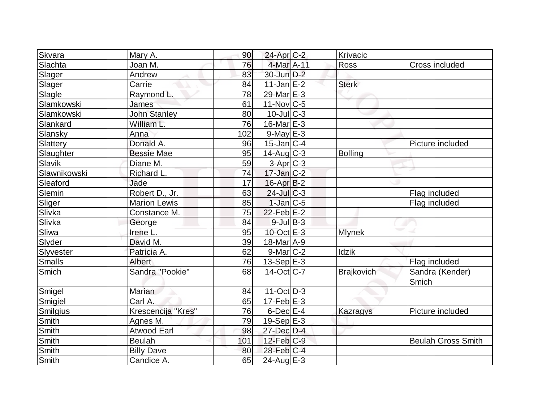| Skvara       | Mary A.             | 90  | $24$ -Apr $C-2$   | Krivacic          |                           |
|--------------|---------------------|-----|-------------------|-------------------|---------------------------|
| Slachta      | Joan M.             | 76  | 4-Mar A-11        | Ross              | Cross included            |
| Slager       | Andrew              | 83  | 30-Jun D-2        |                   |                           |
| Slager       | Carrie              | 84  | $11$ -Jan $E-2$   | <b>Sterk</b>      |                           |
| Slagle       | Raymond L.          | 78  | 29-Mar $E-3$      |                   |                           |
| Slamkowski   | James               | 61  | $11$ -Nov $ C-5 $ |                   |                           |
| Slamkowski   | <b>John Stanley</b> | 80  | $10$ -Jul $C-3$   |                   |                           |
| Slankard     | William L.          | 76  | $16$ -Mar $E-3$   |                   |                           |
| Slansky      | Anna                | 102 | $9$ -May $E-3$    |                   |                           |
| Slattery     | Donald A.           | 96  | $15$ -Jan $ C-4$  |                   | Picture included          |
| Slaughter    | <b>Bessie Mae</b>   | 95  | $14$ -Aug $C-3$   | <b>Bolling</b>    |                           |
| Slavik       | Diane M.            | 59  | $3-Apr$ $C-3$     |                   |                           |
| Slawnikowski | Richard L.          | 74  | $17 - Jan$ $C-2$  |                   |                           |
| Sleaford     | Jade                | 17  | $16$ -Apr $ B-2 $ |                   |                           |
| Slemin       | Robert D., Jr.      | 63  | $24$ -Jul $C-3$   |                   | Flag included             |
| Sliger       | <b>Marion Lewis</b> | 85  | $1$ -Jan $ C-5 $  |                   | Flag included             |
| Slivka       | Constance M.        | 75  | $22$ -Feb $E-2$   |                   |                           |
| Slivka       | George              | 84  | $9$ -JulB-3       |                   |                           |
| Sliwa        | Irene L.            | 95  | $10$ -Oct $E - 3$ | <b>Mlynek</b>     |                           |
| Slyder       | David M.            | 39  | $18$ -Mar $A$ -9  |                   |                           |
| Slyvester    | Patricia A.         | 62  | $9$ -Mar $ C-2 $  | Idzik             |                           |
| Smalls       | Albert              | 76  | $13-Sep$ $E-3$    |                   | Flag included             |
| Smich        | Sandra "Pookie"     | 68  | $14-Oct$ $C-7$    | <b>Brajkovich</b> | Sandra (Kender)           |
|              |                     |     |                   |                   | Smich                     |
| Smigel       | Marian              | 84  | $11-Oct$ D-3      |                   |                           |
| Smigiel      | Carl A.             | 65  | $17-Feb$ E-3      |                   |                           |
| Smilgius     | Krescencija "Kres"  | 76  | $6$ -Dec $E-4$    | Kazragys          | Picture included          |
| Smith        | Agnes M.            | 79  | $19-Sep$ $E-3$    |                   |                           |
| <b>Smith</b> | <b>Atwood Earl</b>  | 98  | 27-Dec D-4        |                   |                           |
| Smith        | <b>Beulah</b>       | 101 | $12$ -Feb $ C-9 $ |                   | <b>Beulah Gross Smith</b> |
| Smith        | <b>Billy Dave</b>   | 80  | 28-Feb C-4        |                   |                           |
| Smith        | Candice A.          | 65  | $24$ -Aug $E-3$   |                   |                           |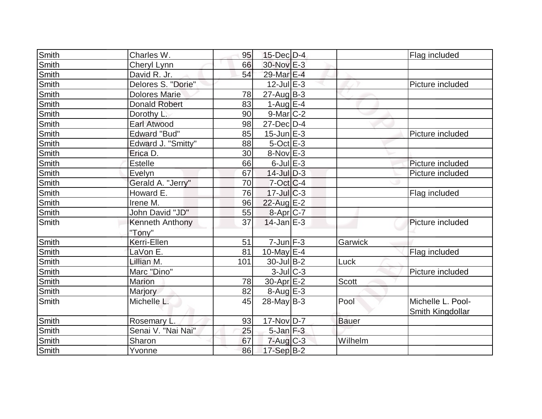| Smith        | Charles W.           | 95  | $15$ -Dec $D-4$           |              | Flag included     |
|--------------|----------------------|-----|---------------------------|--------------|-------------------|
| Smith        | Cheryl Lynn          | 66  | 30-Nov E-3                |              |                   |
| Smith        | David R. Jr.         | 54  | 29-Mar E-4                |              |                   |
| Smith        | Delores S. "Dorie"   |     | $12$ -Jul $E-3$           |              | Picture included  |
| Smith        | <b>Dolores Marie</b> | 78  | $27 - Aug$ B-3            |              |                   |
| Smith        | <b>Donald Robert</b> | 83  | 1-Aug $E-4$               |              |                   |
| Smith        | Dorothy L.           | 90  | $9$ -Mar $C-2$            |              |                   |
| Smith        | Earl Atwood          | 98  | $27$ -Dec $D-4$           |              |                   |
| Smith        | <b>Edward "Bud"</b>  | 85  | $15$ -Jun $E-3$           |              | Picture included  |
| Smith        | Edward J. "Smitty"   | 88  | $5$ -Oct $E-3$            |              |                   |
| Smith        | Erica D.             | 30  | $8-Nov$ E-3               |              |                   |
| Smith        | <b>Estelle</b>       | 66  | $6$ -Jul $E-3$            |              | Picture included  |
| Smith        | Evelyn               | 67  | $14$ -Jul $D-3$           |              | Picture included  |
| Smith        | Gerald A. "Jerry"    | 70  | $7$ -Oct C-4              |              |                   |
| <b>Smith</b> | Howard E.            | 76  | $17$ -Jul $C-3$           |              | Flag included     |
| Smith        | Irene M.             | 96  | 22-Aug E-2                |              |                   |
| Smith        | John David "JD"      | 55  | 8-Apr C-7                 |              |                   |
| Smith        | Kenneth Anthony      | 37  | $14$ -Jan $E-3$           |              | Picture included  |
|              | "Tony"               |     |                           |              |                   |
| <b>Smith</b> | Kerri-Ellen          | 51  | $7$ -Jun $F-3$            | Garwick      |                   |
| Smith        | LaVon E.             | 81  | 10-May $E-4$              |              | Flag included     |
| Smith        | Lillian M.           | 101 | $30 -$ Jul B-2            | Luck         |                   |
| Smith        | Marc "Dino"          |     | $3$ -Jul $C-3$            |              | Picture included  |
| Smith        | <b>Marion</b>        | 78  | $30$ -Apr $E-2$           | <b>Scott</b> |                   |
| Smith        | Marjory              | 82  | $8-Aug$ $E-3$             |              |                   |
| Smith        | Michelle L.          | 45  | $28$ -May B-3             | Pool         | Michelle L. Pool- |
|              |                      |     |                           |              | Smith Kingdollar  |
| Smith        | Rosemary L.          | 93  | $17-Nov D-7$              | <b>Bauer</b> |                   |
| Smith        | Senai V. "Nai Nai"   | 25  | $5$ -Jan $F-3$            |              |                   |
| Smith        | Sharon               | 67  | $7 - Aug$ <sub>C</sub> -3 | Wilhelm      |                   |
| Smith        | Yvonne               | 86  | 17-Sep B-2                |              |                   |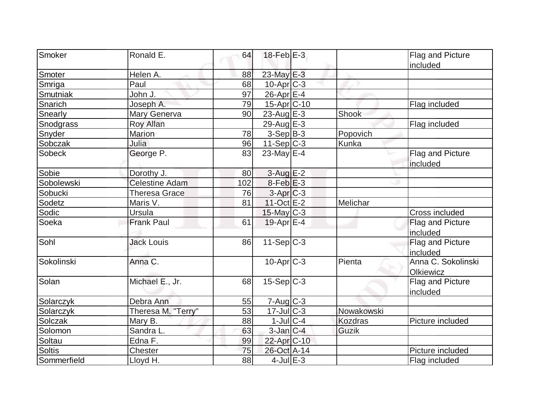| Smoker        | Ronald E.             | 64  | $18$ -Feb $E-3$   |                | Flag and Picture   |
|---------------|-----------------------|-----|-------------------|----------------|--------------------|
|               |                       |     |                   |                | included           |
| Smoter        | Helen A.              | 88  | 23-May E-3        |                |                    |
| Smriga        | Paul                  | 68  | $10$ -Apr $C-3$   |                |                    |
| Smutniak      | John J.               | 97  | $26$ -Apr $E-4$   |                |                    |
| Snarich       | Joseph A.             | 79  | 15-Apr C-10       |                | Flag included      |
| Snearly       | <b>Mary Generva</b>   | 90  | 23-Aug E-3        | Shook          |                    |
| Snodgrass     | <b>Roy Allan</b>      |     | 29-Aug $E-3$      |                | Flag included      |
| Snyder        | <b>Marion</b>         | 78  | $3-Sep B-3$       | Popovich       |                    |
| Sobczak       | Julia                 | 96  | $11-Sep C-3$      | Kunka          |                    |
| Sobeck        | George P.             | 83  | 23-May $E-4$      |                | Flag and Picture   |
|               |                       |     |                   |                | included           |
| Sobie         | Dorothy J.            | 80  | $3-Aug$ $E-2$     |                |                    |
| Sobolewski    | <b>Celestine Adam</b> | 102 | $8$ -Feb $E-3$    |                |                    |
| Sobucki       | <b>Theresa Grace</b>  | 76  | 3-Apr C-3         |                |                    |
| Sodetz        | Maris V.              | 81  | $11-Oct$ E-2      | Melichar       |                    |
| Sodic         | Ursula                |     | $15$ -May C-3     |                | Cross included     |
| Soeka         | <b>Frank Paul</b>     | 61  | 19-Apr $E$ -4     |                | Flag and Picture   |
|               |                       |     |                   |                | included           |
| Sohl          | <b>Jack Louis</b>     | 86  | $11-SepC-3$       |                | Flag and Picture   |
|               |                       |     |                   |                | included           |
| Sokolinski    | Anna C.               |     | $10$ -Apr $ C-3 $ | Pienta         | Anna C. Sokolinski |
|               |                       |     |                   |                | Olkiewicz          |
| Solan         | Michael E., Jr.       | 68  | $15-Sep C-3$      |                | Flag and Picture   |
|               |                       |     |                   |                | included           |
| Solarczyk     | Debra Ann             | 55  | 7-Aug C-3         |                |                    |
| Solarczyk     | Theresa M. "Terry"    | 53  | $17$ -Jul $C-3$   | Nowakowski     |                    |
| Solczak       | Mary B.               | 88  | $1$ -Jul $ C-4$   | <b>Kozdras</b> | Picture included   |
| Solomon       | Sandra L.             | 63  | $3$ -Jan $ C-4 $  | Guzik          |                    |
| Soltau        | Edna F.               | 99  | 22-Apr C-10       |                |                    |
| <b>Soltis</b> | Chester               | 75  | 26-Oct A-14       |                | Picture included   |
| Sommerfield   | Lloyd H.              | 88  | $4$ -Jul $E-3$    |                | Flag included      |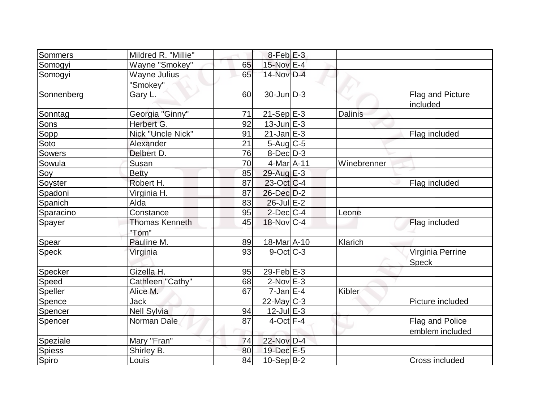| Sommers       | Mildred R. "Millie"   |    | $8$ -Feb $E-3$          |                |                              |
|---------------|-----------------------|----|-------------------------|----------------|------------------------------|
| Somogyi       | Wayne "Smokey"        | 65 | 15-Nov E-4              |                |                              |
| Somogyi       | Wayne Julius          | 65 | 14-Nov D-4              |                |                              |
|               | "Smokey"              |    |                         |                |                              |
| Sonnenberg    | Gary L.               | 60 | $30$ -Jun $D-3$         |                | Flag and Picture<br>included |
| Sonntag       | Georgia "Ginny"       | 71 | $21-Sep$ <sup>E-3</sup> | <b>Dalinis</b> |                              |
| <b>Sons</b>   | Herbert G.            | 92 | $13$ -Jun $E-3$         |                |                              |
| Sopp          | Nick "Uncle Nick"     | 91 | $21$ -Jan $E-3$         |                | Flag included                |
| Soto          | Alexander             | 21 | $5-Aug$ <sub>C-5</sub>  |                |                              |
| Sowers        | Delbert D.            | 76 | $8$ -Dec $D-3$          |                |                              |
| Sowula        | Susan                 | 70 | 4-Mar A-11              | Winebrenner    |                              |
| Soy           | <b>Betty</b>          | 85 | 29-Aug E-3              |                |                              |
| Soyster       | Robert H.             | 87 | $23-Oct$ <sub>C-4</sub> |                | Flag included                |
| Spadoni       | Virginia H.           | 87 | $26$ -Dec $D-2$         |                |                              |
| Spanich       | Alda                  | 83 | $26$ -Jul $E-2$         |                |                              |
| Sparacino     | Constance             | 95 | $2$ -Dec $ C-4 $        | Leone          |                              |
| Spayer        | <b>Thomas Kenneth</b> | 45 | $18-Nov$ C-4            |                | Flag included                |
|               | "Tom"                 |    |                         |                |                              |
| Spear         | Pauline M.            | 89 | 18-Mar A-10             | Klarich        |                              |
| Speck         | Virginia              | 93 | $9$ -Oct $ C-3 $        |                | Virginia Perrine             |
|               |                       |    |                         |                | <b>Speck</b>                 |
| Specker       | Gizella H.            | 95 | 29-Feb $E-3$            |                |                              |
| Speed         | Cathleen "Cathy"      | 68 | $2$ -Nov $E-3$          |                |                              |
| Speller       | Alice M.              | 67 | $7$ -Jan $E-4$          | Kibler         |                              |
| Spence        | Jack                  |    | 22-May C-3              |                | Picture included             |
| Spencer       | <b>Nell Sylvia</b>    | 94 | $12$ -Jul $E-3$         |                |                              |
| Spencer       | Norman Dale           | 87 | $4$ -Oct $F-4$          |                | Flag and Police              |
|               |                       |    |                         |                | emblem included              |
| Speziale      | Mary "Fran"           | 74 | 22-Nov D-4              |                |                              |
| <b>Spiess</b> | Shirley B.            | 80 | 19-Dec E-5              |                |                              |
| Spiro         | Louis                 | 84 | 10-Sep B-2              |                | Cross included               |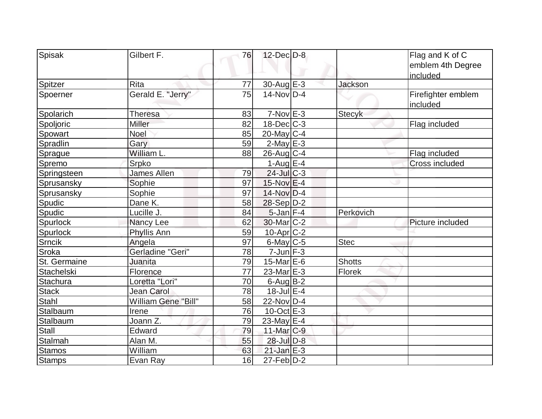| Spisak          | Gilbert F.          | 76              | $12$ -Dec $D-8$             |                | Flag and K of C<br>emblem 4th Degree<br>included |
|-----------------|---------------------|-----------------|-----------------------------|----------------|--------------------------------------------------|
| Spitzer         | Rita                | 77              | 30-Aug E-3                  | <b>Jackson</b> |                                                  |
| Spoerner        | Gerald E. "Jerry"   | 75              | $14$ -Nov $\overline{D}$ -4 |                | Firefighter emblem<br>included                   |
| Spolarich       | <b>Theresa</b>      | 83              | $7-Nov$ $E-3$               | <b>Stecyk</b>  |                                                  |
| Spoljoric       | Miller              | 82              | $18$ -Dec $ C-3 $           |                | Flag included                                    |
| Spowart         | Noel                | 85              | $20$ -May C-4               |                |                                                  |
| Spradlin        | Gary                | 59              | $2$ -May $E-3$              |                |                                                  |
| Sprague         | William L.          | 88              | $26$ -Aug C-4               |                | Flag included                                    |
| Spremo          | Srpko               |                 | 1-Aug $E-4$                 |                | <b>Cross included</b>                            |
| Springsteen     | <b>James Allen</b>  | 79              | $24$ -Jul $C-3$             |                |                                                  |
| Sprusansky      | Sophie              | 97              | $15$ -Nov $E-4$             |                |                                                  |
| Sprusansky      | Sophie              | 97              | 14-Nov D-4                  |                |                                                  |
| Spudic          | Dane K.             | 58              | 28-Sep D-2                  |                |                                                  |
| Spudic          | Lucille J.          | 84              | $5$ -Jan $F-4$              | Perkovich      |                                                  |
| <b>Spurlock</b> | Nancy Lee           | 62              | $30$ -Mar $ C-2 $           |                | Picture included                                 |
| Spurlock        | Phyllis Ann         | 59              | $10$ -Apr $ C-2 $           |                |                                                  |
| Srncik          | Angela              | 97              | $6$ -May $C$ -5             | <b>Stec</b>    |                                                  |
| Sroka           | Gerladine "Geri"    | 78              | $7$ -Jun $F-3$              |                |                                                  |
| St. Germaine    | Juanita             | 79              | 15-Mar E-6                  | <b>Shotts</b>  |                                                  |
| Stachelski      | Florence            | $\overline{77}$ | $23$ -Mar $E-3$             | <b>Florek</b>  |                                                  |
| Stachura        | Loretta "Lori"      | 70              | $6$ -Aug B-2                |                |                                                  |
| <b>Stack</b>    | Jean Carol          | 78              | $18$ -Jul $E-4$             |                |                                                  |
| Stahl           | William Gene "Bill" | 58              | $22$ -Nov $ D-4 $           |                |                                                  |
| Stalbaum        | Irene               | 76              | $10$ -Oct $E - 3$           |                |                                                  |
| Stalbaum        | Joann Z.            | 79              | 23-May E-4                  |                |                                                  |
| Stall           | Edward              | 79              | 11-Mar C-9                  |                |                                                  |
| <b>Stalmah</b>  | Alan M.             | 55              | 28-Jul D-8                  |                |                                                  |
| <b>Stamos</b>   | William             | 63              | $21$ -Jan $E-3$             |                |                                                  |
| <b>Stamps</b>   | Evan Ray            | 16              | $27$ -Feb $ D-2 $           |                |                                                  |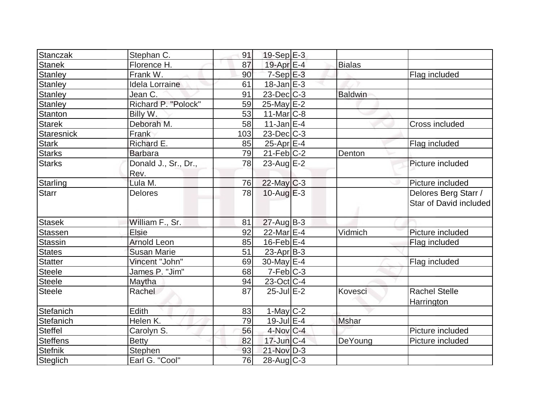| Stanczak          | Stephan C.            | 91  | $19-Sep$ $E-3$    |                |                        |
|-------------------|-----------------------|-----|-------------------|----------------|------------------------|
| <b>Stanek</b>     | Florence H.           | 87  | 19-Apr $E-4$      | <b>Bialas</b>  |                        |
| <b>Stanley</b>    | Frank W.              | 90  | $7-Sep$ $E-3$     |                | Flag included          |
| <b>Stanley</b>    | <b>Idela Lorraine</b> | 61  | $18$ -Jan $E-3$   |                |                        |
| <b>Stanley</b>    | Jean C.               | 91  | $23$ -Dec $C-3$   | <b>Baldwin</b> |                        |
| <b>Stanley</b>    | Richard P. "Polock"   | 59  | $25$ -May $E-2$   |                |                        |
| Stanton           | Billy W.              | 53  | $11$ -Mar $ C-8$  |                |                        |
| <b>Starek</b>     | Deborah M.            | 58  | $11$ -Jan $E-4$   |                | Cross included         |
| <b>Staresnick</b> | Frank                 | 103 | $23$ -Dec $C-3$   |                |                        |
| <b>Stark</b>      | Richard E.            | 85  | $25$ -Apr $E$ -4  |                | Flag included          |
| <b>Starks</b>     | <b>Barbara</b>        | 79  | $21$ -Feb $ C-2 $ | Denton         |                        |
| <b>Starks</b>     | Donald J., Sr., Dr.,  | 78  | $23$ -Aug $E-2$   |                | Picture included       |
|                   | Rev.                  |     |                   |                |                        |
| Starling          | Lula M.               | 76  | $22$ -May C-3     |                | Picture included       |
| <b>Starr</b>      | <b>Delores</b>        | 78  | 10-Aug $E-3$      |                | Delores Berg Starr /   |
|                   |                       |     |                   |                | Star of David included |
| <b>Stasek</b>     | William F., Sr.       | 81  | $27$ -Aug $B-3$   |                |                        |
| Stassen           | Elsie                 | 92  | 22-Mar E-4        | Vidmich        | Picture included       |
| <b>Stassin</b>    | <b>Arnold Leon</b>    | 85  | $16$ -Feb $ E-4 $ |                | Flag included          |
| <b>States</b>     | <b>Susan Marie</b>    | 51  | $23$ -Apr $ B-3 $ |                |                        |
| <b>Statter</b>    | Vincent "John"        | 69  | $30$ -May $E-4$   |                | Flag included          |
| <b>Steele</b>     | James P. "Jim"        | 68  | $7-Feb$ $C-3$     |                |                        |
| <b>Steele</b>     | Maytha                | 94  | 23-Oct C-4        |                |                        |
| <b>Steele</b>     | Rachel                | 87  | $25$ -Jul $E-2$   | Kovesci        | <b>Rachel Stelle</b>   |
|                   |                       |     |                   |                | Harrington             |
| Stefanich         | Edith                 | 83  | 1-May $C-2$       |                |                        |
| Stefanich         | Helen K.              | 79  | $19$ -Jul $E-4$   | Mshar          |                        |
| <b>Steffel</b>    | Carolyn S.            | 56  | $4$ -Nov $ C-4 $  |                | Picture included       |
| <b>Steffens</b>   | <b>Betty</b>          | 82  | $17$ -Jun $ C-4 $ | DeYoung        | Picture included       |
| <b>Stefnik</b>    | Stephen               | 93  | $21-Nov$ D-3      |                |                        |
| Steglich          | Earl G. "Cool"        | 76  | 28-Aug C-3        |                |                        |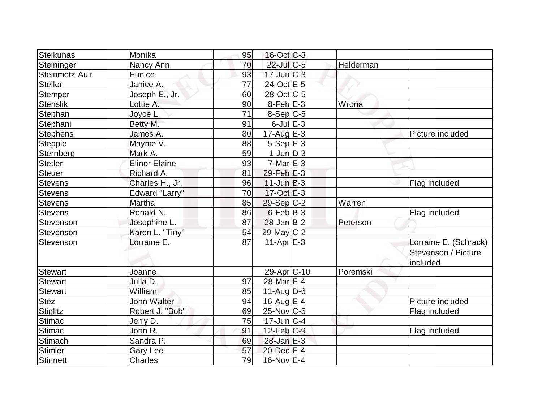| Steikunas       | Monika               | 95 | $16$ -Oct $ C-3 $       |           |                       |
|-----------------|----------------------|----|-------------------------|-----------|-----------------------|
| Steininger      | Nancy Ann            | 70 | $22$ -Jul C-5           | Helderman |                       |
| Steinmetz-Ault  | Eunice               | 93 | $17$ -Jun $C-3$         |           |                       |
| <b>Steller</b>  | Janice A.            | 77 | 24-Oct E-5              |           |                       |
| Stemper         | Joseph E., Jr.       | 60 | 28-Oct C-5              |           |                       |
| <b>Stenslik</b> | Lottie A.            | 90 | $8$ -Feb $E-3$          | Wrona     |                       |
| Stephan         | Joyce L              | 71 | $8-Sep C-5$             |           |                       |
| Stephani        | Betty M.             | 91 | $6$ -Jul $E-3$          |           |                       |
| <b>Stephens</b> | James A.             | 80 | $17$ -Aug $E-3$         |           | Picture included      |
| Steppie         | Mayme V.             | 88 | $5-Sep$ $E-3$           |           |                       |
| Sternberg       | Mark A.              | 59 | $1$ -Jun $D-3$          |           |                       |
| Stetler         | <b>Elinor Elaine</b> | 93 | $7-Mar$ $E-3$           |           |                       |
| <b>Steuer</b>   | Richard A.           | 81 | $29$ -Feb $E-3$         |           |                       |
| <b>Stevens</b>  | Charles H., Jr.      | 96 | $11$ -Jun $B-3$         |           | Flag included         |
| Stevens         | Edward "Larry"       | 70 | $17-Oct$ $E-3$          |           |                       |
| <b>Stevens</b>  | Martha               | 85 | 29-Sep C-2              | Warren    |                       |
| <b>Stevens</b>  | Ronald N.            | 86 | $6$ -Feb $ B-3 $        |           | Flag included         |
| Stevenson       | Josephine L.         | 87 | $28$ -Jan $ B-2 $       | Peterson  |                       |
| Stevenson       | Karen L. "Tiny"      | 54 | 29-May C-2              |           |                       |
| Stevenson       | Lorraine E.          | 87 | $11-Apr \overline{E-3}$ |           | Lorraine E. (Schrack) |
|                 |                      |    |                         |           | Stevenson / Picture   |
|                 |                      |    |                         |           | included              |
| <b>Stewart</b>  | Joanne               |    | 29-Apr <sub>C-10</sub>  | Poremski  |                       |
| <b>Stewart</b>  | Julia D.             | 97 | 28-Mar <sub>IE-4</sub>  |           |                       |
| <b>Stewart</b>  | William              | 85 | $11-Aug D-6$            |           |                       |
| <b>Stez</b>     | <b>John Walter</b>   | 94 | 16-Aug $E-4$            |           | Picture included      |
| Stiglitz        | Robert J. "Bob"      | 69 | $25$ -Nov $ C$ -5       |           | Flag included         |
| <b>Stimac</b>   | Jerry D.             | 75 | $17$ -Jun $ C-4$        |           |                       |
| Stimac          | John R.              | 91 | $12$ -Feb $ C-9 $       |           | Flag included         |
| Stimach         | Sandra P.            | 69 | $28$ -Jan $E-3$         |           |                       |
| Stimler         | <b>Gary Lee</b>      | 57 | 20-Dec E-4              |           |                       |
| Stinnett        | <b>Charles</b>       | 79 | 16-Nov E-4              |           |                       |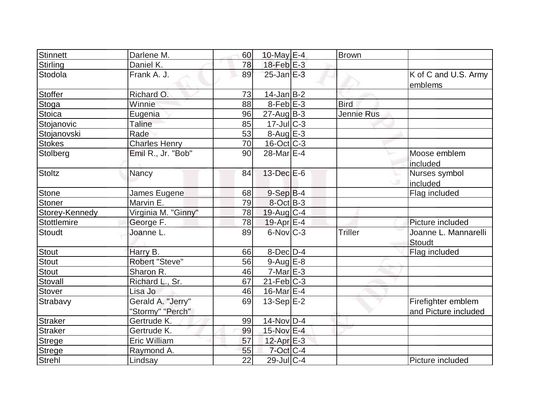| Stinnett        | Darlene M.                            | 60 | 10-May $E-4$      | <b>Brown</b> |                                            |
|-----------------|---------------------------------------|----|-------------------|--------------|--------------------------------------------|
| <b>Stirling</b> | Daniel K.                             | 78 | $18$ -Feb $E-3$   |              |                                            |
| Stodola         | Frank A. J.                           | 89 | $25$ -Jan $E-3$   |              | K of C and U.S. Army<br>emblems            |
| <b>Stoffer</b>  | Richard O.                            | 73 | $14$ -Jan $B$ -2  |              |                                            |
| Stoga           | Winnie                                | 88 | $8$ -Feb $E-3$    | <b>Bird</b>  |                                            |
| <b>Stoica</b>   | Eugenia                               | 96 | $27$ -Aug $B-3$   | Jennie Rus   |                                            |
| Stojanovic      | Taline                                | 85 | $17$ -JulC-3      |              |                                            |
| Stojanovski     | Rade                                  | 53 | $8-Aug$ E-3       |              |                                            |
| <b>Stokes</b>   | <b>Charles Henry</b>                  | 70 | $16$ -Oct $ C-3 $ |              |                                            |
| Stolberg        | Emil R., Jr. "Bob"                    | 90 | $28$ -Mar $E-4$   |              | Moose emblem<br>included                   |
| <b>Stoltz</b>   | Nancy                                 | 84 | 13-Dec E-6        | ◡            | Nurses symbol<br>lincluded                 |
| <b>Stone</b>    | James Eugene                          | 68 | $9-Sep B-4$       |              | Flag included                              |
| <b>Stoner</b>   | Marvin E.                             | 79 | $8-Oct$ B-3       |              |                                            |
| Storey-Kennedy  | Virginia M. "Ginny"                   | 78 | $19$ -Aug C-4     |              |                                            |
| Stottlemire     | George F.                             | 78 | $19$ -Apr $E-4$   |              | Picture included                           |
| <b>Stoudt</b>   | Joanne L.                             | 89 | $6$ -Nov $C-3$    | Triller      | Joanne L. Mannarelli<br>Stoudt             |
| <b>Stout</b>    | Harry B.                              | 66 | $8$ -Dec $D-4$    |              | Flag included                              |
| <b>Stout</b>    | Robert "Steve"                        | 56 | $9$ -Aug $E$ -8   |              |                                            |
| <b>Stout</b>    | Sharon R.                             | 46 | $7-Mar$ $E-3$     |              |                                            |
| Stovall         | Richard L., Sr.                       | 67 | $21$ -Feb $ C-3 $ |              |                                            |
| Stover          | Lisa Jo                               | 46 | 16-Mar $E-4$      |              |                                            |
| Strabavy        | Gerald A. "Jerry"<br>"Stormy" "Perch" | 69 | $13-Sep$ E-2      |              | Firefighter emblem<br>and Picture included |
| <b>Straker</b>  | Gertrude K.                           | 99 | $14$ -Nov $ D-4$  |              |                                            |
| <b>Straker</b>  | Gertrude K.                           | 99 | 15-Nov E-4        |              |                                            |
| <b>Strege</b>   | Eric William                          | 57 | $12$ -Apr $E-3$   |              |                                            |
| <b>Strege</b>   | Raymond A.                            | 55 | $7$ -Oct $C$ -4   |              |                                            |
| <b>Strehl</b>   | Lindsay                               | 22 | $29$ -Jul $C-4$   |              | Picture included                           |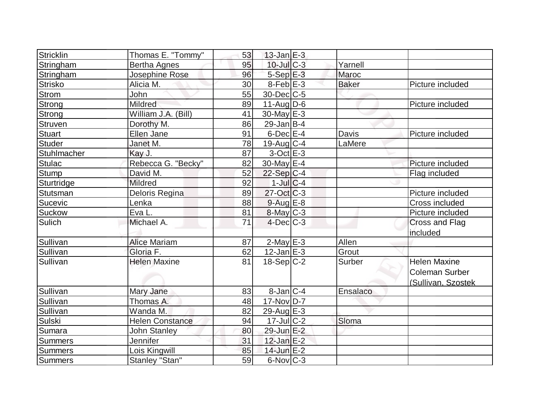| Stricklin      | Thomas E. "Tommy"      | 53 | $13$ -Jan $E-3$  |              |                       |
|----------------|------------------------|----|------------------|--------------|-----------------------|
| Stringham      | <b>Bertha Agnes</b>    | 95 | 10-Jul C-3       | Yarnell      |                       |
| Stringham      | Josephine Rose         | 96 | $5-Sep$ $E-3$    | Maroc        |                       |
| <b>Strisko</b> | Alicia M.              | 30 | $8$ -Feb $E-3$   | <b>Baker</b> | Picture included      |
| <b>Strom</b>   | John                   | 55 | 30-Dec C-5       |              |                       |
| <b>Strong</b>  | <b>Mildred</b>         | 89 | $11-Auq$ D-6     |              | Picture included      |
| Strong         | William J.A. (Bill)    | 41 | $30$ -May $E-3$  |              |                       |
| Struven        | Dorothy M.             | 86 | $29$ -Jan B-4    |              |                       |
| <b>Stuart</b>  | Ellen Jane             | 91 | $6$ -Dec $E-4$   | Davis        | Picture included      |
| <b>Studer</b>  | Janet M.               | 78 | $19$ -Aug C-4    | LaMere       |                       |
| Stuhlmacher    | Kay J.                 | 87 | $3-Oct$ $E-3$    |              |                       |
| <b>Stulac</b>  | Rebecca G. "Becky"     | 82 | 30-May $E-4$     |              | Picture included      |
| <b>Stump</b>   | David M.               | 52 | $22-Sep C-4$     |              | Flag included         |
| Sturtridge     | Mildred                | 92 | $1$ -Jul $C-4$   |              |                       |
| Stutsman       | Deloris Regina         | 89 | $27$ -Oct C-3    |              | Picture included      |
| Sucevic        | Lenka                  | 88 | $9$ -Aug $E-8$   |              | Cross included        |
| <b>Suckow</b>  | Eva L.                 | 81 | $8$ -May $C-3$   |              | Picture included      |
| <b>Sulich</b>  | Michael A.             | 71 | $4$ -Dec $C-3$   |              | Cross and Flag        |
|                |                        |    |                  |              | included              |
| Sullivan       | <b>Alice Mariam</b>    | 87 | $2$ -May $E-3$   | Allen        |                       |
| Sullivan       | Gloria F.              | 62 | $12$ -Jan $E-3$  | Grout        |                       |
| Sullivan       | <b>Helen Maxine</b>    | 81 | $18-Sep C-2$     | Surber       | <b>Helen Maxine</b>   |
|                |                        |    |                  |              | <b>Coleman Surber</b> |
|                |                        |    |                  |              | (Sullivan, Szostek    |
| Sullivan       | Mary Jane              | 83 | $8$ -Jan $ C-4 $ | Ensalaco     |                       |
| Sullivan       | Thomas A.              | 48 | $17$ -Nov $D-7$  |              |                       |
| Sullivan       | Wanda M.               | 82 | $29$ -Aug $E-3$  |              |                       |
| <b>Sulski</b>  | <b>Helen Constance</b> | 94 | $17 -$ JulC-2    | Sloma        |                       |
| Sumara         | <b>John Stanley</b>    | 80 | 29-Jun E-2       |              |                       |
| <b>Summers</b> | Jennifer               | 31 | $12$ -Jan $E-2$  |              |                       |
| <b>Summers</b> | Lois Kingwill          | 85 | 14-Jun E-2       |              |                       |
| <b>Summers</b> | Stanley "Stan"         | 59 | $6$ -Nov $ C-3 $ |              |                       |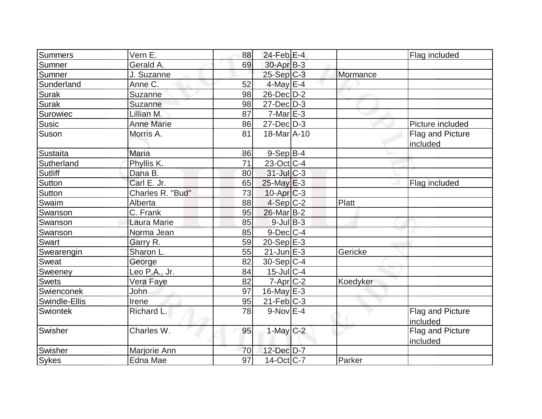| Summers        | Vern E.           | 88              | $24$ -Feb $ E-4 $       |          | Flag included                |
|----------------|-------------------|-----------------|-------------------------|----------|------------------------------|
| Sumner         | Gerald A.         | 69              | 30-Apr B-3              |          |                              |
| Sumner         | J. Suzanne        |                 | $25-Sep C-3$            | Mormance |                              |
| Sunderland     | Anne C.           | 52              | 4-May $E-4$             |          |                              |
| Surak          | Suzanne           | 98              | $26$ -Dec $D-2$         |          |                              |
| <b>Surak</b>   | Suzanne           | 98              | $27$ -Dec $D-3$         |          |                              |
| Surowiec       | Lillian M.        | 87              | $7-Mar \, E-3$          |          |                              |
| <b>Susic</b>   | <b>Anne Marie</b> | 86              | $27 - Dec$ $D-3$        |          | Picture included             |
| Suson          | Morris A.         | 81              | 18-Mar A-10             |          | Flag and Picture<br>included |
| Sustaita       | <b>Maria</b>      | 86              | $9-Sep B-4$             |          |                              |
| Sutherland     | Phyllis K.        | 71              | $23$ -Oct C-4           |          |                              |
| Sutliff        | Dana B.           | 80              | $31$ -Jul $C-3$         |          |                              |
| Sutton         | Carl E. Jr.       | 65              | 25-May E-3              |          | Flag included                |
| Sutton         | Charles R. "Bud"  | 73              | $10$ -Apr $C-3$         |          |                              |
| Swaim          | Alberta           | 88              | $4-Sep C-2$             | Platt    |                              |
| Swanson        | C. Frank          | 95              | 26-Mar B-2              |          |                              |
| Swanson        | Laura Marie       | 85              | $9$ -Jul B-3            |          |                              |
| <b>Swanson</b> | Norma Jean        | 85              | $9$ -Dec $C$ -4         |          |                              |
| <b>Swart</b>   | Garry R.          | 59              | $20-Sep$ <sup>E-3</sup> |          |                              |
| Swearengin     | Sharon L.         | 55              | $21$ -Jun $E-3$         | Gericke  |                              |
| Sweat          | George            | 82              | 30-Sep C-4              |          |                              |
| Sweeney        | Leo P.A., Jr.     | 84              | $15$ -Jul $ C-4 $       |          |                              |
| <b>Swets</b>   | Vera Faye         | 82              | $7$ -Apr $C-2$          | Koedyker |                              |
| Swienconek     | <b>John</b>       | 97              | 16-May $E-3$            |          |                              |
| Swindle-Ellis  | Irene             | 95              | $21$ -Feb $C-3$         |          |                              |
| Swiontek       | Richard L.        | 78              | $9-Nov$ E-4             |          | Flag and Picture<br>included |
| Swisher        | Charles W.        | 95              | $1$ -May $C-2$          |          | Flag and Picture<br>included |
| Swisher        | Marjorie Ann      | 70              | 12-Dec D-7              |          |                              |
| <b>Sykes</b>   | Edna Mae          | $\overline{97}$ | $14$ -Oct $ C-7 $       | Parker   |                              |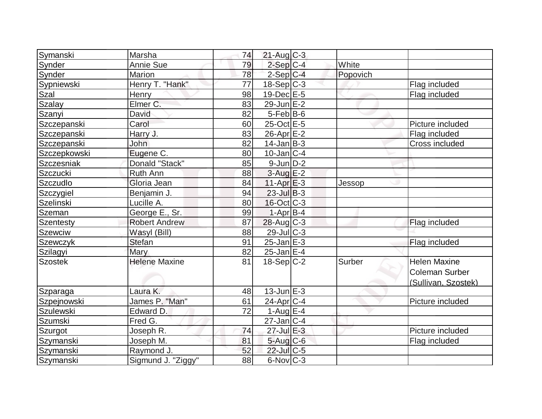| Symanski       | Marsha               | 74 | $21$ -Aug $C-3$   |          |                       |
|----------------|----------------------|----|-------------------|----------|-----------------------|
| Synder         | <b>Annie Sue</b>     | 79 | $2-Sep C-4$       | White    |                       |
| <b>Synder</b>  | Marion               | 78 | $2-Sep C-4$       | Popovich |                       |
| Sypniewski     | Henry T. "Hank"      | 77 | $18-Sep C-3$      |          | Flag included         |
| Szal           | <b>Henry</b>         | 98 | $19$ -Dec $E-5$   |          | Flag included         |
| Szalay         | Elmer C.             | 83 | $29$ -Jun $E-2$   |          |                       |
| Szanyi         | David                | 82 | $5-Feb B-6$       |          |                       |
| Szczepanski    | Carol                | 60 | $25$ -Oct $E$ -5  |          | Picture included      |
| Szczepanski    | Harry J.             | 83 | 26-Apr E-2        |          | Flag included         |
| Szczepanski    | John                 | 82 | $14$ -Jan $ B-3 $ |          | Cross included        |
| Szczepkowski   | Eugene C.            | 80 | $10$ -Jan $ C-4$  |          |                       |
| Szczesniak     | Donald "Stack"       | 85 | $9$ -Jun $D-2$    |          |                       |
| Szczucki       | Ruth Ann             | 88 | $3$ -Aug $E-2$    |          |                       |
| Szczudlo       | Gloria Jean          | 84 | $11-Apr$ $E-3$    | Jessop   |                       |
| Szczygiel      | Benjamin J.          | 94 | $23$ -Jul $B-3$   |          |                       |
| Szelinski      | Lucille A.           | 80 | $16$ -Oct $ C-3 $ |          |                       |
| Szeman         | George E., Sr.       | 99 | $1-Apr$ B-4       |          |                       |
| Szentesty      | <b>Robert Andrew</b> | 87 | $28$ -Aug C-3     |          | Flag included         |
| <b>Szewciw</b> | Wasyl (Bill)         | 88 | 29-Jul C-3        |          |                       |
| Szewczyk       | <b>Stefan</b>        | 91 | $25$ -Jan $E-3$   |          | Flag included         |
| Szilagyi       | Mary                 | 82 | $25$ -Jan $E-4$   |          |                       |
| Szostek        | <b>Helene Maxine</b> | 81 | $18-Sep C-2$      | Surber   | <b>Helen Maxine</b>   |
|                |                      |    |                   |          | <b>Coleman Surber</b> |
|                |                      |    |                   |          | (Sullivan, Szostek)   |
| Szparaga       | Laura K.             | 48 | $13 - JunE-3$     |          |                       |
| Szpejnowski    | James P. "Man"       | 61 | 24-Apr C-4        |          | Picture included      |
| Szulewski      | Edward D.            | 72 | 1-Aug $E-4$       |          |                       |
| Szumski        | Fred G.              |    | $27$ -Jan $ C-4$  |          |                       |
| Szurgot        | Joseph R.            | 74 | $27$ -Jul $E-3$   |          | Picture included      |
| Szymanski      | Joseph M.            | 81 | $5$ -Aug $C$ -6   |          | Flag included         |
| Szymanski      | Raymond J.           | 52 | 22-Jul C-5        |          |                       |
| Szymanski      | Sigmund J. "Ziggy"   | 88 | $6$ -Nov $ C-3 $  |          |                       |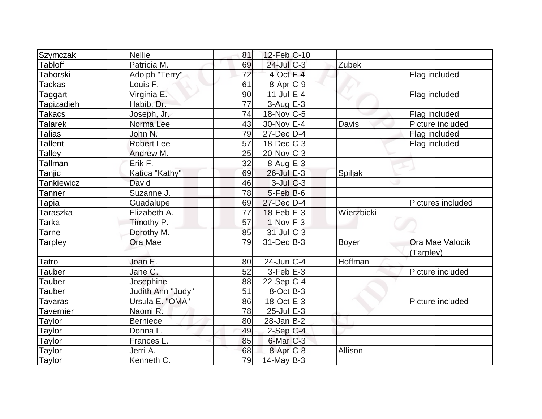| Szymczak          | <b>Nellie</b>     | 81 | $12$ -Feb $ C-10$    |            |                   |
|-------------------|-------------------|----|----------------------|------------|-------------------|
| <b>Tabloff</b>    | Patricia M.       | 69 | 24-Jul C-3           | Zubek      |                   |
| Taborski          | Adolph "Terry"    | 72 | $4$ -Oct $F-4$       |            | Flag included     |
| <b>Tackas</b>     | Louis F.          | 61 | 8-Apr <sub>C-9</sub> |            |                   |
| Taggart           | Virginia E.       | 90 | $11$ -Jul $E-4$      |            | Flag included     |
| Tagizadieh        | Habib, Dr.        | 77 | $3-Aug$ $E-3$        |            |                   |
| Takacs            | Joseph, Jr.       | 74 | $18$ -Nov $ C-5$     |            | Flag included     |
| <b>Talarek</b>    | Norma Lee         | 43 | 30-Nov E-4           | Davis      | Picture included  |
| <b>Talias</b>     | John N.           | 79 | 27-Dec D-4           |            | Flag included     |
| <b>Tallent</b>    | <b>Robert Lee</b> | 57 | $18$ -Dec $C-3$      |            | Flag included     |
| Talley            | Andrew M.         | 25 | $20$ -Nov $ C-3 $    |            |                   |
| Tallman           | Erik F.           | 32 | $8-Aug$ $E-3$        |            |                   |
| Tanjic            | Katica "Kathy"    | 69 | $26$ -Jul $E-3$      | Spiljak    |                   |
| <b>Tankiewicz</b> | David             | 46 | $3$ -Jul $ C-3 $     |            |                   |
| Tanner            | Suzanne J.        | 78 | $5$ -Feb $ B$ -6     |            |                   |
| Tapia             | Guadalupe         | 69 | $27$ -Dec $D-4$      |            | Pictures included |
| Taraszka          | Elizabeth A.      | 77 | $18$ -Feb $E-3$      | Wierzbicki |                   |
| Tarka             | Timothy P.        | 57 | $1-Nov$ F-3          |            |                   |
| Tarne             | Dorothy M.        | 85 | 31-Jul C-3           |            |                   |
| <b>Tarpley</b>    | Ora Mae           | 79 | 31-Dec B-3           | Boyer      | Ora Mae Valocik   |
|                   |                   |    |                      |            | (Tarpley)         |
| Tatro             | Joan E.           | 80 | $24$ -Jun $C-4$      | Hoffman    |                   |
| Tauber            | Jane G.           | 52 | $3-Feb$ $E-3$        |            | Picture included  |
| Tauber            | Josephine         | 88 | $22-Sep C-4$         |            |                   |
| <b>Tauber</b>     | Judith Ann "Judy" | 51 | $8-Oct$ B-3          |            |                   |
| Tavaras           | Ursula E. "OMA"   | 86 | 18-Oct E-3           |            | Picture included  |
| <b>Tavernier</b>  | Naomi R.          | 78 | $25$ -Jul $E-3$      |            |                   |
| <b>Taylor</b>     | <b>Berniece</b>   | 80 | $28$ -Jan $ B-2 $    |            |                   |
| Taylor            | Donna L.          | 49 | $2-Sep C-4$          |            |                   |
| Taylor            | Frances L.        | 85 | 6-Mar C-3            |            |                   |
| <b>Taylor</b>     | Jerri A.          | 68 | 8-Apr C-8            | Allison    |                   |
| Taylor            | Kenneth C.        | 79 | $14$ -May B-3        |            |                   |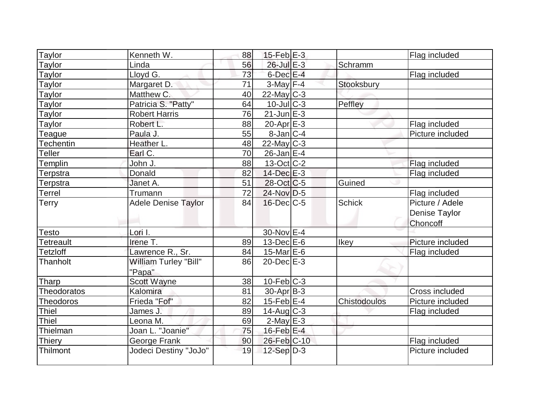| Taylor           | Kenneth W.                      | 88 | $15$ -Feb $E-3$   |               | Flag included                                |
|------------------|---------------------------------|----|-------------------|---------------|----------------------------------------------|
| Taylor           | Linda                           | 56 | 26-Jul E-3        | Schramm       |                                              |
| Taylor           | Lloyd G.                        | 73 | 6-Dec E-4         |               | Flag included                                |
| Taylor           | Margaret D.                     | 71 | $3$ -May $F-4$    | Stooksbury    |                                              |
| Taylor           | Matthew C.                      | 40 | $22$ -May C-3     |               |                                              |
| Taylor           | Patricia S. "Patty"             | 64 | $10 -$ JulC-3     | Peffley       |                                              |
| Taylor           | <b>Robert Harris</b>            | 76 | $21$ -Jun $E-3$   |               |                                              |
| Taylor           | Robert L.                       | 88 | $20$ -Apr $E-3$   |               | Flag included                                |
| Teague           | Paula J.                        | 55 | $8$ -Jan $ C-4 $  |               | Picture included                             |
| Techentin        | Heather L.                      | 48 | $22$ -May C-3     |               |                                              |
| Teller           | Earl C.                         | 70 | $26$ -Jan E-4     |               |                                              |
| Templin          | John J.                         | 88 | $13-Oct$ $C-2$    |               | Flag included                                |
| Terpstra         | Donald                          | 82 | 14-Dec E-3        |               | Flag included                                |
| Terpstra         | Janet A.                        | 51 | 28-Oct C-5        | Guined        |                                              |
| Terrel           | Trumann                         | 72 | $24$ -Nov D-5     |               | Flag included                                |
| Terry            | <b>Adele Denise Taylor</b>      | 84 | $16$ -Dec $C$ -5  | <b>Schick</b> | Picture / Adele<br>Denise Taylor<br>Choncoff |
| Testo            | Lori I.                         |    | 30-Nov E-4        |               |                                              |
| <b>Tetreault</b> | Irene T.                        | 89 | $13$ -Dec $E-6$   | Ikey          | Picture included                             |
| <b>Tetzloff</b>  | Lawrence R., Sr.                | 84 | $15$ -Mar $E$ -6  |               | Flag included                                |
| Thanholt         | William Turley "Bill"<br>"Papa" | 86 | $20$ -Dec $E-3$   |               |                                              |
| Tharp            | Scott Wayne                     | 38 | $10$ -Feb $ C-3 $ |               |                                              |
| Theodoratos      | Kalomira                        | 81 | $30$ -Apr $ B-3 $ |               | Cross included                               |
| <b>Theodoros</b> | Frieda "Fof"                    | 82 | $15$ -Feb $E$ -4  | Chistodoulos  | Picture included                             |
| <b>Thiel</b>     | James J.                        | 89 | $14$ -Aug $C-3$   |               | Flag included                                |
| <b>Thiel</b>     | eona M.                         | 69 | $2$ -May $E-3$    |               |                                              |
| Thielman         | Joan L. "Joanie"                | 75 | $16$ -Feb $E-4$   |               |                                              |
| Thiery           | George Frank                    | 90 | 26-Feb C-10       |               | Flag included                                |
| Thilmont         | Jodeci Destiny "JoJo"           | 19 | $12-Sep D-3$      |               | Picture included                             |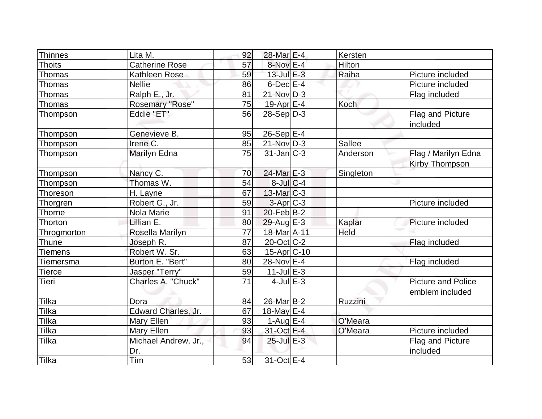| Thinnes        | Lita M.               | 92 | $28$ -Mar $E-4$    | Kersten       |                                              |
|----------------|-----------------------|----|--------------------|---------------|----------------------------------------------|
| <b>Thoits</b>  | <b>Catherine Rose</b> | 57 | $8-Nov$ E-4        | Hilton        |                                              |
| Thomas         | Kathleen Rose         | 59 | 13-Jul E-3         | Raiha         | Picture included                             |
| Thomas         | <b>Nellie</b>         | 86 | $6$ -Dec $E-4$     |               | Picture included                             |
| Thomas         | Ralph E., Jr.         | 81 | $21$ -Nov $ D-3 $  |               | Flag included                                |
| Thomas         | Rosemary "Rose"       | 75 | $19$ -Apr $E-4$    | Koch          |                                              |
| Thompson       | Eddie "ET"            | 56 | $28-Sep D-3$       |               | Flag and Picture<br>included                 |
| Thompson       | Genevieve B.          | 95 | $26-Sep$ E-4       |               |                                              |
| Thompson       | Irene C.              | 85 | $21-Nov D-3$       | <b>Sallee</b> |                                              |
| Thompson       | <b>Marilyn Edna</b>   | 75 | $31$ -Jan $ C-3 $  | Anderson      | Flag / Marilyn Edna<br>Kirby Thompson        |
| Thompson       | Nancy C.              | 70 | 24-Mar E-3         | Singleton     |                                              |
| Thompson       | Thomas W.             | 54 | $8$ -Jul $C$ -4    |               |                                              |
| Thoreson       | H. Layne              | 67 | $13$ -Mar $C-3$    |               |                                              |
| Thorgren       | Robert G., Jr.        | 59 | 3-Apr C-3          |               | Picture included                             |
| Thorne         | Nola Marie            | 91 | $20$ -Feb $ B-2 $  |               |                                              |
| Thorton        | Lillian E.            | 80 | $29$ -Aug $E-3$    | Kaplar        | Picture included                             |
| Throgmorton    | Rosella Marilyn       | 77 | 18-Mar A-11        | Held          |                                              |
| Thune          | Joseph R.             | 87 | $20$ -Oct $ C-2 $  |               | Flag included                                |
| <b>Tiemens</b> | Robert W. Sr.         | 63 | $15$ -Apr $ C$ -10 |               |                                              |
| Tiemersma      | Burton E. "Bert"      | 80 | $28-Nov$ E-4       |               | Flag included                                |
| <b>Tierce</b>  | Jasper "Terry"        | 59 | $11$ -Jul $E-3$    |               |                                              |
| Tieri          | Charles A. "Chuck"    | 71 | $4$ -Jul $E-3$     |               | <b>Picture and Police</b><br>emblem included |
| Tilka          | Dora                  | 84 | $26$ -Mar $ B-2 $  | Ruzzini       |                                              |
| Tilka          | Edward Charles, Jr.   | 67 | 18-May $E-4$       |               |                                              |
| Tilka          | Mary Ellen            | 93 | $1-Aug$ $E-4$      | O'Meara       |                                              |
| Tilka          | Mary Ellen            | 93 | 31-Oct E-4         | O'Meara       | Picture included                             |
| Tilka          | Michael Andrew, Jr.,  | 94 | $25$ -Jul $E-3$    |               | Flag and Picture                             |
|                | Dr.                   |    |                    |               | included                                     |
| Tilka          | Tim                   | 53 | 31-Oct E-4         |               |                                              |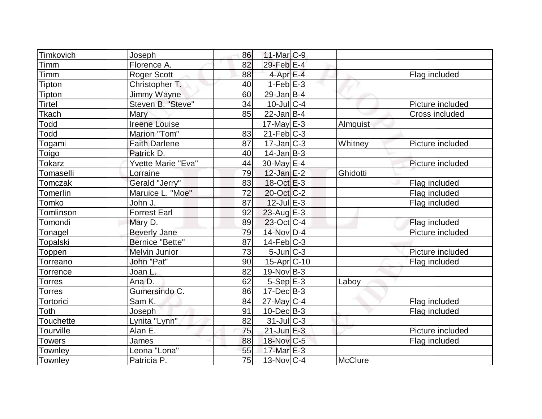| Timkovich        | Joseph                 | 86 | $11$ -Mar $C-9$         |                |                  |
|------------------|------------------------|----|-------------------------|----------------|------------------|
| Timm             | Florence A.            | 82 | 29-Feb E-4              |                |                  |
| Timm             | Roger Scott            | 88 | $4$ -Apr $E-4$          |                | Flag included    |
| Tipton           | Christopher T.         | 40 | $1-Feb$ $E-3$           |                |                  |
| Tipton           | Jimmy Wayne            | 60 | $29$ -Jan B-4           |                |                  |
| <b>Tirtel</b>    | Steven B. "Steve"      | 34 | 10-Jul C-4              |                | Picture included |
| Tkach            | Mary                   | 85 | $22$ -Jan B-4           |                | Cross included   |
| Todd             | <b>Ireene Louise</b>   |    | $17$ -May $E-3$         | Almquist       |                  |
| Todd             | Marion "Tom"           | 83 | $21$ -Feb $ C-3 $       |                |                  |
| Togami           | <b>Faith Darlene</b>   | 87 | $17$ -Jan $ C-3 $       | Whitney        | Picture included |
| Toigo            | Patrick D.             | 40 | $14$ -Jan $ B-3 $       |                |                  |
| <b>Tokarz</b>    | Yvette Marie "Eva"     | 44 | 30-May E-4              |                | Picture included |
| Tomaselli        | Lorraine               | 79 | $12$ -Jan $E-2$         | Ghidotti       |                  |
| Tomczak          | Gerald "Jerry"         | 83 | $18-Oct$ $E-3$          |                | Flag included    |
| Tomerlin         | Maruice L. "Moe"       | 72 | $20$ -Oct $ C-2 $       |                | Flag included    |
| Tomko            | John J.                | 87 | $12$ -Jul $E-3$         |                | Flag included    |
| Tomlinson        | <b>Forrest Earl</b>    | 92 | $23$ -Aug $E-3$         |                |                  |
| Tomondi          | Mary D.                | 89 | $23-Oct$ <sub>C-4</sub> |                | Flag included    |
| Tonagel          | <b>Beverly Jane</b>    | 79 | $14$ -Nov D-4           |                | Picture included |
| Topalski         | <b>Bernice "Bette"</b> | 87 | $14$ -Feb $ C-3 $       |                |                  |
| Toppen           | <b>Melvin Junior</b>   | 73 | $5$ -Jun $C-3$          |                | Picture included |
| Torreano         | John "Pat"             | 90 | $15-Apr$ C-10           |                | Flag included    |
| Torrence         | Joan L.                | 82 | $19-Nov B-3$            |                |                  |
| Torres           | Ana D.                 | 62 | $5-Sep$ $E-3$           | Laboy          |                  |
| Torres           | Gumersindo C.          | 86 | $17 - Dec$ B-3          |                |                  |
| Tortorici        | Sam K.                 | 84 | $27$ -May C-4           |                | Flag included    |
| Toth             | Joseph                 | 91 | $10$ -Dec $B - 3$       |                | Flag included    |
| <b>Touchette</b> | Lynita "Lynn"          | 82 | $31$ -JulC-3            |                |                  |
| Tourville        | Alan E.                | 75 | $21$ -Jun $E-3$         |                | Picture included |
| <b>Towers</b>    | James                  | 88 | 18-Nov C-5              |                | Flag included    |
| Townley          | Leona "Lona"           | 55 | 17-Mar E-3              |                |                  |
| Townley          | Patricia P.            | 75 | $13-Nov$ <sub>C-4</sub> | <b>McClure</b> |                  |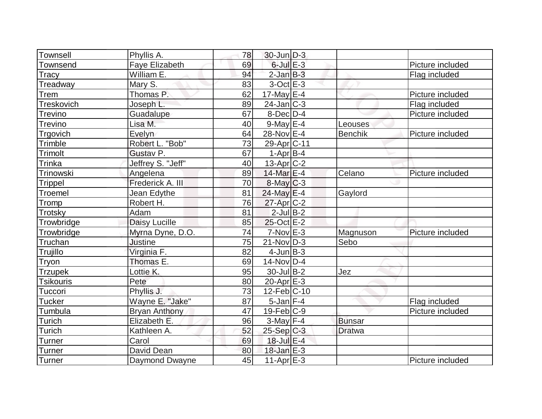| Townsell         | Phyllis A.            | 78              | $30$ -Jun $D-3$         |                |                  |
|------------------|-----------------------|-----------------|-------------------------|----------------|------------------|
| Townsend         | <b>Faye Elizabeth</b> | 69              | $6$ -Jul $E-3$          |                | Picture included |
| Tracy            | William E.            | 94              | $2$ -Jan $B-3$          |                | Flag included    |
| Treadway         | Mary S.               | 83              | $3$ -Oct $E-3$          |                |                  |
| Trem             | Thomas P.             | 62              | $17$ -May $E-4$         |                | Picture included |
| Treskovich       | Joseph L.             | 89              | $24$ -Jan $ C-3 $       |                | Flag included    |
| <b>Trevino</b>   | Guadalupe             | 67              | 8-Dec D-4               |                | Picture included |
| Trevino          | Lisa M.               | 40              | $9$ -May $E-4$          | Leouses        |                  |
| Trgovich         | Evelyn                | 64              | 28-Nov E-4              | <b>Benchik</b> | Picture included |
| Trimble          | Robert L. "Bob"       | 73              | 29-Apr <sub>IC-11</sub> |                |                  |
| Trimolt          | Gustav P.             | 67              | $1-Apr B-4$             |                |                  |
| Trinka           | Jeffrey S. "Jeff"     | 40              | 13-Apr C-2              |                |                  |
| Trinowski        | Angelena              | 89              | 14-Mar E-4              | Celano         | Picture included |
| Trippel          | Frederick A. III      | 70              | $8$ -May $C$ -3         |                |                  |
| Troemel          | Jean Edythe           | 81              | $24$ -May E-4           | Gaylord        |                  |
| Tromp            | Robert H.             | 76              | $27$ -Apr $C-2$         |                |                  |
| Trotsky          | Adam                  | 81              | $2$ -Jul B-2            |                |                  |
| Trowbridge       | Daisy Lucille         | 85              | 25-Oct E-2              |                |                  |
| Trowbridge       | Myrna Dyne, D.O.      | 74              | $7-Nov$ $E-3$           | Magnuson       | Picture included |
| Truchan          | <b>Justine</b>        | 75              | $21-Nov D-3$            | Sebo           |                  |
| Trujillo         | Virginia F.           | 82              | $4$ -Jun $B-3$          |                |                  |
| Tryon            | Thomas E.             | 69              | $14$ -Nov $ D-4$        |                |                  |
| <b>Trzupek</b>   | Lottie K.             | 95              | $30$ -Jul B-2           | Jez            |                  |
| <b>Tsikouris</b> | Pete                  | 80              | $20$ -Apr $E-3$         |                |                  |
| Tuccori          | Phyllis J.            | $\overline{73}$ | $12$ -Feb $ C-10$       |                |                  |
| <b>Tucker</b>    | Wayne E. "Jake"       | 87              | $5$ -Jan $F-4$          |                | Flag included    |
| Tumbula          | <b>Bryan Anthony</b>  | 47              | $19$ -Feb $ C$ -9       |                | Picture included |
| Turich           | Elizabeth E.          | 96              | $3-May$ F-4             | <b>Bunsar</b>  |                  |
| Turich           | Kathleen A.           | 52              | 25-Sep C-3              | <b>Dratwa</b>  |                  |
| Turner           | Carol                 | 69              | $18$ -Jul $E-4$         |                |                  |
| Turner           | David Dean            | 80              | $18$ -Jan $E-3$         |                |                  |
| <b>Turner</b>    | Daymond Dwayne        | 45              | $11-Apr$ $E-3$          |                | Picture included |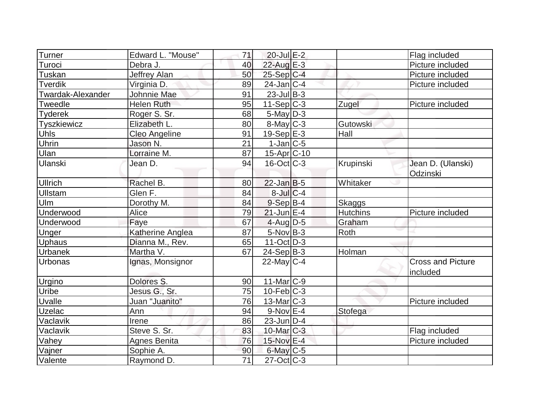| Turner            | Edward L. "Mouse"    | 71              | $20$ -Jul $E-2$          |                 | Flag included                        |
|-------------------|----------------------|-----------------|--------------------------|-----------------|--------------------------------------|
| Turoci            | Debra J.             | 40              | $22$ -Aug E-3            |                 | Picture included                     |
| Tuskan            | <b>Jeffrey Alan</b>  | 50              | $25-Sep C-4$             |                 | Picture included                     |
| <b>Tverdik</b>    | Virginia D.          | 89              | $24$ -Jan $ C-4 $        |                 | Picture included                     |
| Twardak-Alexander | Johnnie Mae          | 91              | $23$ -Jul B-3            |                 |                                      |
| Tweedle           | <b>Helen Ruth</b>    | 95              | $11-Sep C-3$             | Zugel           | Picture included                     |
| <b>Tyderek</b>    | Roger S. Sr.         | 68              | $5$ -May $D-3$           |                 |                                      |
| Tyszkiewicz       | Elizabeth L.         | 80              | $8$ -May $C$ -3          | Gutowski        |                                      |
| <b>Uhls</b>       | <b>Cleo Angeline</b> | 91              | $19-Sep$ $E-3$           | Hall            |                                      |
| Uhrin             | Jason N.             | 21              | $1$ -Jan $ C$ -5         |                 |                                      |
| Ulan              | Lorraine M.          | 87              | 15-Apr C-10              |                 |                                      |
| Ulanski           | Jean D.              | 94              | $16$ -Oct $ C-3 $        | Krupinski       | Jean D. (Ulanski)<br>Odzinski        |
| <b>Ullrich</b>    | Rachel B.            | 80              | $22$ -Jan B-5            | Whitaker        |                                      |
| Ullstam           | Glen F.              | 84              | $8$ -Jul $C$ -4          |                 |                                      |
| Ulm               | Dorothy M.           | 84              | $9-Sep$ B-4              | Skaggs          |                                      |
| Underwood         | Alice                | 79              | $21$ -Jun $E-4$          | <b>Hutchins</b> | Picture included                     |
| Underwood         | Faye                 | 67              | $4$ -Aug D-5             | Graham          |                                      |
| Unger             | Katherine Anglea     | 87              | $5-Nov$ B-3              | Roth            |                                      |
| Uphaus            | Dianna M., Rev.      | 65              | $11-Oct$ D-3             |                 |                                      |
| <b>Urbanek</b>    | Martha V.            | 67              | $24-Sep B-3$             | Holman          |                                      |
| Urbonas           | Ignas, Monsignor     |                 | $22$ -May C-4            |                 | <b>Cross and Picture</b><br>included |
| Urgino            | Dolores S.           | 90              | $11$ -Mar $ C-9 $        |                 |                                      |
| Uribe             | Jesus G., Sr.        | 75              | $10$ -Feb $ C-3 $        |                 |                                      |
| Uvalle            | Juan "Juanito"       | 76              | 13-Mar C-3               |                 | Picture included                     |
| Uzelac            | Ann                  | 94              | $9-Nov$ $E$ -4           | Stofega         |                                      |
| Vaclavik          | Irene                | 86              | $23$ -Jun $ D-4$         |                 |                                      |
| Vaclavik          | Steve S. Sr.         | 83              | $10$ -Mar $C-3$          |                 | Flag included                        |
| Vahey             | <b>Agnes Benita</b>  | 76              | 15-Nov E-4               |                 | Picture included                     |
| Vajner            | Sophie A.            | 90              | $6$ -May $C$ -5          |                 |                                      |
| Valente           | Raymond D.           | $\overline{71}$ | $\overline{27}$ -Oct C-3 |                 |                                      |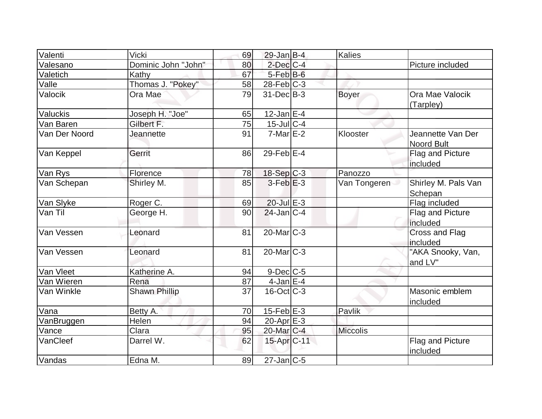| Valenti       | <b>Vicki</b>         | 69 | $29$ -Jan B-4           | Kalies          |                                        |
|---------------|----------------------|----|-------------------------|-----------------|----------------------------------------|
| Valesano      | Dominic John "John"  | 80 | $2$ -Dec $C$ -4         |                 | Picture included                       |
| Valetich      | <b>Kathy</b>         | 67 | $5$ -Feb $B$ -6         |                 |                                        |
| Valle         | Thomas J. "Pokey"    | 58 | $28$ -Feb $ C-3 $       |                 |                                        |
| Valocik       | Ora Mae              | 79 | $31$ -Dec $B-3$         | <b>Boyer</b>    | Ora Mae Valocik<br>(Tarpley)           |
| Valuckis      | Joseph H. "Joe"      | 65 | 12-Jan E-4              |                 |                                        |
| Van Baren     | Gilbert F.           | 75 | $15$ -Jul $C$ -4        |                 |                                        |
| Van Der Noord | Jeannette            | 91 | $7-Mar \E-2$            | Klooster        | Jeannette Van Der<br><b>Noord Bult</b> |
| Van Keppel    | Gerrit               | 86 | $29$ -Feb $E-4$         |                 | <b>Flag and Picture</b><br>included    |
| Van Rys       | Florence             | 78 | 18-Sep C-3              | Panozzo         |                                        |
| Van Schepan   | Shirley M.           | 85 | $3-Feb$ $E-3$           | Van Tongeren    | Shirley M. Pals Van<br>Schepan         |
| Van Slyke     | Roger C.             | 69 | $20$ -Jul $E-3$         |                 | Flag included                          |
| Van Til       | George H.            | 90 | $24$ -Jan $ C-4 $       |                 | Flag and Picture<br>included           |
| Van Vessen    | Leonard              | 81 | 20-Mar C-3              |                 | <b>Cross and Flag</b><br>included      |
| Van Vessen    | Leonard              | 81 | $20$ -Mar $C-3$         |                 | "AKA Snooky, Van,<br>and LV"           |
| Van Vleet     | Katherine A.         | 94 | $9$ -Dec $C$ -5         |                 |                                        |
| Van Wieren    | Rena                 | 87 | $4$ -Jan E-4            |                 |                                        |
| Van Winkle    | <b>Shawn Phillip</b> | 37 | $16$ -Oct $ C-3 $       |                 | Masonic emblem<br>included             |
| Vana          | Betty A.             | 70 | $15$ -Feb $E$ -3        | Pavlik          |                                        |
| VanBruggen    | Helen                | 94 | 20-Apr <sub>E-3</sub>   |                 |                                        |
| Vance         | Clara                | 95 | 20-Mar C-4              | <b>Miccolis</b> |                                        |
| VanCleef      | Darrel W.            | 62 | 15-Apr <sub>IC-11</sub> |                 | <b>Flag and Picture</b><br>included    |
| Vandas        | Edna M.              | 89 | $27$ -Jan $C$ -5        |                 |                                        |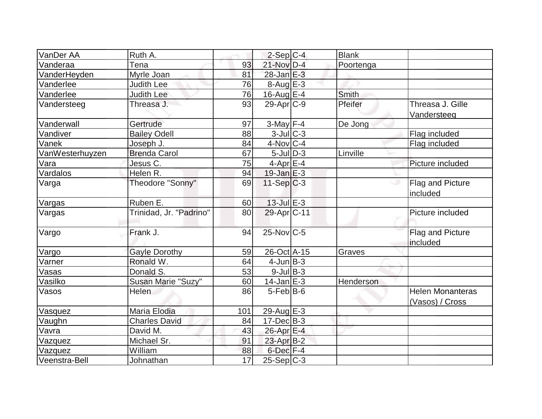| VanDer AA       | Ruth A.                 |     |                      | <b>Blank</b> |                                            |
|-----------------|-------------------------|-----|----------------------|--------------|--------------------------------------------|
|                 |                         |     | $2-Sep C-4$          |              |                                            |
| Vanderaa        | Tena                    | 93  | 21-Nov D-4           | Poortenga    |                                            |
| VanderHeyden    | Myrle Joan              | 81  | $28$ -Jan $E-3$      |              |                                            |
| Vanderlee       | Judith Lee              | 76  | $8-Auq$ $E-3$        |              |                                            |
| Vanderlee       | <b>Judith Lee</b>       | 76  | $16$ -Aug E-4        | Smith        |                                            |
| Vandersteeg     | Threasa J.              | 93  | $29$ -Apr $C-9$      | Pfeifer      | Threasa J. Gille<br>Vandersteeg            |
| Vanderwall      | Gertrude                | 97  | $3-May$ F-4          | De Jong      |                                            |
| Vandiver        | <b>Bailey Odell</b>     | 88  | 3-Jul C-3            |              | Flag included                              |
| Vanek           | Joseph J.               | 84  | $4$ -Nov $ C-4 $     |              | Flag included                              |
| VanWesterhuyzen | <b>Brenda Carol</b>     | 67  | $5$ -Jul $ D-3 $     | Linville     |                                            |
| Vara            | Jesus C.                | 75  | $4$ -Apr $E$ -4      |              | Picture included                           |
| Vardalos        | Helen R.                | 94  | $19$ -Jan $E-3$      |              |                                            |
| Varga           | Theodore "Sonny"        | 69  | $11-Sep C-3$         |              | <b>Flag and Picture</b><br>included        |
| Vargas          | Ruben E.                | 60  | $13$ -Jul $E-3$      |              |                                            |
| Vargas          | Trinidad, Jr. "Padrino" | 80  | 29-Apr C-11          |              | Picture included                           |
| Vargo           | Frank J.                | 94  | $25$ -Nov $ C-5 $    |              | Flag and Picture<br>included               |
| Vargo           | <b>Gayle Dorothy</b>    | 59  | 26-Oct A-15          | Graves       |                                            |
| Varner          | Ronald W.               | 64  | $4$ -Jun $B-3$       |              |                                            |
| Vasas           | Donald S.               | 53  | $9$ -Jul $B$ -3      |              |                                            |
| Vasilko         | Susan Marie "Suzy"      | 60  | $14$ -Jan $E-3$      | Henderson    |                                            |
| Vasos           | Helen                   | 86  | $5$ -Feb $ B$ -6     |              | <b>Helen Monanteras</b><br>(Vasos) / Cross |
| Vasquez         | Maria Elodia            | 101 | 29-Aug E-3           |              |                                            |
| Vaughn          | <b>Charles David</b>    | 84  | $17 - Dec$ B-3       |              |                                            |
| Vavra           | David M.                | 43  | 26-Apr E-4           |              |                                            |
| Vazquez         | Michael Sr.             | 91  | 23-Apr B-2           |              |                                            |
| Vazquez         | William                 | 88  | 6-Dec <sup>F-4</sup> |              |                                            |
| Veenstra-Bell   | Johnathan               | 17  | 25-Sep C-3           |              |                                            |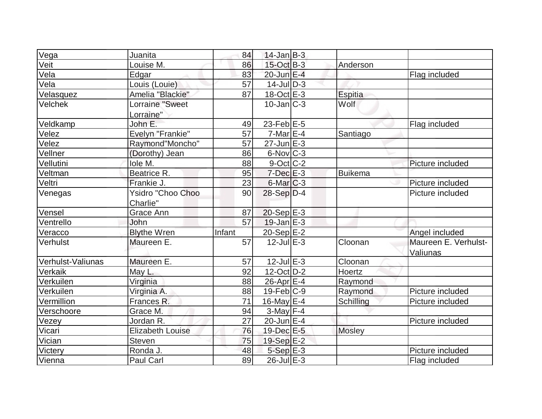| Vega              | Juanita                       | 84     | $14$ -Jan B-3     |                |                                  |
|-------------------|-------------------------------|--------|-------------------|----------------|----------------------------------|
| Veit              | Louise M.                     | 86     | $15$ -Oct B-3     | Anderson       |                                  |
| Vela              | Edgar                         | 83     | $20$ -Jun $E-4$   |                | Flag included                    |
| Vela              | Louis (Louie)                 | 57     | $14$ -JulD-3      |                |                                  |
| Velasquez         | Amelia "Blackie"              | 87     | 18-Oct E-3        | <b>Espitia</b> |                                  |
| <b>Velchek</b>    | Lorraine "Sweet<br>Lorraine"  |        | $10$ -Jan $ C-3 $ | Wolf           |                                  |
| Veldkamp          | John E.                       | 49     | $23$ -Feb $E-5$   |                | Flag included                    |
| Velez             | Evelyn "Frankie"              | 57     | $7-Mar \E-4$      | Santiago       |                                  |
| Velez             | Raymond"Moncho"               | 57     | $27$ -Jun $E-3$   |                |                                  |
| Vellner           | (Dorothy) Jean                | 86     | $6$ -Nov $ C-3 $  |                |                                  |
| Vellutini         | lole M.                       | 88     | $9$ -Oct C-2      |                | Picture included                 |
| Veltman           | Beatrice R.                   | 95     | $7$ -Dec $E-3$    | <b>Buikema</b> |                                  |
| Veltri            | Frankie J.                    | 23     | $6$ -Mar $ C-3 $  |                | Picture included                 |
| Venegas           | Ysidro "Choo Choo<br>Charlie" | 90     | $28-Sep D-4$      |                | Picture included                 |
| Vensel            | Grace Ann                     | 87     | $20-Sep$ E-3      |                |                                  |
| Ventrello         | John                          | 57     | $19$ -Jan $E-3$   |                |                                  |
| Veracco           | <b>Blythe Wren</b>            | Infant | 20-Sep E-2        |                | Angel included                   |
| Verhulst          | Maureen E.                    | 57     | $12$ -Jul $E-3$   | Cloonan        | Maureen E. Verhulst-<br>Valiunas |
| Verhulst-Valiunas | Maureen E.                    | 57     | $12$ -Jul $E-3$   | Cloonan        |                                  |
| Verkaik           | May L.                        | 92     | $12$ -Oct $ D-2 $ | Hoertz         |                                  |
| Verkuilen         | Virginia                      | 88     | $26$ -Apr $E-4$   | Raymond        |                                  |
| Verkuilen         | Virginia A.                   | 88     | $19$ -Feb $ C-9$  | Raymond        | Picture included                 |
| Vermillion        | Frances R.                    | 71     | 16-May $E-4$      | Schilling      | Picture included                 |
| Verschoore        | Grace M.                      | 94     | $3$ -May F-4      |                |                                  |
| Vezey             | Jordan R.                     | 27     | $20$ -Jun $E-4$   |                | Picture included                 |
| Vicari            | <b>Elizabeth Louise</b>       | 76     | 19-Dec E-5        | <b>Mosley</b>  |                                  |
| Vician            | <b>Steven</b>                 | 75     | 19-Sep E-2        |                |                                  |
| <b>Victery</b>    | Ronda J.                      | 48     | $5-Sep$ $E-3$     |                | Picture included                 |
| Vienna            | <b>Paul Carl</b>              | 89     | $26$ -Jul $E-3$   |                | Flag included                    |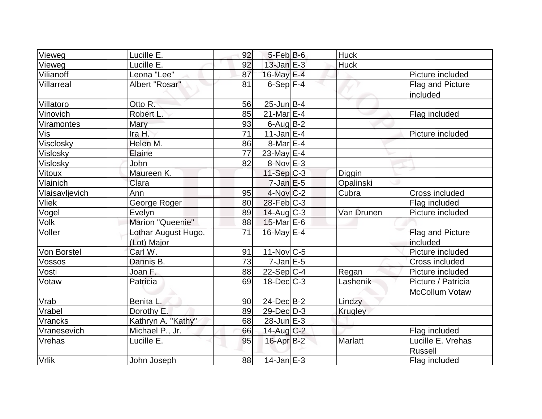| Vieweg            | Lucille E.                         | 92 | $5-FebB-6$        | <b>Huck</b>    |                                      |
|-------------------|------------------------------------|----|-------------------|----------------|--------------------------------------|
| Vieweg            | Lucille E.                         | 92 | $13$ -Jan $E-3$   | <b>Huck</b>    |                                      |
| Vilianoff         | Leona "Lee"                        | 87 | 16-May E-4        |                | Picture included                     |
| <b>Villarreal</b> | Albert "Rosar"                     | 81 | $6-Sep$ F-4       |                | Flag and Picture<br>included         |
| Villatoro         | Otto R.                            | 56 | $25$ -Jun $B-4$   |                |                                      |
| Vinovich          | Robert L.                          | 85 | $21$ -Mar $E-4$   |                | Flag included                        |
| Viramontes        | Mary                               | 93 | $6$ -Aug $B$ -2   |                |                                      |
| Vis               | Ira H.                             | 71 | $11$ -Jan $E-4$   |                | Picture included                     |
| Visclosky         | Helen M.                           | 86 | 8-Mar E-4         |                |                                      |
| Vislosky          | Elaine                             | 77 | 23-May $E-4$      |                |                                      |
| Vislosky          | John                               | 82 | $8-NovE-3$        |                |                                      |
| Vitoux            | Maureen K.                         |    | $11-Sep C-3$      | Diggin         |                                      |
| Vlainich          | Clara                              |    | $7$ -Jan $E$ -5   | Opalinski      |                                      |
| Vlaisavljevich    | Ann                                | 95 | $4$ -Nov $C-2$    | Cubra          | Cross included                       |
| <b>Vliek</b>      | George Roger                       | 80 | $28$ -Feb $ C-3 $ |                | Flag included                        |
| Vogel             | Evelyn                             | 89 | $14$ -Aug C-3     | Van Drunen     | Picture included                     |
| Volk <sup>-</sup> | Marion "Queenie"                   | 88 | $15$ -Mar $E$ -6  |                |                                      |
| Voller            | Lothar August Hugo,<br>(Lot) Major | 71 | 16-May $E-4$      |                | Flag and Picture<br>included         |
| Von Borstel       | Carl W.                            | 91 | $11$ -Nov $ C-5 $ |                | Picture included                     |
| Vossos            | Dannis B.                          | 73 | $7$ -Jan $E$ -5   |                | Cross included                       |
| Vosti             | Joan F.                            | 88 | $22-Sep C-4$      | Regan          | Picture included                     |
| Votaw             | Patricia                           | 69 | $18$ -Dec $C-3$   | Lashenik       | Picture / Patricia<br>McCollum Votaw |
| Vrab              | Benita L.                          | 90 | $24$ -Dec $B-2$   | Lindzy         |                                      |
| Vrabel            | Dorothy E.                         | 89 | $29$ -Dec $D-3$   | <b>Krugley</b> |                                      |
| Vrancks           | Kathryn A. "Kathy"                 | 68 | $28$ -Jun $E-3$   |                |                                      |
| Vranesevich       | Michael P., Jr.                    | 66 | $14$ -Aug $C-2$   |                | Flag included                        |
| Vrehas            | Lucille E.                         | 95 | $16$ -Apr $B-2$   | <b>Marlatt</b> | Lucille E. Vrehas<br><b>Russell</b>  |
| <b>Vrlik</b>      | John Joseph                        | 88 | $14$ -Jan $E-3$   |                | Flag included                        |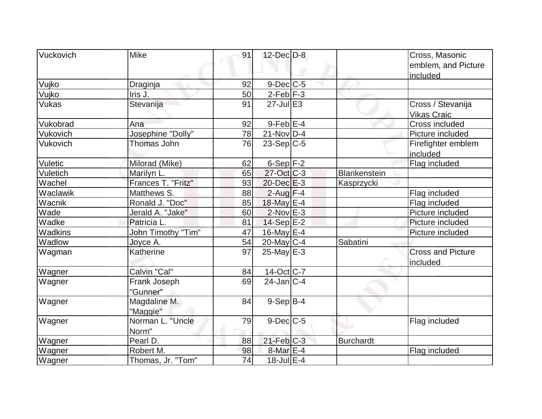| <b>Vuckovich</b> | <b>Mike</b>        | 91 | $12$ -Dec $D-8$   |                  | Cross, Masonic           |
|------------------|--------------------|----|-------------------|------------------|--------------------------|
|                  |                    |    |                   |                  | emblem, and Picture      |
|                  |                    |    |                   |                  | included                 |
| Vujko            | Draginja           | 92 | $9$ -Dec $C$ -5   |                  |                          |
| Vujko            | Iris J.            | 50 | $2-Feb$ $F-3$     |                  |                          |
| <b>Vukas</b>     | Stevanija          | 91 | $27 -$ Jul $E3$   |                  | Cross / Stevanija        |
|                  |                    |    |                   |                  | <b>Vikas Craic</b>       |
| Vukobrad         | Ana                | 92 | $9$ -Feb $E$ -4   |                  | Cross included           |
| Vukovich         | Josephine "Dolly"  | 78 | $21$ -Nov $ D-4 $ |                  | Picture included         |
| Vukovich         | Thomas John        | 76 | $23-Sep C-5$      |                  | Firefighter emblem       |
|                  |                    |    |                   |                  | included                 |
| Vuletic          | Milorad (Mike)     | 62 | $6-Sep$ $F-2$     |                  | Flag included            |
| Vuletich         | Marilyn L.         | 65 | $27$ -Oct C-3     | Blankenstein     |                          |
| Wachel           | Frances T. "Fritz" | 93 | $20$ -Dec $E-3$   | Kasprzycki       |                          |
| Waclawik         | Matthews S.        | 88 | $2$ -Aug $F-4$    |                  | Flag included            |
| Wacnik           | Ronald J. "Doc"    | 85 | 18-May E-4        |                  | Flag included            |
| Wade             | Jerald A. "Jake"   | 60 | $2$ -Nov $E-3$    |                  | Picture included         |
| Wadke            | Patricia L.        | 81 | $14-Sep$ $E-2$    |                  | Picture included         |
| Wadkins          | John Timothy "Tim" | 47 | $16$ -May $E$ -4  |                  | Picture included         |
| Wadlow           | Joyce A.           | 54 | $20$ -May C-4     | Sabatini         |                          |
| Wagman           | Katherine          | 97 | $25$ -May $E-3$   |                  | <b>Cross and Picture</b> |
|                  |                    |    |                   |                  | included                 |
| Wagner           | Calvin "Cal"       | 84 | $14$ -Oct C-7     |                  |                          |
| Wagner           | Frank Joseph       | 69 | $24$ -Jan $ C-4 $ |                  |                          |
|                  | "Gunner"           |    |                   |                  |                          |
| Wagner           | Magdaline M.       | 84 | $9-Sep$ B-4       |                  |                          |
|                  | "Maggie"           |    |                   |                  |                          |
| Wagner           | Norman L. "Uncle   | 79 | $9$ -Dec $C$ -5   |                  | Flag included            |
|                  | Norm"              |    |                   |                  |                          |
| Wagner           | Pearl D.           | 88 | $21$ -Feb $C-3$   | <b>Burchardt</b> |                          |
| Wagner           | Robert M.          | 98 | $8$ -Mar $E - 4$  |                  | Flag included            |
| Wagner           | Thomas, Jr. "Tom"  | 74 | 18-Jul E-4        |                  |                          |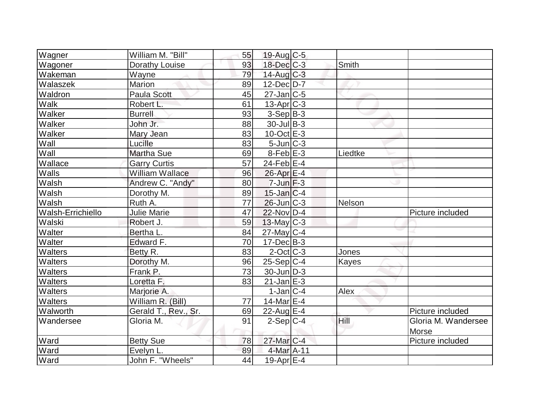| Wagner            | William M. "Bill"      | 55 | $19$ -Aug C-5     |              |                                     |
|-------------------|------------------------|----|-------------------|--------------|-------------------------------------|
| Wagoner           | Dorathy Louise         | 93 | $18$ -Dec $C$ -3  | Smith        |                                     |
| Wakeman           | Wayne                  | 79 | $14$ -Aug C-3     |              |                                     |
| Walaszek          | Marion                 | 89 | $12$ -Dec $D-7$   |              |                                     |
| Waldron           | Paula Scott            | 45 | $27$ -Jan $ C-5 $ |              |                                     |
| Walk              | Robert L.              | 61 | $13$ -Apr $ C-3 $ |              |                                     |
| Walker            | <b>Burrell</b>         | 93 | $3-Sep B-3$       |              |                                     |
| Walker            | John Jr.               | 88 | $30$ -Jul B-3     |              |                                     |
| Walker            | Mary Jean              | 83 | $10$ -Oct $E - 3$ |              |                                     |
| Wall              | Lucille                | 83 | $5$ -Jun $C-3$    |              |                                     |
| Wall              | <b>Martha Sue</b>      | 69 | $8$ -Feb $E-3$    | Liedtke      |                                     |
| Wallace           | <b>Garry Curtis</b>    | 57 | $24$ -Feb $E-4$   |              |                                     |
| Walls             | <b>William Wallace</b> | 96 | 26-Apr E-4        |              |                                     |
| Walsh             | Andrew C. "Andy"       | 80 | $7$ -Jun $F-3$    |              |                                     |
| Walsh             | Dorothy M.             | 89 | $15$ -Jan $ C-4 $ |              |                                     |
| Walsh             | Ruth A.                | 77 | $26$ -Jun $ C-3 $ | Nelson       |                                     |
| Walsh-Errichiello | <b>Julie Marie</b>     | 47 | $22$ -Nov D-4     |              | Picture included                    |
| Walski            | Robert J.              | 59 | $13$ -May C-3     |              |                                     |
| Walter            | Bertha L.              | 84 | $27$ -May C-4     |              |                                     |
| Walter            | Edward F.              | 70 | $17 - Dec$ B-3    |              |                                     |
| <b>Walters</b>    | Betty R.               | 83 | $2$ -Oct $ C-3 $  | Jones        |                                     |
| <b>Walters</b>    | Dorothy M.             | 96 | $25-Sep C-4$      | <b>Kayes</b> |                                     |
| <b>Walters</b>    | Frank P.               | 73 | $30$ -Jun $ D-3 $ |              |                                     |
| <b>Walters</b>    | Loretta F.             | 83 | $21$ -Jan $E-3$   |              |                                     |
| <b>Walters</b>    | Marjorie A.            |    | $1-Jan C-4$       | Alex         |                                     |
| <b>Walters</b>    | William R. (Bill)      | 77 | 14-Mar $E-4$      |              |                                     |
| Walworth          | Gerald T., Rev., Sr.   | 69 | $22$ -Aug $E-4$   |              | Picture included                    |
| Wandersee         | Gloria M.              | 91 | $2-Sep C-4$       | Hill         | Gloria M. Wandersee<br><b>Morse</b> |
| Ward              | <b>Betty Sue</b>       | 78 | $27$ -Mar $C-4$   |              | Picture included                    |
| Ward              | Evelyn L.              | 89 | 4-Mar A-11        |              |                                     |
| Ward              | John F. "Wheels"       | 44 | 19-Apr $E-4$      |              |                                     |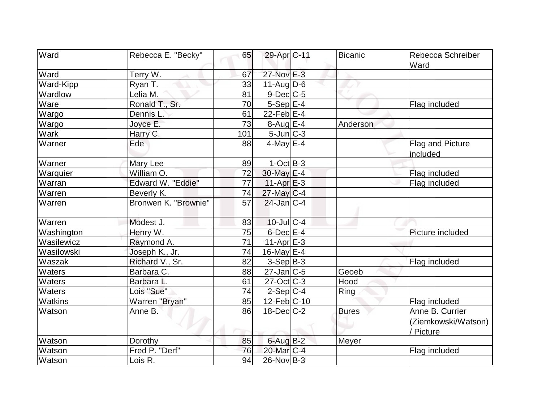| Ward        | Rebecca E. "Becky"   | 65              | 29-Apr <sub>C-11</sub> | Bicanic      | Rebecca Schreiber<br>Ward        |
|-------------|----------------------|-----------------|------------------------|--------------|----------------------------------|
| Ward        | Terry W.             | 67              | $27$ -Nov $E-3$        |              |                                  |
| Ward-Kipp   | Ryan T.              | 33              | $11-Auq$ D-6           |              |                                  |
| Wardlow     | Lelia M.             | 81              | $9$ -Dec $C$ -5        |              |                                  |
| Ware        | Ronald T., Sr.       | 70              | $5-Sep$ $E-4$          |              | Flag included                    |
| Wargo       | Dennis L.            | 61              | $22$ -Feb $E-4$        |              |                                  |
| Wargo       | Joyce E.             | $\overline{73}$ | $8-Aug$ $E-4$          | Anderson     |                                  |
| <b>Wark</b> | Harry C.             | 101             | 5-Jun C-3              |              |                                  |
| Warner      | Ede                  | 88              | $4$ -May $E-4$         |              | Flag and Picture<br>included     |
| Warner      | Mary Lee             | 89              | $1-Oct$ B-3            |              |                                  |
| Warquier    | William O.           | 72              | 30-May E-4             |              | Flag included                    |
| Warran      | Edward W. "Eddie"    | 77              | $11-Apr$ $E-3$         |              | Flag included                    |
| Warren      | Beverly K.           | 74              | $27$ -May C-4          |              |                                  |
| Warren      | Bronwen K. "Brownie" | 57              | $24$ -Jan C-4          |              |                                  |
| Warren      | Modest J.            | 83              | $10$ -Jul $C-4$        |              |                                  |
| Washington  | Henry W.             | 75              | $6$ -Dec $E-4$         |              | Picture included                 |
| Wasilewicz  | Raymond A.           | $\overline{71}$ | $11-Apr \, E-3$        |              |                                  |
| Wasilowski  | Joseph K., Jr.       | 74              | $16$ -May $E-4$        |              |                                  |
| Waszak      | Richard V., Sr.      | 82              | $3-Sep B-3$            |              | Flag included                    |
| Waters      | Barbara C.           | 88              | $27$ -Jan $ C-5 $      | Geoeb        |                                  |
| Waters      | Barbara L.           | 61              | $27$ -Oct C-3          | Hood         |                                  |
| Waters      | Lois "Sue"           | 74              | $2-Sep C-4$            | Ring         |                                  |
| Watkins     | Warren "Bryan"       | 85              | 12-Feb C-10            |              | Flag included                    |
| Watson      | Anne B.              | 86              | $18$ -Dec $C-2$        | <b>Bures</b> | Anne B. Currier                  |
|             |                      |                 |                        |              | (Ziemkowski/Watson)<br>/ Picture |
| Watson      | Dorothy              | 85              | $6$ -Aug $B$ -2        | Meyer        |                                  |
| Watson      | Fred P. "Derf"       | 76              | 20-Mar C-4             |              | Flag included                    |
| Watson      | Lois R.              | 94              | $26$ -Nov B-3          |              |                                  |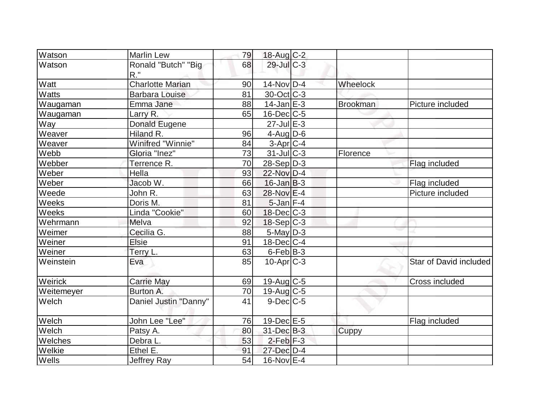| <b>Watson</b> | <b>Marlin Lew</b>             | 79 | $18$ -Aug C-2     |                 |                        |
|---------------|-------------------------------|----|-------------------|-----------------|------------------------|
| Watson        | Ronald "Butch" "Big<br>$R.$ " | 68 | $29$ -JulC-3      |                 |                        |
| Watt          | <b>Charlotte Marian</b>       | 90 | $14$ -Nov $ D-4$  | Wheelock        |                        |
| <b>Watts</b>  | <b>Barbara Louise</b>         | 81 | $30$ -Oct $ C-3 $ |                 |                        |
| Waugaman      | Emma Jane                     | 88 | $14$ -Jan $E-3$   | <b>Brookman</b> | Picture included       |
| Waugaman      | Larry R.                      | 65 | $16$ -Dec $C$ -5  |                 |                        |
| Way           | Donald Eugene                 |    | $27$ -Jul $E-3$   |                 |                        |
| Weaver        | Hiland R.                     | 96 | 4-Aug $D-6$       |                 |                        |
| Weaver        | Winifred "Winnie"             | 84 | $3-Apr$ $C-4$     |                 |                        |
| Webb          | Gloria "Inez"                 | 73 | $31$ -JulC-3      | Florence        |                        |
| Webber        | Terrence R.                   | 70 | $28-Sep D-3$      |                 | Flag included          |
| Weber         | Hella                         | 93 | 22-Nov D-4        |                 |                        |
| Weber         | Jacob W.                      | 66 | $16$ -Jan $ B-3 $ |                 | Flag included          |
| Weede         | John R.                       | 63 | 28-Nov E-4        |                 | Picture included       |
| Weeks         | Doris M.                      | 81 | $5$ -Jan $F-4$    |                 |                        |
| Weeks         | Linda "Cookie"                | 60 | $18$ -Dec $ C-3 $ |                 |                        |
| Wehrmann      | Melva                         | 92 | $18-Sep C-3$      |                 |                        |
| Weimer        | Cecilia G.                    | 88 | $5$ -May $D-3$    |                 |                        |
| Weiner        | <b>Elsie</b>                  | 91 | $18$ -Dec $ C-4 $ |                 |                        |
| Weiner        | Terry L.                      | 63 | $6$ -Feb $ B-3 $  |                 |                        |
| Weinstein     | Eva                           | 85 | $10$ -Apr $ C-3 $ |                 | Star of David included |
| Weirick       | <b>Carrie May</b>             | 69 | $19$ -Aug C-5     |                 | Cross included         |
| Weitemeyer    | Burton A.                     | 70 | 19-Aug $C-5$      |                 |                        |
| Welch         | Daniel Justin "Danny"         | 41 | $9$ -Dec $C$ -5   |                 |                        |
| Welch         | John Lee "Lee"                | 76 | $19$ -Dec $E - 5$ |                 | Flag included          |
| Welch         | Patsy A.                      | 80 | 31-Dec B-3        | Cuppy           |                        |
| Welches       | Debra L.                      | 53 | $2$ -Feb $F-3$    |                 |                        |
| Welkie        | Ethel E.                      | 91 | 27-Dec D-4        |                 |                        |
| Wells         | <b>Jeffrey Ray</b>            | 54 | $16$ -Nov $E-4$   |                 |                        |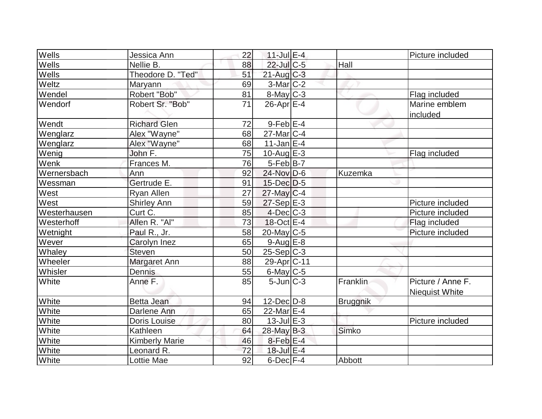| Wells        | Jessica Ann           | 22 | $11$ -Jul $E-4$         |          | Picture included                           |
|--------------|-----------------------|----|-------------------------|----------|--------------------------------------------|
| Wells        | Nellie B.             | 88 | $22$ -Jul C-5           | Hall     |                                            |
| Wells        | Theodore D. "Ted"     | 51 | $21$ -Aug $C-3$         |          |                                            |
| Weltz        | Maryann               | 69 | $3-Mar$ C-2             |          |                                            |
| Wendel       | Robert "Bob"          | 81 | 8-May C-3               |          | Flag included                              |
| Wendorf      | Robert Sr. "Bob"      | 71 | $26$ -Apr $E-4$         |          | Marine emblem<br>included                  |
| Wendt        | <b>Richard Glen</b>   | 72 | $9$ -Feb $E$ -4         |          |                                            |
| Wenglarz     | Alex "Wayne"          | 68 | $27$ -Mar $ C-4 $       |          |                                            |
| Wenglarz     | Alex "Wayne"          | 68 | $11$ -Jan $E-4$         |          |                                            |
| Wenig        | John F.               | 75 | $10$ -Aug $E-3$         |          | Flag included                              |
| Wenk         | Frances M.            | 76 | $5-Feb$ B-7             |          |                                            |
| Wernersbach  | Ann                   | 92 | 24-Nov D-6              | Kuzemka  |                                            |
| Wessman      | Gertrude E.           | 91 | $15$ -Dec $D-5$         |          |                                            |
| West         | <b>Ryan Allen</b>     | 27 | $27$ -May $C-4$         |          |                                            |
| West         | <b>Shirley Ann</b>    | 59 | $27-Sep$ E-3            |          | Picture included                           |
| Westerhausen | Curt C.               | 85 | $4$ -Dec $C-3$          |          | Picture included                           |
| Westerhoff   | Allen R. "Al"         | 73 | 18-Oct E-4              |          | Flag included                              |
| Wetnight     | Paul R., Jr.          | 58 | $20$ -May C-5           |          | Picture included                           |
| Wever        | Carolyn Inez          | 65 | $9-Aug$ $E-8$           |          |                                            |
| Whaley       | <b>Steven</b>         | 50 | $25 - Sep$ C-3          |          |                                            |
| Wheeler      | Margaret Ann          | 88 | 29-Apr <sub>IC-11</sub> |          |                                            |
| Whisler      | Dennis                | 55 | $6$ -May $C$ -5         |          |                                            |
| White        | Anne F.               | 85 | $5$ -Jun $C-3$          | Franklin | Picture / Anne F.<br><b>Niequist White</b> |
| White        | Betta Jean            | 94 | $12$ -Dec $D-8$         | Bruggnik |                                            |
| White        | Darlene Ann           | 65 | 22-Mar <sub>E-4</sub>   |          |                                            |
| White        | Doris Louise          | 80 | $13$ -Jul $E-3$         |          | Picture included                           |
| White        | Kathleen              | 64 | $28$ -May B-3           | Simko    |                                            |
| White        | <b>Kimberly Marie</b> | 46 | $8$ -Feb $E-4$          |          |                                            |
| White        | Leonard R.            | 72 | 18-Jul E-4              |          |                                            |
| White        | Lottie Mae            | 92 | $6$ -Dec $F-4$          | Abbott   |                                            |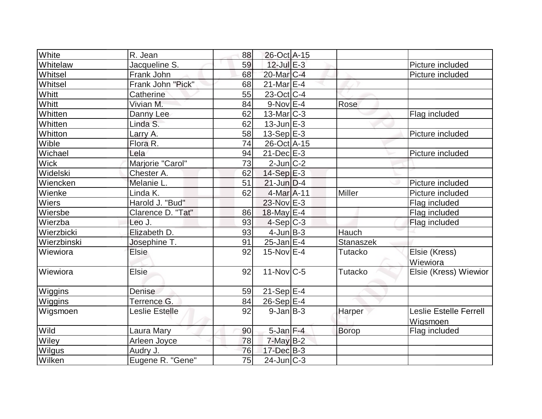| White         | R. Jean           | 88 | 26-Oct A-15            |                |                                           |
|---------------|-------------------|----|------------------------|----------------|-------------------------------------------|
| Whitelaw      | Jacqueline S.     | 59 | $12$ -Jul $E-3$        |                | Picture included                          |
| Whitsel       | Frank John        | 68 | 20-Mar <sub>IC-4</sub> |                | Picture included                          |
| Whitsel       | Frank John "Pick" | 68 | $21$ -Mar $E-4$        |                |                                           |
| Whitt         | Catherine         | 55 | 23-Oct C-4             |                |                                           |
| Whitt         | Vivian M.         | 84 | $9-Nov$ E-4            | Rose           |                                           |
| Whitten       | Danny Lee         | 62 | $13$ -Mar $ C-3 $      |                | Flag included                             |
| Whitten       | Linda S.          | 62 | $13$ -Jun $E-3$        |                |                                           |
| Whitton       | Larry A.          | 58 | 13-Sep $E-3$           |                | Picture included                          |
| Wible         | Flora R.          | 74 | 26-Oct A-15            |                |                                           |
| Wichael       | Lela              | 94 | $21$ -Dec $E-3$        |                | Picture included                          |
| <b>Wick</b>   | Marjorie "Carol"  | 73 | $2$ -Jun $ C-2 $       |                |                                           |
| Widelski      | Chester A.        | 62 | $14-Sep$ $E-3$         |                |                                           |
| Wiencken      | Melanie L.        | 51 | $21$ -Jun $D-4$        |                | Picture included                          |
| Wienke        | Linda K.          | 62 | 4-Mar A-11             | Miller         | Picture included                          |
| <b>Wiers</b>  | Harold J. "Bud"   |    | 23-Nov E-3             |                | Flag included                             |
| Wiersbe       | Clarence D. "Tat" | 86 | 18-May E-4             |                | Flag included                             |
| Wierzba       | Leo J.            | 93 | $4-Sep C-3$            |                | Flag included                             |
| Wierzbicki    | Elizabeth D.      | 93 | $4$ -Jun $B-3$         | Hauch          |                                           |
| Wierzbinski   | Josephine T.      | 91 |                        | Stanaszek      |                                           |
| Wiewiora      | <b>Elsie</b>      | 92 | $15$ -Nov $E-4$        | <b>Tutacko</b> | Elsie (Kress)                             |
|               |                   |    |                        |                | Wiewiora                                  |
| Wiewiora      | <b>Elsie</b>      | 92 | $11-Nov$ C-5           | <b>Tutacko</b> | Elsie (Kress) Wiewior                     |
| Wiggins       | <b>Denise</b>     | 59 | $21-Sep$ $E-4$         |                |                                           |
| Wiggins       | Terrence G.       | 84 | $26-Sep$ E-4           |                |                                           |
| Wigsmoen      | Leslie Estelle    | 92 | $9$ -Jan $ B-3 $       | Harper         | <b>Leslie Estelle Ferrell</b><br>Wigsmoen |
| Wild          | Laura Mary        | 90 | $5$ -Jan $F-4$         | <b>Borop</b>   | Flag included                             |
| Wiley         | Arleen Joyce      | 78 | $7$ -May B-2           |                |                                           |
| <b>Wilgus</b> | Audry J.          | 76 | 17-Dec B-3             |                |                                           |
| Wilken        | Eugene R. "Gene"  | 75 | $24$ -Jun $C-3$        |                |                                           |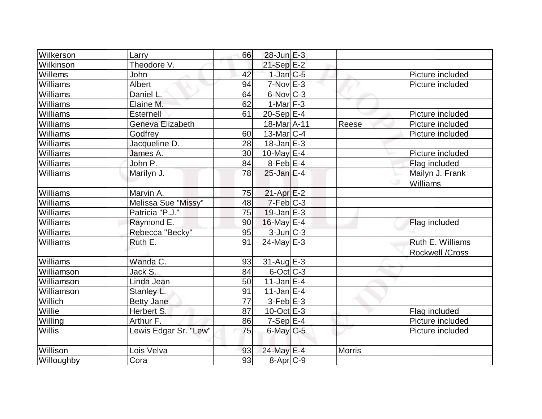| Wilkerson      | Larry                 | 66 | $28$ -Jun $E-3$          |               |                        |
|----------------|-----------------------|----|--------------------------|---------------|------------------------|
| Wilkinson      | Theodore V.           |    | $21-Sep$ $E-2$           |               |                        |
| Willems        | John                  | 42 | $1$ -Jan $C$ -5          |               | Picture included       |
| Williams       | <b>Albert</b>         | 94 | $7-Nov$ E-3              |               | Picture included       |
| Williams       | Daniel L.             | 64 | 6-Nov C-3                |               |                        |
| Williams       | Elaine M.             | 62 | $1-Mar$ F-3              |               |                        |
| Williams       | Esternell             | 61 | $20-Sep$ <sup>E-4</sup>  |               | Picture included       |
| Williams       | Geneva Elizabeth      |    | 18-Mar <sub>A-11</sub>   | Reese         | Picture included       |
| Williams       | Godfrey               | 60 | $13$ -Mar $ C-4 $        |               | Picture included       |
| Williams       | Jacqueline D.         | 28 | $18$ -Jan $E-3$          |               |                        |
| Williams       | James A.              | 30 | $\overline{10}$ -May E-4 |               | Picture included       |
| Williams       | John P.               | 84 | 8-Feb E-4                |               | Flag included          |
| Williams       | Marilyn J.            | 78 | $25$ -Jan E-4            |               | Mailyn J. Frank        |
|                |                       |    |                          |               | <b>Williams</b>        |
| Williams       | Marvin A.             | 75 | $21-Apr \tE-2$           |               |                        |
| Williams       | Melissa Sue "Missy"   | 48 | 7-Feb C-3                |               |                        |
| Williams       | Patricia "P.J."       | 75 | $19$ -Jan $E-3$          |               |                        |
| Williams       | Raymond E.            | 90 | 16-May E-4               |               | Flag included          |
| Williams       | Rebecca "Becky"       | 95 | $3$ -Jun $C-3$           |               |                        |
| Williams       | Ruth E.               | 91 | $24$ -May E-3            |               | Ruth E. Williams       |
|                |                       |    |                          |               | <b>Rockwell /Cross</b> |
| Williams       | Wanda C.              | 93 | 31-Aug E-3               |               |                        |
| Williamson     | Jack S.               | 84 | $6$ -Oct $C$ -3          |               |                        |
| Williamson     | Linda Jean            | 50 | $11$ -Jan $E-4$          |               |                        |
| Williamson     | Stanley L.            | 91 | $11$ -Jan E-4            |               |                        |
| <b>Willich</b> | <b>Betty Jane</b>     | 77 | $3$ -Feb $E-3$           |               |                        |
| Willie         | Herbert S.            | 87 | $10$ -Oct $E - 3$        |               | Flag included          |
| Willing        | Arthur F.             | 86 | $7-Sep$ $E-4$            |               | Picture included       |
| Willis         | Lewis Edgar Sr. "Lew" | 75 | $6$ -May $C$ -5          |               | Picture included       |
| Willison       | Lois Velva            | 93 | 24-May E-4               | <b>Morris</b> |                        |
| Willoughby     | Cora                  | 93 | 8-Apr <sub>C-9</sub>     |               |                        |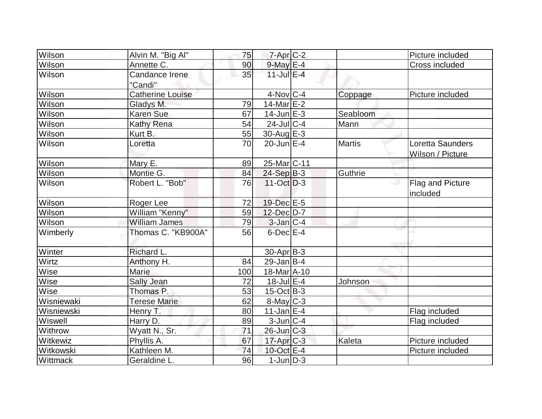| Wilson        | Alvin M. "Big Al"         | 75  | 7-Apr <sub>C-2</sub>     |               | Picture included                     |
|---------------|---------------------------|-----|--------------------------|---------------|--------------------------------------|
| <b>Wilson</b> | Annette C.                | 90  | 9-May E-4                |               | <b>Cross included</b>                |
| Wilson        | Candance Irene<br>"Candi" | 35  | $11$ -Jul E-4            |               |                                      |
| Wilson        | <b>Catherine Louise</b>   |     | $4$ -Nov $C$ -4          | Coppage       | Picture included                     |
| Wilson        | Gladys M.                 | 79  | $14$ -Mar $E-2$          |               |                                      |
| Wilson        | <b>Karen Sue</b>          | 67  | $14$ -Jun $E-3$          | Seabloom      |                                      |
| Wilson        | Kathy Rena                | 54  | $24$ -JulC-4             | Mann          |                                      |
| Wilson        | Kurt B.                   | 55  | $30$ -Aug E-3            |               |                                      |
| Wilson        | Loretta                   | 70  | $20$ -Jun $E-4$          | <b>Martis</b> | Loretta Saunders<br>Wilson / Picture |
| Wilson        | Mary E.                   | 89  | 25-Mar <sub>IC</sub> -11 |               |                                      |
| Wilson        | Montie G.                 | 84  | $24-Sep$ B-3             | Guthrie       |                                      |
| Wilson        | Robert L. "Bob"           | 76  | $11-Oct$ D-3             |               | Flag and Picture<br>included         |
| Wilson        | Roger Lee                 | 72  | 19-Dec E-5               |               |                                      |
| Wilson        | William "Kenny"           | 59  | 12-Dec D-7               |               |                                      |
| Wilson        | <b>William James</b>      | 79  | $3$ -Jan $ C-4 $         |               |                                      |
| Wimberly      | Thomas C. "KB900A"        | 56  | $6$ -Dec $E-4$           |               |                                      |
| Winter        | Richard L.                |     | 30-Apr B-3               |               |                                      |
| Wirtz         | Anthony H.                | 84  | $29$ -Jan B-4            |               |                                      |
| Wise          | <b>Marie</b>              | 100 | 18-Mar A-10              |               |                                      |
| Wise          | <b>Sally Jean</b>         | 72  | $18$ -Jul $E-4$          | Johnson       |                                      |
| Wise          | Thomas P.                 | 53  | $15$ -Oct B-3            |               |                                      |
| Wisniewaki    | <b>Terese Marie</b>       | 62  | 8-May C-3                |               |                                      |
| Wisniewski    | Henry T.                  | 80  | $11$ -Jan $E-4$          |               | Flag included                        |
| Wiswell       | Harry D.                  | 89  | $3$ -Jun $ C-4$          |               | Flag included                        |
| Withrow       | Wyatt N., Sr.             | 71  | $26$ -Jun $C-3$          |               |                                      |
| Witkewiz      | Phyllis A.                | 67  | $17$ -Apr $C-3$          | Kaleta        | Picture included                     |
| Witkowski     | Kathleen M.               | 74  | 10-Oct E-4               |               | Picture included                     |
| Wittmack      | Geraldine L.              | 96  | $1$ -Jun $D-3$           |               |                                      |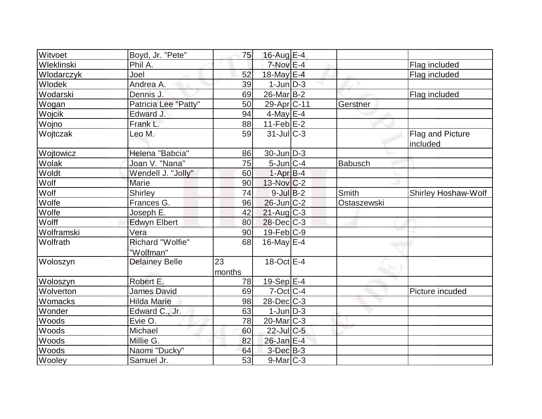| Witvoet            | Boyd, Jr. "Pete"      | 75     | 16-Aug E-4               |             |                            |
|--------------------|-----------------------|--------|--------------------------|-------------|----------------------------|
| Wleklinski         | Phil A.               |        | $7-Nov$ E-4              |             | Flag included              |
| Joel<br>Wlodarczyk |                       | 52     | 18-May E-4               |             | Flag included              |
| Wlodek             | Andrea A.             | 39     | $1$ -Jun $D-3$           |             |                            |
| Wodarski           | Dennis J.             | 69     | $26$ -Mar $ B-2 $        |             | Flag included              |
| Wogan              | Patricia Lee "Patty"  | 50     | 29-Apr <sub>IC-11</sub>  | Gerstner    |                            |
| Wojcik             | Edward J.             | 94     | $4$ -May E-4             |             |                            |
| Wojno              | Frank L.              | 88     | $11-Feb$ E-2             |             |                            |
| Wojtczak           | Leo M.                | 59     | $31$ -JulC-3             |             | Flag and Picture           |
|                    |                       |        |                          |             | included                   |
| Wojtowicz          | Helena "Babcia"       | 86     | $30$ -Jun $ D-3 $        |             |                            |
| Wolak              | Joan V. "Nana"        | 75     | $5$ -Jun $ C-4 $         | Babusch     |                            |
| Woldt              | Wendell J. "Jolly"    | 60     | $1-AprB-4$               |             |                            |
| Wolf               | Marie                 | 90     | $13-Nov$ <sub>C</sub> -2 |             |                            |
| Wolf               | Shirley               | 74     | $9$ -Jul B-2             | Smith       | <b>Shirley Hoshaw-Wolf</b> |
| Wolfe              | Frances G.            | 96     | $26$ -Jun $C-2$          | Ostaszewski |                            |
| Wolfe              | Joseph E.             | 42     | $21$ -Aug C-3            |             |                            |
| Wolff              | <b>Edwyn Elbert</b>   | 80     | $28$ -Dec $C-3$          |             |                            |
| Wolframski         | Vera                  | 90     | $19$ -Feb $ C-9 $        |             |                            |
| Wolfrath           | Richard "Wolfie"      | 68     | 16-May $E-4$             |             |                            |
|                    | "Wolfman"             |        |                          |             |                            |
| Woloszyn           | <b>Delainey Belle</b> | 23     | $18-Oct$ E-4             |             |                            |
|                    |                       | months |                          |             |                            |
| Woloszyn           | Robert E.             | 78     | 19-Sep $ E-4 $           |             |                            |
| Wolverton          | <b>James David</b>    | 69     | $7$ -Oct C-4             |             | Picture incuded            |
| Womacks            | <b>Hilda Marie</b>    | 98     | 28-Dec C-3               |             |                            |
| Wonder             | Edward C., Jr.        | 63     | $1$ -Jun $D-3$           |             |                            |
| Woods              | Evie O.               | 78     | $20$ -Mar $C-3$          |             |                            |
| Woods              | Michael               | 60     | 22-Jul C-5               |             |                            |
| Woods              | Millie G.             | 82     | 26-Jan E-4               |             |                            |
| Woods              | Naomi "Ducky"         | 64     | $3$ -Dec $B-3$           |             |                            |
| Wooley             | Samuel Jr.            | 53     | 9-Mar C-3                |             |                            |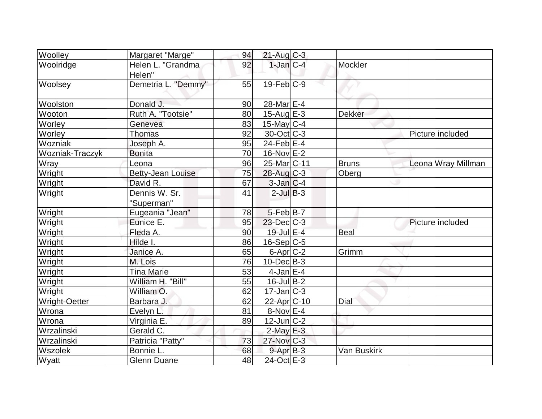| Woolley         | Margaret "Marge"            | 94 | $21$ -Aug C-3         |               |                    |
|-----------------|-----------------------------|----|-----------------------|---------------|--------------------|
| Woolridge       | Helen L. "Grandma<br>Helen" | 92 | $1-Jan C-4 $          | Mockler       |                    |
| Woolsey         | Demetria L. "Demmy"         | 55 | $19$ -Feb $C-9$       |               |                    |
| Woolston        | Donald J.                   | 90 | 28-Mar <sub>E-4</sub> |               |                    |
| Wooton          | Ruth A. "Tootsie"           | 80 | $15$ -Aug $E-3$       | <b>Dekker</b> |                    |
| Worley          | Genevea                     | 83 | $15$ -May C-4         |               |                    |
| Worley          | <b>Thomas</b>               | 92 | $30$ -Oct $ C-3 $     |               | Picture included   |
| Wozniak         | Joseph A.                   | 95 | $24$ -Feb $E-4$       |               |                    |
| Wozniak-Traczyk | <b>Bonita</b>               | 70 | 16-Nov E-2            |               |                    |
| <b>Wray</b>     | Leona                       | 96 | 25-Mar C-11           | <b>Bruns</b>  | Leona Wray Millman |
| Wright          | <b>Betty-Jean Louise</b>    | 75 | $28$ -Aug C-3         | Oberg         |                    |
| Wright          | David R.                    | 67 | $3$ -Jan $C-4$        |               |                    |
| Wright          | Dennis W. Sr.<br>"Superman" | 41 | $2$ -Jul $B-3$        |               |                    |
| Wright          | Eugeania "Jean"             | 78 | $5-Feb B-7$           |               |                    |
| Wright          | Eunice E.                   | 95 | $23$ -Dec $C-3$       |               | Picture included   |
| Wright          | Fleda A.                    | 90 | 19-Jul E-4            | Beal          |                    |
| Wright          | Hilde I.                    | 86 | $16-Sep C-5$          |               |                    |
| Wright          | Janice A.                   | 65 | $6$ -Apr $C$ -2       | Grimm         |                    |
| Wright          | M. Lois                     | 76 | $10$ -Dec $ B-3 $     |               |                    |
| Wright          | <b>Tina Marie</b>           | 53 | $4$ -Jan $E-4$        |               |                    |
| Wright          | William H. "Bill"           | 55 | $16$ -Jul B-2         |               |                    |
| Wright          | William O.                  | 62 | $17$ -Jan $ C-3 $     |               |                    |
| Wright-Oetter   | Barbara J.                  | 62 | 22-Apr C-10           | Dial          |                    |
| Wrona           | Evelyn L.                   | 81 | $8-Nov$ E-4           |               |                    |
| Wrona           | Virginia E.                 | 89 | $12$ -Jun $ C-2 $     |               |                    |
| Wrzalinski      | Gerald C.                   |    | $2$ -May $E-3$        |               |                    |
| Wrzalinski      | Patricia "Patty"            | 73 | $27$ -Nov $ C-3 $     |               |                    |
| Wszolek         | Bonnie L.                   | 68 | $9 - Apr$ $B - 3$     | Van Buskirk   |                    |
| Wyatt           | <b>Glenn Duane</b>          | 48 | 24-Oct E-3            |               |                    |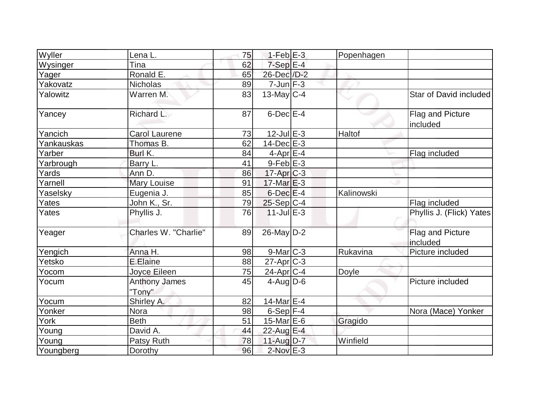| Wyller     | Lena L.                        | 75 | $1-Feb$ $E-3$     | Popenhagen |                              |
|------------|--------------------------------|----|-------------------|------------|------------------------------|
| Wysinger   | Tina                           | 62 | $7-Sep \E-4$      |            |                              |
| Yager      | Ronald E.                      | 65 | 26-Dec /D-2       |            |                              |
| Yakovatz   | <b>Nicholas</b>                | 89 | $7$ -Jun $F-3$    |            |                              |
| Yalowitz   | Warren M.                      | 83 | $13$ -May C-4     |            | Star of David included       |
| Yancey     | Richard L.                     | 87 | $6$ -Dec $E$ -4   |            | Flag and Picture<br>included |
| Yancich    | <b>Carol Laurene</b>           | 73 | $12$ -Jul $E-3$   | Haltof     |                              |
| Yankauskas | Thomas B.                      | 62 | $14$ -Dec $E-3$   |            |                              |
| Yarber     | Burl K.                        | 84 | $4$ -Apr $E-4$    |            | Flag included                |
| Yarbrough  | Barry L.                       | 41 | $9$ -Feb $E-3$    |            |                              |
| Yards      | Ann D.                         | 86 | $17$ -Apr $C-3$   |            |                              |
| Yarnell    | <b>Mary Louise</b>             | 91 | $17$ -Mar $E-3$   |            |                              |
| Yaselsky   | Eugenia J.                     | 85 | $6$ -Dec $E-4$    | Kalinowski |                              |
| Yates      | John K., Sr.                   | 79 | $25-Sep C-4$      |            | Flag included                |
| Yates      | Phyllis J.                     | 76 | $11$ -Jul $E-3$   |            | Phyllis J. (Flick) Yates     |
| Yeager     | Charles W. "Charlie"           | 89 | $26$ -May $D-2$   |            | Flag and Picture<br>included |
| Yengich    | Anna H.                        | 98 | $9$ -Mar $C-3$    | Rukavina   | Picture included             |
| Yetsko     | E.Elaine                       | 88 | $27$ -Apr $ C-3 $ |            |                              |
| Yocom      | Joyce Eileen                   | 75 | $24$ -Apr $ C-4 $ | Doyle      |                              |
| Yocum      | <b>Anthony James</b><br>"Tony" | 45 | $4$ -Aug D-6      |            | Picture included             |
| Yocum      | Shirley A.                     | 82 | 14-Mar $E-4$      |            |                              |
| Yonker     | Nora                           | 98 | $6-Sep$ F-4       |            | Nora (Mace) Yonker           |
| York       | <b>Beth</b>                    | 51 | 15-Mar $E$ -6     | Gragido    |                              |
| Young      | David A.                       | 44 | 22-Aug E-4        |            |                              |
| Young      | Patsy Ruth                     | 78 | $11$ -Aug $D-7$   | Winfield   |                              |
| Youngberg  | Dorothy                        | 96 | $2$ -Nov $E-3$    |            |                              |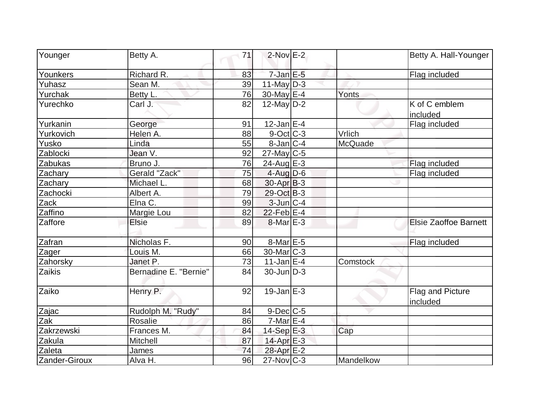| Younger       | Betty A.              | 71 | $2$ -Nov $E-2$    |                | Betty A. Hall-Younger        |
|---------------|-----------------------|----|-------------------|----------------|------------------------------|
| Younkers      | Richard R.            | 83 | $7$ -Jan $E$ -5   |                | Flag included                |
| Yuhasz        | Sean M.               | 39 | $11$ -May $D-3$   |                |                              |
| Yurchak       | Betty L.              | 76 | 30-May E-4        | Yonts          |                              |
| Yurechko      | Carl J.               | 82 | $12$ -May D-2     |                | K of C emblem<br>included    |
| Yurkanin      | George                | 91 | $12$ -Jan E-4     |                | Flag included                |
| Yurkovich     | Helen A.              | 88 | 9-Oct C-3         | Vrlich         |                              |
| Yusko         | Linda                 | 55 | $8$ -Jan $ C-4 $  | <b>McQuade</b> |                              |
| Zablocki      | Jean V.               | 92 | $27$ -May C-5     |                |                              |
| Zabukas       | Bruno J.              | 76 | $24$ -Aug $E-3$   |                | Flag included                |
| Zachary       | Gerald "Zack"         | 75 | $4$ -Aug $D-6$    |                | Flag included                |
| Zachary       | Michael L.            | 68 | $30-Apr$ B-3      |                |                              |
| Zachocki      | Albert A.             | 79 | $29-Oct$ B-3      |                |                              |
| Zack          | Elna C.               | 99 | $3$ -Jun $C-4$    |                |                              |
| Zaffino       | Margie Lou            | 82 | $22$ -Feb $E-4$   |                |                              |
| Zaffore       | Elsie                 | 89 | $8$ -Mar $E-3$    |                | <b>Elsie Zaoffoe Barnett</b> |
| Zafran        | Nicholas F.           | 90 | 8-Mar E-5         |                | Flag included                |
| Zager         | Louis M.              | 66 | $30$ -Mar $C-3$   |                |                              |
| Zahorsky      | Janet P.              | 73 | $11$ -Jan $E-4$   | Comstock       |                              |
| Zaikis        | Bernadine E. "Bernie" | 84 | $30$ -Jun $D-3$   |                |                              |
| Zaiko         | Henry P.              | 92 | $19$ -Jan $E-3$   |                | Flag and Picture<br>included |
| Zajac         | Rudolph M. "Rudy"     | 84 | $9$ -Dec $C$ -5   |                |                              |
| Zak           | Rosalie               | 86 | $7-Mar \E-4$      |                |                              |
| Zakrzewski    | Frances M.            | 84 | $14-Sep \nE-3$    | Cap            |                              |
| Zakula        | Mitchell              | 87 | 14-Apr E-3        |                |                              |
| Zaleta        | James                 | 74 | 28-Apr E-2        |                |                              |
| Zander-Giroux | Alva H.               | 96 | $27$ -Nov $ C-3 $ | Mandelkow      |                              |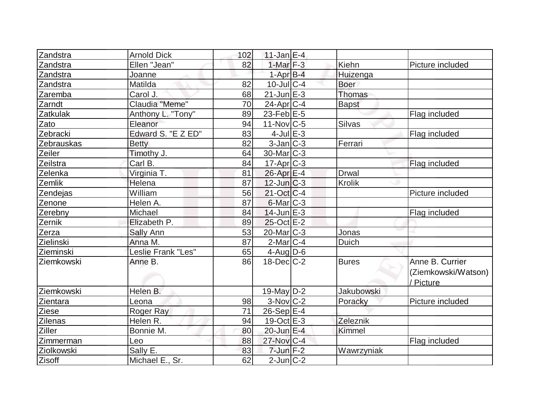| Zandstra        | <b>Arnold Dick</b> | 102 | $11$ -Jan $E-4$         |                   |                                                     |
|-----------------|--------------------|-----|-------------------------|-------------------|-----------------------------------------------------|
| Zandstra        | Ellen "Jean"       | 82  | 1-Mar $F-3$             | Kiehn             | Picture included                                    |
| Zandstra        | Joanne             |     | $1-AprB-4$              | Huizenga          |                                                     |
| Zandstra        | Matilda            | 82  | $10$ -JulC-4            | <b>Boer</b>       |                                                     |
| Zaremba         | Carol J.           | 68  | $21$ -Jun $E-3$         | Thomas            |                                                     |
| Zarndt          | Claudia "Meme"     | 70  | $24$ -Apr $ C-4 $       | <b>Bapst</b>      |                                                     |
| <b>Zatkulak</b> | Anthony L. "Tony"  | 89  | $23$ -Feb $E-5$         |                   | Flag included                                       |
| Zato            | Eleanor            | 94  | $11-NovC-5$             | Silvas            |                                                     |
| Zebracki        | Edward S. "E Z ED" | 83  | $4$ -Jul $E-3$          |                   | Flag included                                       |
| Zebrauskas      | <b>Betty</b>       | 82  | $3$ -Jan $ C-3 $        | Ferrari           |                                                     |
| Zeiler          | Timothy J.         | 64  | 30-Mar <sub>IC</sub> -3 |                   |                                                     |
| Zeilstra        | Carl B.            | 84  | $17$ -Apr $C-3$         |                   | Flag included                                       |
| Zelenka         | Virginia T.        | 81  | 26-Apr E-4              | <b>Drwal</b>      |                                                     |
| Zemlik          | Helena             | 87  | $12$ -Jun $ C-3 $       | Krolik            |                                                     |
| Zendejas        | William            | 56  | $21-Oct$ $C-4$          |                   | Picture included                                    |
| Zenone          | Helen A.           | 87  | $6$ -Mar $ C-3 $        |                   |                                                     |
| Zerebny         | Michael            | 84  | $14$ -Jun $E-3$         |                   | Flag included                                       |
| Zernik          | Elizabeth P.       | 89  | 25-Oct E-2              |                   |                                                     |
| Zerza           | Sally Ann          | 53  | 20-Mar C-3              | Jonas             |                                                     |
| Zielinski       | Anna M.            | 87  | $2$ -Mar $ C-4 $        | <b>Duich</b>      |                                                     |
| Zieminski       | Leslie Frank "Les" | 65  | $4$ -Aug $D-6$          |                   |                                                     |
| Ziemkowski      | Anne B.            | 86  | $18$ -Dec $ C-2 $       | <b>Bures</b>      | Anne B. Currier<br>(Ziemkowski/Watson)<br>/ Picture |
| Ziemkowski      | Helen B.           |     | $19$ -May D-2           | <b>Jakubowski</b> |                                                     |
| Zientara        | Leona              | 98  | $3-Nov$ $C-2$           | Poracky           | Picture included                                    |
| Ziese           | Roger Ray          | 71  | $26-Sep$ $E-4$          |                   |                                                     |
| <b>Zilenas</b>  | Helen R.           | 94  | $19-Oct$ $E-3$          | Zeleznik          |                                                     |
| Ziller          | Bonnie M.          | 80  | 20-Jun E-4              | Kimmel            |                                                     |
| Zimmerman       | Leo                | 88  | $27$ -Nov $ C-4 $       |                   | Flag included                                       |
| Ziolkowski      | Sally E.           | 83  | $7$ -Jun $F-2$          | Wawrzyniak        |                                                     |
| Zisoff          | Michael E., Sr.    | 62  | $2$ -Jun $ C-2 $        |                   |                                                     |